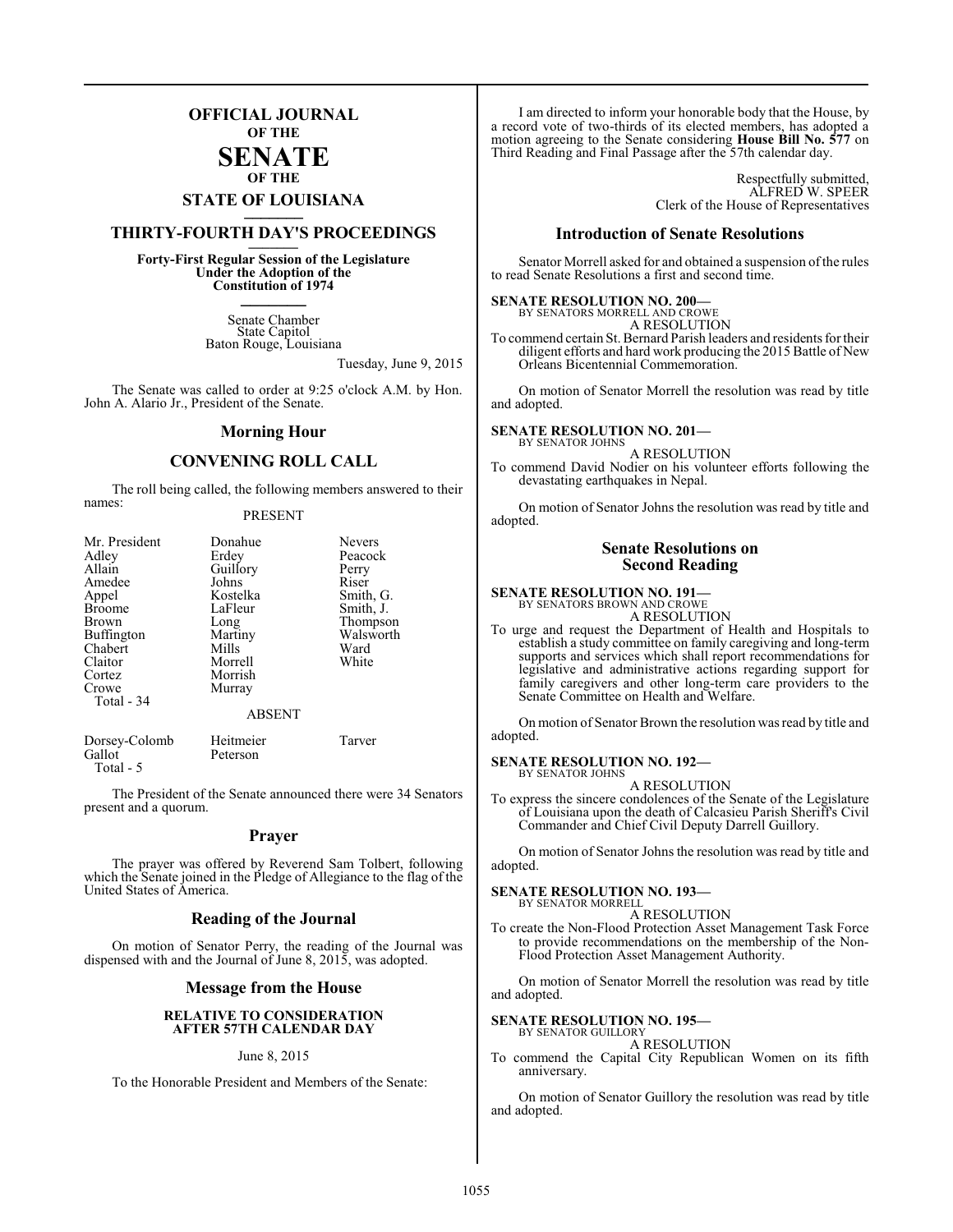## **OFFICIAL JOURNAL OF THE**

#### **SENATE OF THE**

# **STATE OF LOUISIANA \_\_\_\_\_\_\_**

# **THIRTY-FOURTH DAY'S PROCEEDINGS \_\_\_\_\_\_\_**

**Forty-First Regular Session of the Legislature Under the Adoption of the Constitution of 1974 \_\_\_\_\_\_\_**

> Senate Chamber State Capitol Baton Rouge, Louisiana

> > Tuesday, June 9, 2015

The Senate was called to order at 9:25 o'clock A.M. by Hon. John A. Alario Jr., President of the Senate.

#### **Morning Hour**

#### **CONVENING ROLL CALL**

The roll being called, the following members answered to their names:

#### PRESENT

| Mr. President           | Donahue               | <b>Nevers</b> |
|-------------------------|-----------------------|---------------|
| Adley                   | Erdey                 | Peacock       |
| Allain                  | Guillory              | Perry         |
| Amedee                  | Johns                 | Riser         |
| Appel                   | Kostelka              | Smith, G.     |
| <b>Broome</b>           | LaFleur               | Smith, J.     |
| <b>Brown</b>            | Long                  | Thompson      |
| <b>Buffington</b>       | Martiny               | Walsworth     |
| Chabert                 | Mills                 | Ward          |
| Claitor                 | Morrell               | White         |
| Cortez                  | Morrish               |               |
| Crowe                   | Murray                |               |
| Total - 34              |                       |               |
|                         | <b>ABSENT</b>         |               |
| Dorsey-Colomb<br>Gallot | Heitmeier<br>Peterson | Tarver        |

Total - 5

The President of the Senate announced there were 34 Senators present and a quorum.

#### **Prayer**

The prayer was offered by Reverend Sam Tolbert, following which the Senate joined in the Pledge of Allegiance to the flag of the United States of America.

#### **Reading of the Journal**

On motion of Senator Perry, the reading of the Journal was dispensed with and the Journal of June 8, 2015, was adopted.

#### **Message from the House**

#### **RELATIVE TO CONSIDERATION AFTER 57TH CALENDAR DAY**

#### June 8, 2015

To the Honorable President and Members of the Senate:

I am directed to inform your honorable body that the House, by a record vote of two-thirds of its elected members, has adopted a motion agreeing to the Senate considering **House Bill No. 577** on Third Reading and Final Passage after the 57th calendar day.

> Respectfully submitted, ALFRED W. SPEER Clerk of the House of Representatives

#### **Introduction of Senate Resolutions**

Senator Morrell asked for and obtained a suspension ofthe rules to read Senate Resolutions a first and second time.

**SENATE RESOLUTION NO. 200—** BY SENATORS MORRELL AND CROWE A RESOLUTION

To commend certain St. Bernard Parish leaders and residents for their diligent efforts and hard work producing the 2015 Battle of New Orleans Bicentennial Commemoration.

On motion of Senator Morrell the resolution was read by title and adopted.

#### **SENATE RESOLUTION NO. 201—** BY SENATOR JOHNS

A RESOLUTION To commend David Nodier on his volunteer efforts following the

devastating earthquakes in Nepal.

On motion of Senator Johns the resolution was read by title and adopted.

#### **Senate Resolutions on Second Reading**

#### **SENATE RESOLUTION NO. 191—**

BY SENATORS BROWN AND CROWE A RESOLUTION

To urge and request the Department of Health and Hospitals to establish a study committee on family caregiving and long-term supports and services which shall report recommendations for legislative and administrative actions regarding support for family caregivers and other long-term care providers to the Senate Committee on Health and Welfare.

On motion of Senator Brown the resolution was read by title and adopted.

#### **SENATE RESOLUTION NO. 192—**

BY SENATOR JOHNS A RESOLUTION

To express the sincere condolences of the Senate of the Legislature of Louisiana upon the death of Calcasieu Parish Sheriff's Civil Commander and Chief Civil Deputy Darrell Guillory.

On motion of Senator Johns the resolution was read by title and adopted.

#### **SENATE RESOLUTION NO. 193—** BY SENATOR MORRELL

A RESOLUTION

To create the Non-Flood Protection Asset Management Task Force to provide recommendations on the membership of the Non-Flood Protection Asset Management Authority.

On motion of Senator Morrell the resolution was read by title and adopted.

#### **SENATE RESOLUTION NO. 195—** BY SENATOR GUILLORY

#### A RESOLUTION

To commend the Capital City Republican Women on its fifth anniversary.

On motion of Senator Guillory the resolution was read by title and adopted.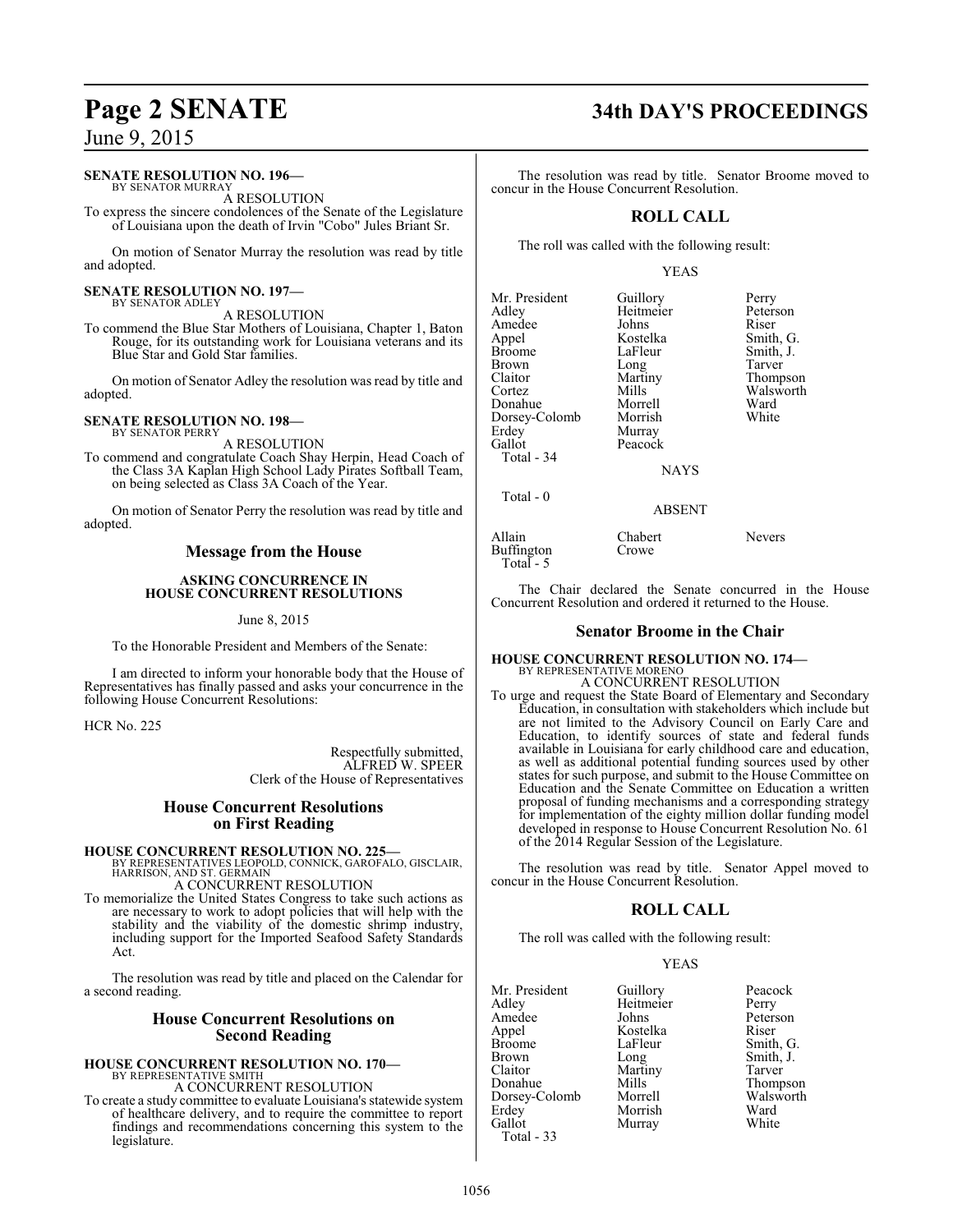#### **SENATE RESOLUTION NO. 196—**

BY SENATOR MURRAY A RESOLUTION

To express the sincere condolences of the Senate of the Legislature of Louisiana upon the death of Irvin "Cobo" Jules Briant Sr.

On motion of Senator Murray the resolution was read by title and adopted.

#### **SENATE RESOLUTION NO. 197—** BY SENATOR ADLEY

A RESOLUTION

To commend the Blue Star Mothers of Louisiana, Chapter 1, Baton Rouge, for its outstanding work for Louisiana veterans and its Blue Star and Gold Star families.

On motion of Senator Adley the resolution was read by title and adopted.

#### **SENATE RESOLUTION NO. 198—** BY SENATOR PERRY

A RESOLUTION To commend and congratulate Coach Shay Herpin, Head Coach of the Class 3A Kaplan High School Lady Pirates Softball Team, on being selected as Class 3A Coach of the Year.

On motion of Senator Perry the resolution was read by title and adopted.

### **Message from the House**

#### **ASKING CONCURRENCE IN HOUSE CONCURRENT RESOLUTIONS**

June 8, 2015

To the Honorable President and Members of the Senate:

I am directed to inform your honorable body that the House of Representatives has finally passed and asks your concurrence in the following House Concurrent Resolutions:

HCR No. 225

Respectfully submitted, ALFRED W. SPEER Clerk of the House of Representatives

#### **House Concurrent Resolutions on First Reading**

## **HOUSE CONCURRENT RESOLUTION NO. 225—**

BY REPRESENTATIVES LEOPOLD, CONNICK, GAROFALO, GISCLAIR, HARRISON, AND ST. GERMAIN

A CONCURRENT RESOLUTION

To memorialize the United States Congress to take such actions as are necessary to work to adopt policies that will help with the stability and the viability of the domestic shrimp industry, including support for the Imported Seafood Safety Standards Act.

The resolution was read by title and placed on the Calendar for a second reading.

#### **House Concurrent Resolutions on Second Reading**

# **HOUSE CONCURRENT RESOLUTION NO. 170—** BY REPRESENTATIVE SMITH

A CONCURRENT RESOLUTION

To create a study committee to evaluate Louisiana's statewide system of healthcare delivery, and to require the committee to report findings and recommendations concerning this system to the legislature.

# **Page 2 SENATE 34th DAY'S PROCEEDINGS**

The resolution was read by title. Senator Broome moved to concur in the House Concurrent Resolution.

## **ROLL CALL**

The roll was called with the following result:

#### YEAS

| Mr. President<br>Adley<br>Amedee<br>Appel<br><b>Broome</b><br><b>Brown</b><br>Claitor<br>Cortez<br>Donahue<br>Dorsey-Colomb<br>Erdey<br>Gallot<br>Total - 34 | Guillory<br>Heitmeier<br>Johns<br>Kostelka<br>LaFleur<br>Long<br>Martiny<br>Mills<br>Morrell<br>Morrish<br>Murray<br>Peacock<br><b>NAYS</b> | Perry<br>Peterson<br>Riser<br>Smith, G.<br>Smith, J.<br>Tarver<br>Thompson<br>Walsworth<br>Ward<br>White |
|--------------------------------------------------------------------------------------------------------------------------------------------------------------|---------------------------------------------------------------------------------------------------------------------------------------------|----------------------------------------------------------------------------------------------------------|
| Total - 0                                                                                                                                                    |                                                                                                                                             |                                                                                                          |
|                                                                                                                                                              |                                                                                                                                             |                                                                                                          |

Buffington Total - 5

Allain Chabert Nevers<br>Buffington Crowe

The Chair declared the Senate concurred in the House Concurrent Resolution and ordered it returned to the House.

ABSENT

#### **Senator Broome in the Chair**

# **HOUSE CONCURRENT RESOLUTION NO. 174—** BY REPRESENTATIVE MORENO

A CONCURRENT RESOLUTION To urge and request the State Board of Elementary and Secondary Education, in consultation with stakeholders which include but are not limited to the Advisory Council on Early Care and Education, to identify sources of state and federal funds available in Louisiana for early childhood care and education, as well as additional potential funding sources used by other states for such purpose, and submit to the House Committee on Education and the Senate Committee on Education a written proposal of funding mechanisms and a corresponding strategy for implementation of the eighty million dollar funding model developed in response to House Concurrent Resolution No. 61 of the 2014 Regular Session of the Legislature.

The resolution was read by title. Senator Appel moved to concur in the House Concurrent Resolution.

## **ROLL CALL**

The roll was called with the following result:

#### YEAS

| Mr. President | Guillory  | Peacock   |
|---------------|-----------|-----------|
| Adlev         | Heitmeier | Perry     |
| Amedee        | Johns     | Peterson  |
| Appel         | Kostelka  | Riser     |
| Broome        | LaFleur   | Smith, G. |
| Brown         | Long      | Smith, J. |
| Claitor       | Martiny   | Tarver    |
| Donahue       | Mills     | Thompson  |
| Dorsey-Colomb | Morrell   | Walsworth |
| Erdey         | Morrish   | Ward      |
| Gallot        | Murray    | White     |
| Total - 33    |           |           |
|               |           |           |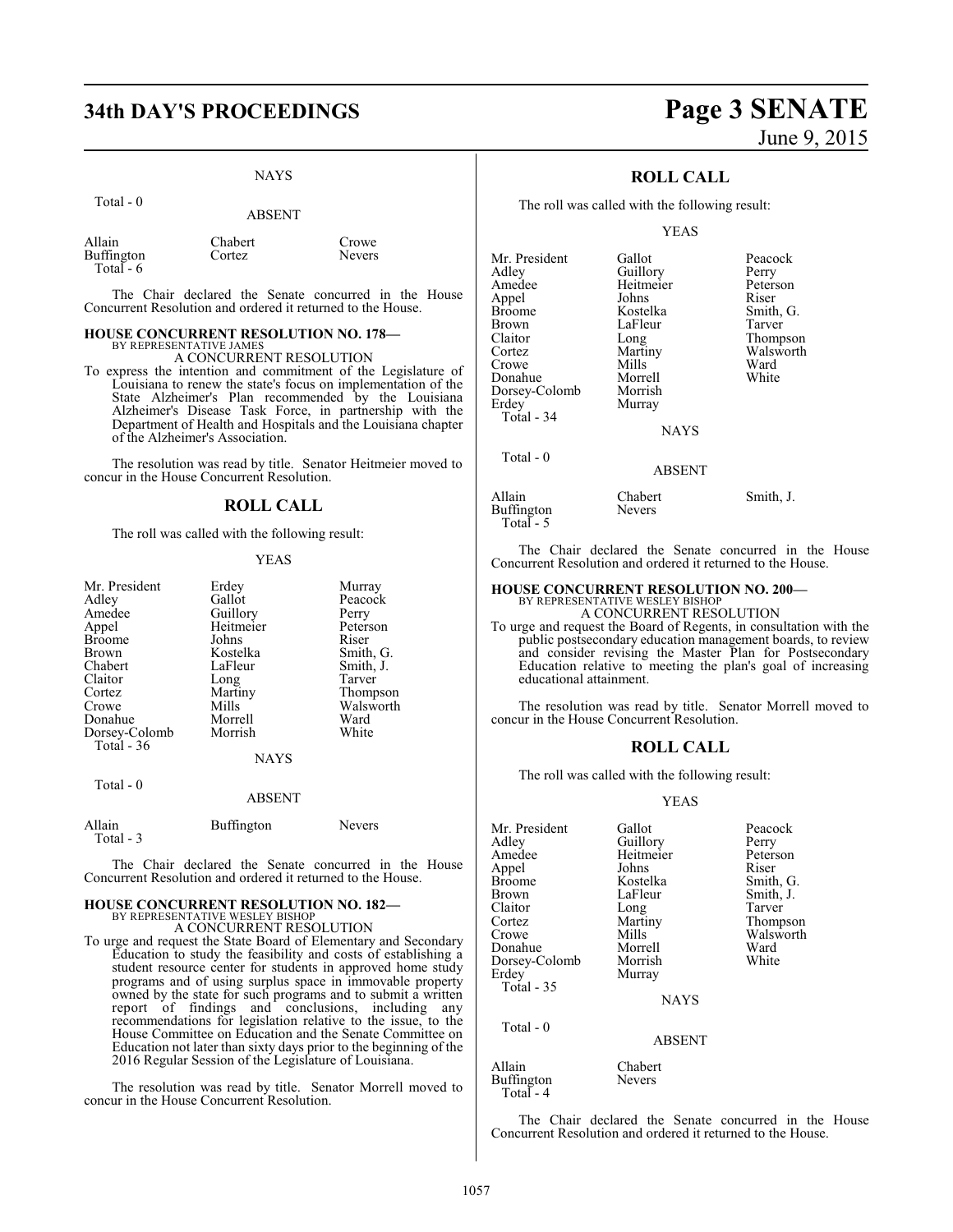# **34th DAY'S PROCEEDINGS Page 3 SENATE**

#### NAYS

| .                                          | <b>ABSENT</b>     |                 |
|--------------------------------------------|-------------------|-----------------|
| Allain<br><b>Buffington</b><br>Total - $6$ | Chabert<br>Cortez | Crowe<br>Nevers |

 $Total - 0$ 

The Chair declared the Senate concurred in the House Concurrent Resolution and ordered it returned to the House.

#### **HOUSE CONCURRENT RESOLUTION NO. 178—** BY REPRESENTATIVE JAMES

A CONCURRENT RESOLUTION

To express the intention and commitment of the Legislature of Louisiana to renew the state's focus on implementation of the State Alzheimer's Plan recommended by the Louisiana Alzheimer's Disease Task Force, in partnership with the Department of Health and Hospitals and the Louisiana chapter of the Alzheimer's Association.

The resolution was read by title. Senator Heitmeier moved to concur in the House Concurrent Resolution.

#### **ROLL CALL**

The roll was called with the following result:

#### YEAS

| Mr. President | Erdey     | Murray    |
|---------------|-----------|-----------|
| Adley         | Gallot    | Peacock   |
| Amedee        | Guillory  | Perry     |
| Appel         | Heitmeier | Peterson  |
| <b>Broome</b> | Johns     | Riser     |
| Brown         | Kostelka  | Smith, G. |
| Chabert       | LaFleur   | Smith, J. |
| Claitor       | Long      | Tarver    |
| Cortez        | Martiny   | Thompson  |
| Crowe         | Mills     | Walsworth |
| Donahue       | Morrell   | Ward      |
| Dorsey-Colomb | Morrish   | White     |
| Total - 36    |           |           |
|               | NAYS      |           |
|               |           |           |

Total - 0

#### ABSENT

| Allain    | Buffington | <b>Nevers</b> |
|-----------|------------|---------------|
| Total - 3 |            |               |

The Chair declared the Senate concurred in the House Concurrent Resolution and ordered it returned to the House.

#### **HOUSE CONCURRENT RESOLUTION NO. 182—** BY REPRESENTATIVE WESLEY BISHOP A CONCURRENT RESOLUTION

To urge and request the State Board of Elementary and Secondary Education to study the feasibility and costs of establishing a student resource center for students in approved home study programs and of using surplus space in immovable property owned by the state for such programs and to submit a written report of findings and conclusions, including any recommendations for legislation relative to the issue, to the House Committee on Education and the Senate Committee on Education not later than sixty days prior to the beginning of the 2016 Regular Session of the Legislature of Louisiana.

The resolution was read by title. Senator Morrell moved to concur in the House Concurrent Resolution.

# June 9, 2015

#### **ROLL CALL**

The roll was called with the following result:

#### YEAS

| Mr. President | Gallot      | Peacock   |
|---------------|-------------|-----------|
| Adley         | Guillory    | Perry     |
| Amedee        | Heitmeier   | Peterson  |
| Appel         | Johns       | Riser     |
| <b>Broome</b> | Kostelka    | Smith, G. |
| <b>Brown</b>  | LaFleur     | Tarver    |
| Claitor       | Long        | Thompson  |
| Cortez        | Martiny     | Walsworth |
| Crowe         | Mills       | Ward      |
| Donahue       | Morrell     | White     |
| Dorsey-Colomb | Morrish     |           |
| Erdey         | Murray      |           |
| Total - 34    |             |           |
|               | <b>NAYS</b> |           |
|               |             |           |

Total - 0

#### ABSENT

| Allain     | Chabert       | Smith, J. |
|------------|---------------|-----------|
| Buffington | <b>Nevers</b> |           |
| Total $-5$ |               |           |

The Chair declared the Senate concurred in the House Concurrent Resolution and ordered it returned to the House.

## **HOUSE CONCURRENT RESOLUTION NO. 200—**

BY REPRESENTATIVE WESLEY BISHOP A CONCURRENT RESOLUTION

To urge and request the Board of Regents, in consultation with the public postsecondary education management boards, to review and consider revising the Master Plan for Postsecondary Education relative to meeting the plan's goal of increasing educational attainment.

The resolution was read by title. Senator Morrell moved to concur in the House Concurrent Resolution.

#### **ROLL CALL**

The roll was called with the following result:

#### YEAS

| Mr. President     | Gallot        | Peacock   |
|-------------------|---------------|-----------|
| Adley             | Guillory      | Perry     |
| Amedee            | Heitmeier     | Peterson  |
| Appel             | Johns         | Riser     |
| <b>Broome</b>     | Kostelka      | Smith, G. |
| <b>Brown</b>      | LaFleur       | Smith, J. |
| Claitor           | Long          | Tarver    |
| Cortez            | Martiny       | Thompson  |
| Crowe             | Mills         | Walsworth |
| Donahue           | Morrell       | Ward      |
| Dorsey-Colomb     | Morrish       | White     |
| Erdey             | Murray        |           |
| <b>Total - 35</b> |               |           |
|                   | <b>NAYS</b>   |           |
| Total - 0         |               |           |
|                   | <b>ABSENT</b> |           |

Allain Chabert<br>Buffington Nevers

Buffington Total - 4

The Chair declared the Senate concurred in the House Concurrent Resolution and ordered it returned to the House.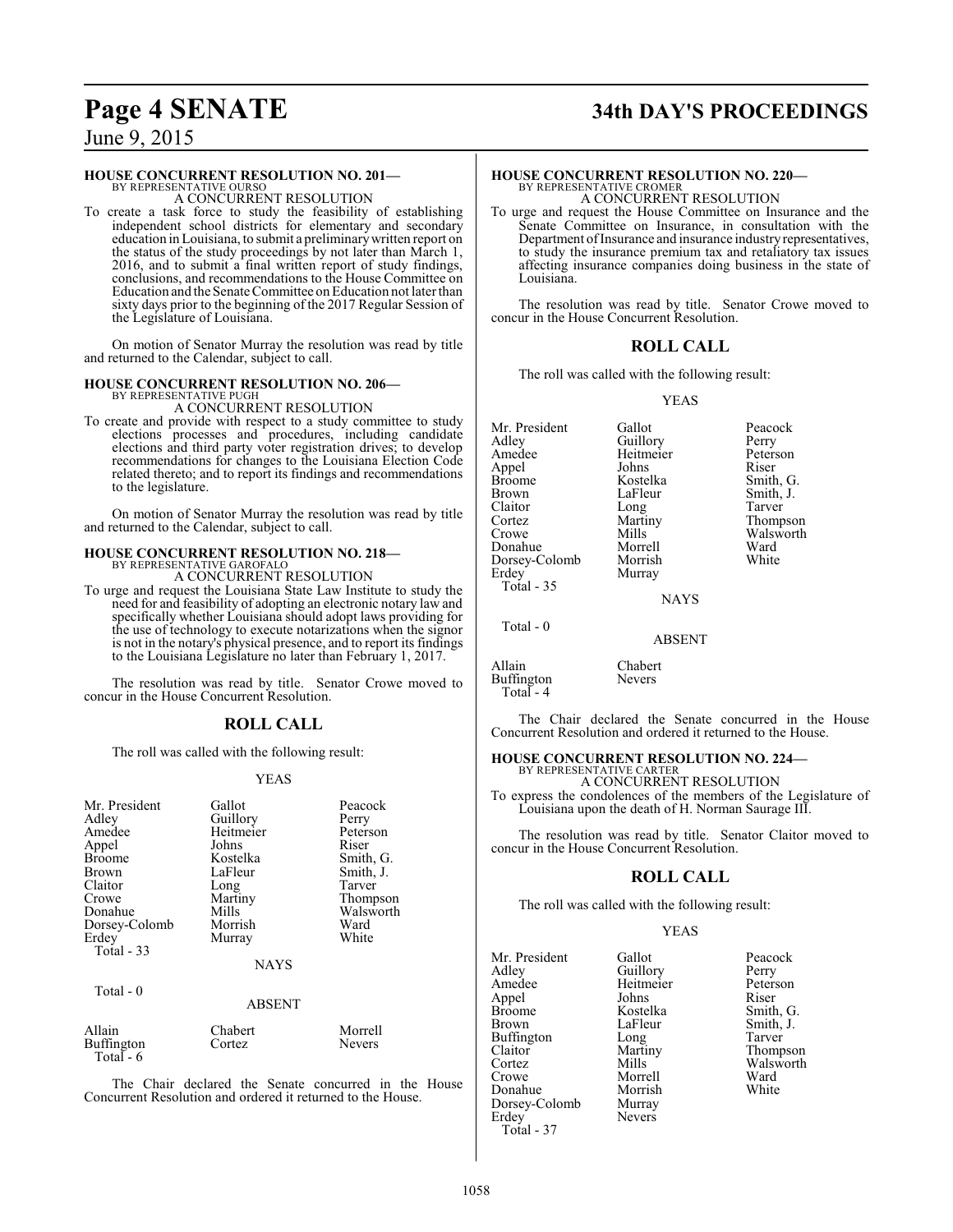# **Page 4 SENATE 34th DAY'S PROCEEDINGS**

June 9, 2015

#### **HOUSE CONCURRENT RESOLUTION NO. 201—**

BY REPRESENTATIVE OURSO A CONCURRENT RESOLUTION

To create a task force to study the feasibility of establishing independent school districts for elementary and secondary education in Louisiana, to submit a preliminarywritten report on the status of the study proceedings by not later than March 1, 2016, and to submit a final written report of study findings, conclusions, and recommendations to the House Committee on Education and theSenate Committee on Education not later than sixty days prior to the beginning of the 2017 Regular Session of the Legislature of Louisiana.

On motion of Senator Murray the resolution was read by title and returned to the Calendar, subject to call.

#### **HOUSE CONCURRENT RESOLUTION NO. 206—**

BY REPRESENTATIVE PUGH A CONCURRENT RESOLUTION

To create and provide with respect to a study committee to study elections processes and procedures, including candidate elections and third party voter registration drives; to develop recommendations for changes to the Louisiana Election Code related thereto; and to report its findings and recommendations to the legislature.

On motion of Senator Murray the resolution was read by title and returned to the Calendar, subject to call.

## **HOUSE CONCURRENT RESOLUTION NO. 218—** BY REPRESENTATIVE GAROFALO A CONCURRENT RESOLUTION

To urge and request the Louisiana State Law Institute to study the need for and feasibility of adopting an electronic notary law and specifically whether Louisiana should adopt laws providing for the use of technology to execute notarizations when the signor is not in the notary's physical presence, and to report its findings to the Louisiana Legislature no later than February 1, 2017.

The resolution was read by title. Senator Crowe moved to concur in the House Concurrent Resolution.

#### **ROLL CALL**

The roll was called with the following result:

#### YEAS

| Mr. President<br>Adley<br>Amedee<br>Appel<br><b>Broome</b><br>Brown<br>Claitor<br>Crowe<br>Donahue<br>Dorsey-Colomb<br>Erdey<br>Total $-33$ | Gallot<br>Guillory<br>Heitmeier<br>Johns<br>Kostelka<br>LaFleur<br>Long<br>Martiny<br>Mills<br>Morrish<br>Murray<br><b>NAYS</b> | Peacock<br>Perry<br>Peterson<br>Riser<br>Smith, G.<br>Smith, J.<br>Tarver<br>Thompson<br>Walsworth<br>Ward<br>White |
|---------------------------------------------------------------------------------------------------------------------------------------------|---------------------------------------------------------------------------------------------------------------------------------|---------------------------------------------------------------------------------------------------------------------|
| Total - 0                                                                                                                                   | <b>ABSENT</b>                                                                                                                   |                                                                                                                     |

| Allain     | Chabert | Morrell       |
|------------|---------|---------------|
| Buffington | Cortez  | <b>Nevers</b> |
| Total $-6$ |         |               |

The Chair declared the Senate concurred in the House Concurrent Resolution and ordered it returned to the House.

# **HOUSE CONCURRENT RESOLUTION NO. 220—**

BY REPRESENTATIVE CROMER A CONCURRENT RESOLUTION

To urge and request the House Committee on Insurance and the Senate Committee on Insurance, in consultation with the Department of Insurance and insurance industry representatives, to study the insurance premium tax and retaliatory tax issues affecting insurance companies doing business in the state of Louisiana.

The resolution was read by title. Senator Crowe moved to concur in the House Concurrent Resolution.

#### **ROLL CALL**

The roll was called with the following result:

#### YEAS

| Mr. President | Gallot          | Peacock   |
|---------------|-----------------|-----------|
| Adley         | Guillory        | Perry     |
| Amedee        | Heitmeier       | Peterson  |
| Appel         | Johns           | Riser     |
| <b>Broome</b> | Kostelka        | Smith, G. |
| Brown         | LaFleur         | Smith, J. |
| Claitor       | Long            | Tarver    |
| Cortez        | Martiny         | Thompson  |
| Crowe         | Mills           | Walsworth |
| Donahue       | Morrell         | Ward      |
| Dorsey-Colomb | Morrish         | White     |
| Erdey         | Murray          |           |
| Total - 35    |                 |           |
|               | <b>NI A VZC</b> |           |

**NAYS** 

ABSENT

Total - 0

Allain Chabert Buffington Nevers Total - 4

The Chair declared the Senate concurred in the House Concurrent Resolution and ordered it returned to the House.

#### **HOUSE CONCURRENT RESOLUTION NO. 224—**

BY REPRESENTATIVE CARTER A CONCURRENT RESOLUTION To express the condolences of the members of the Legislature of Louisiana upon the death of H. Norman Saurage III.

The resolution was read by title. Senator Claitor moved to concur in the House Concurrent Resolution.

#### **ROLL CALL**

The roll was called with the following result:

Nevers

#### YEAS

Mr. President Gallot Peacock<br>Adley Guillory Perry Adley Guillory Perry<br>Amedee Heitmeier Peterson Appel Johns<br>Broome Kostelka Broome Kostelka Smith, G.<br>Brown LaFleur Smith, J. Buffington Long<br>Claitor Martiny Claitor Martiny Thompson<br>Cortez Mills Walsworth Cortez Mills Walsworth<br>Crowe Morrell Ward Donahue Morrish<br>Dorsey-Colomb Murray Dorsey-Colomb<br>Erdey Total - 37

Heitmeier Peters<br>Johns Riser LaFleur Smith, J.<br>Long Tarver Morrell Ward<br>
Morrish White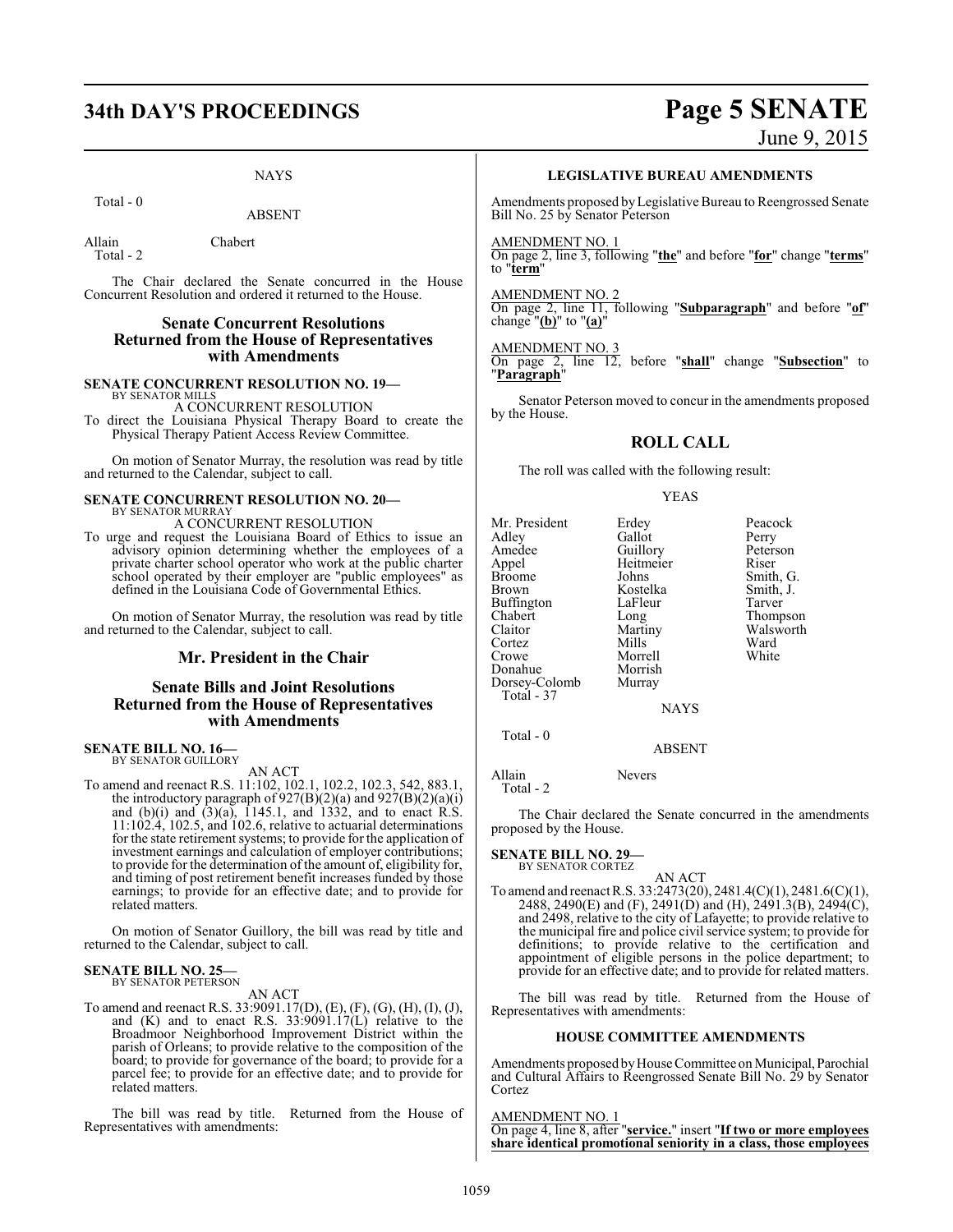# **34th DAY'S PROCEEDINGS Page 5 SENATE**

NAYS

#### Total - 0

ABSENT

Allain Chabert

Total - 2

The Chair declared the Senate concurred in the House Concurrent Resolution and ordered it returned to the House.

#### **Senate Concurrent Resolutions Returned from the House of Representatives with Amendments**

**SENATE CONCURRENT RESOLUTION NO. 19—** BY SENATOR MILLS

A CONCURRENT RESOLUTION

To direct the Louisiana Physical Therapy Board to create the Physical Therapy Patient Access Review Committee.

On motion of Senator Murray, the resolution was read by title and returned to the Calendar, subject to call.

#### **SENATE CONCURRENT RESOLUTION NO. 20—** BY SENATOR MURRAY

A CONCURRENT RESOLUTION

To urge and request the Louisiana Board of Ethics to issue an advisory opinion determining whether the employees of a private charter school operator who work at the public charter school operated by their employer are "public employees" as defined in the Louisiana Code of Governmental Ethics.

On motion of Senator Murray, the resolution was read by title and returned to the Calendar, subject to call.

#### **Mr. President in the Chair**

#### **Senate Bills and Joint Resolutions Returned from the House of Representatives with Amendments**

## **SENATE BILL NO. 16—**<br>BY SENATOR GUILLORY

AN ACT

To amend and reenact R.S. 11:102, 102.1, 102.2, 102.3, 542, 883.1, the introductory paragraph of  $927(B)(2)(a)$  and  $927(B)(2)(a)(i)$ and (b)(i) and  $(3)(a)$ , 1145.1, and 1332, and to enact R.S. 11:102.4, 102.5, and 102.6, relative to actuarial determinations for the state retirement systems; to provide for the application of investment earnings and calculation of employer contributions; to provide for the determination of the amount of, eligibility for, and timing of post retirement benefit increases funded by those earnings; to provide for an effective date; and to provide for related matters.

On motion of Senator Guillory, the bill was read by title and returned to the Calendar, subject to call.

# **SENATE BILL NO. 25—** BY SENATOR PETERSON

AN ACT

To amend and reenact R.S. 33:9091.17(D), (E), (F), (G), (H), (I), (J), and (K) and to enact R.S. 33:9091.17(L) relative to the Broadmoor Neighborhood Improvement District within the parish of Orleans; to provide relative to the composition of the board; to provide for governance of the board; to provide for a parcel fee; to provide for an effective date; and to provide for related matters.

The bill was read by title. Returned from the House of Representatives with amendments:

# June 9, 2015

#### **LEGISLATIVE BUREAU AMENDMENTS**

Amendments proposed byLegislative Bureau to Reengrossed Senate Bill No. 25 by Senator Peterson

#### AMENDMENT NO. 1

On page 2, line 3, following "**the**" and before "**for**" change "**terms**" to "**term**"

#### AMENDMENT NO. 2

On page 2, line 11, following "**Subparagraph**" and before "**of**" change "**(b)**" to "**(a)**"

#### AMENDMENT NO. 3

On page 2, line 12, before "**shall**" change "**Subsection**" to "**Paragraph**"

Senator Peterson moved to concur in the amendments proposed by the House.

#### **ROLL CALL**

The roll was called with the following result:

#### YEAS

| Mr. President     | Erdey                 | Peacock   |
|-------------------|-----------------------|-----------|
| Adley             | Gallot                | Perry     |
| Amedee            | Guillory<br>Heitmeier | Peterson  |
| Appel             |                       | Riser     |
| <b>Broome</b>     | Johns                 | Smith, G. |
| <b>Brown</b>      | Kostelka              | Smith, J. |
| <b>Buffington</b> | LaFleur               | Tarver    |
| Chabert           | Long                  | Thompson  |
| Claitor           | Martiny               | Walsworth |
| Cortez            | Mills                 | Ward      |
| Crowe             | Morrell               | White     |
| Donahue           | Morrish               |           |
| Dorsey-Colomb     | Murray                |           |
| Total - 37        |                       |           |
|                   | <b>NAYS</b>           |           |

NAYS

Total - 0

### ABSENT

Allain Nevers Total - 2

The Chair declared the Senate concurred in the amendments proposed by the House.

#### **SENATE BILL NO. 29—** BY SENATOR CORTEZ

## AN ACT

To amend and reenact R.S. 33:2473(20), 2481.4(C)(1), 2481.6(C)(1), 2488, 2490(E) and (F), 2491(D) and (H), 2491.3(B), 2494(C), and 2498, relative to the city of Lafayette; to provide relative to the municipal fire and police civil service system; to provide for definitions; to provide relative to the certification and appointment of eligible persons in the police department; to provide for an effective date; and to provide for related matters.

The bill was read by title. Returned from the House of Representatives with amendments:

#### **HOUSE COMMITTEE AMENDMENTS**

Amendments proposed by House Committee on Municipal, Parochial and Cultural Affairs to Reengrossed Senate Bill No. 29 by Senator Cortez

AMENDMENT NO. 1 On page 4, line 8, after "**service.**" insert "**If two or more employees share identical promotional seniority in a class, those employees**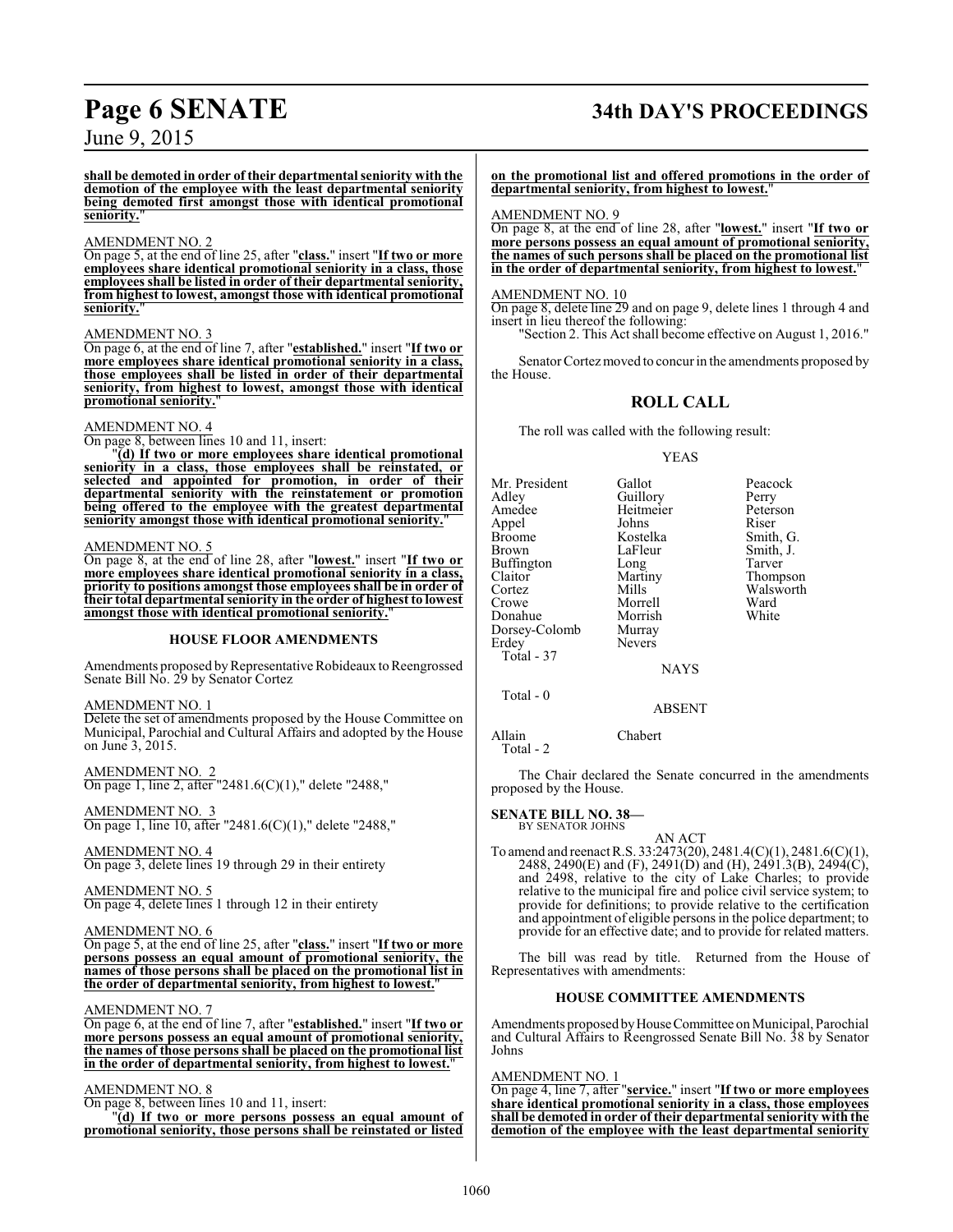# **Page 6 SENATE 34th DAY'S PROCEEDINGS**

June 9, 2015

**shall be demoted in order of their departmental seniority with the demotion of the employee with the least departmental seniority being demoted first amongst those with identical promotional seniority.**"

#### AMENDMENT NO. 2

On page 5, at the end of line 25, after "**class.**" insert "**If two or more employees share identical promotional seniority in a class, those employees shall be listed in order of their departmental seniority, from highest to lowest, amongst those with identical promotional seniority.**"

#### AMENDMENT NO. 3

On page 6, at the end of line 7, after "**established.**" insert "**If two or more employees share identical promotional seniority in a class, those employees shall be listed in order of their departmental seniority, from highest to lowest, amongst those with identical promotional seniority.**"

#### AMENDMENT NO. 4

On page 8, between lines 10 and 11, insert:

"**(d) If two or more employees share identical promotional seniority in a class, those employees shall be reinstated, or selected and appointed for promotion, in order of their departmental seniority with the reinstatement or promotion being offered to the employee with the greatest departmental seniority amongst those with identical promotional seniority.**"

#### AMENDMENT NO. 5

On page 8, at the end of line 28, after "**lowest.**" insert "**If two or more employees share identical promotional seniority in a class, priority to positions amongst those employees shall be in order of their total departmental seniority in the order of highest to lowest amongst those with identical promotional seniority.**"

#### **HOUSE FLOOR AMENDMENTS**

Amendments proposed by Representative Robideaux to Reengrossed Senate Bill No. 29 by Senator Cortez

#### AMENDMENT NO. 1

Delete the set of amendments proposed by the House Committee on Municipal, Parochial and Cultural Affairs and adopted by the House on June 3, 2015.

AMENDMENT NO. 2 On page 1, line 2, after "2481.6(C)(1)," delete "2488,"

AMENDMENT NO. 3 On page 1, line 10, after "2481.6(C)(1)," delete "2488,"

AMENDMENT NO. 4 On page 3, delete lines 19 through 29 in their entirety

AMENDMENT NO. 5 On page 4, delete lines 1 through 12 in their entirety

#### AMENDMENT NO. 6

On page 5, at the end of line 25, after "**class.**" insert "**If two or more persons possess an equal amount of promotional seniority, the names of those persons shall be placed on the promotional list in the order of departmental seniority, from highest to lowest.**"

#### AMENDMENT NO. 7

On page 6, at the end of line 7, after "**established.**" insert "**If two or more persons possess an equal amount of promotional seniority, the names of those persons shall be placed on the promotional list in the order of departmental seniority, from highest to lowest.**"

#### AMENDMENT NO. 8

On page 8, between lines 10 and 11, insert:

"**(d) If two or more persons possess an equal amount of promotional seniority, those persons shall be reinstated or listed** **on the promotional list and offered promotions in the order of departmental seniority, from highest to lowest.**"

#### AMENDMENT NO. 9

On page 8, at the end of line 28, after "**lowest.**" insert "**If two or more persons possess an equal amount of promotional seniority, the names of such persons shall be placed on the promotional list in the order of departmental seniority, from highest to lowest.**"

#### AMENDMENT NO. 10

On page 8, delete line 29 and on page 9, delete lines 1 through 4 and insert in lieu thereof the following:

"Section 2. This Act shall become effective on August 1, 2016."

Senator Cortez moved to concur in the amendments proposed by the House.

## **ROLL CALL**

The roll was called with the following result:

#### YEAS

Mr. President Gallot Peacock<br>Adley Guillory Perry Adley Guillory Perry Appel Johns Riser Broome Kostelka<br>Brown LaFleur Buffington Long<br>Claitor Martiny Claitor Martiny Thompson<br>
Cortez Mills Walsworth Cortez Mills Walsworth<br>Crowe Morrell Ward Donahue Morrish<br>Dorsey-Colomb Murray Dorsey-Colomb<br>Erdey Total - 37

Total - 0

Heitmeier Peters<br>Johns Riser LaFleur Smith, J.<br>
Long Tarver Morrell Ward<br>
Morrish White

NAYS

**Nevers** 

#### ABSENT

Allain Chabert Total - 2

The Chair declared the Senate concurred in the amendments proposed by the House.

#### **SENATE BILL NO. 38—**

BY SENATOR JOHNS

AN ACT To amend and reenact R.S. 33:2473(20), 2481.4(C)(1), 2481.6(C)(1), 2488, 2490(E) and (F), 2491(D) and (H), 2491.3(B), 2494(C), and 2498, relative to the city of Lake Charles; to provide relative to the municipal fire and police civil service system; to provide for definitions; to provide relative to the certification and appointment of eligible persons in the police department; to provide for an effective date; and to provide for related matters.

The bill was read by title. Returned from the House of Representatives with amendments:

#### **HOUSE COMMITTEE AMENDMENTS**

Amendments proposed byHouseCommittee on Municipal, Parochial and Cultural Affairs to Reengrossed Senate Bill No. 38 by Senator Johns

#### AMENDMENT NO. 1

On page 4, line 7, after "**service.**" insert "**If two or more employees share identical promotional seniority in a class, those employees shall be demoted in order of their departmental seniority with the demotion of the employee with the least departmental seniority**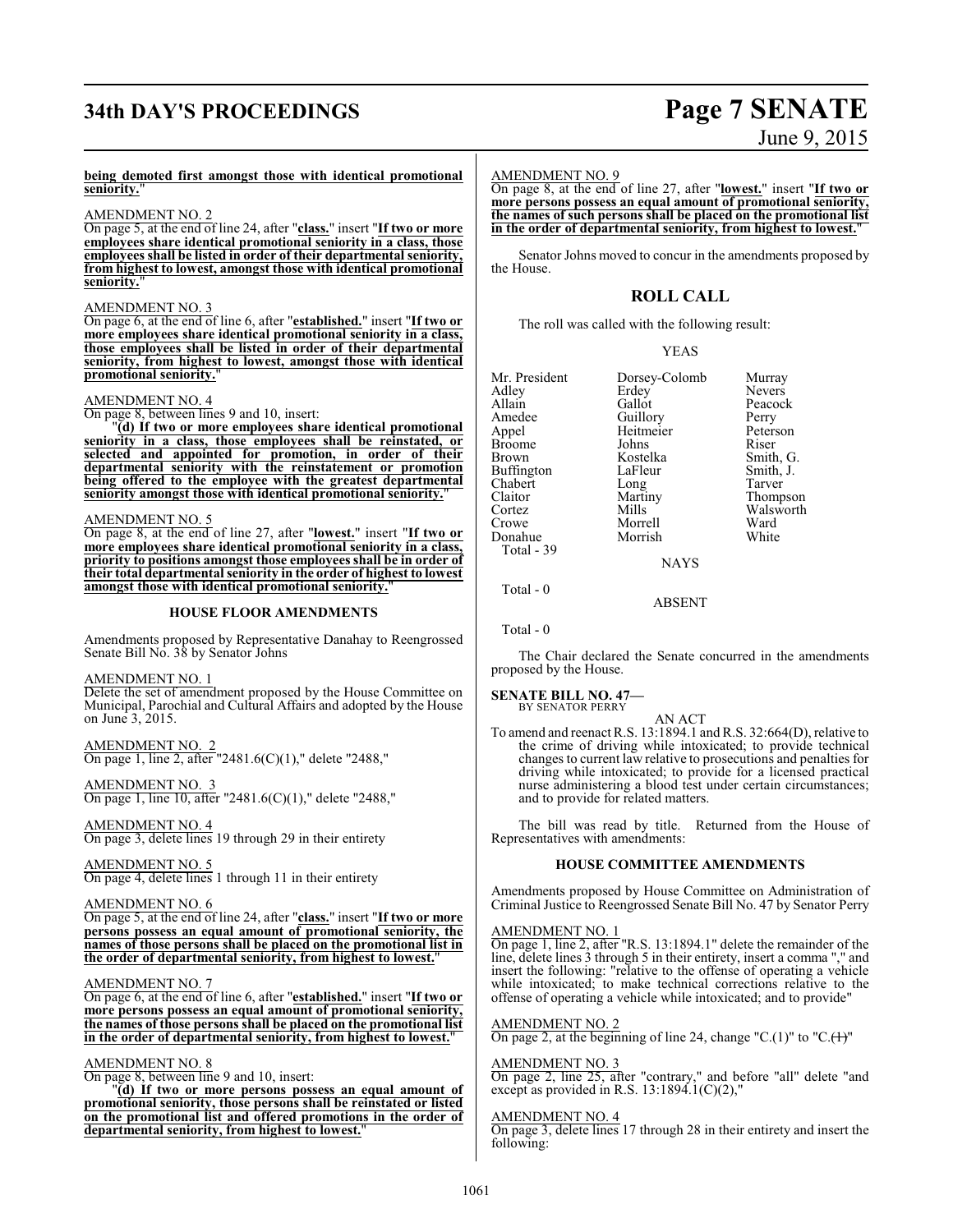# **34th DAY'S PROCEEDINGS Page 7 SENATE**

# June 9, 2015

#### **being demoted first amongst those with identical promotional seniority.**"

#### AMENDMENT NO. 2

On page 5, at the end of line 24, after "**class.**" insert "**If two or more employees share identical promotional seniority in a class, those employees shall be listed in order of their departmental seniority, from highest to lowest, amongst those with identical promotional seniority.**"

#### AMENDMENT NO. 3

On page 6, at the end of line 6, after "**established.**" insert "**If two or more employees share identical promotional seniority in a class, those employees shall be listed in order of their departmental seniority, from highest to lowest, amongst those with identical promotional seniority.**"

#### AMENDMENT NO. 4

On page 8, between lines 9 and 10, insert:

"**(d) If two or more employees share identical promotional seniority in a class, those employees shall be reinstated, or selected and appointed for promotion, in order of their departmental seniority with the reinstatement or promotion being offered to the employee with the greatest departmental seniority amongst those with identical promotional seniority.**"

#### AMENDMENT NO. 5

On page 8, at the end of line 27, after "**lowest.**" insert "**If two or more employees share identical promotional seniority in a class, priority to positions amongst those employees shall be in order of their total departmental seniority in the order of highest to lowest amongst those with identical promotional seniority.**"

#### **HOUSE FLOOR AMENDMENTS**

Amendments proposed by Representative Danahay to Reengrossed Senate Bill No. 38 by Senator Johns

#### AMENDMENT NO. 1

Delete the set of amendment proposed by the House Committee on Municipal, Parochial and Cultural Affairs and adopted by the House on June 3, 2015.

AMENDMENT NO. 2  $\frac{\overline{\text{NMLWDMEN}}}{\text{On page 1, line 2, after "2481.6(C)(1)," delete "2488,"}$ 

AMENDMENT NO. 3 On page 1, line 10, after "2481.6(C)(1)," delete "2488,"

AMENDMENT NO. 4 On page 3, delete lines 19 through 29 in their entirety

AMENDMENT NO. 5 On page 4, delete lines 1 through 11 in their entirety

#### AMENDMENT NO. 6

On page 5, at the end of line 24, after "**class.**" insert "**If two or more persons possess an equal amount of promotional seniority, the names of those persons shall be placed on the promotional list in the order of departmental seniority, from highest to lowest.**"

#### AMENDMENT NO. 7

On page 6, at the end of line 6, after "**established.**" insert "**If two or more persons possess an equal amount of promotional seniority, the names of those persons shall be placed on the promotional list in the order of departmental seniority, from highest to lowest.**"

#### AMENDMENT NO. 8

On page 8, between line 9 and 10, insert:

"**(d) If two or more persons possess an equal amount of promotional seniority, those persons shall be reinstated or listed on the promotional list and offered promotions in the order of departmental seniority, from highest to lowest.**"

#### AMENDMENT NO. 9

On page 8, at the end of line 27, after "**lowest.**" insert "**If two or more persons possess an equal amount of promotional seniority, the names of such persons shall be placed on the promotional list in the order of departmental seniority, from highest to lowest.**"

Senator Johns moved to concur in the amendments proposed by the House.

### **ROLL CALL**

The roll was called with the following result:

|--|--|

| Mr. President | Dorsey-Colomb | Murray        |
|---------------|---------------|---------------|
| Adlev         | Erdey         | <b>Nevers</b> |
| Allain        | Gallot        | Peacock       |
| Amedee        | Guillory      | Perry         |
| Appel         | Heitmeier     | Peterson      |
| Broome        | Johns         | Riser         |
| Brown         | Kostelka      | Smith, G.     |
| Buffington    | LaFleur       | Smith, J.     |
| Chabert       | Long          | Tarver        |
| Claitor       | Martiny       | Thompson      |
| Cortez        | Mills         | Walsworth     |
| Crowe         | Morrell       | Ward          |
| Donahue       | Morrish       | White         |
| Total - 39    |               |               |
|               |               |               |

Total - 0

ABSENT

**NAYS** 

Total - 0

The Chair declared the Senate concurred in the amendments proposed by the House.

**SENATE BILL NO. 47—** BY SENATOR PERRY

#### AN ACT

To amend and reenact R.S. 13:1894.1 and R.S. 32:664(D), relative to the crime of driving while intoxicated; to provide technical changes to current law relative to prosecutions and penalties for driving while intoxicated; to provide for a licensed practical nurse administering a blood test under certain circumstances; and to provide for related matters.

The bill was read by title. Returned from the House of Representatives with amendments:

#### **HOUSE COMMITTEE AMENDMENTS**

Amendments proposed by House Committee on Administration of Criminal Justice to Reengrossed Senate Bill No. 47 by Senator Perry

#### AMENDMENT NO. 1

On page 1, line 2, after "R.S. 13:1894.1" delete the remainder of the line, delete lines 3 through 5 in their entirety, insert a comma "," and insert the following: "relative to the offense of operating a vehicle while intoxicated; to make technical corrections relative to the offense of operating a vehicle while intoxicated; and to provide"

#### AMENDMENT NO. 2

On page 2, at the beginning of line 24, change "C.(1)" to "C. $(1)$ "

#### AMENDMENT NO. 3

On page 2, line 25, after "contrary," and before "all" delete "and except as provided in R.S.  $13:1894.1(C)(2)$ ,"

#### AMENDMENT NO. 4

On page 3, delete lines 17 through 28 in their entirety and insert the following: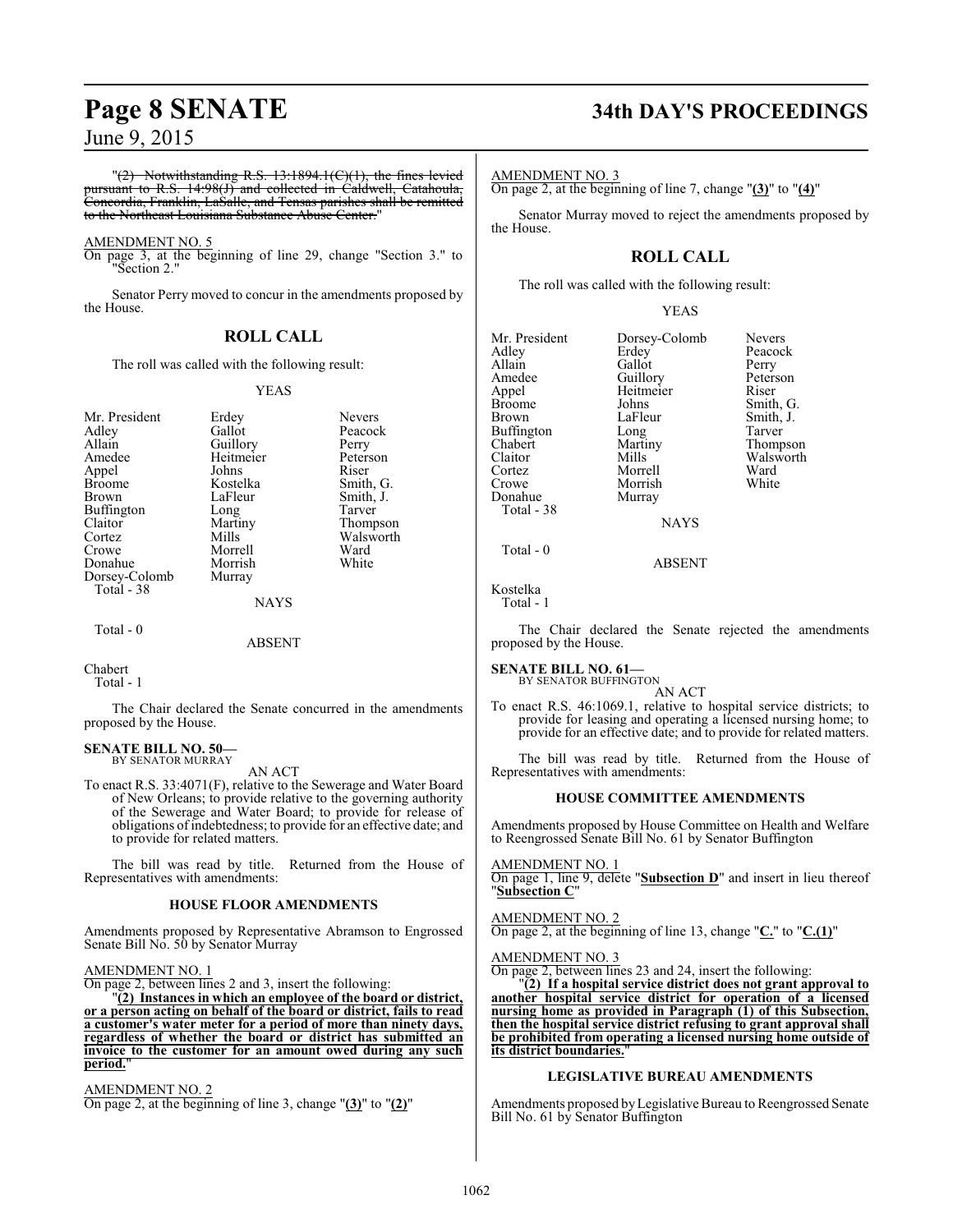$T(2)$  Notwithstanding R.S. 13:1894.1( $C(1)$ ), the fines levied pursuant to R.S. 14:98(J) and collected in Caldwell, Catahoula, Concordia, Franklin, LaSalle, and Tensas parishes shall be remitted to the Northeast Louisiana Substance Abuse Center."

#### AMENDMENT NO. 5

On page 3, at the beginning of line 29, change "Section 3." to "Section 2."

Senator Perry moved to concur in the amendments proposed by the House.

#### **ROLL CALL**

The roll was called with the following result:

#### YEAS

| Mr. President | Erdey     | <b>Nevers</b> |
|---------------|-----------|---------------|
| Adley         | Gallot    | Peacock       |
| Allain        | Guillory  | Perry         |
| Amedee        | Heitmeier | Peterson      |
| Appel         | Johns     | Riser         |
| <b>Broome</b> | Kostelka  | Smith, G.     |
| <b>Brown</b>  | LaFleur   | Smith, J.     |
| Buffington    | Long      | Tarver        |
| Claitor       | Martiny   | Thompson      |
| Cortez        | Mills     | Walsworth     |
| Crowe         | Morrell   | Ward          |
| Donahue       | Morrish   | White         |
| Dorsey-Colomb | Murray    |               |
| Total - 38    |           |               |
|               | NAYS      |               |

Total - 0

#### ABSENT

Chabert Total - 1

The Chair declared the Senate concurred in the amendments proposed by the House.

## **SENATE BILL NO. 50—** BY SENATOR MURRAY

AN ACT

To enact R.S. 33:4071(F), relative to the Sewerage and Water Board of New Orleans; to provide relative to the governing authority of the Sewerage and Water Board; to provide for release of obligations ofindebtedness; to provide for an effective date; and to provide for related matters.

The bill was read by title. Returned from the House of Representatives with amendments:

#### **HOUSE FLOOR AMENDMENTS**

Amendments proposed by Representative Abramson to Engrossed Senate Bill No. 50 by Senator Murray

#### AMENDMENT NO. 1

On page 2, between lines 2 and 3, insert the following:

"**(2) Instances in which an employee of the board or district, or a person acting on behalf of the board or district, fails to read a customer's water meter for a period of more than ninety days, regardless of whether the board or district has submitted an invoice to the customer for an amount owed during any such period.**"

AMENDMENT NO. 2 On page 2, at the beginning of line 3, change "**(3)**" to "**(2)**"

# **Page 8 SENATE 34th DAY'S PROCEEDINGS**

#### AMENDMENT NO. 3

On page 2, at the beginning of line 7, change "**(3)**" to "**(4)**"

Senator Murray moved to reject the amendments proposed by the House.

## **ROLL CALL**

The roll was called with the following result:

#### YEAS

Mr. President Dorsey-Colomb Nevers<br>Adley Erdey Peacoc Adley Erdey Peacock Allain Gallot<br>Amedee Guillory Amedee Guillory Peterson<br>Appel Heitmeier Riser Appel Heitmeier<br>Broome Johns Broome Johns Smith, G.<br>Brown LaFleur Smith, J. Buffington Long<br>Chabert Martiny Chabert Martiny Thompson Claitor Mills Walsworth<br>
Cortez Morrell Ward Cortez Morrell Ward Donahue Total - 38

Morrish<br>Murray

LaFleur Smith, J.<br>Long Tarver

Total - 0

ABSENT

Kostelka Total - 1

The Chair declared the Senate rejected the amendments proposed by the House.

NAYS

#### **SENATE BILL NO. 61—**

BY SENATOR BUFFINGTON

AN ACT To enact R.S. 46:1069.1, relative to hospital service districts; to provide for leasing and operating a licensed nursing home; to provide for an effective date; and to provide for related matters.

The bill was read by title. Returned from the House of Representatives with amendments:

#### **HOUSE COMMITTEE AMENDMENTS**

Amendments proposed by House Committee on Health and Welfare to Reengrossed Senate Bill No. 61 by Senator Buffington

AMENDMENT NO. 1

On page 1, line 9, delete "**Subsection D**" and insert in lieu thereof "**Subsection C**"

AMENDMENT NO. 2 On page 2, at the beginning of line 13, change "**C.**" to "**C.(1)**"

#### AMENDMENT NO. 3

On page 2, between lines 23 and 24, insert the following:

"**(2) If a hospital service district does not grant approval to another hospital service district for operation of a licensed nursing home as provided in Paragraph (1) of this Subsection, then the hospital service district refusing to grant approval shall be prohibited from operating a licensed nursing home outside of its district boundaries.**"

#### **LEGISLATIVE BUREAU AMENDMENTS**

Amendments proposed byLegislative Bureau to Reengrossed Senate Bill No. 61 by Senator Buffington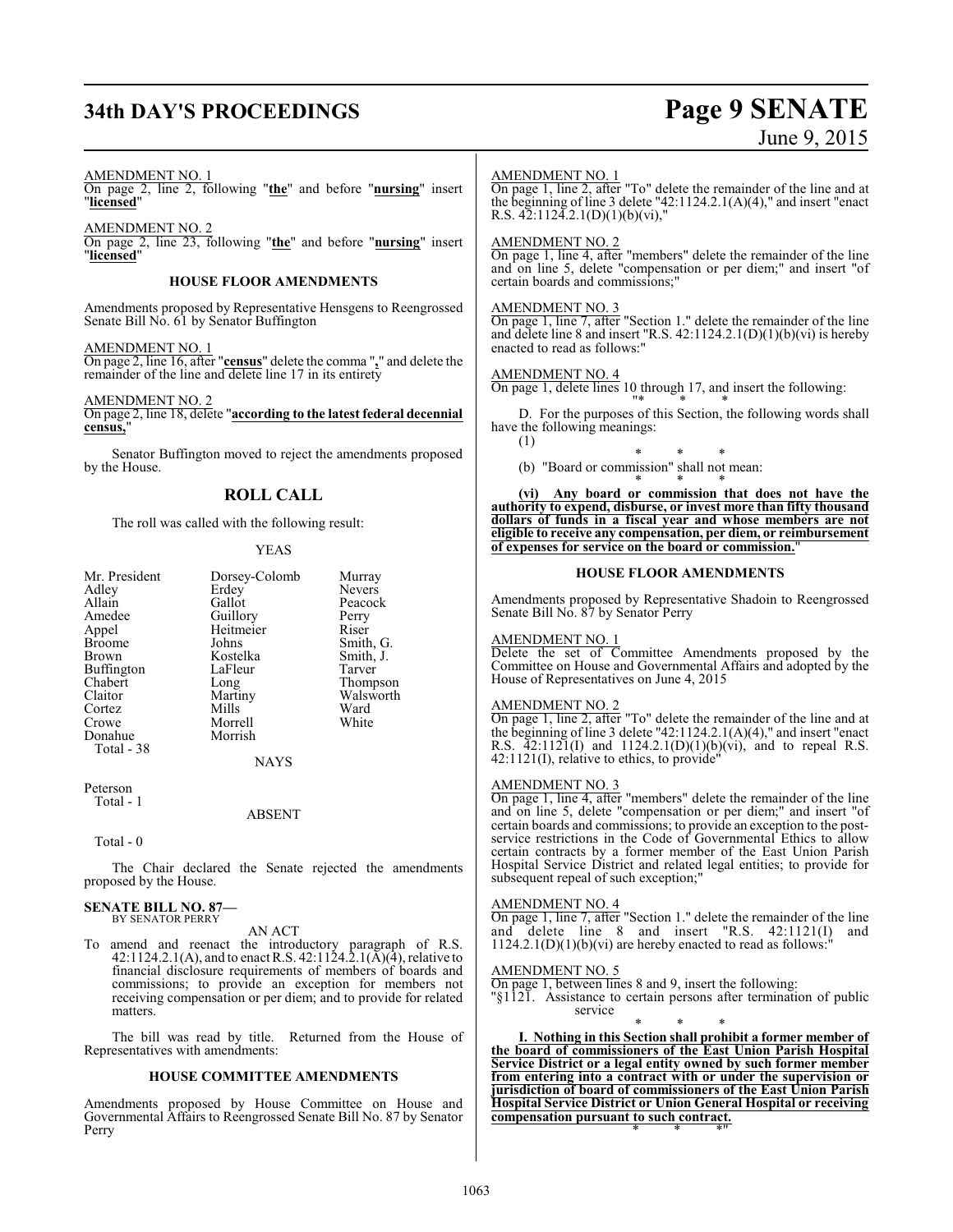# **34th DAY'S PROCEEDINGS Page 9 SENATE**

# June 9, 2015

#### AMENDMENT NO. 1

On page 2, line 2, following "**the**" and before "**nursing**" insert "**licensed**"

AMENDMENT NO. 2 On page 2, line 23, following "**the**" and before "**nursing**" insert "**licensed**"

#### **HOUSE FLOOR AMENDMENTS**

Amendments proposed by Representative Hensgens to Reengrossed Senate Bill No. 61 by Senator Buffington

#### AMENDMENT NO. 1

On page 2, line 16, after "**census**" delete the comma "**,**" and delete the remainder of the line and delete line 17 in its entirety

#### AMENDMENT NO. 2

On page 2, line 18, delete "**according to the latest federal decennial** census,

Senator Buffington moved to reject the amendments proposed by the House.

### **ROLL CALL**

The roll was called with the following result:

#### YEAS

| Mr. President | Dorsey-Colomb | Murray        |
|---------------|---------------|---------------|
| Adley         | Erdey         | <b>Nevers</b> |
| Allain        | Gallot        | Peacock       |
| Amedee        | Guillory      | Perry         |
| Appel         | Heitmeier     | Riser         |
| <b>Broome</b> | Johns         | Smith, G.     |
| Brown         | Kostelka      | Smith, J.     |
| Buffington    | LaFleur       | Tarver        |
| Chabert       | Long          | Thompson      |
| Claitor       | Martiny       | Walsworth     |
| Cortez        | Mills         | Ward          |
| Crowe         | Morrell       | White         |
| Donahue       | Morrish       |               |
| Total - 38    |               |               |
|               | NAYS          |               |

Peterson Total - 1

#### ABSENT

Total - 0

The Chair declared the Senate rejected the amendments proposed by the House.

#### **SENATE BILL NO. 87—** BY SENATOR PERRY

#### AN ACT

To amend and reenact the introductory paragraph of R.S. 42:1124.2.1(A), and to enact R.S. 42:1124.2.1( $\bar{A}$ )( $\bar{4}$ ), relative to financial disclosure requirements of members of boards and commissions; to provide an exception for members not receiving compensation or per diem; and to provide for related matters.

The bill was read by title. Returned from the House of Representatives with amendments:

#### **HOUSE COMMITTEE AMENDMENTS**

Amendments proposed by House Committee on House and Governmental Affairs to Reengrossed Senate Bill No. 87 by Senator Perry

#### AMENDMENT NO. 1

On page 1, line 2, after "To" delete the remainder of the line and at the beginning of line 3 delete "42:1124.2.1(A)(4)," and insert "enact R.S. 42:1124.2.1(D)(1)(b)(vi),"

#### AMENDMENT NO. 2

On page 1, line 4, after "members" delete the remainder of the line and on line 5, delete "compensation or per diem;" and insert "of certain boards and commissions;"

#### AMENDMENT NO. 3

On page 1, line 7, after "Section 1." delete the remainder of the line and delete line 8 and insert "R.S. 42:1124.2.1(D)(1)(b)(vi) is hereby enacted to read as follows:"

#### AMENDMENT NO. 4

On page 1, delete lines 10 through 17, and insert the following:

"\* \* \* D. For the purposes of this Section, the following words shall have the following meanings: (1)

- 
- \* \* \* (b) "Board or commission" shall not mean:

\* \* \* **(vi) Any board or commission that does not have the authority to expend, disburse, or invest more than fifty thousand dollars of funds in a fiscal year and whose members are not eligible to receive any compensation, per diem, or reimbursement of expenses for service on the board or commission.**"

#### **HOUSE FLOOR AMENDMENTS**

Amendments proposed by Representative Shadoin to Reengrossed Senate Bill No. 87 by Senator Perry

#### AMENDMENT NO. 1

Delete the set of Committee Amendments proposed by the Committee on House and Governmental Affairs and adopted by the House of Representatives on June 4, 2015

#### AMENDMENT NO. 2

On page 1, line 2, after "To" delete the remainder of the line and at the beginning of line 3 delete "42:1124.2.1(A)(4)," and insert "enact R.S.  $\overline{4}2:112\overline{1}(I)$  and  $1124.2.1(D)(1)(b)(vi)$ , and to repeal R.S. 42:1121(I), relative to ethics, to provide"

#### AMENDMENT NO. 3

On page 1, line 4, after "members" delete the remainder of the line and on line 5, delete "compensation or per diem;" and insert "of certain boards and commissions; to provide an exception to the postservice restrictions in the Code of Governmental Ethics to allow certain contracts by a former member of the East Union Parish Hospital Service District and related legal entities; to provide for subsequent repeal of such exception;

#### AMENDMENT NO. 4

On page 1, line 7, after "Section 1." delete the remainder of the line and delete line 8 and insert "R.S. 42:1121(I) and  $1124.2.1(D)(1)(b)(vi)$  are hereby enacted to read as follows:

#### AMENDMENT NO. 5

On page 1, between lines 8 and 9, insert the following:

"§1121. Assistance to certain persons after termination of public service

\* \* \* **I. Nothing in this Section shall prohibit a former member of the board of commissioners of the East Union Parish Hospital Service District or a legal entity owned by such former member from entering into a contract with or under the supervision or jurisdiction of board of commissioners of the East Union Parish Hospital Service District or Union General Hospital or receiving compensation pursuant to such contract.** \* \* \*"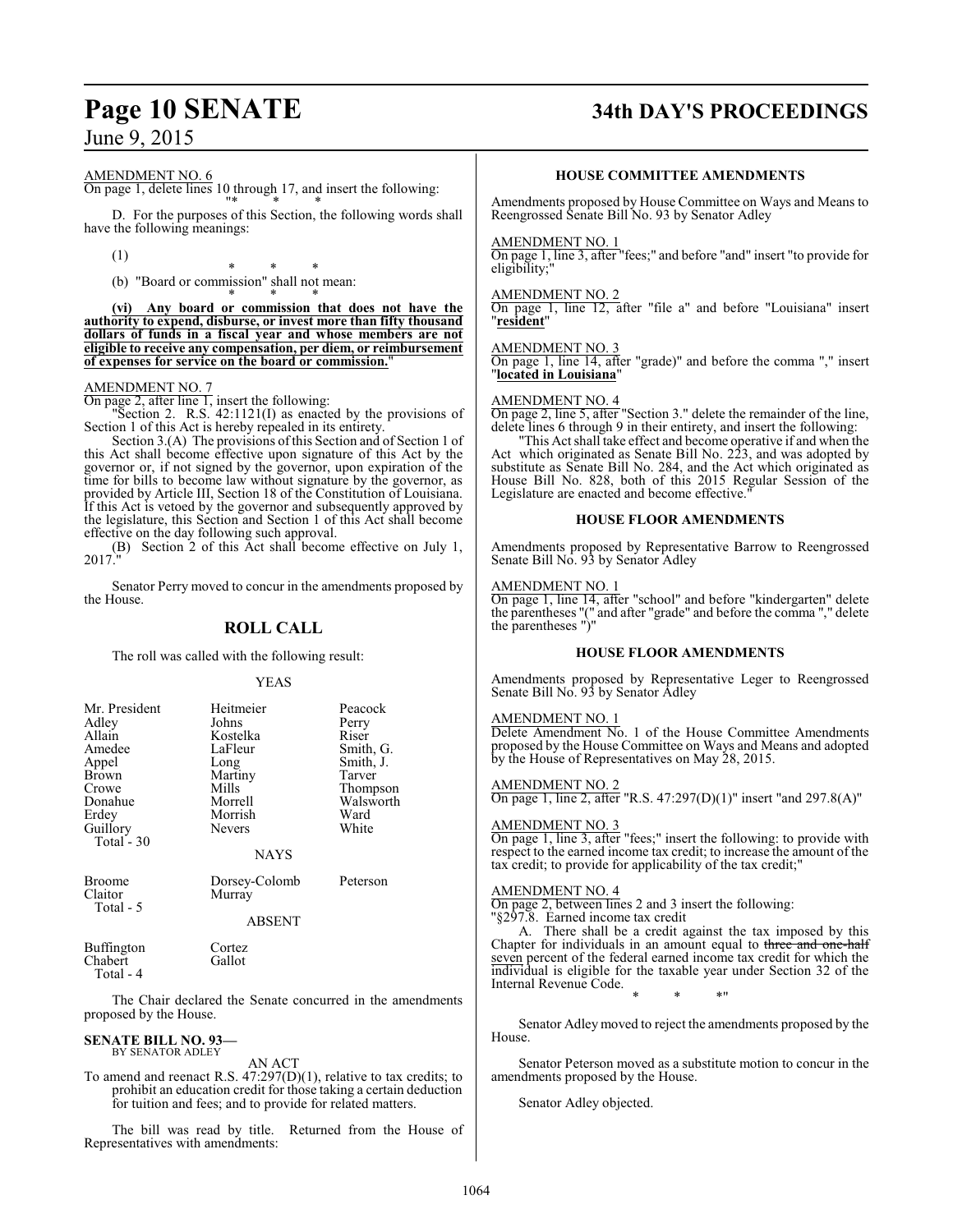# **Page 10 SENATE 34th DAY'S PROCEEDINGS**

#### AMENDMENT NO. 6

On page 1, delete lines 10 through 17, and insert the following:

"\* \* \* D. For the purposes of this Section, the following words shall have the following meanings:

(1)

\* \* \* (b) "Board or commission" shall not mean:

\* \* \* **(vi) Any board or commission that does not have the authority to expend, disburse, or invest more than fifty thousand dollars of funds in a fiscal year and whose members are not eligible to receive any compensation, per diem, or reimbursement of expenses for service on the board or commission.**"

### AMENDMENT NO. 7

On page 2, after line 1, insert the following:

"Section 2. R.S. 42:1121(I) as enacted by the provisions of Section 1 of this Act is hereby repealed in its entirety.

Section 3.(A) The provisions of this Section and of Section 1 of this Act shall become effective upon signature of this Act by the governor or, if not signed by the governor, upon expiration of the time for bills to become law without signature by the governor, as provided by Article III, Section 18 of the Constitution of Louisiana. If this Act is vetoed by the governor and subsequently approved by the legislature, this Section and Section 1 of this Act shall become effective on the day following such approval.

(B) Section 2 of this Act shall become effective on July 1, 2017."

Senator Perry moved to concur in the amendments proposed by the House.

#### **ROLL CALL**

The roll was called with the following result:

#### YEAS

| Mr. President | Heitmeier     | Peacock   |
|---------------|---------------|-----------|
|               |               |           |
| Adley         | Johns         | Perry     |
| Allain        | Kostelka      | Riser     |
| Amedee        | LaFleur       | Smith, G. |
| Appel         | Long          | Smith, J. |
| Brown         | Martiny       | Tarver    |
| Crowe         | Mills         | Thompson  |
| Donahue       | Morrell       | Walsworth |
| Erdey         | Morrish       | Ward      |
| Guillory      | <b>Nevers</b> | White     |
| Total - $30$  |               |           |
|               | <b>NAYS</b>   |           |
|               |               |           |

Broome Dorsey-Colomb Peterson Total - 5

ABSENT

Murray

Buffington Cortez<br>Chabert Gallot Chabert Total - 4

The Chair declared the Senate concurred in the amendments proposed by the House.

#### **SENATE BILL NO. 93—** BY SENATOR ADLEY

AN ACT

To amend and reenact R.S. 47:297(D)(1), relative to tax credits; to prohibit an education credit for those taking a certain deduction for tuition and fees; and to provide for related matters.

The bill was read by title. Returned from the House of Representatives with amendments:

#### **HOUSE COMMITTEE AMENDMENTS**

Amendments proposed by House Committee on Ways and Means to Reengrossed Senate Bill No. 93 by Senator Adley

#### AMENDMENT NO. 1

On page 1, line 3, after "fees;" and before "and" insert "to provide for eligibility;

#### AMENDMENT NO. 2

On page 1, line 12, after "file a" and before "Louisiana" insert "**resident**"

#### AMENDMENT NO. 3

On page 1, line 14, after "grade)" and before the comma "," insert "**located in Louisiana**"

#### AMENDMENT NO. 4

On page 2, line 5, after "Section 3." delete the remainder of the line, delete lines 6 through 9 in their entirety, and insert the following:

"This Act shall take effect and become operative if and when the Act which originated as Senate Bill No. 223, and was adopted by substitute as Senate Bill No. 284, and the Act which originated as House Bill No. 828, both of this 2015 Regular Session of the Legislature are enacted and become effective.

#### **HOUSE FLOOR AMENDMENTS**

Amendments proposed by Representative Barrow to Reengrossed Senate Bill No. 93 by Senator Adley

#### AMENDMENT NO. 1

On page 1, line 14, after "school" and before "kindergarten" delete the parentheses "(" and after "grade" and before the comma "," delete the parentheses ")"

#### **HOUSE FLOOR AMENDMENTS**

Amendments proposed by Representative Leger to Reengrossed Senate Bill No. 93 by Senator Adley

#### AMENDMENT NO. 1

Delete Amendment No. 1 of the House Committee Amendments proposed by the House Committee on Ways and Means and adopted by the House of Representatives on May 28, 2015.

AMENDMENT NO. 2 On page 1, line 2, after "R.S. 47:297(D)(1)" insert "and 297.8(A)"

#### AMENDMENT NO. 3

On page 1, line 3, after "fees;" insert the following: to provide with respect to the earned income tax credit; to increase the amount of the tax credit; to provide for applicability of the tax credit;"

#### AMENDMENT NO. 4

On page 2, between lines 2 and 3 insert the following: "§297.8. Earned income tax credit

A. There shall be a credit against the tax imposed by this Chapter for individuals in an amount equal to three and one-half seven percent of the federal earned income tax credit for which the individual is eligible for the taxable year under Section 32 of the Internal Revenue Code.

\* \* \*"

Senator Adley moved to reject the amendments proposed by the House.

Senator Peterson moved as a substitute motion to concur in the amendments proposed by the House.

Senator Adley objected.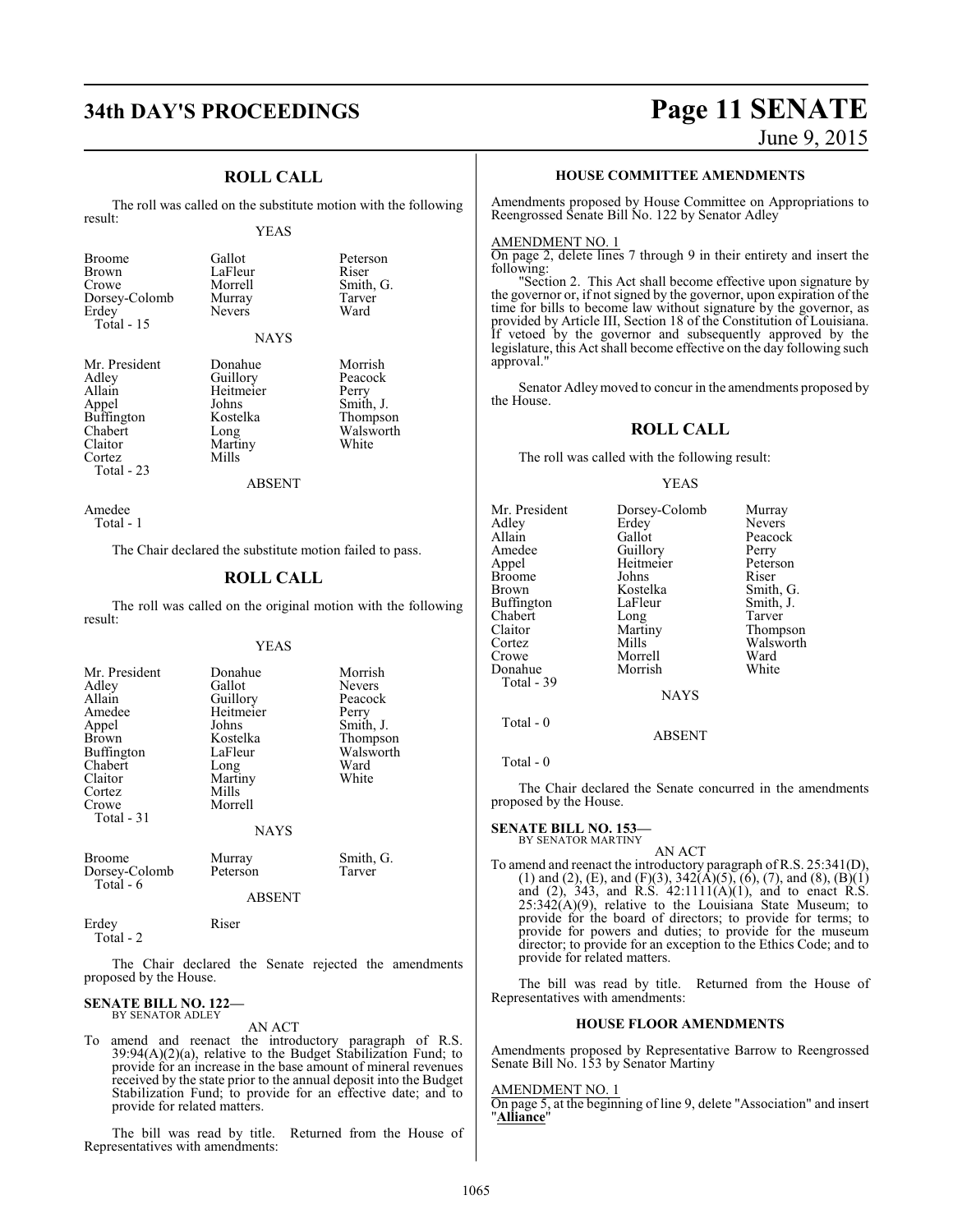LaFleur<br>Morrell

Nevers

## **ROLL CALL**

The roll was called on the substitute motion with the following result:

#### YEAS

Gallot Peterson<br>LaFleur Riser

Murray Tarve<br>Nevers Ward

Smith, G.<br>Tarver

| Dorsey-Colomb |
|---------------|
|               |
|               |
|               |

Mr. President Donahue Morrish<br>Adley Guillory Peacock Adley Guillory Peacock<br>Allain Heitmeier Perry Appel Johns Smith, J.<br>Buffington Kostelka Thompson Buffington Koste<br>Chabert Long Chabert Long Walsworth<br>Claitor Martiny White

NAYS Heitmeier Martiny<br>Mills

ABSENT

Amedee Total - 1

Cortez Total - 23

The Chair declared the substitute motion failed to pass.

#### **ROLL CALL**

The roll was called on the original motion with the following result:

#### YEAS

| Mr. President<br>Adley<br>Allain<br>Amedee<br>Appel<br>Brown<br>Buffington<br>Chabert<br>Claitor<br>Cortez<br>Crowe<br>Total - 31 | Donahue<br>Gallot<br>Guillory<br>Heitmeier<br>Johns<br>Kostelka<br>LaFleur<br>Long<br>Martiny<br>Mills<br>Morrell<br><b>NAYS</b> | Morrish<br>Nevers<br>Peacock<br>Perry<br>Smith, J.<br>Thompson<br>Walsworth<br>Ward<br>White |
|-----------------------------------------------------------------------------------------------------------------------------------|----------------------------------------------------------------------------------------------------------------------------------|----------------------------------------------------------------------------------------------|
| <b>Broome</b><br>Dorsey-Colomb<br>Total - 6                                                                                       | Murray<br>Peterson<br><b>ABSENT</b>                                                                                              | Smith, G.<br>Tarver                                                                          |
| Erdev                                                                                                                             | Riser                                                                                                                            |                                                                                              |

Total - 2

The Chair declared the Senate rejected the amendments proposed by the House.

#### **SENATE BILL NO. 122—** BY SENATOR ADLEY

AN ACT

To amend and reenact the introductory paragraph of R.S. 39:94(A)(2)(a), relative to the Budget Stabilization Fund; to provide for an increase in the base amount of mineral revenues received by the state prior to the annual deposit into the Budget Stabilization Fund; to provide for an effective date; and to provide for related matters.

The bill was read by title. Returned from the House of Representatives with amendments:

# **34th DAY'S PROCEEDINGS Page 11 SENATE**

June 9, 2015

#### **HOUSE COMMITTEE AMENDMENTS**

Amendments proposed by House Committee on Appropriations to Reengrossed Senate Bill No. 122 by Senator Adley

#### AMENDMENT NO. 1

On page 2, delete lines 7 through 9 in their entirety and insert the following:

"Section 2. This Act shall become effective upon signature by the governor or, if not signed by the governor, upon expiration of the time for bills to become law without signature by the governor, as provided by Article III, Section 18 of the Constitution of Louisiana. If vetoed by the governor and subsequently approved by the legislature, this Act shall become effective on the day following such approval.

Senator Adleymoved to concur in the amendments proposed by the House.

#### **ROLL CALL**

The roll was called with the following result:

#### YEAS

| Mr. President | Dorsey-Colomb | Murray        |
|---------------|---------------|---------------|
| Adley         | Erdey         | <b>Nevers</b> |
| Allain        | Gallot        | Peacock       |
| Amedee        | Guillory      | Perry         |
| Appel         | Heitmeier     | Peterson      |
| Broome        | Johns         | Riser         |
| Brown         | Kostelka      | Smith, G.     |
| Buffington    | LaFleur       | Smith, J.     |
| Chabert       | Long          | Tarver        |
| Claitor       | Martiny       | Thompson      |
| Cortez        | Mills         | Walsworth     |
| Crowe         | Morrell       | Ward          |
| Donahue       | Morrish       | White         |
| Total - 39    |               |               |
|               | <b>NAYS</b>   |               |
|               |               |               |

Total - 0

Total - 0

The Chair declared the Senate concurred in the amendments proposed by the House.

ABSENT

#### **SENATE BILL NO. 153—** BY SENATOR MARTINY

AN ACT

To amend and reenact the introductory paragraph of R.S. 25:341(D), (1) and (2), (E), and (F)(3),  $342(\text{\AA})(5)$ , (6), (7), and (8), (B)(1) and  $(2)$ , 343, and R.S. 42:1111 $(A)(1)$ , and to enact R.S.  $25:342(A)(9)$ , relative to the Louisiana State Museum; to provide for the board of directors; to provide for terms; to provide for powers and duties; to provide for the museum director; to provide for an exception to the Ethics Code; and to provide for related matters.

The bill was read by title. Returned from the House of Representatives with amendments:

#### **HOUSE FLOOR AMENDMENTS**

Amendments proposed by Representative Barrow to Reengrossed Senate Bill No. 153 by Senator Martiny

#### AMENDMENT NO. 1

On page 5, at the beginning of line 9, delete "Association" and insert "**Alliance**"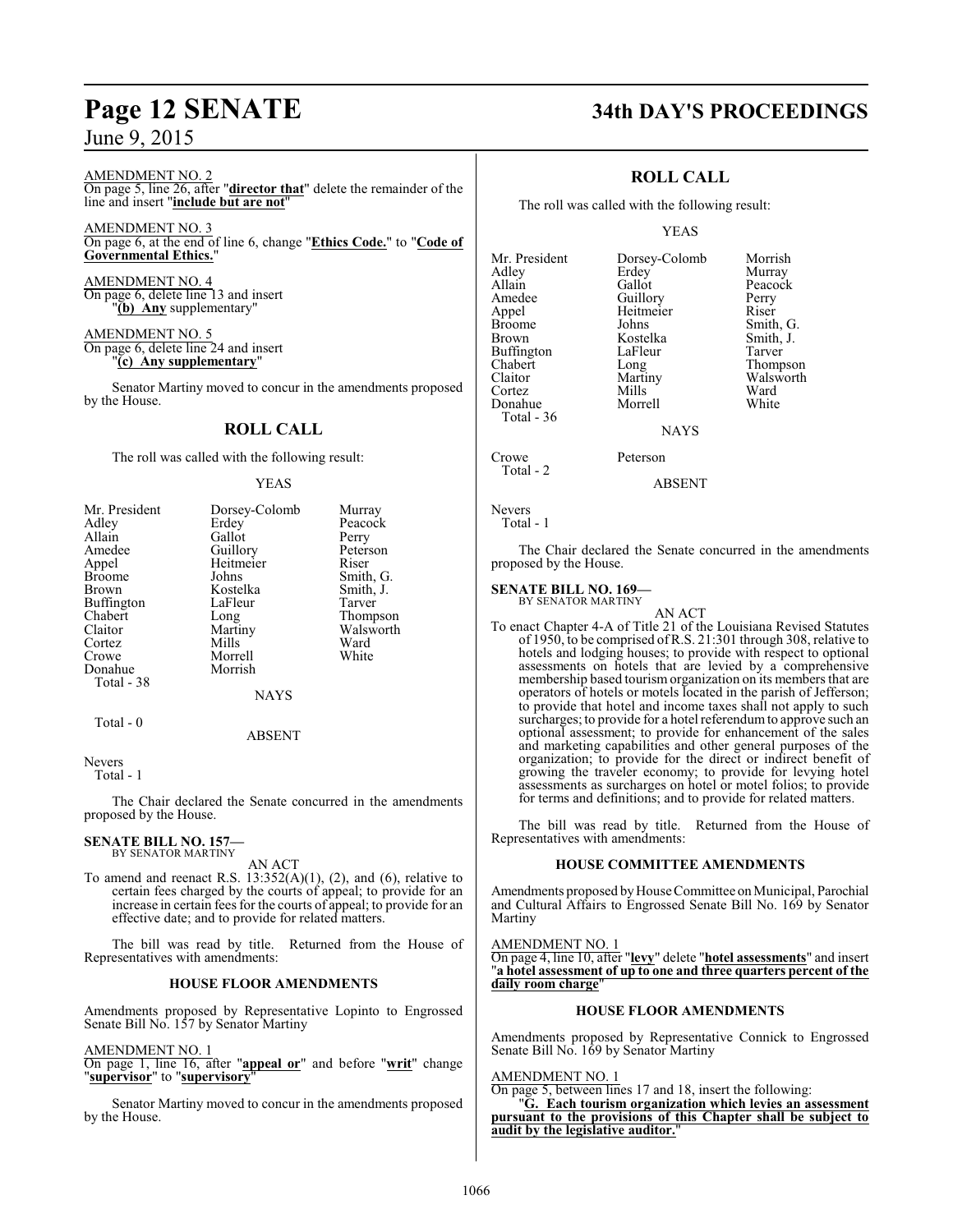AMENDMENT NO. 2 On page 5, line 26, after "**director that**" delete the remainder of the line and insert "**include but are not**"

AMENDMENT NO. 3 On page 6, at the end of line 6, change "**Ethics Code.**" to "**Code of Governmental Ethics.**"

AMENDMENT NO. 4 On page 6, delete line 13 and insert "**(b) Any** supplementary"

AMENDMENT NO. 5 On page 6, delete line 24 and insert "**(c) Any supplementary**"

Senator Martiny moved to concur in the amendments proposed by the House.

## **ROLL CALL**

The roll was called with the following result:

#### YEAS

| Mr. President     | Dorsey-Colomb | Murray    |
|-------------------|---------------|-----------|
| Adley             | Erdey         | Peacock   |
| Allain            | Gallot        | Perry     |
| Amedee            | Guillory      | Peterson  |
| Appel             | Heitmeier     | Riser     |
| <b>Broome</b>     | Johns         | Smith, G. |
| <b>Brown</b>      | Kostelka      | Smith, J. |
| <b>Buffington</b> | LaFleur       | Tarver    |
| Chabert           | Long          | Thompson  |
| Claitor           | Martiny       | Walsworth |
| Cortez            | Mills         | Ward      |
| Crowe             | Morrell       | White     |
| Donahue           | Morrish       |           |
| Total - 38        |               |           |
|                   | <b>NAYS</b>   |           |
| Total - 0         |               |           |

Nevers

Total - 1

The Chair declared the Senate concurred in the amendments proposed by the House.

ABSENT

#### **SENATE BILL NO. 157—** BY SENATOR MARTINY

AN ACT

To amend and reenact R.S. 13:352(A)(1), (2), and (6), relative to certain fees charged by the courts of appeal; to provide for an increase in certain fees for the courts of appeal; to provide for an effective date; and to provide for related matters.

The bill was read by title. Returned from the House of Representatives with amendments:

#### **HOUSE FLOOR AMENDMENTS**

Amendments proposed by Representative Lopinto to Engrossed Senate Bill No. 157 by Senator Martiny

#### AMENDMENT NO. 1

On page 1, line 16, after "**appeal or**" and before "**writ**" change "**supervisor**" to "**supervisory**"

Senator Martiny moved to concur in the amendments proposed by the House.

# **Page 12 SENATE 34th DAY'S PROCEEDINGS**

## **ROLL CALL**

The roll was called with the following result:

#### YEAS

Mr. President Dorsey-Colomb Morrish<br>Adley Erdev Murray Adley Erdey<br>Allain Gallot Allain Gallot Peacock<br>Amedee Guillory Perry Amedee Guillory Perry<br>
Appel Heitmeier Riser Appel Heitmeier<br>Broome Johns Broome Johns Smith, G.<br>Brown Kostelka Smith, J. Buffington LaFle<br>Chabert Long Chabert Long Thompson<br>Claitor Martiny Walsworth Claitor Martiny Walsworth<br>
Cortez Mills Ward Cortez Mills Ward Donahue Morrell White Total - 36

Kostelka Smith, J.<br>LaFleur Tarver

NAYS

Crowe Peterson Total - 2

ABSENT

```
Nevers
   Total - 1
```
The Chair declared the Senate concurred in the amendments proposed by the House.

#### **SENATE BILL NO. 169—**

BY SENATOR MARTINY

AN ACT To enact Chapter 4-A of Title 21 of the Louisiana Revised Statutes of 1950, to be comprised ofR.S. 21:301 through 308, relative to hotels and lodging houses; to provide with respect to optional assessments on hotels that are levied by a comprehensive membership based tourismorganization on its members that are operators of hotels or motels located in the parish of Jefferson; to provide that hotel and income taxes shall not apply to such surcharges; to provide for a hotel referendum to approve such an optional assessment; to provide for enhancement of the sales and marketing capabilities and other general purposes of the organization; to provide for the direct or indirect benefit of growing the traveler economy; to provide for levying hotel assessments as surcharges on hotel or motel folios; to provide for terms and definitions; and to provide for related matters.

The bill was read by title. Returned from the House of Representatives with amendments:

#### **HOUSE COMMITTEE AMENDMENTS**

Amendments proposed by House Committee on Municipal, Parochial and Cultural Affairs to Engrossed Senate Bill No. 169 by Senator Martiny

AMENDMENT NO. 1

On page 4, line 10, after "**levy**" delete "**hotel assessments**" and insert "**a hotel assessment of up to one and three quarters percent of the daily room charge**"

#### **HOUSE FLOOR AMENDMENTS**

Amendments proposed by Representative Connick to Engrossed Senate Bill No. 169 by Senator Martiny

AMENDMENT NO. 1

On page 5, between lines 17 and 18, insert the following:

"**G. Each tourism organization which levies an assessment pursuant to the provisions of this Chapter shall be subject to audit by the legislative auditor.**"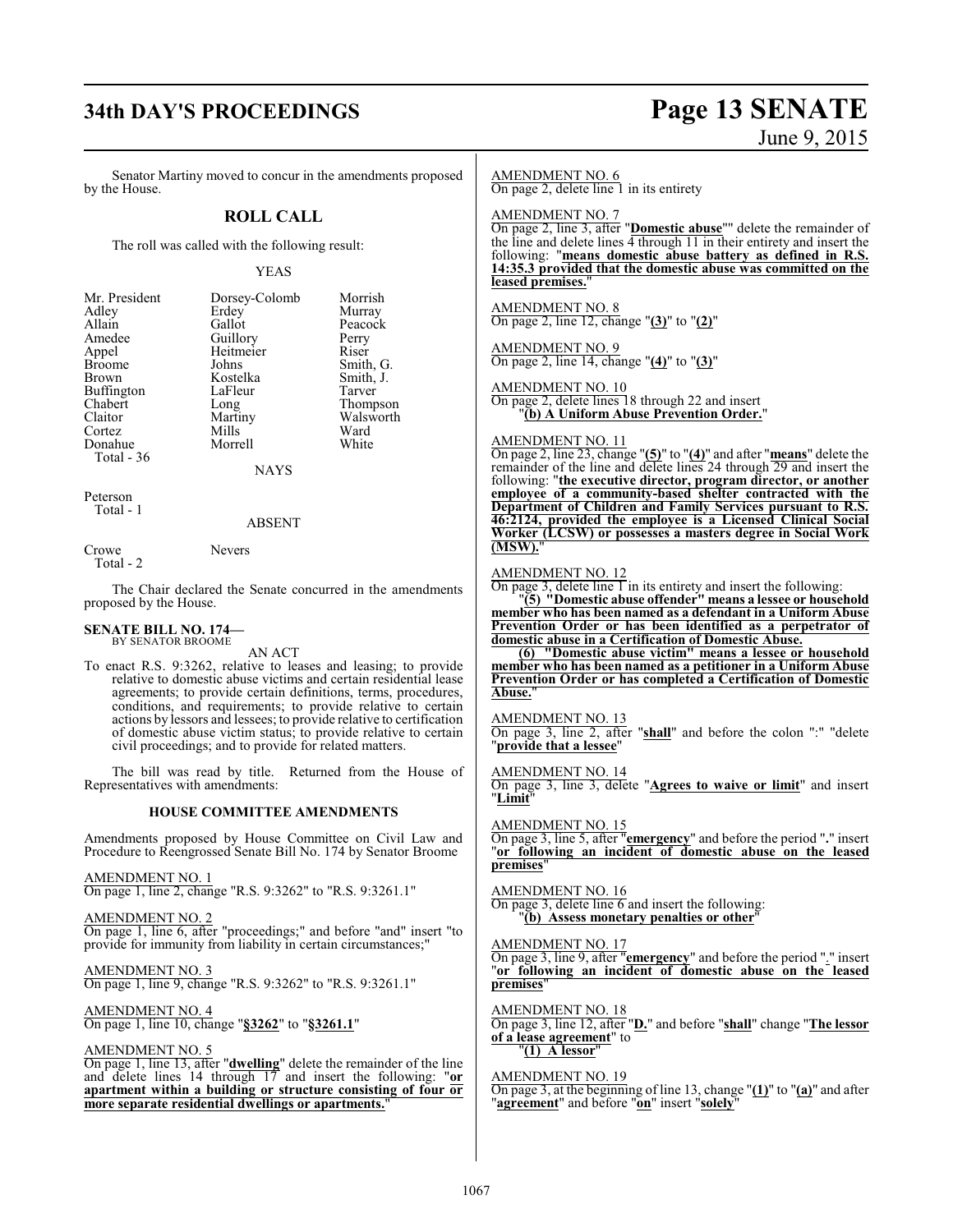# **34th DAY'S PROCEEDINGS Page 13 SENATE**

# June 9, 2015

Senator Martiny moved to concur in the amendments proposed by the House.

#### **ROLL CALL**

The roll was called with the following result:

#### YEAS

| Mr. President | Dorsey-Colomb | Morrish   |
|---------------|---------------|-----------|
| Adley         | Erdey         | Murray    |
| Allain        | Gallot        | Peacock   |
| Amedee        | Guillory      | Perry     |
| Appel         | Heitmeier     | Riser     |
| <b>Broome</b> | Johns         | Smith, G. |
| <b>Brown</b>  | Kostelka      | Smith, J. |
| Buffington    | LaFleur       | Tarver    |
| Chabert       | Long          | Thompson  |
| Claitor       | Martiny       | Walsworth |
| Cortez        | Mills         | Ward      |
| Donahue       | Morrell       | White     |
| Total - 36    |               |           |
|               | NAYS          |           |

Peterson Total - 1

#### ABSENT

Crowe Nevers

Total - 2

The Chair declared the Senate concurred in the amendments proposed by the House.

#### **SENATE BILL NO. 174—** BY SENATOR BROOME

AN ACT

To enact R.S. 9:3262, relative to leases and leasing; to provide relative to domestic abuse victims and certain residential lease agreements; to provide certain definitions, terms, procedures, conditions, and requirements; to provide relative to certain actions by lessors and lessees; to provide relative to certification of domestic abuse victim status; to provide relative to certain civil proceedings; and to provide for related matters.

The bill was read by title. Returned from the House of Representatives with amendments:

#### **HOUSE COMMITTEE AMENDMENTS**

Amendments proposed by House Committee on Civil Law and Procedure to Reengrossed Senate Bill No. 174 by Senator Broome

AMENDMENT NO. 1

On page 1, line 2, change "R.S. 9:3262" to "R.S. 9:3261.1"

AMENDMENT NO. 2 On page 1, line 6, after "proceedings;" and before "and" insert "to provide for immunity from liability in certain circumstances;"

AMENDMENT NO. 3 On page 1, line 9, change "R.S. 9:3262" to "R.S. 9:3261.1"

AMENDMENT NO. 4 On page 1, line 10, change "**§3262**" to "**§3261.1**"

#### AMENDMENT NO. 5

On page 1, line 13, after "**dwelling**" delete the remainder of the line and delete lines 14 through 17 and insert the following: "**or apartment within a building or structure consisting of four or more separate residential dwellings or apartments.**"

#### AMENDMENT NO. 6

On page 2, delete line 1 in its entirety

AMENDMENT NO. 7

On page 2, line 3, after "**Domestic abuse**"" delete the remainder of the line and delete lines 4 through 11 in their entirety and insert the following: "**means domestic abuse battery as defined in R.S. 14:35.3 provided that the domestic abuse was committed on the** leased premises.

AMENDMENT NO. 8 On page 2, line 12, change "**(3)**" to "**(2)**"

AMENDMENT NO. 9 On page 2, line 14, change "**(4)**" to "**(3)**"

AMENDMENT NO. 10

On page 2, delete lines 18 through 22 and insert "**(b) A Uniform Abuse Prevention Order.**"

#### AMENDMENT NO. 11

On page 2, line 23, change "**(5)**" to "**(4)**" and after "**means**" delete the remainder of the line and delete lines 24 through 29 and insert the following: "**the executive director, program director, or another employee of a community-based shelter contracted with the Department of Children and Family Services pursuant to R.S. 46:2124, provided the employee is a Licensed Clinical Social Worker (LCSW) or possesses a masters degree in Social Work (MSW).**"

#### AMENDMENT NO. 12

On page 3, delete line 1 in its entirety and insert the following:

"**(5) "Domestic abuse offender" means a lessee or household member who has been named as a defendant in a Uniform Abuse Prevention Order or has been identified as a perpetrator of domestic abuse in a Certification of Domestic Abuse.**

**(6) "Domestic abuse victim" means a lessee or household member who has been named as a petitioner in a Uniform Abuse Prevention Order or has completed a Certification of Domestic** Abuse.

AMENDMENT NO. 13

On page 3, line 2, after "**shall**" and before the colon ":" "delete "**provide that a lessee**"

AMENDMENT NO. 14

On page 3, line 3, delete "**Agrees to waive or limit**" and insert "**Limit**"

AMENDMENT NO. 15

On page 3, line 5, after "**emergency**" and before the period "**.**" insert "**or following an incident of domestic abuse on the leased premises**"

AMENDMENT NO. 16 On page 3, delete line 6 and insert the following: "**(b) Assess monetary penalties or other**"

AMENDMENT NO. 17

On page 3, line 9, after "**emergency**" and before the period "." insert "**or following an incident of domestic abuse on the leased premises**"

AMENDMENT NO. 18 On page 3, line 12, after "**D.**" and before "**shall**" change "**The lessor of a lease agreement**" to "**(1) A lessor**"

AMENDMENT NO. 19 On page 3, at the beginning of line 13, change "**(1)**" to "**(a)**" and after "**agreement**" and before "**on**" insert "**solely**"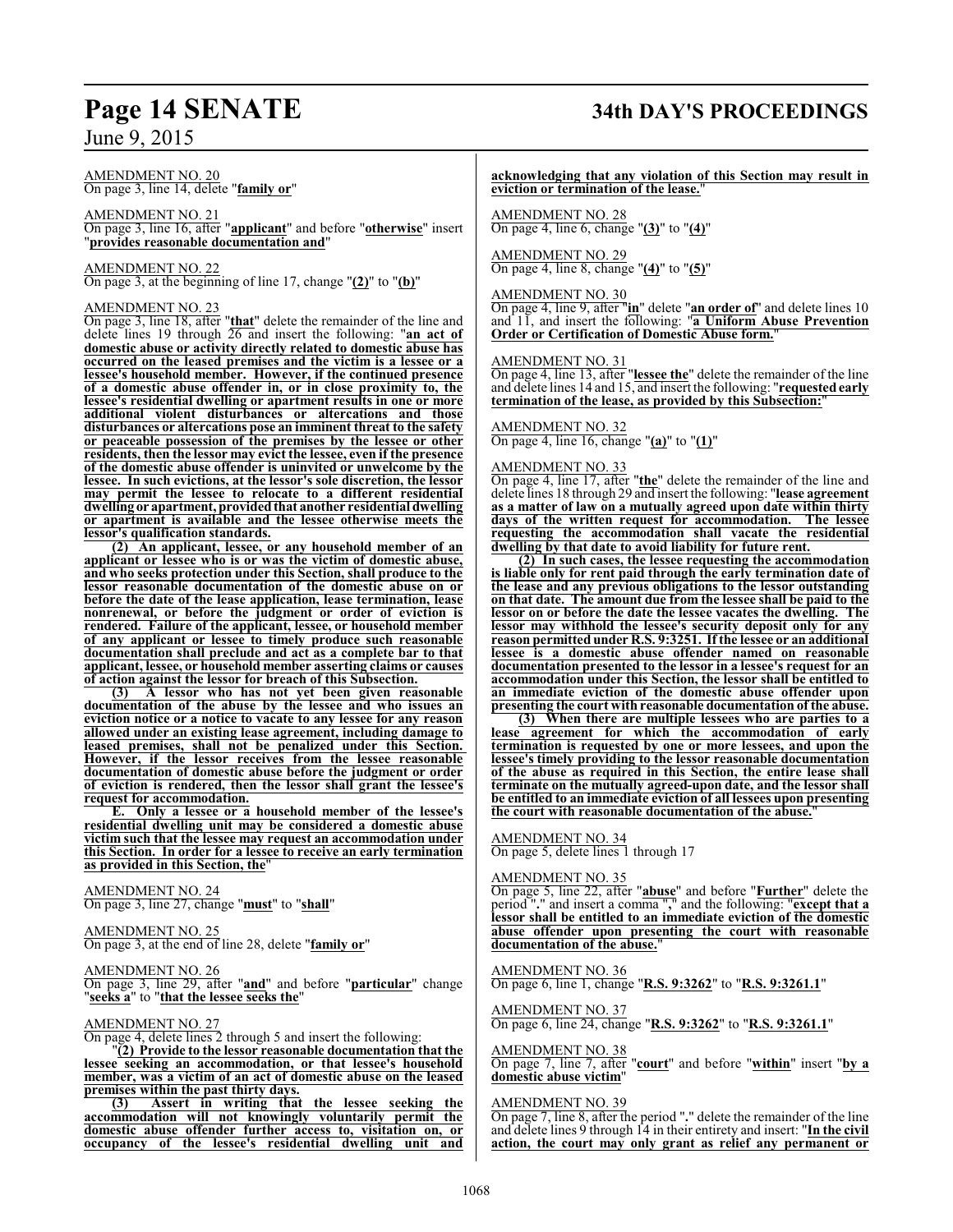#### AMENDMENT NO. 20 On page 3, line 14, delete "**family or**"

AMENDMENT NO. 21 On page 3, line 16, after "**applicant**" and before "**otherwise**" insert "**provides reasonable documentation and**"

AMENDMENT NO. 22 On page 3, at the beginning of line 17, change "**(2)**" to "**(b)**"

#### AMENDMENT NO. 23

On page 3, line 18, after "**that**" delete the remainder of the line and delete lines 19 through 26 and insert the following: "**an act of domestic abuse or activity directly related to domestic abuse has occurred on the leased premises and the victim is a lessee or a lessee's household member. However, if the continued presence of a domestic abuse offender in, or in close proximity to, the lessee's residential dwelling or apartment results in one or more additional violent disturbances or altercations and those disturbances or altercations pose an imminent threat to the safety or peaceable possession of the premises by the lessee or other residents, then the lessor may evict the lessee, even if the presence of the domestic abuse offender is uninvited or unwelcome by the lessee. In such evictions, at the lessor's sole discretion, the lessor may permit the lessee to relocate to a different residential dwelling or apartment, providedthat another residential dwelling or apartment is available and the lessee otherwise meets the lessor's qualification standards.**

**(2) An applicant, lessee, or any household member of an applicant or lessee who is or was the victim of domestic abuse, and who seeks protection under this Section, shall produce to the lessor reasonable documentation of the domestic abuse on or before the date of the lease application, lease termination, lease nonrenewal, or before the judgment or order of eviction is rendered. Failure of the applicant, lessee, or household member of any applicant or lessee to timely produce such reasonable documentation shall preclude and act as a complete bar to that applicant, lessee, or household member asserting claims or causes of action against the lessor for breach of this Subsection.**

**(3) A lessor who has not yet been given reasonable documentation of the abuse by the lessee and who issues an eviction notice or a notice to vacate to any lessee for any reason allowed under an existing lease agreement, including damage to leased premises, shall not be penalized under this Section. However, if the lessor receives from the lessee reasonable documentation of domestic abuse before the judgment or order of eviction is rendered, then the lessor shall grant the lessee's request for accommodation.**

**E. Only a lessee or a household member of the lessee's residential dwelling unit may be considered a domestic abuse victim such that the lessee may request an accommodation under this Section. In order for a lessee to receive an early termination as provided in this Section, the**"

AMENDMENT NO. 24 On page 3, line 27, change "**must**" to "**shall**"

AMENDMENT NO. 25 On page 3, at the end of line 28, delete "**family or**"

### AMENDMENT NO. 26

On page 3, line 29, after "**and**" and before "**particular**" change "**seeks a**" to "**that the lessee seeks the**"

#### AMENDMENT NO. 27

On page 4, delete lines 2 through 5 and insert the following:

"**(2) Provide to the lessor reasonable documentation that the lessee seeking an accommodation, or that lessee's household member, was a victim of an act of domestic abuse on the leased premises within the past thirty days.**

**(3) Assert in writing that the lessee seeking the accommodation will not knowingly voluntarily permit the domestic abuse offender further access to, visitation on, or occupancy of the lessee's residential dwelling unit and**

# **Page 14 SENATE 34th DAY'S PROCEEDINGS**

**acknowledging that any violation of this Section may result in eviction or termination of the lease.**"

AMENDMENT NO. 28 On page 4, line 6, change "**(3)**" to "**(4)**"

AMENDMENT NO. 29 On page 4, line 8, change "**(4)**" to "**(5)**"

#### AMENDMENT NO. 30

On page 4, line 9, after "**in**" delete "**an order of**" and delete lines 10 and 11, and insert the following: "**a Uniform Abuse Prevention Order or Certification of Domestic Abuse form.**"

#### AMENDMENT NO. 31

On page 4, line 13, after "**lessee the**" delete the remainder of the line and delete lines 14 and 15, and insert the following: "**requested early termination of the lease, as provided by this Subsection:**"

#### AMENDMENT NO. 32

On page 4, line 16, change "**(a)**" to "**(1)**"

#### AMENDMENT NO. 33

On page 4, line 17, after "**the**" delete the remainder of the line and delete lines 18 through 29 and insert the following: "**lease agreement as a matter of law on a mutually agreed upon date within thirty days of the written request for accommodation. The lessee requesting the accommodation shall vacate the residential dwelling by that date to avoid liability for future rent.**

**(2) In such cases, the lessee requesting the accommodation is liable only for rent paid through the early termination date of the lease and any previous obligations to the lessor outstanding on that date. The amount due from the lessee shall be paid to the lessor on or before the date the lessee vacates the dwelling. The lessor may withhold the lessee's security deposit only for any reason permitted under R.S. 9:3251. If the lessee or an additional lessee is a domestic abuse offender named on reasonable documentation presented to the lessor in a lessee's request for an accommodation under this Section, the lessor shall be entitled to an immediate eviction of the domestic abuse offender upon presenting the court with reasonable documentation of the abuse.**

**(3) When there are multiple lessees who are parties to a lease agreement for which the accommodation of early termination is requested by one or more lessees, and upon the lessee's timely providing to the lessor reasonable documentation of the abuse as required in this Section, the entire lease shall terminate on the mutually agreed-upon date, and the lessor shall be entitled to an immediate eviction of all lessees upon presenting the court with reasonable documentation of the abuse.**"

AMENDMENT NO. 34

On page 5, delete lines 1 through 17

#### AMENDMENT NO. 35

On page 5, line 22, after "**abuse**" and before "**Further**" delete the period "**.**" and insert a comma "**,**" and the following: "**except that a lessor shall be entitled to an immediate eviction of the domestic abuse offender upon presenting the court with reasonable documentation of the abuse.**"

AMENDMENT NO. 36 On page 6, line 1, change "**R.S. 9:3262**" to "**R.S. 9:3261.1**"

AMENDMENT NO. 37 On page 6, line 24, change "**R.S. 9:3262**" to "**R.S. 9:3261.1**"

#### AMENDMENT NO. 38

On page 7, line 7, after "**court**" and before "**within**" insert "**by a domestic abuse victim**"

#### AMENDMENT NO. 39

On page 7, line 8, after the period "**.**" delete the remainder of the line and delete lines 9 through 14 in their entirety and insert: "**In the civil action, the court may only grant as relief any permanent or**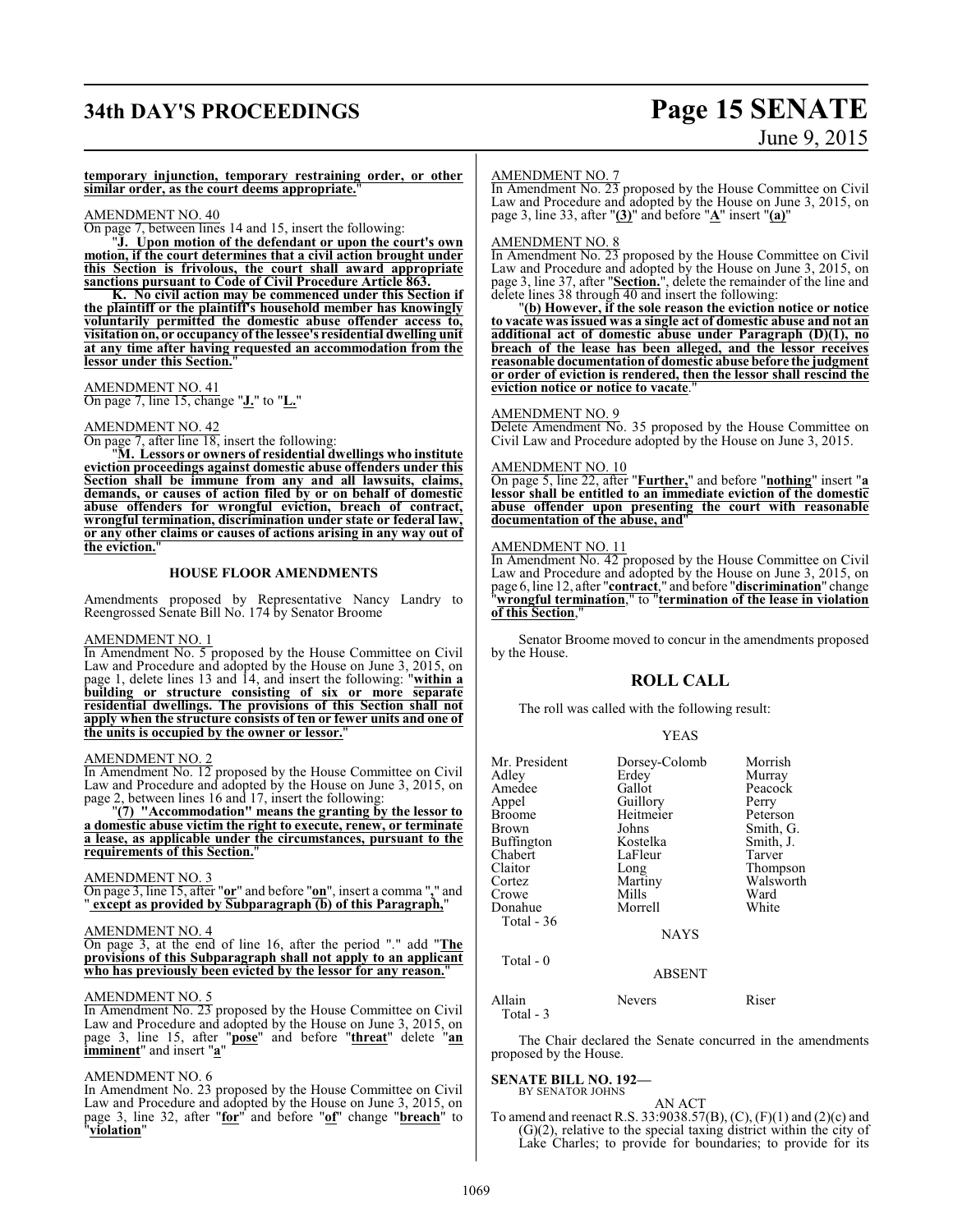# **34th DAY'S PROCEEDINGS Page 15 SENATE**

# June 9, 2015

**temporary injunction, temporary restraining order, or other similar order, as the court deems appropriate.**"

#### AMENDMENT NO. 40

On page 7, between lines 14 and 15, insert the following:

"**J. Upon motion of the defendant or upon the court's own motion, if the court determines that a civil action brought under this Section is frivolous, the court shall award appropriate sanctions pursuant to Code of Civil Procedure Article 863.**

**K. No civil action may be commenced under this Section if the plaintiff or the plaintiff's household member has knowingly voluntarily permitted the domestic abuse offender access to, visitation on, or occupancy of the lessee's residential dwelling unit at any time after having requested an accommodation from the lessor under this Section.**"

AMENDMENT NO. 41 On page 7, line 15, change "**J.**" to "**L.**"

#### AMENDMENT NO. 42

On page 7, after line 18, insert the following:

"**M. Lessors or owners of residential dwellings who institute eviction proceedings against domestic abuse offenders under this Section shall be immune from any and all lawsuits, claims, demands, or causes of action filed by or on behalf of domestic abuse offenders for wrongful eviction, breach of contract, wrongful termination, discrimination under state or federal law, or any other claims or causes of actions arising in any way out of the eviction.**"

#### **HOUSE FLOOR AMENDMENTS**

Amendments proposed by Representative Nancy Landry to Reengrossed Senate Bill No. 174 by Senator Broome

#### AMENDMENT NO. 1

In Amendment No. 5 proposed by the House Committee on Civil Law and Procedure and adopted by the House on June 3, 2015, on page 1, delete lines 13 and 14, and insert the following: "**within a building or structure consisting of six or more separate residential dwellings. The provisions of this Section shall not apply when the structure consists of ten or fewer units and one of the units is occupied by the owner or lessor.**"

#### AMENDMENT NO. 2

In Amendment No. 12 proposed by the House Committee on Civil Law and Procedure and adopted by the House on June 3, 2015, on page 2, between lines 16 and 17, insert the following:

"**(7) "Accommodation" means the granting by the lessor to a domestic abuse victim the right to execute, renew, or terminate a lease, as applicable under the circumstances, pursuant to the requirements of this Section.**"

#### AMENDMENT NO. 3

On page 3, line 15, after "**or**" and before "**on**", insert a comma "**,**" and " **except as provided by Subparagraph (b) of this Paragraph,**"

#### AMENDMENT NO. 4

On page 3, at the end of line 16, after the period "." add "**The provisions of this Subparagraph shall not apply to an applicant who has previously been evicted by the lessor for any reason.**"

#### AMENDMENT NO. 5

In Amendment No. 23 proposed by the House Committee on Civil Law and Procedure and adopted by the House on June 3, 2015, on page 3, line 15, after "**pose**" and before "**threat**" delete "**an imminent**" and insert "**a**"

#### AMENDMENT NO. 6

In Amendment No. 23 proposed by the House Committee on Civil Law and Procedure and adopted by the House on June 3, 2015, on page 3, line 32, after "**for**" and before "**of**" change "**breach**" to "**violation**"

#### AMENDMENT NO. 7

In Amendment No. 23 proposed by the House Committee on Civil Law and Procedure and adopted by the House on June 3, 2015, on page 3, line 33, after "**(3)**" and before "**A**" insert "**(a)**"

#### AMENDMENT NO. 8

In Amendment No. 23 proposed by the House Committee on Civil Law and Procedure and adopted by the House on June 3, 2015, on page 3, line 37, after "**Section.**", delete the remainder of the line and delete lines 38 through 40 and insert the following:

"**(b) However, if the sole reason the eviction notice or notice to vacate wasissued was a single act of domestic abuse and not an additional act of domestic abuse under Paragraph (D)(1), no breach of the lease has been alleged, and the lessor receives reasonable documentation of domestic abuse before the judgment or order of eviction is rendered, then the lessor shall rescind the eviction notice or notice to vacate**."

#### AMENDMENT NO. 9

Delete Amendment No. 35 proposed by the House Committee on Civil Law and Procedure adopted by the House on June 3, 2015.

#### AMENDMENT NO. 10

On page 5, line 22, after "**Further,**" and before "**nothing**" insert "**a lessor shall be entitled to an immediate eviction of the domestic abuse offender upon presenting the court with reasonable documentation of the abuse, and**"

#### AMENDMENT NO. 11

In Amendment No. 42 proposed by the House Committee on Civil Law and Procedure and adopted by the House on June 3, 2015, on page 6, line 12, after "**contract**," and before "**discrimination**" change "**wrongful termination**," to "**termination of the lease in violation of this Section**,"

Senator Broome moved to concur in the amendments proposed by the House.

#### **ROLL CALL**

The roll was called with the following result:

#### YEAS

| Mr. President | Dorsey-Colomb | Morrish   |
|---------------|---------------|-----------|
| Adlev         | Erdey         | Murray    |
| Amedee        | Gallot        | Peacock   |
| Appel         | Guillory      | Perry     |
| Broome        | Heitmeier     | Peterson  |
| Brown         | Johns         | Smith, G. |
| Buffington    | Kostelka      | Smith, J. |
| Chabert       | LaFleur       | Tarver    |
| Claitor       | Long          | Thompson  |
| Cortez        | Martiny       | Walsworth |
| Crowe         | Mills         | Ward      |
| Donahue       | Morrell       | White     |
| Total - 36    | <b>NAYS</b>   |           |
| Total $-0$    | <b>ABSENT</b> |           |

Allain Nevers Riser Total - 3

The Chair declared the Senate concurred in the amendments proposed by the House.

#### **SENATE BILL NO. 192—** BY SENATOR JOHNS

AN ACT

To amend and reenact R.S. 33:9038.57(B), (C), (F)(1) and (2)(c) and (G)(2), relative to the special taxing district within the city of Lake Charles; to provide for boundaries; to provide for its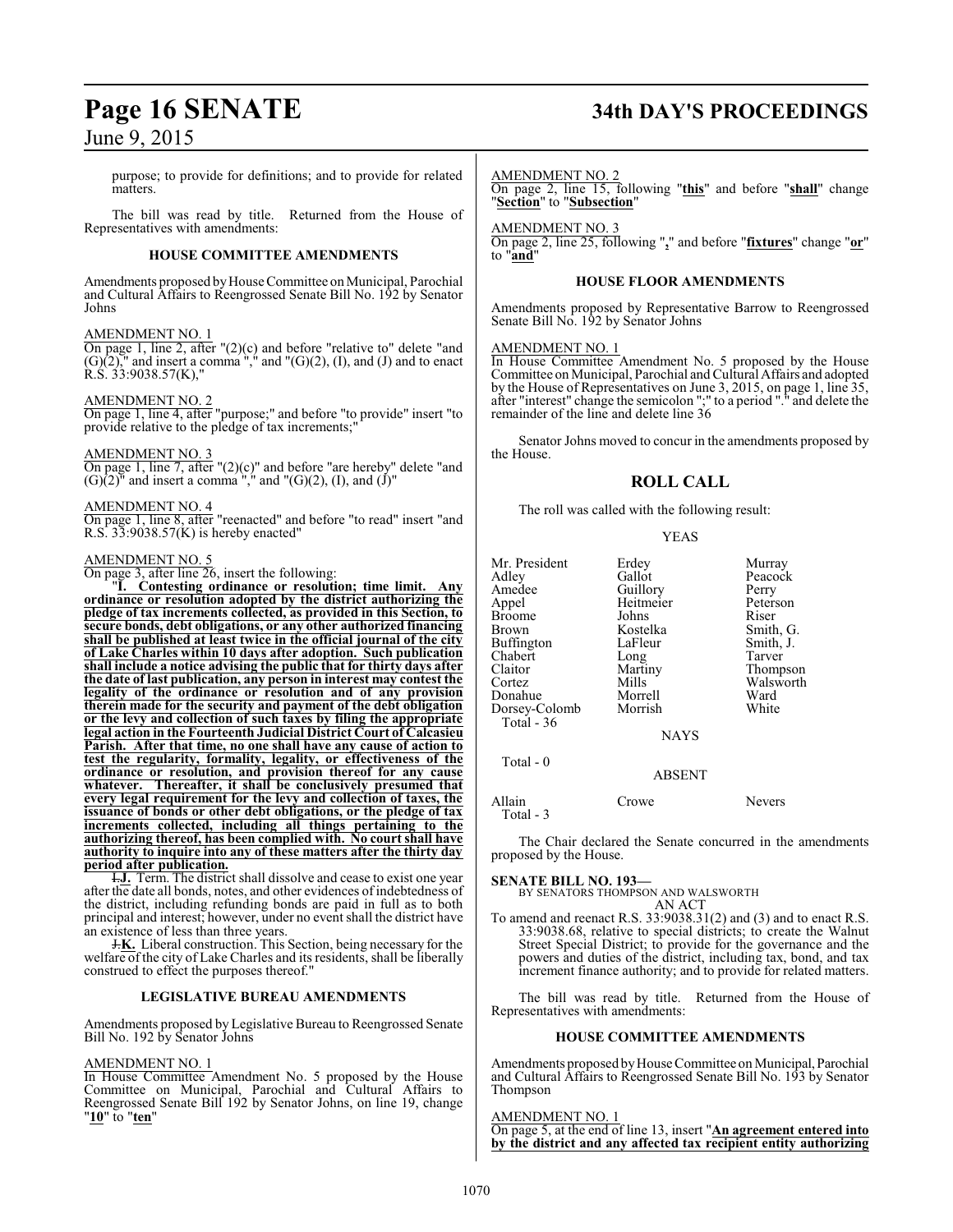purpose; to provide for definitions; and to provide for related matters.

The bill was read by title. Returned from the House of Representatives with amendments:

#### **HOUSE COMMITTEE AMENDMENTS**

Amendments proposed byHouse Committee on Municipal, Parochial and Cultural Affairs to Reengrossed Senate Bill No. 192 by Senator Johns

#### AMENDMENT NO. 1

On page 1, line 2, after "(2)(c) and before "relative to" delete "and  $(G)(2)$ ," and insert a comma "," and " $(G)(2)$ ,  $(I)$ , and  $(I)$  and to enact  $R.S. 33:9038.57(K)$ ,"

#### AMENDMENT NO. 2

On page 1, line 4, after "purpose;" and before "to provide" insert "to provide relative to the pledge of tax increments;

#### AMENDMENT NO. 3

On page 1, line 7, after " $(2)(c)$ " and before "are hereby" delete "and  $(G)(2)$ <sup>"</sup> and insert a comma<sup>"</sup>," and " $(G)(2)$ ,  $(I)$ , and  $(J)$ "

#### AMENDMENT NO. 4

On page 1, line 8, after "reenacted" and before "to read" insert "and R.S.  $33:9038.57(K)$  is hereby enacted"

#### AMENDMENT NO. 5

On page 3, after line 26, insert the following:

"**I. Contesting ordinance or resolution; time limit. Any ordinance or resolution adopted by the district authorizing the pledge of tax increments collected, as provided in this Section, to secure bonds, debt obligations, or any other authorized financing shall be published at least twice in the official journal of the city of Lake Charles within 10 days after adoption. Such publication shall include a notice advising the public that for thirty days after the date of last publication, any person in interest may contest the legality of the ordinance or resolution and of any provision therein made for the security and payment of the debt obligation or the levy and collection of such taxes by filing the appropriate legal action in the Fourteenth Judicial District Court of Calcasieu Parish. After that time, no one shall have any cause of action to test the regularity, formality, legality, or effectiveness of the ordinance or resolution, and provision thereof for any cause whatever. Thereafter, it shall be conclusively presumed that every legal requirement for the levy and collection of taxes, the issuance of bonds or other debt obligations, or the pledge of tax increments collected, including all things pertaining to the authorizing thereof, has been complied with. No court shall have authority to inquire into any of these matters after the thirty day period after publication.**

I.**J.** Term. The district shall dissolve and cease to exist one year after the date all bonds, notes, and other evidences of indebtedness of the district, including refunding bonds are paid in full as to both principal and interest; however, under no event shall the district have an existence of less than three years.

J.**K.** Liberal construction. This Section, being necessary for the welfare of the city of Lake Charles and its residents, shall be liberally construed to effect the purposes thereof."

#### **LEGISLATIVE BUREAU AMENDMENTS**

Amendments proposed by Legislative Bureau to Reengrossed Senate Bill No. 192 by Senator Johns

#### AMENDMENT NO. 1

In House Committee Amendment No. 5 proposed by the House Committee on Municipal, Parochial and Cultural Affairs to Reengrossed Senate Bill 192 by Senator Johns, on line 19, change "**10**" to "**ten**"

# **Page 16 SENATE 34th DAY'S PROCEEDINGS**

#### AMENDMENT NO. 2

On page 2, line 15, following "**this**" and before "**shall**" change "**Section**" to "**Subsection**"

#### AMENDMENT NO. 3

On page 2, line 25, following "**,**" and before "**fixtures**" change "**or**" to "**and**"

#### **HOUSE FLOOR AMENDMENTS**

Amendments proposed by Representative Barrow to Reengrossed Senate Bill No. 192 by Senator Johns

#### AMENDMENT NO. 1

In House Committee Amendment No. 5 proposed by the House Committee on Municipal, Parochial and Cultural Affairs and adopted by the House of Representatives on June 3, 2015, on page 1, line 35, after "interest" change the semicolon ";" to a period "." and delete the remainder of the line and delete line 36

Senator Johns moved to concur in the amendments proposed by the House.

#### **ROLL CALL**

The roll was called with the following result:

#### YEAS

| Mr. President<br>Adley | Erdey<br>Gallot | Murray<br>Peacock |
|------------------------|-----------------|-------------------|
| Amedee                 | Guillory        | Perry             |
| Appel                  | Heitmeier       | Peterson          |
| Broome                 | Johns           | Riser             |
| Brown                  | Kostelka        | Smith, G.         |
| Buffington             | LaFleur         | Smith, J.         |
| Chabert                | Long            | Tarver            |
| Claitor                | Martiny         | Thompson          |
| Cortez                 | Mills           | Walsworth         |
| Donahue                | Morrell         | Ward              |
| Dorsey-Colomb          | Morrish         | White             |
| Total - 36             |                 |                   |
|                        | <b>NAYS</b>     |                   |
| Total - 0              |                 |                   |
|                        | ABSENT          |                   |

Allain Crowe Nevers Total - 3

The Chair declared the Senate concurred in the amendments proposed by the House.

**SENATE BILL NO. 193—** BY SENATORS THOMPSON AND WALSWORTH AN ACT

To amend and reenact R.S. 33:9038.31(2) and (3) and to enact R.S. 33:9038.68, relative to special districts; to create the Walnut Street Special District; to provide for the governance and the powers and duties of the district, including tax, bond, and tax increment finance authority; and to provide for related matters.

The bill was read by title. Returned from the House of Representatives with amendments:

#### **HOUSE COMMITTEE AMENDMENTS**

Amendments proposed by House Committee on Municipal, Parochial and Cultural Affairs to Reengrossed Senate Bill No. 193 by Senator Thompson

#### AMENDMENT NO. 1

On page 5, at the end of line 13, insert "**An agreement entered into by the district and any affected tax recipient entity authorizing**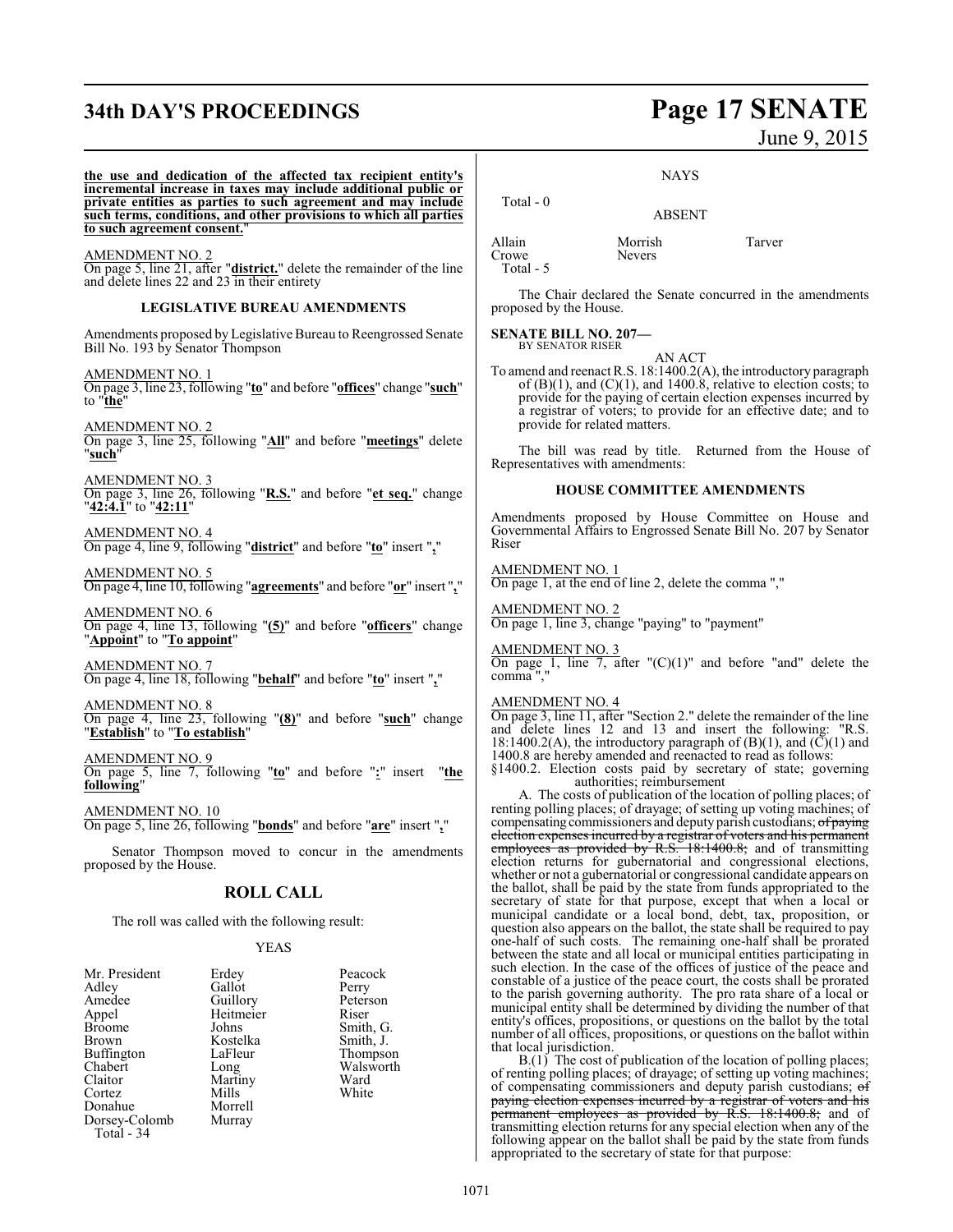# **34th DAY'S PROCEEDINGS Page 17 SENATE**

# June 9, 2015

**NAYS** 

ABSENT

**the use and dedication of the affected tax recipient entity's incremental increase in taxes may include additional public or private entities as parties to such agreement and may include such terms, conditions, and other provisions to which all parties to such agreement consent.**" AMENDMENT NO. 2 On page 5, line 21, after "**district.**" delete the remainder of the line and delete lines 22 and 23 in their entirety **LEGISLATIVE BUREAU AMENDMENTS** Amendments proposed by Legislative Bureau to Reengrossed Senate Bill No. 193 by Senator Thompson AMENDMENT NO. 1 On page 3, line 23, following "**to**" and before "**offices**" change "**such**" to "**the**" AMENDMENT NO. 2 On page 3, line 25, following "**All**" and before "**meetings**" delete "**such**" AMENDMENT NO. 3 On page 3, line 26, following "**R.S.**" and before "**et seq.**" change "**42:4.1**" to "**42:11**" AMENDMENT NO. 4 On page 4, line 9, following "**district**" and before "**to**" insert "**,**" AMENDMENT NO. 5 On page 4, line 10, following "**agreements**" and before "**or**" insert "**,**" AMENDMENT NO. 6 On page 4, line 13, following "**(5)**" and before "**officers**" change "**Appoint**" to "**To appoint**" AMENDMENT NO. 7 On page 4, line 18, following "**behalf**" and before "**to**" insert "**,**" AMENDMENT NO. 8 On page 4, line 23, following "**(8)**" and before "**such**" change "**Establish**" to "**To establish**" AMENDMENT NO. 9 On page 5, line 7, following "**to**" and before "**:**" insert "**the following**" AMENDMENT NO. 10 On page 5, line 26, following "**bonds**" and before "**are**" insert "**,**" Senator Thompson moved to concur in the amendments proposed by the House. **ROLL CALL** The roll was called with the following result: YEAS Mr. President Erdey Peacock<br>Adley Gallot Perry Adley Gallot Perry Amedee Guillory Peters<br>Appel Heitmeier Riser Appel Heitmeier<br>Broome Johns Broome Johns Smith, G.<br>Brown Kostelka Smith, J. Kostelka Smith, J.<br>LaFleur Thompson Buffington LaFle<br>Chabert Long Chabert Long Walsworth<br>
Claitor Martiny Ward Claitor Martiny Ward Total - 0 Allain Morrish Tarver Crowe Total - 5 BY SENATOR RISER Riser comma ","

The Chair declared the Senate concurred in the amendments proposed by the House.

**SENATE BILL NO. 207—**

AN ACT

To amend and reenact R.S. 18:1400.2(A), the introductory paragraph of  $(B)(1)$ , and  $(C)(1)$ , and 1400.8, relative to election costs; to provide for the paying of certain election expenses incurred by a registrar of voters; to provide for an effective date; and to provide for related matters.

The bill was read by title. Returned from the House of Representatives with amendments:

#### **HOUSE COMMITTEE AMENDMENTS**

Amendments proposed by House Committee on House and Governmental Affairs to Engrossed Senate Bill No. 207 by Senator

#### AMENDMENT NO. 1

On page 1, at the end of line 2, delete the comma ","

AMENDMENT NO. 2 On page 1, line 3, change "paying" to "payment"

#### AMENDMENT NO. 3

On page 1, line 7, after " $(C)(1)$ " and before "and" delete the

#### AMENDMENT NO. 4

On page 3, line 11, after "Section 2." delete the remainder of the line and delete lines 12 and 13 and insert the following: "R.S. 18:1400.2(A), the introductory paragraph of  $(B)(1)$ , and  $(\overline{C})(1)$  and 1400.8 are hereby amended and reenacted to read as follows:

§1400.2. Election costs paid by secretary of state; governing authorities; reimbursement

A. The costs of publication of the location of polling places; of renting polling places; of drayage; of setting up voting machines; of compensating commissioners and deputy parish custodians; of paying election expenses incurred by a registrar of voters and his permanent employees as provided by R.S. 18:1400.8; and of transmitting election returns for gubernatorial and congressional elections, whether or not a gubernatorial or congressional candidate appears on the ballot, shall be paid by the state from funds appropriated to the secretary of state for that purpose, except that when a local or municipal candidate or a local bond, debt, tax, proposition, or question also appears on the ballot, the state shall be required to pay one-half of such costs. The remaining one-half shall be prorated between the state and all local or municipal entities participating in such election. In the case of the offices of justice of the peace and constable of a justice of the peace court, the costs shall be prorated to the parish governing authority. The pro rata share of a local or municipal entity shall be determined by dividing the number of that entity's offices, propositions, or questions on the ballot by the total number of all offices, propositions, or questions on the ballot within that local jurisdiction.

B.(1) The cost of publication of the location of polling places; of renting polling places; of drayage; of setting up voting machines; of compensating commissioners and deputy parish custodians; of paying election expenses incurred by a registrar of voters and his permanent employees as provided by R.S. 18:1400.8; and of transmitting election returnsfor any special election when any of the following appear on the ballot shall be paid by the state from funds appropriated to the secretary of state for that purpose:

Donahue Morrell<br>Dorsey-Colomb Murray

Dorsey-Colomb Total - 34

Cortez Mills White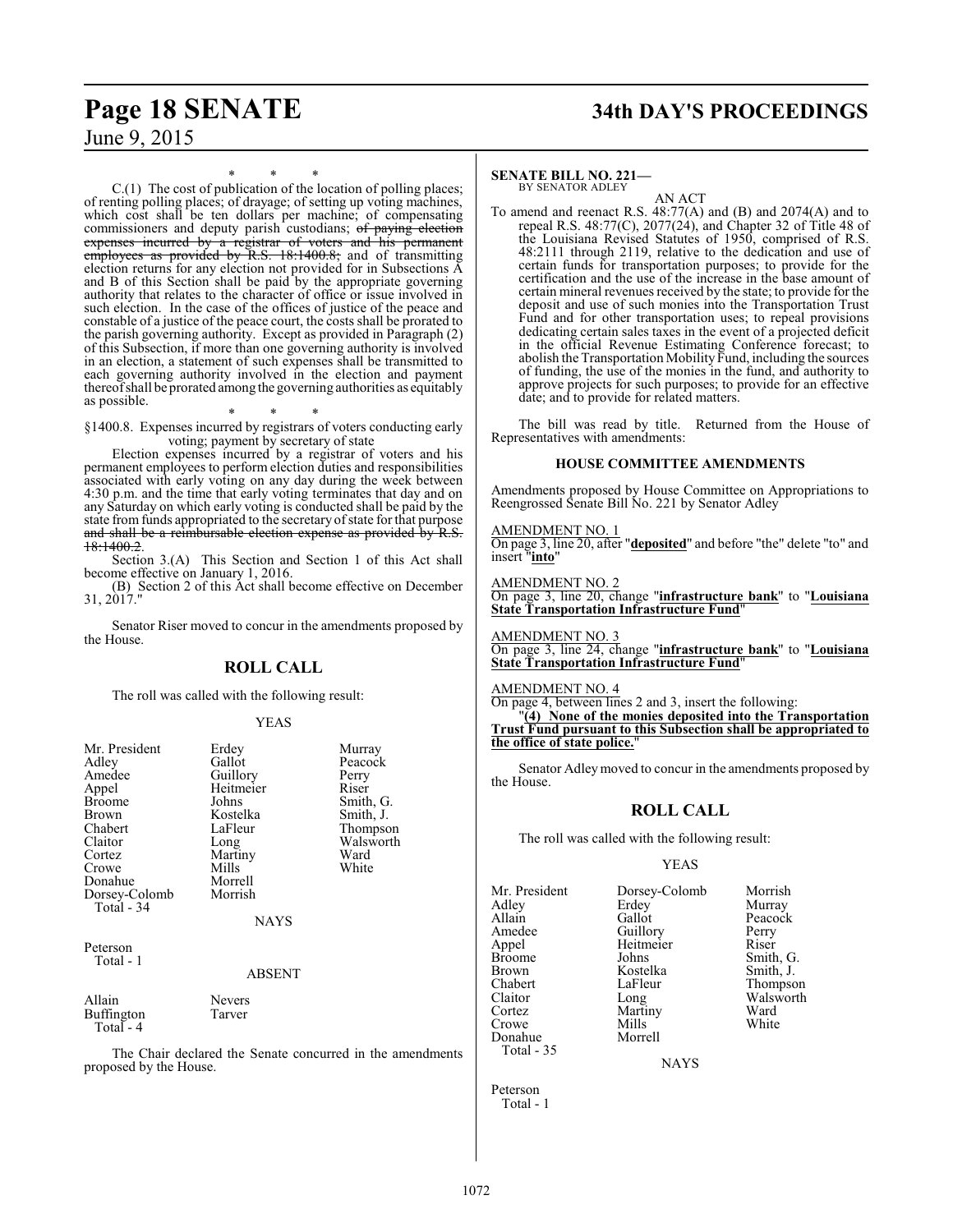# **Page 18 SENATE 34th DAY'S PROCEEDINGS**

June 9, 2015

\* \* \*

C.(1) The cost of publication of the location of polling places; of renting polling places; of drayage; of setting up voting machines, which cost shall be ten dollars per machine; of compensating commissioners and deputy parish custodians; of paying election expenses incurred by a registrar of voters and his permanent employees as provided by R.S. 18:1400.8; and of transmitting election returns for any election not provided for in Subsections A and B of this Section shall be paid by the appropriate governing authority that relates to the character of office or issue involved in such election. In the case of the offices of justice of the peace and constable of a justice of the peace court, the costs shall be prorated to the parish governing authority. Except as provided in Paragraph (2) of this Subsection, if more than one governing authority is involved in an election, a statement of such expenses shall be transmitted to each governing authority involved in the election and payment thereofshall be prorated among the governing authorities as equitably as possible.

\* \* \* §1400.8. Expenses incurred by registrars of voters conducting early voting; payment by secretary of state

Election expenses incurred by a registrar of voters and his permanent employees to perform election duties and responsibilities associated with early voting on any day during the week between 4:30 p.m. and the time that early voting terminates that day and on any Saturday on which early voting is conducted shall be paid by the state from funds appropriated to the secretary of state for that purpose and shall be a reimbursable election expense as provided by R.S. 18:1400.2.

Section 3.(A) This Section and Section 1 of this Act shall become effective on January 1, 2016.

(B) Section 2 of this Act shall become effective on December  $31, 2017.$ 

Senator Riser moved to concur in the amendments proposed by the House.

## **ROLL CALL**

The roll was called with the following result:

#### YEAS

| Mr. President<br>Adley<br>Amedee<br>Appel<br><b>Broome</b><br>Brown<br>Chabert<br>Claitor<br>Cortez<br>Crowe<br>Donahue<br>Dorsey-Colomb<br>Total - 34 | Erdey<br>Gallot<br>Guillory<br>Heitmeier<br>Johns<br>Kostelka<br>LaFleur<br>Long<br>Martiny<br>Mills<br>Morrell<br>Morrish<br><b>NAYS</b> | Murray<br>Peacock<br>Perry<br>Riser<br>Smith, G.<br>Smith, J.<br>Thompson<br>Walsworth<br>Ward<br>White |
|--------------------------------------------------------------------------------------------------------------------------------------------------------|-------------------------------------------------------------------------------------------------------------------------------------------|---------------------------------------------------------------------------------------------------------|
| Peterson<br>Total - 1                                                                                                                                  | <b>ABSENT</b>                                                                                                                             |                                                                                                         |
| Allain<br><b>Buffington</b>                                                                                                                            | Nevers<br>Tarver                                                                                                                          |                                                                                                         |

 $Total - 4$ 

The Chair declared the Senate concurred in the amendments proposed by the House.

#### **SENATE BILL NO. 221—** BY SENATOR ADLEY

AN ACT

To amend and reenact R.S. 48:77(A) and (B) and 2074(A) and to repeal R.S. 48:77(C), 2077(24), and Chapter 32 of Title 48 of the Louisiana Revised Statutes of 1950, comprised of R.S. 48:2111 through 2119, relative to the dedication and use of certain funds for transportation purposes; to provide for the certification and the use of the increase in the base amount of certain mineral revenues received by the state; to provide for the deposit and use of such monies into the Transportation Trust Fund and for other transportation uses; to repeal provisions dedicating certain sales taxes in the event of a projected deficit in the official Revenue Estimating Conference forecast; to abolish the Transportation Mobility Fund, including the sources of funding, the use of the monies in the fund, and authority to approve projects for such purposes; to provide for an effective date; and to provide for related matters.

The bill was read by title. Returned from the House of Representatives with amendments:

#### **HOUSE COMMITTEE AMENDMENTS**

Amendments proposed by House Committee on Appropriations to Reengrossed Senate Bill No. 221 by Senator Adley

#### AMENDMENT NO. 1

On page 3, line 20, after "**deposited**" and before "the" delete "to" and insert "**into**"

AMENDMENT NO. 2

On page 3, line 20, change "**infrastructure bank**" to "**Louisiana State Transportation Infrastructure Fund**"

AMENDMENT NO. 3 On page 3, line 24, change "**infrastructure bank**" to "**Louisiana State Transportation Infrastructure Fund**"

AMENDMENT NO. 4

On page 4, between lines 2 and 3, insert the following:

"**(4) None of the monies deposited into the Transportation Trust Fund pursuant to this Subsection shall be appropriated to the office of state police.**"

Senator Adleymoved to concur in the amendments proposed by the House.

## **ROLL CALL**

The roll was called with the following result:

#### YEAS

Smith, G. Smith, J. Thompson Walsworth<br>Ward

| Mr. President | Dorsey-Colomb | Morrish       |
|---------------|---------------|---------------|
| Adley         | Erdey         | Murray        |
| Allain        | Gallot        | Peacock       |
| Amedee        | Guillory      | Perry         |
| Appel         | Heitmeier     | Riser         |
| <b>Broome</b> | Johns         | Smith, C      |
| <b>Brown</b>  | Kostelka      | Smith, J.     |
| Chabert       | LaFleur       | <b>Thomps</b> |
| Claitor       | Long          | Walswor       |
| Cortez        | Martiny       | Ward          |
| Crowe         | Mills         | White         |
| Donahue       | Morrell       |               |
| Total - 35    |               |               |

NAYS

Peterson Total - 1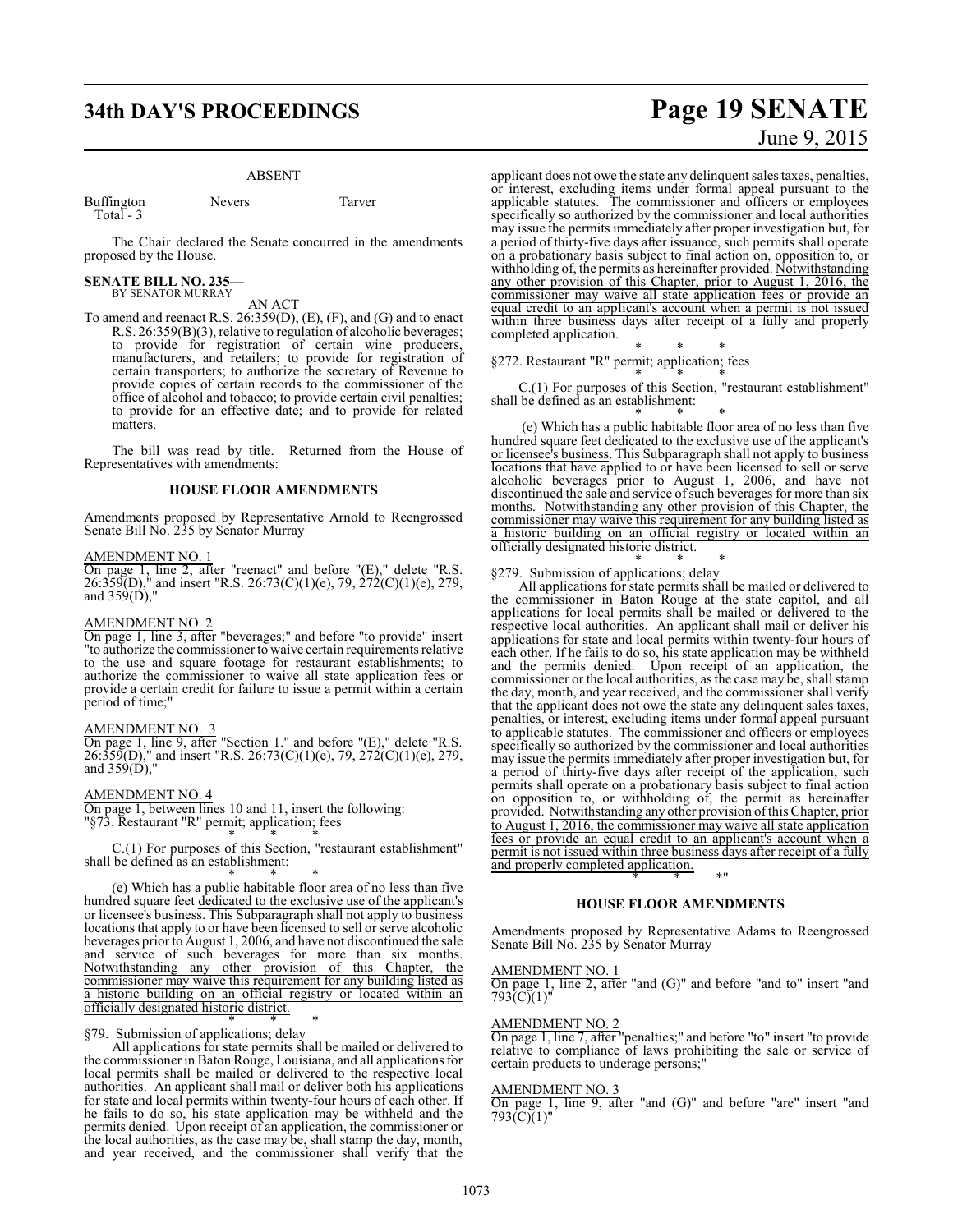# **34th DAY'S PROCEEDINGS Page 19 SENATE**

#### ABSENT

| Buffington | Nevers | Tarver |
|------------|--------|--------|
| Total $-3$ |        |        |

The Chair declared the Senate concurred in the amendments proposed by the House.

# **SENATE BILL NO. 235—** BY SENATOR MURRAY

#### AN ACT

To amend and reenact R.S. 26:359(D), (E), (F), and (G) and to enact R.S. 26:359(B)(3), relative to regulation of alcoholic beverages; to provide for registration of certain wine producers, manufacturers, and retailers; to provide for registration of certain transporters; to authorize the secretary of Revenue to provide copies of certain records to the commissioner of the office of alcohol and tobacco; to provide certain civil penalties; to provide for an effective date; and to provide for related matters.

The bill was read by title. Returned from the House of Representatives with amendments:

#### **HOUSE FLOOR AMENDMENTS**

Amendments proposed by Representative Arnold to Reengrossed Senate Bill No. 235 by Senator Murray

#### AMENDMENT NO. 1

On page 1, line 2, after "reenact" and before "(E)," delete "R.S. 26:359(D)," and insert "R.S. 26:73(C)(1)(e), 79, 272(C)(1)(e), 279, and 359(D),"

#### AMENDMENT NO. 2

On page 1, line 3, after "beverages;" and before "to provide" insert "to authorize the commissioner to waive certain requirements relative to the use and square footage for restaurant establishments; to authorize the commissioner to waive all state application fees or provide a certain credit for failure to issue a permit within a certain period of time;"

#### AMENDMENT NO. 3

On page 1, line 9, after "Section 1." and before "(E)," delete "R.S. 26:359(D)," and insert "R.S. 26:73(C)(1)(e), 79, 272(C)(1)(e), 279, and 359(D),"

#### AMENDMENT NO. 4

On page 1, between lines 10 and 11, insert the following: "§73. Restaurant "R" permit; application; fees

\* \* \* C.(1) For purposes of this Section, "restaurant establishment" shall be defined as an establishment:

\* \* \*

(e) Which has a public habitable floor area of no less than five hundred square feet dedicated to the exclusive use of the applicant's or licensee's business. This Subparagraph shall not apply to business locations that apply to or have been licensed to sell or serve alcoholic beverages prior to August 1, 2006, and have not discontinued the sale and service of such beverages for more than six months. Notwithstanding any other provision of this Chapter, the commissioner may waive this requirement for any building listed as a historic building on an official registry or located within an officially designated historic district.

\* \* \* §79. Submission of applications; delay

All applications for state permits shall be mailed or delivered to the commissioner in Baton Rouge, Louisiana, and all applications for local permits shall be mailed or delivered to the respective local authorities. An applicant shall mail or deliver both his applications for state and local permits within twenty-four hours of each other. If he fails to do so, his state application may be withheld and the permits denied. Upon receipt of an application, the commissioner or the local authorities, as the case may be, shall stamp the day, month, and year received, and the commissioner shall verify that the

# June 9, 2015

applicant does not owe the state any delinquent sales taxes, penalties, or interest, excluding items under formal appeal pursuant to the applicable statutes. The commissioner and officers or employees specifically so authorized by the commissioner and local authorities may issue the permits immediately after proper investigation but, for a period of thirty-five days after issuance, such permits shall operate on a probationary basis subject to final action on, opposition to, or withholding of, the permits as hereinafter provided. Notwithstanding any other provision of this Chapter, prior to August 1, 2016, the commissioner may waive all state application fees or provide an equal credit to an applicant's account when a permit is not issued within three business days after receipt of a fully and properly completed application.

\* \* \* §272. Restaurant "R" permit; application; fees

\* \* \* C.(1) For purposes of this Section, "restaurant establishment" shall be defined as an establishment:

\* \* \* (e) Which has a public habitable floor area of no less than five hundred square feet dedicated to the exclusive use of the applicant's or licensee's business. This Subparagraph shall not apply to business locations that have applied to or have been licensed to sell or serve alcoholic beverages prior to August 1, 2006, and have not discontinued the sale and service of such beverages for more than six months. Notwithstanding any other provision of this Chapter, the commissioner may waive this requirement for any building listed as a historic building on an official registry or located within an officially designated historic district.

#### \* \* \* §279. Submission of applications; delay

All applications for state permits shall be mailed or delivered to the commissioner in Baton Rouge at the state capitol, and all applications for local permits shall be mailed or delivered to the respective local authorities. An applicant shall mail or deliver his applications for state and local permits within twenty-four hours of each other. If he fails to do so, his state application may be withheld and the permits denied. Upon receipt of an application, the commissioner or the local authorities, as the case may be, shall stamp the day, month, and year received, and the commissioner shall verify that the applicant does not owe the state any delinquent sales taxes, penalties, or interest, excluding items under formal appeal pursuant to applicable statutes. The commissioner and officers or employees specifically so authorized by the commissioner and local authorities may issue the permits immediately after proper investigation but, for a period of thirty-five days after receipt of the application, such permits shall operate on a probationary basis subject to final action on opposition to, or withholding of, the permit as hereinafter provided. Notwithstanding any other provision of this Chapter, prior to August  $\overline{1,2016}$ , the commissioner may waive all state application fees or provide an equal credit to an applicant's account when a permit is not issued within three business days after receipt of a fully and properly completed application.

## \* \* \*" **HOUSE FLOOR AMENDMENTS**

Amendments proposed by Representative Adams to Reengrossed Senate Bill No. 235 by Senator Murray

#### AMENDMENT NO. 1

On page 1, line 2, after "and (G)" and before "and to" insert "and  $793$  $\tilde{C}$  $(1)$ "

#### AMENDMENT NO. 2

On page 1, line 7, after "penalties;" and before "to" insert "to provide relative to compliance of laws prohibiting the sale or service of certain products to underage persons;"

#### AMENDMENT NO. 3

On page 1, line 9, after "and (G)" and before "are" insert "and  $793(\tilde{C})(1)$ "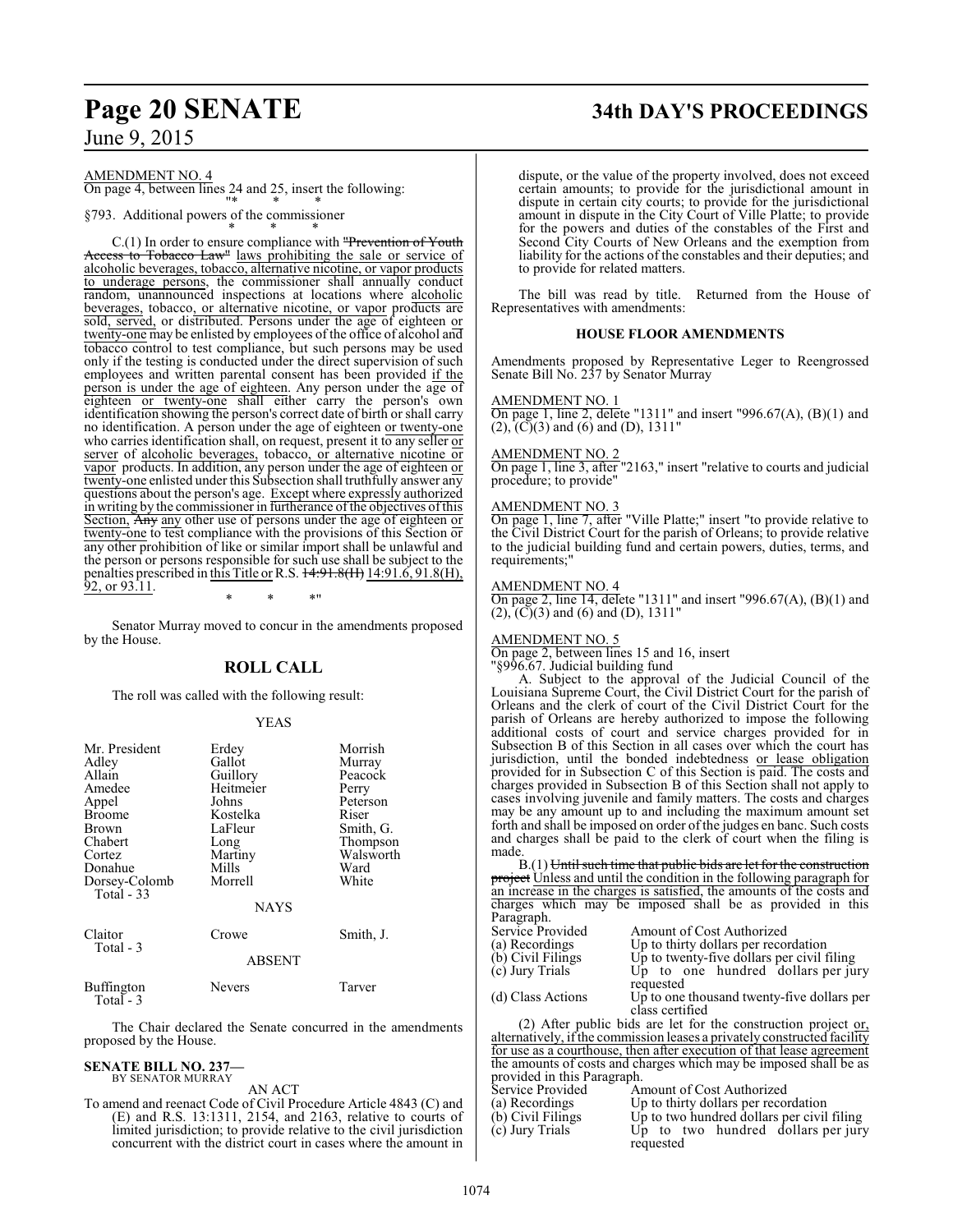# **Page 20 SENATE 34th DAY'S PROCEEDINGS**

June 9, 2015

AMENDMENT NO. 4 On page 4, between lines 24 and 25, insert the following:

"\* \* \*

§793. Additional powers of the commissioner \* \* \*

C.(1) In order to ensure compliance with "Prevention of Youth to Tobacco Law" laws prohibiting the sale or service of alcoholic beverages, tobacco, alternative nicotine, or vapor products to underage persons, the commissioner shall annually conduct random, unannounced inspections at locations where alcoholic beverages, tobacco, or alternative nicotine, or vapor products are sold, served, or distributed. Persons under the age of eighteen or twenty-one may be enlisted by employees of the office of alcohol and tobacco control to test compliance, but such persons may be used only if the testing is conducted under the direct supervision of such employees and written parental consent has been provided if the person is under the age of eighteen. Any person under the age of eighteen or twenty-one shall either carry the person's own identification showing the person's correct date of birth or shall carry no identification. A person under the age of eighteen or twenty-one who carries identification shall, on request, present it to any seller  $\overline{or}$ server of alcoholic beverages, tobacco, or alternative nicotine or vapor products. In addition, any person under the age of eighteen or twenty-one enlisted under this Subsection shall truthfully answer any questions about the person's age. Except where expressly authorized in writing by the commissioner in furtherance ofthe objectives ofthis Section, Any any other use of persons under the age of eighteen or twenty-one to test compliance with the provisions of this Section or any other prohibition of like or similar import shall be unlawful and the person or persons responsible for such use shall be subject to the penalties prescribed in <u>this Title or</u> R.S. <del>14:91.8(H)</del> 14:91.6, 91.8(H), 92, or 93.11. \* \* \*"

Senator Murray moved to concur in the amendments proposed by the House.

## **ROLL CALL**

The roll was called with the following result:

#### YEAS

| Mr. President                  | Erdey         | Morrish   |
|--------------------------------|---------------|-----------|
| Adley                          | Gallot        | Murray    |
| Allain                         | Guillory      | Peacock   |
| Amedee                         | Heitmeier     | Perry     |
| Appel                          | Johns         | Peterson  |
| <b>Broome</b>                  | Kostelka      | Riser     |
| <b>Brown</b>                   | LaFleur       | Smith, G. |
| Chabert                        | Long          | Thompson  |
| Cortez                         | Martiny       | Walsworth |
| Donahue                        | Mills         | Ward      |
| Dorsey-Colomb<br>Total - 33    | Morrell       | White     |
|                                | <b>NAYS</b>   |           |
| Claitor<br>Total - 3           | Crowe         | Smith, J. |
|                                | <b>ABSENT</b> |           |
| <b>Buffington</b><br>Total - 3 | Nevers        | Tarver    |

The Chair declared the Senate concurred in the amendments proposed by the House.

#### **SENATE BILL NO. 237—**

BY SENATOR MURRAY

AN ACT To amend and reenact Code of Civil Procedure Article 4843 (C) and (E) and R.S. 13:1311, 2154, and 2163, relative to courts of limited jurisdiction; to provide relative to the civil jurisdiction concurrent with the district court in cases where the amount in

dispute, or the value of the property involved, does not exceed certain amounts; to provide for the jurisdictional amount in dispute in certain city courts; to provide for the jurisdictional amount in dispute in the City Court of Ville Platte; to provide for the powers and duties of the constables of the First and Second City Courts of New Orleans and the exemption from liability for the actions of the constables and their deputies; and to provide for related matters.

The bill was read by title. Returned from the House of Representatives with amendments:

#### **HOUSE FLOOR AMENDMENTS**

Amendments proposed by Representative Leger to Reengrossed Senate Bill No. 237 by Senator Murray

#### AMENDMENT NO. 1

On page 1, line 2, delete "1311" and insert "996.67(A),  $(B)(1)$  and  $(2)$ ,  $(C)(3)$  and  $(6)$  and  $(D)$ , 1311"

#### AMENDMENT NO. 2

On page 1, line 3, after "2163," insert "relative to courts and judicial procedure; to provide"

#### AMENDMENT NO. 3

On page 1, line 7, after "Ville Platte;" insert "to provide relative to the Civil District Court for the parish of Orleans; to provide relative to the judicial building fund and certain powers, duties, terms, and requirements;"

#### AMENDMENT NO. 4

On page 2, line 14, delete "1311" and insert "996.67(A), (B)(1) and  $(2)$ ,  $(\overline{C})(3)$  and  $(6)$  and  $(D)$ , 1311"

#### AMENDMENT NO. 5

On page 2, between lines 15 and 16, insert

"§996.67. Judicial building fund

A. Subject to the approval of the Judicial Council of the Louisiana Supreme Court, the Civil District Court for the parish of Orleans and the clerk of court of the Civil District Court for the parish of Orleans are hereby authorized to impose the following additional costs of court and service charges provided for in Subsection B of this Section in all cases over which the court has jurisdiction, until the bonded indebtedness or lease obligation provided for in Subsection C of this Section is paid. The costs and charges provided in Subsection B of this Section shall not apply to cases involving juvenile and family matters. The costs and charges may be any amount up to and including the maximum amount set forth and shall be imposed on order of the judges en banc. Such costs and charges shall be paid to the clerk of court when the filing is made

B.(1) Until such time that public bids are let for the construction project Unless and until the condition in the following paragraph for an increase in the charges is satisfied, the amounts of the costs and charges which may be imposed shall be as provided in this Paragraph.<br>Service Provided Service Provided Amount of Cost Authorized<br>(a) Recordings Up to thirty dollars per reco (a) Recordings Up to thirty dollars per recordation<br>
(b) Civil Filings Up to twenty-five dollars per civil f (b) Civil Filings Up to twenty-five dollars per civil filing (c) Jury Trials Up to one hundred dollars per ju Up to one hundred dollars per jury requested (d) Class Actions Up to one thousand twenty-five dollars per class certified (2) After public bids are let for the construction project or,

alternatively, ifthe commission leases a privately constructed facility for use as a courthouse, then after execution of that lease agreement the amounts of costs and charges which may be imposed shall be as provided in this Paragraph.

| Service Provided  | Amount of Cost Authorized                  |
|-------------------|--------------------------------------------|
| (a) Recordings    | Up to thirty dollars per recordation       |
| (b) Civil Filings | Up to two hundred dollars per civil filing |
| (c) Jury Trials   | Up to two hundred dollars per jury         |
|                   | requested                                  |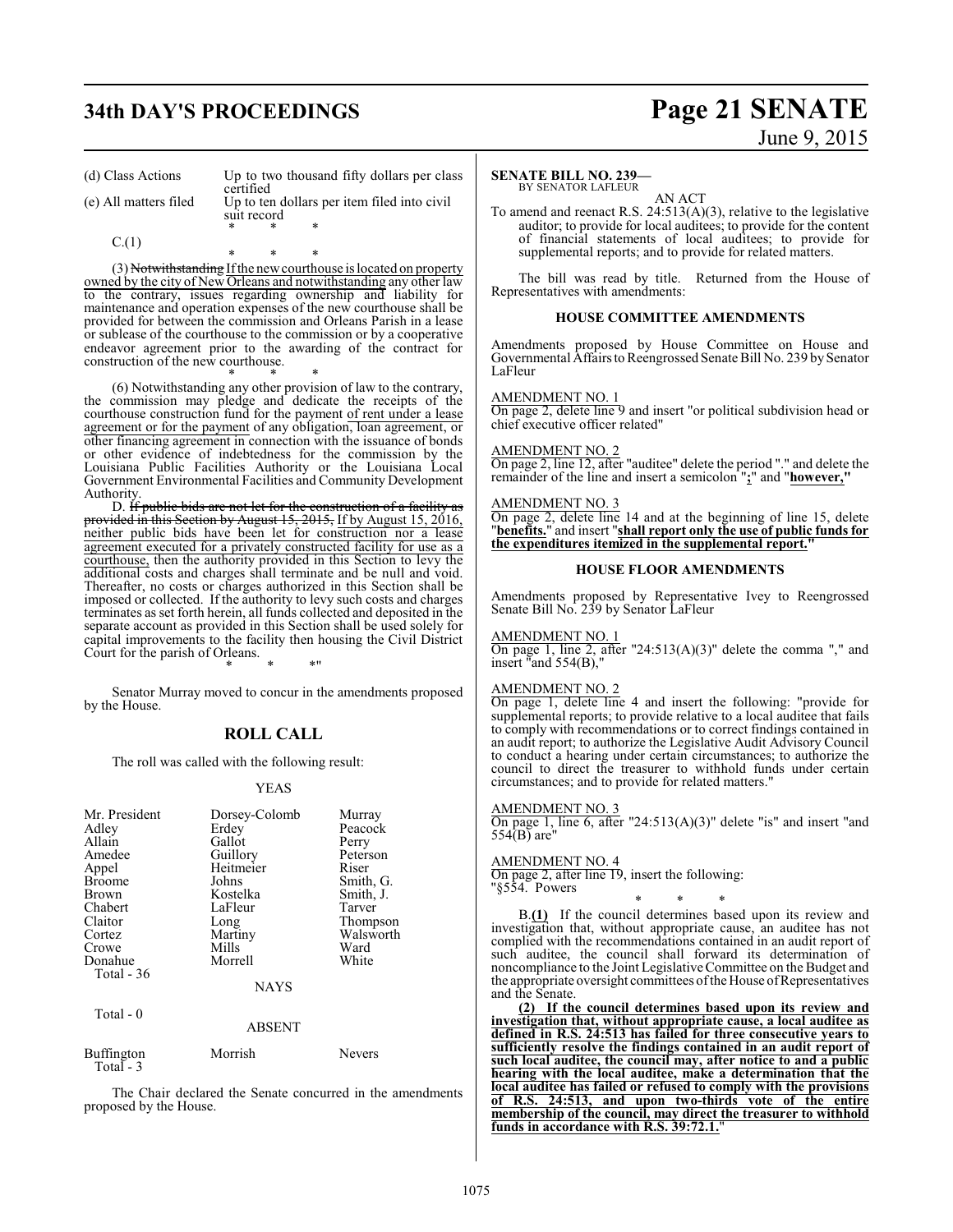# **34th DAY'S PROCEEDINGS Page 21 SENATE**

# June 9, 2015

(d) Class Actions Up to two thousand fifty dollars per class

certified (e) All matters filed Up to ten dollars per item filed into civil suit record

 $C.(1)$ 

\* \* \*

(3) Notwithstanding If the new courthouse is located on property owned by the city of New Orleans and notwithstanding any other law to the contrary, issues regarding ownership and liability for maintenance and operation expenses of the new courthouse shall be provided for between the commission and Orleans Parish in a lease or sublease of the courthouse to the commission or by a cooperative endeavor agreement prior to the awarding of the contract for construction of the new courthouse.

\* \* \*

\* \* \* (6) Notwithstanding any other provision of law to the contrary, the commission may pledge and dedicate the receipts of the courthouse construction fund for the payment of rent under a lease agreement or for the payment of any obligation, loan agreement, or other financing agreement in connection with the issuance of bonds or other evidence of indebtedness for the commission by the Louisiana Public Facilities Authority or the Louisiana Local Government Environmental Facilities and Community Development Authority.

D. If public bids are not let for the construction of a facility as provided in this Section by August 15, 2015, If by August 15, 2016, neither public bids have been let for construction nor a lease agreement executed for a privately constructed facility for use as a courthouse, then the authority provided in this Section to levy the additional costs and charges shall terminate and be null and void. Thereafter, no costs or charges authorized in this Section shall be imposed or collected. If the authority to levy such costs and charges terminates as set forth herein, all funds collected and deposited in the separate account as provided in this Section shall be used solely for capital improvements to the facility then housing the Civil District Court for the parish of Orleans.

\* \* \*"

Senator Murray moved to concur in the amendments proposed by the House.

#### **ROLL CALL**

The roll was called with the following result:

#### YEAS

| Mr. President                   | Dorsey-Colomb | Murray    |
|---------------------------------|---------------|-----------|
| Adley                           | Erdey         | Peacock   |
| Allain                          | Gallot        | Perry     |
| Amedee                          | Guillory      | Peterson  |
| Appel                           | Heitmeier     | Riser     |
| <b>Broome</b>                   | Johns         | Smith, G. |
| Brown                           | Kostelka      | Smith, J. |
| Chabert                         | LaFleur       | Tarver    |
| Claitor                         | Long          | Thompson  |
| Cortez                          | Martiny       | Walsworth |
| Crowe                           | Mills         | Ward      |
| Donahue                         | Morrell       | White     |
| Total $-36$                     |               |           |
|                                 | <b>NAYS</b>   |           |
| Total $-0$                      |               |           |
|                                 | <b>ABSENT</b> |           |
| <b>Buffington</b><br>Total $-3$ | Morrish       | Nevers    |

The Chair declared the Senate concurred in the amendments proposed by the House.

#### **SENATE BILL NO. 239—**

BY SENATOR LAFLEUR AN ACT

To amend and reenact R.S. 24:513(A)(3), relative to the legislative auditor; to provide for local auditees; to provide for the content of financial statements of local auditees; to provide for supplemental reports; and to provide for related matters.

The bill was read by title. Returned from the House of Representatives with amendments:

#### **HOUSE COMMITTEE AMENDMENTS**

Amendments proposed by House Committee on House and Governmental Affairs to Reengrossed Senate Bill No. 239 by Senator LaFleur

#### AMENDMENT NO. 1

On page 2, delete line 9 and insert "or political subdivision head or chief executive officer related"

#### AMENDMENT NO. 2

On page 2, line 12, after "auditee" delete the period "." and delete the remainder of the line and insert a semicolon "**;**" and "**however,"**

#### AMENDMENT NO. 3

On page 2, delete line 14 and at the beginning of line 15, delete "**benefits.**" and insert "**shall report only the use of public funds for the expenditures itemized in the supplemental report."**

#### **HOUSE FLOOR AMENDMENTS**

Amendments proposed by Representative Ivey to Reengrossed Senate Bill No. 239 by Senator LaFleur

#### AMENDMENT NO. 1

On page 1, line 2, after "24:513(A)(3)" delete the comma "," and insert "and 554(B),"

#### AMENDMENT NO. 2

On page 1, delete line 4 and insert the following: "provide for supplemental reports; to provide relative to a local auditee that fails to comply with recommendations or to correct findings contained in an audit report; to authorize the Legislative Audit Advisory Council to conduct a hearing under certain circumstances; to authorize the council to direct the treasurer to withhold funds under certain circumstances; and to provide for related matters."

#### AMENDMENT NO. 3

On page 1, line 6, after "24:513(A)(3)" delete "is" and insert "and 554(B) are"

#### AMENDMENT NO. 4

On page 2, after line 19, insert the following: "§554. Powers

\* \* \* B.**(1)** If the council determines based upon its review and investigation that, without appropriate cause, an auditee has not complied with the recommendations contained in an audit report of such auditee, the council shall forward its determination of noncompliance to the Joint Legislative Committee on the Budget and the appropriate oversight committees ofthe House ofRepresentatives and the Senate.

**(2) If the council determines based upon its review and investigation that, without appropriate cause, a local auditee as defined in R.S. 24:513 has failed for three consecutive years to sufficiently resolve the findings contained in an audit report of such local auditee, the council may, after notice to and a public hearing with the local auditee, make a determination that the local auditee has failed or refused to comply with the provisions of R.S. 24:513, and upon two-thirds vote of the entire membership of the council, may direct the treasurer to withhold funds in accordance with R.S. 39:72.1.**"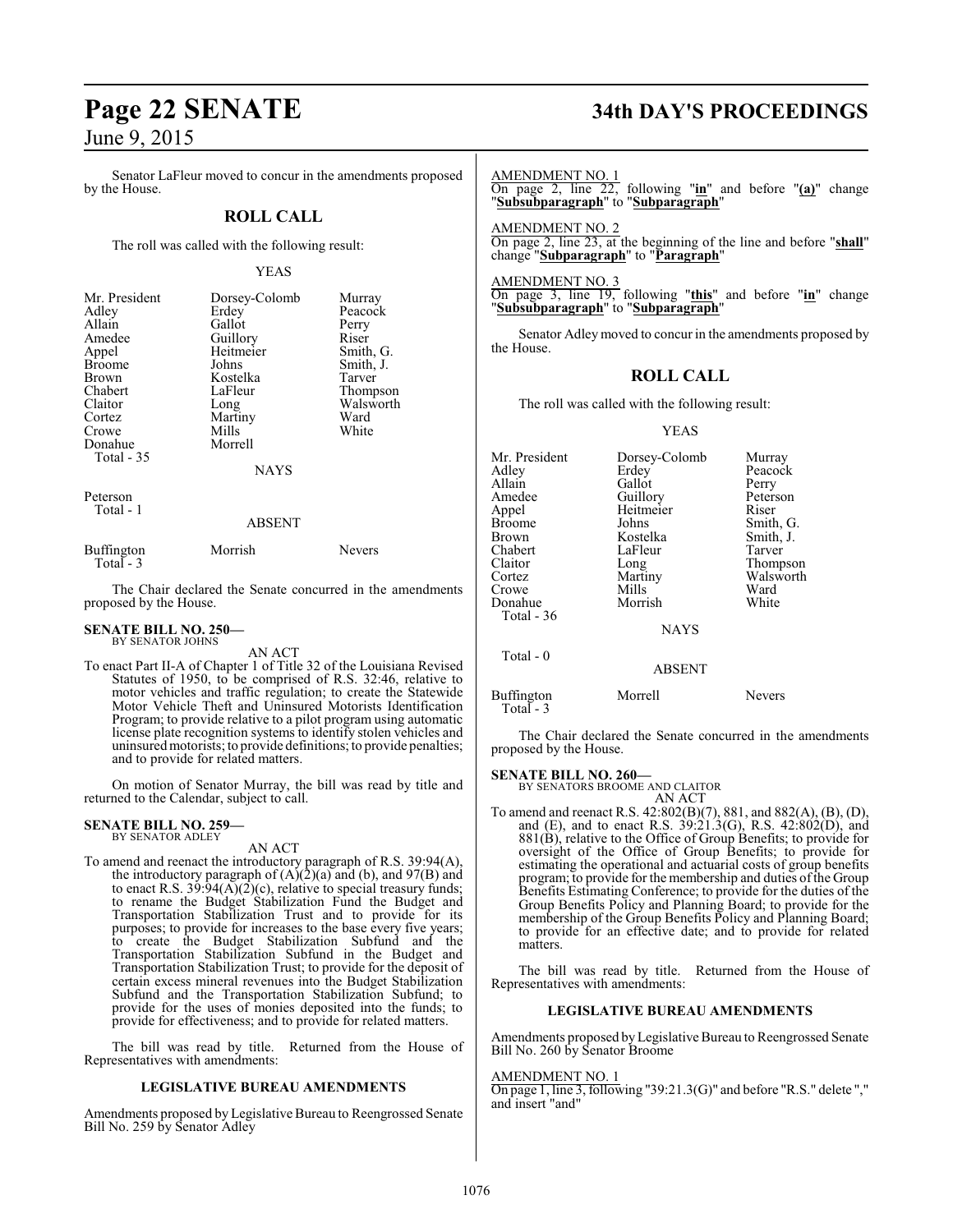Senator LaFleur moved to concur in the amendments proposed by the House.

### **ROLL CALL**

The roll was called with the following result:

#### YEAS

| Mr. President<br>Adley<br>Allain<br>Amedee<br>Appel<br><b>Broome</b><br><b>Brown</b><br>Chabert<br>Claitor<br>Cortez<br>Crowe<br>Donahue<br><b>Total - 35</b> | Dorsey-Colomb<br>Erdey<br>Gallot<br>Guillory<br>Heitmeier<br>Johns<br>Kostelka<br>LaFleur<br>Long<br>Martiny<br>Mills<br>Morrell<br><b>NAYS</b> | Murray<br>Peacock<br>Perry<br>Riser<br>Smith, G.<br>Smith, J.<br>Tarver<br>Thompson<br>Walsworth<br>Ward<br>White |
|---------------------------------------------------------------------------------------------------------------------------------------------------------------|-------------------------------------------------------------------------------------------------------------------------------------------------|-------------------------------------------------------------------------------------------------------------------|
| Peterson<br>Total - 1                                                                                                                                         | ABSENT                                                                                                                                          |                                                                                                                   |

| Buffington | Morrish | <b>Nevers</b> |
|------------|---------|---------------|
| Total $-3$ |         |               |

The Chair declared the Senate concurred in the amendments proposed by the House.

#### **SENATE BILL NO. 250—** BY SENATOR JOHNS

AN ACT

To enact Part II-A of Chapter 1 of Title 32 of the Louisiana Revised Statutes of 1950, to be comprised of R.S. 32:46, relative to motor vehicles and traffic regulation; to create the Statewide Motor Vehicle Theft and Uninsured Motorists Identification Program; to provide relative to a pilot program using automatic license plate recognition systems to identify stolen vehicles and uninsuredmotorists; to provide definitions; to provide penalties; and to provide for related matters.

On motion of Senator Murray, the bill was read by title and returned to the Calendar, subject to call.

#### **SENATE BILL NO. 259—**

#### BY SENATOR ADLEY

#### AN ACT

To amend and reenact the introductory paragraph of R.S. 39:94(A), the introductory paragraph of  $(A)(2)(a)$  and  $(b)$ , and  $97(B)$  and to enact R.S. 39:94(A)(2)(c), relative to special treasury funds; to rename the Budget Stabilization Fund the Budget and Transportation Stabilization Trust and to provide for its purposes; to provide for increases to the base every five years; to create the Budget Stabilization Subfund and the Transportation Stabilization Subfund in the Budget and Transportation Stabilization Trust; to provide for the deposit of certain excess mineral revenues into the Budget Stabilization Subfund and the Transportation Stabilization Subfund; to provide for the uses of monies deposited into the funds; to provide for effectiveness; and to provide for related matters.

The bill was read by title. Returned from the House of Representatives with amendments:

#### **LEGISLATIVE BUREAU AMENDMENTS**

Amendments proposed by Legislative Bureau to Reengrossed Senate Bill No. 259 by Senator Adley

# **Page 22 SENATE 34th DAY'S PROCEEDINGS**

AMENDMENT NO. 1

On page 2, line 22, following "**in**" and before "**(a)**" change "**Subsubparagraph**" to "**Subparagraph**"

AMENDMENT NO. 2 On page 2, line 23, at the beginning of the line and before "**shall**" change "**Subparagraph**" to "**Paragraph**"

AMENDMENT NO. 3

On page 3, line 19, following "**this**" and before "**in**" change "**Subsubparagraph**" to "**Subparagraph**"

Senator Adley moved to concur in the amendments proposed by the House.

#### **ROLL CALL**

The roll was called with the following result:

#### YEAS

| Mr. President | Dorsey-Colomb | Murray    |
|---------------|---------------|-----------|
| Adlev         | Erdey         | Peacock   |
| Allain        | Gallot        | Perry     |
| Amedee        | Guillory      | Peterson  |
| Appel         | Heitmeier     | Riser     |
| Broome        | Johns         | Smith, G. |
| Brown         | Kostelka      | Smith, J. |
| Chabert       | LaFleur       | Tarver    |
| Claitor       | Long          | Thompson  |
| Cortez        | Martiny       | Walsworth |
| Crowe         | Mills         | Ward      |
| Donahue       | Morrish       | White     |
| Total - 36    |               |           |
|               | <b>NAYS</b>   |           |
| Total - 0     |               |           |
|               | <b>ABSENT</b> |           |
| Buffington    | Morrell       | Nevers    |

Total - 3

The Chair declared the Senate concurred in the amendments proposed by the House.

#### **SENATE BILL NO. 260—**

BY SENATORS BROOME AND CLAITOR AN ACT

To amend and reenact R.S. 42:802(B)(7), 881, and 882(A), (B), (D), and (E), and to enact R.S. 39:21.3(G), R.S. 42:802(D), and 881(B), relative to the Office of Group Benefits; to provide for oversight of the Office of Group Benefits; to provide for estimating the operational and actuarial costs of group benefits program; to provide for the membership and duties of the Group Benefits Estimating Conference; to provide for the duties of the Group Benefits Policy and Planning Board; to provide for the membership of the Group Benefits Policy and Planning Board; to provide for an effective date; and to provide for related matters.

The bill was read by title. Returned from the House of Representatives with amendments:

#### **LEGISLATIVE BUREAU AMENDMENTS**

Amendments proposed by Legislative Bureau to Reengrossed Senate Bill No. 260 by Senator Broome

#### AMENDMENT NO. 1

On page 1, line 3, following "39:21.3(G)" and before "R.S." delete "," and insert "and"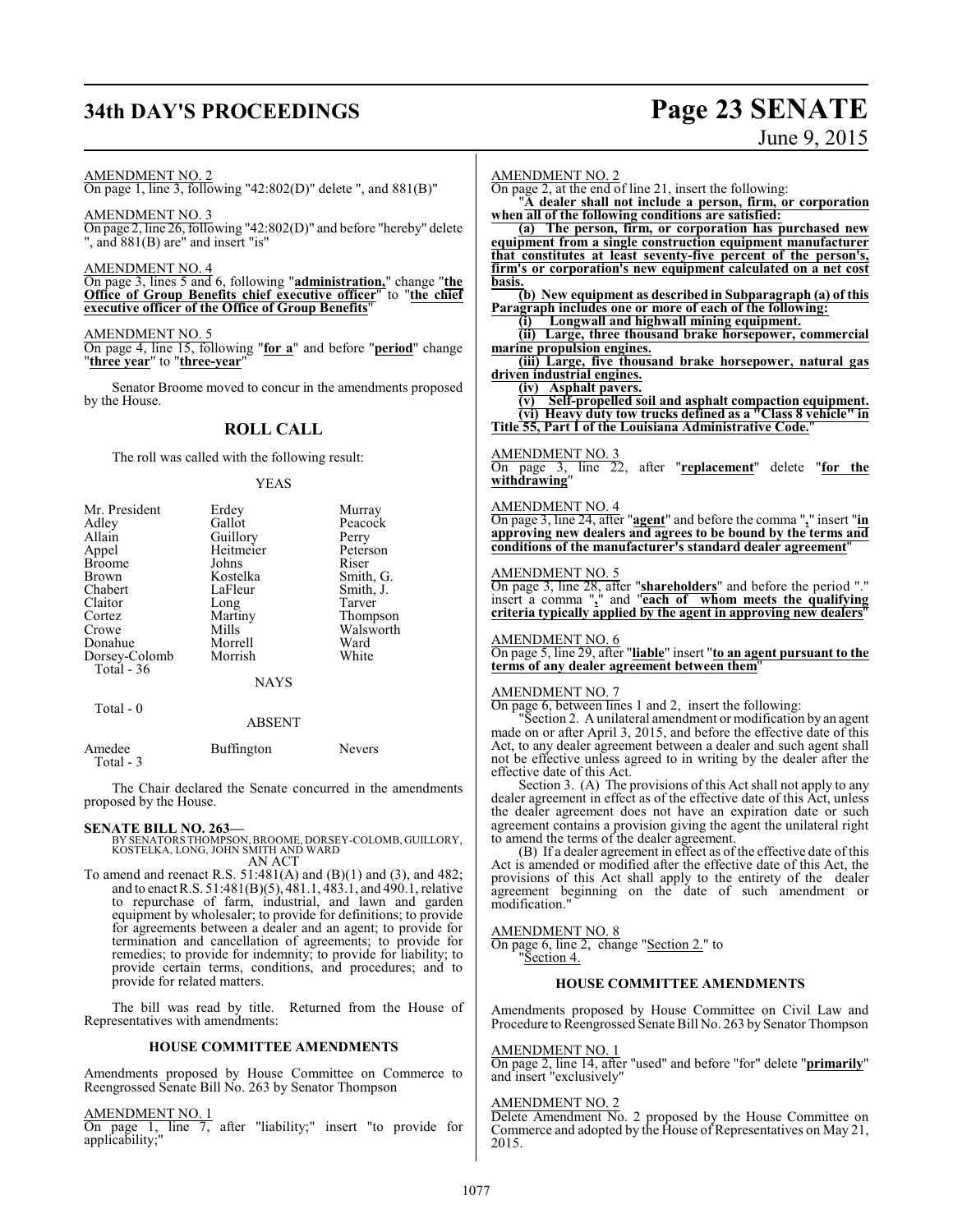# **34th DAY'S PROCEEDINGS Page 23 SENATE**

# June 9, 2015

AMENDMENT NO. 2

On page 1, line 3, following "42:802(D)" delete ", and 881(B)"

#### AMENDMENT NO. 3

On page 2, line 26, following "42:802(D)" and before "hereby" delete ", and 881(B) are" and insert "is"

AMENDMENT NO. 4

On page 3, lines 5 and 6, following "**administration,**" change "**the Office of Group Benefits chief executive officer**" to "**the chief executive officer of the Office of Group Benefits**"

#### AMENDMENT NO. 5

On page 4, line 15, following "**for a**" and before "**period**" change "**three year**" to "**three-year**"

Senator Broome moved to concur in the amendments proposed by the House.

### **ROLL CALL**

The roll was called with the following result:

#### YEAS

| Mr. President | Erdey       | Murray    |
|---------------|-------------|-----------|
| Adley         | Gallot      | Peacock   |
| Allain        | Guillory    | Perry     |
| Appel         | Heitmeier   | Peterson  |
| <b>Broome</b> | Johns       | Riser     |
| <b>Brown</b>  | Kostelka    | Smith, G. |
| Chabert       | LaFleur     | Smith, J. |
| Claitor       | Long        | Tarver    |
| Cortez        | Martiny     | Thompson  |
| Crowe         | Mills       | Walsworth |
| Donahue       | Morrell     | Ward      |
| Dorsey-Colomb | Morrish     | White     |
| Total $-36$   |             |           |
|               | <b>NAYS</b> |           |
| Total - 0     |             |           |
|               | ABSENT      |           |

| Amedee<br>Total - 3 | Buffington | <b>Nevers</b> |
|---------------------|------------|---------------|
|                     |            |               |

The Chair declared the Senate concurred in the amendments proposed by the House.

**SENATE BILL NO. 263—** BY SENATORS THOMPSON,BROOME, DORSEY-COLOMB, GUILLORY, KOSTELKA, LONG, JOHN SMITH AND WARD AN ACT

To amend and reenact R.S. 51:481(A) and (B)(1) and (3), and 482; and to enact R.S. 51:481(B)(5), 481.1, 483.1, and 490.1, relative to repurchase of farm, industrial, and lawn and garden equipment by wholesaler; to provide for definitions; to provide for agreements between a dealer and an agent; to provide for termination and cancellation of agreements; to provide for remedies; to provide for indemnity; to provide for liability; to provide certain terms, conditions, and procedures; and to provide for related matters.

The bill was read by title. Returned from the House of Representatives with amendments:

#### **HOUSE COMMITTEE AMENDMENTS**

Amendments proposed by House Committee on Commerce to Reengrossed Senate Bill No. 263 by Senator Thompson

#### AMENDMENT NO. 1

On page 1, line 7, after "liability;" insert "to provide for applicability;"

#### AMENDMENT NO. 2

On page 2, at the end of line 21, insert the following:

"**A dealer shall not include a person, firm, or corporation when all of the following conditions are satisfied:**

**(a) The person, firm, or corporation has purchased new equipment from a single construction equipment manufacturer that constitutes at least seventy-five percent of the person's, firm's or corporation's new equipment calculated on a net cost basis.**

**(b) New equipment as described in Subparagraph (a) of this Paragraph includes one or more of each of the following:**

**(i) Longwall and highwall mining equipment.**

**(ii) Large, three thousand brake horsepower, commercial marine propulsion engines.**

**(iii) Large, five thousand brake horsepower, natural gas driven industrial engines.**

**(iv) Asphalt pavers.**

**(v) Self-propelled soil and asphalt compaction equipment. (vi) Heavy duty tow trucks defined as a "Class 8 vehicle" in Title 55, Part I of the Louisiana Administrative Code.**"

#### AMENDMENT NO. 3

On page 3, line 22, after "**replacement**" delete "**for the withdrawing**"

#### AMENDMENT NO. 4

On page 3, line 24, after "**agent**" and before the comma "**,**" insert "**in approving new dealers and agrees to be bound by the terms and conditions of the manufacturer's standard dealer agreement**"

#### AMENDMENT NO. 5

On page 3, line 28, after "**shareholders**" and before the period "." insert a comma "**,**" and "**each of whom meets the qualifying criteria typically applied by the agent in approving new dealers**"

#### AMENDMENT NO. 6

On page 5, line 29, after "**liable**" insert "**to an agent pursuant to the terms of any dealer agreement between them**"

#### AMENDMENT NO. 7

On page 6, between lines 1 and 2, insert the following:

"Section 2. A unilateral amendment or modification by an agent made on or after April 3, 2015, and before the effective date of this Act, to any dealer agreement between a dealer and such agent shall not be effective unless agreed to in writing by the dealer after the effective date of this Act.

Section 3. (A) The provisions of this Act shall not apply to any dealer agreement in effect as of the effective date of this Act, unless the dealer agreement does not have an expiration date or such agreement contains a provision giving the agent the unilateral right to amend the terms of the dealer agreement.

(B) If a dealer agreement in effect as of the effective date of this Act is amended or modified after the effective date of this Act, the provisions of this Act shall apply to the entirety of the dealer agreement beginning on the date of such amendment or modification."

#### AMENDMENT NO. 8

On page 6, line 2, change "Section 2." to "Section 4.

#### **HOUSE COMMITTEE AMENDMENTS**

Amendments proposed by House Committee on Civil Law and Procedure to Reengrossed Senate Bill No. 263 by Senator Thompson

#### AMENDMENT NO. 1

On page 2, line 14, after "used" and before "for" delete "**primarily**" and insert "exclusively"

#### AMENDMENT NO. 2

Delete Amendment No. 2 proposed by the House Committee on Commerce and adopted by the House of Representatives on May 21, 2015.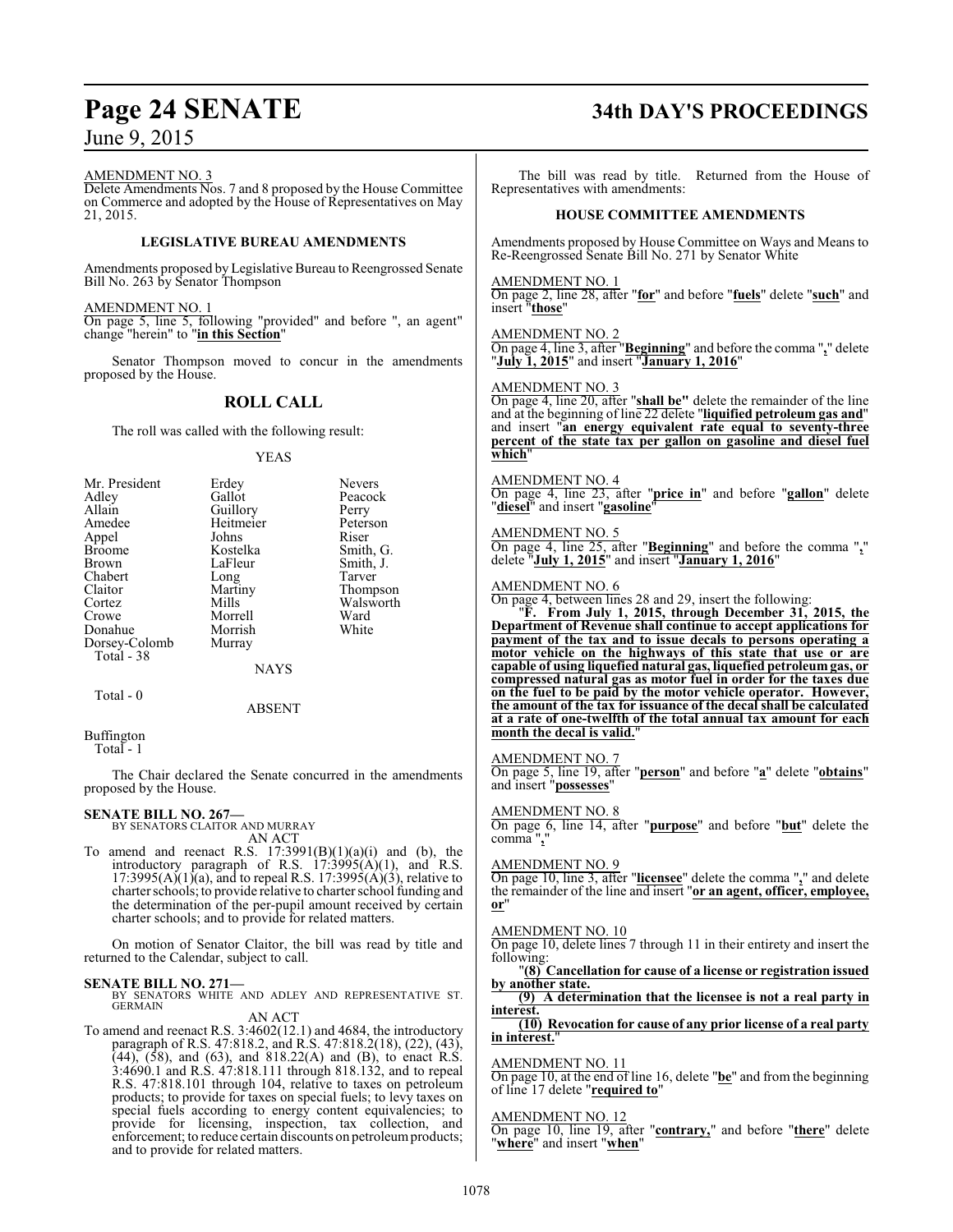#### AMENDMENT NO. 3

Delete Amendments Nos. 7 and 8 proposed by the House Committee on Commerce and adopted by the House of Representatives on May 21, 2015.

#### **LEGISLATIVE BUREAU AMENDMENTS**

Amendments proposed by Legislative Bureau to Reengrossed Senate Bill No. 263 by Senator Thompson

#### AMENDMENT NO. 1

On page 5, line 5, following "provided" and before ", an agent" change "herein" to "**in this Section**"

Senator Thompson moved to concur in the amendments proposed by the House.

## **ROLL CALL**

The roll was called with the following result:

#### YEAS

| Mr. President | Erdey     | <b>Nevers</b> |
|---------------|-----------|---------------|
| Adley         | Gallot    | Peacock       |
| Allain        | Guillory  | Perry         |
| Amedee        | Heitmeier | Peterson      |
| Appel         | Johns     | Riser         |
| <b>Broome</b> | Kostelka  | Smith, G.     |
| <b>Brown</b>  | LaFleur   | Smith, J.     |
| Chabert       | Long      | Tarver        |
| Claitor       | Martiny   | Thompson      |
| Cortez        | Mills     | Walsworth     |
| Crowe         | Morrell   | Ward          |
| Donahue       | Morrish   | White         |
| Dorsey-Colomb | Murray    |               |
| Total - 38    |           |               |
|               | NAYS      |               |
|               |           |               |

Total - 0

ABSENT

Buffington

Total - 1

The Chair declared the Senate concurred in the amendments proposed by the House.

# **SENATE BILL NO. 267—** BY SENATORS CLAITOR AND MURRAY

AN ACT

To amend and reenact R.S.  $17:3991(B)(1)(a)(i)$  and (b), the introductory paragraph of R.S.  $17:3995(A)(1)$ , and R.S. 17:3995(A)(1)(a), and to repeal R.S. 17:3995(A)(3), relative to charter schools; to provide relative to charter school funding and the determination of the per-pupil amount received by certain charter schools; and to provide for related matters.

On motion of Senator Claitor, the bill was read by title and returned to the Calendar, subject to call.

#### **SENATE BILL NO. 271—**

BY SENATORS WHITE AND ADLEY AND REPRESENTATIVE ST. GERMAIN

### AN ACT

To amend and reenact R.S. 3:4602(12.1) and 4684, the introductory paragraph of R.S. 47:818.2, and R.S. 47:818.2(18), (22), (43),  $(44)$ ,  $(58)$ , and  $(63)$ , and  $818.22(A)$  and  $(B)$ , to enact R.S. 3:4690.1 and R.S. 47:818.111 through 818.132, and to repeal R.S. 47:818.101 through 104, relative to taxes on petroleum products; to provide for taxes on special fuels; to levy taxes on special fuels according to energy content equivalencies; to provide for licensing, inspection, tax collection, and enforcement; to reduce certain discounts on petroleum products; and to provide for related matters.

# **Page 24 SENATE 34th DAY'S PROCEEDINGS**

The bill was read by title. Returned from the House of Representatives with amendments:

#### **HOUSE COMMITTEE AMENDMENTS**

Amendments proposed by House Committee on Ways and Means to Re-Reengrossed Senate Bill No. 271 by Senator White

#### AMENDMENT NO. 1

On page 2, line 28, after "**for**" and before "**fuels**" delete "**such**" and insert "**those**"

#### AMENDMENT NO. 2

On page 4, line 3, after "**Beginning**" and before the comma "**,**" delete "**July 1, 2015**" and insert "**January 1, 2016**"

#### AMENDMENT NO. 3

On page 4, line 20, after "**shall be"** delete the remainder of the line and at the beginning of line 22 delete "**liquified petroleum gas and**" and insert "**an energy equivalent rate equal to seventy-three percent of the state tax per gallon on gasoline and diesel fuel which**"

#### AMENDMENT NO. 4

On page 4, line 23, after "**price in**" and before "**gallon**" delete "**diesel**" and insert "**gasoline**"

#### AMENDMENT NO. 5

On page 4, line 25, after "**Beginning**" and before the comma "**,**" delete "**July 1, 2015**" and insert "**January 1, 2016**"

#### AMENDMENT NO. 6

On page 4, between lines 28 and 29, insert the following:

"**F. From July 1, 2015, through December 31, 2015, the Department of Revenue shall continue to accept applications for payment of the tax and to issue decals to persons operating a motor vehicle on the highways of this state that use or are capable of using liquefied natural gas, liquefied petroleum gas, or compressed natural gas as motor fuel in order for the taxes due on the fuel to be paid by the motor vehicle operator. However, the amount of the tax for issuance of the decal shall be calculated at a rate of one-twelfth of the total annual tax amount for each month the decal is valid.**"

#### AMENDMENT NO. 7

On page 5, line 19, after "**person**" and before "**a**" delete "**obtains**" and insert "**possesses**"

#### AMENDMENT NO. 8

On page 6, line 14, after "**purpose**" and before "**but**" delete the comma "**,**"

#### AMENDMENT NO. 9

On page 10, line 3, after "**licensee**" delete the comma "**,**" and delete the remainder of the line and insert "**or an agent, officer, employee, or**"

#### AMENDMENT NO. 10

On page 10, delete lines 7 through 11 in their entirety and insert the following:

#### "**(8) Cancellation for cause of a license or registration issued by another state.**

**(9) A determination that the licensee is not a real party in interest.**

#### **(10) Revocation for cause of any prior license of a real party in interest.**"

#### AMENDMENT NO. 11

On page 10, at the end of line 16, delete "**be**" and from the beginning of line 17 delete "**required to**"

#### AMENDMENT NO. 12

On page 10, line 19, after "**contrary,**" and before "**there**" delete "**where**" and insert "**when**"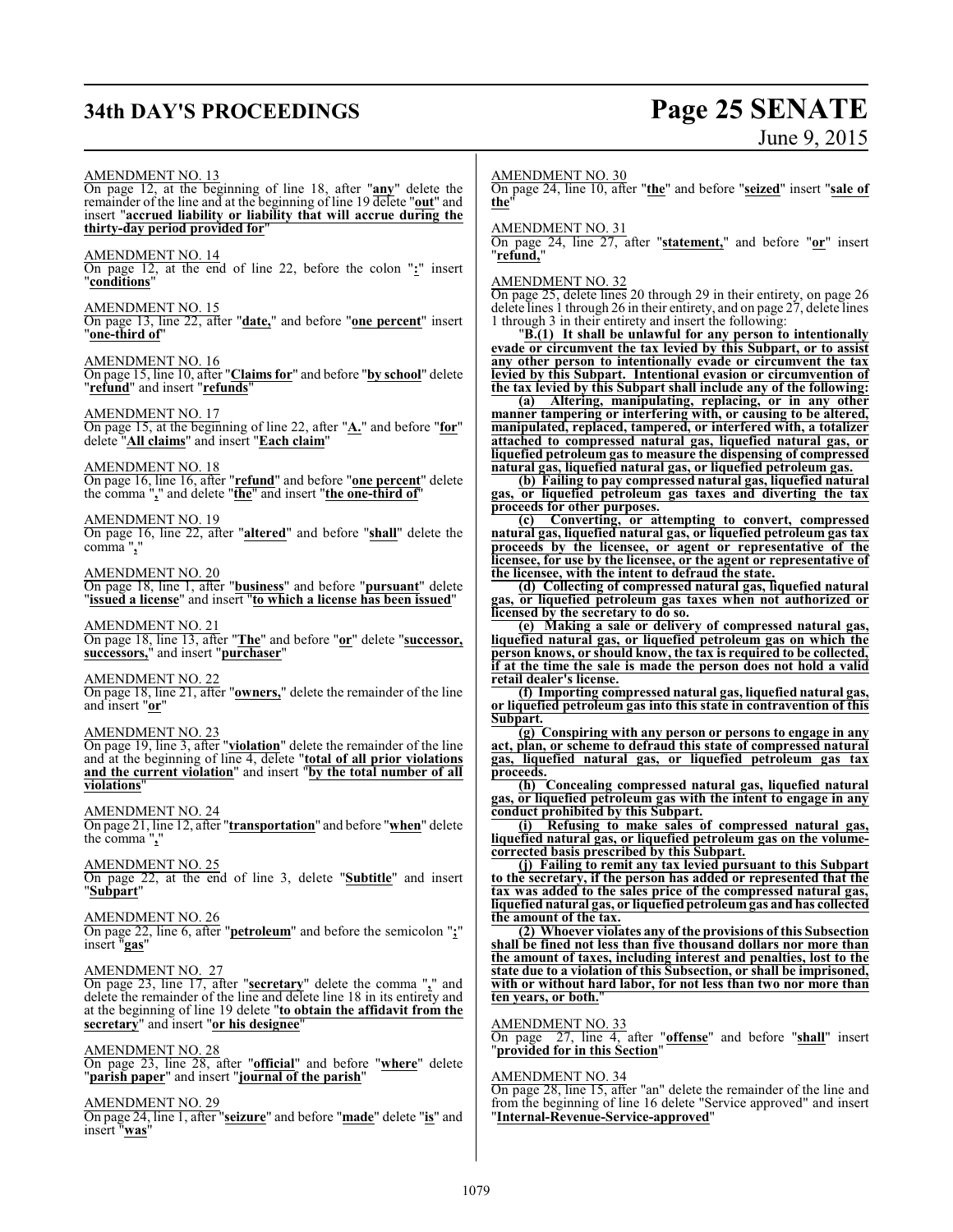# **34th DAY'S PROCEEDINGS Page 25 SENATE**

# June 9, 2015

AMENDMENT NO. 13 On page 12, at the beginning of line 18, after "**any**" delete the remainder of the line and at the beginning of line 19 delete "**out**" and insert "**accrued liability or liability that will accrue during the thirty-day period provided for**" AMENDMENT NO. 14 On page 12, at the end of line 22, before the colon "**:**" insert "**conditions**" AMENDMENT NO. 15 On page 13, line 22, after "**date,**" and before "**one percent**" insert "**one-third of**" AMENDMENT NO. 16 On page 15, line 10, after "**Claims for**" and before "**by school**" delete "**refund**" and insert "**refunds**" AMENDMENT NO. 17 On page 15, at the beginning of line 22, after "**A.**" and before "**for**" delete "**All claims**" and insert "**Each claim**" AMENDMENT NO. 18 On page 16, line 16, after "**refund**" and before "**one percent**" delete the comma "**,**" and delete "**the**" and insert "**the one-third of**" AMENDMENT NO. 19 On page 16, line 22, after "**altered**" and before "**shall**" delete the comma "**,**" AMENDMENT NO. 20 On page 18, line 1, after "**business**" and before "**pursuant**" delete "**issued a license**" and insert "**to which a license has been issued**" AMENDMENT NO. 21 On page 18, line 13, after "**The**" and before "**or**" delete "**successor, successors,**" and insert "**purchaser**" AMENDMENT NO. 22 On page 18, line 21, after "**owners,**" delete the remainder of the line and insert "**or**" AMENDMENT NO. 23 On page 19, line 3, after "**violation**" delete the remainder of the line and at the beginning of line 4, delete "**total of all prior violations and the current violation**" and insert "**by the total number of all violations**" AMENDMENT NO. 24 On page 21, line 12, after "**transportation**" and before "**when**" delete the comma "**,**" AMENDMENT NO. 25 On page 22, at the end of line 3, delete "**Subtitle**" and insert "**Subpart**" AMENDMENT NO. 26 On page 22, line 6, after "**petroleum**" and before the semicolon "**;**" insert "**gas**" AMENDMENT NO. 27 On page 23, line 17, after "**secretary**" delete the comma "**,**" and delete the remainder of the line and delete line 18 in its entirety and at the beginning of line 19 delete "**to obtain the affidavit from the secretary**" and insert "**or his designee**" AMENDMENT NO. 28 On page 23, line 28, after "**official**" and before "**where**" delete "**parish paper**" and insert "**journal of the parish**" AMENDMENT NO. 29 On page 24, line 1, after "**seizure**" and before "**made**" delete "**is**" and insert "**was**"

AMENDMENT NO. 30

On page 24, line 10, after "**the**" and before "**seized**" insert "**sale of the**"

AMENDMENT NO. 31

On page 24, line 27, after "**statement,**" and before "**or**" insert "**refund,**"

#### AMENDMENT NO. 32

On page 25, delete lines 20 through 29 in their entirety, on page 26 delete lines 1 through 26 in their entirety, and on page 27, delete lines 1 through 3 in their entirety and insert the following:

"**B.(1) It shall be unlawful for any person to intentionally evade or circumvent the tax levied by this Subpart, or to assist any other person to intentionally evade or circumvent the tax levied by this Subpart. Intentional evasion or circumvention of the tax levied by this Subpart shall include any of the following:**

**(a) Altering, manipulating, replacing, or in any other manner tampering or interfering with, or causing to be altered, manipulated, replaced, tampered, or interfered with, a totalizer attached to compressed natural gas, liquefied natural gas, or liquefied petroleum gas to measure the dispensing of compressed natural gas, liquefied natural gas, or liquefied petroleum gas.**

**(b) Failing to pay compressed natural gas, liquefied natural gas, or liquefied petroleum gas taxes and diverting the tax proceeds for other purposes.**

**(c) Converting, or attempting to convert, compressed natural gas, liquefied natural gas, or liquefied petroleum gas tax proceeds by the licensee, or agent or representative of the licensee, for use by the licensee, or the agent or representative of the licensee, with the intent to defraud the state.**

**(d) Collecting of compressed natural gas, liquefied natural gas, or liquefied petroleum gas taxes when not authorized or licensed by the secretary to do so.**

**(e) Making a sale or delivery of compressed natural gas, liquefied natural gas, or liquefied petroleum gas on which the person knows, or should know, the tax is required to be collected, if at the time the sale is made the person does not hold a valid retail dealer's license.**

**(f) Importing compressed natural gas, liquefied natural gas, or liquefied petroleum gas into this state in contravention of this Subpart.**

**(g) Conspiring with any person or persons to engage in any act, plan, or scheme to defraud this state of compressed natural gas, liquefied natural gas, or liquefied petroleum gas tax proceeds.**

**(h) Concealing compressed natural gas, liquefied natural gas, or liquefied petroleum gas with the intent to engage in any conduct prohibited by this Subpart.**

**(i) Refusing to make sales of compressed natural gas, liquefied natural gas, or liquefied petroleum gas on the volumecorrected basis prescribed by this Subpart.**

**(j) Failing to remit any tax levied pursuant to this Subpart to the secretary, if the person has added or represented that the tax was added to the sales price of the compressed natural gas, liquefied natural gas, or liquefied petroleumgas and has collected the amount of the tax.**

**(2) Whoever violates any of the provisions of this Subsection shall be fined not less than five thousand dollars nor more than the amount of taxes, including interest and penalties, lost to the state due to a violation of this Subsection, or shall be imprisoned, with or without hard labor, for not less than two nor more than ten years, or both.**"

#### AMENDMENT NO. 33

On page 27, line 4, after "**offense**" and before "**shall**" insert "**provided for in this Section**"

#### AMENDMENT NO. 34

On page 28, line 15, after "an" delete the remainder of the line and from the beginning of line 16 delete "Service approved" and insert "**Internal-Revenue-Service-approved**"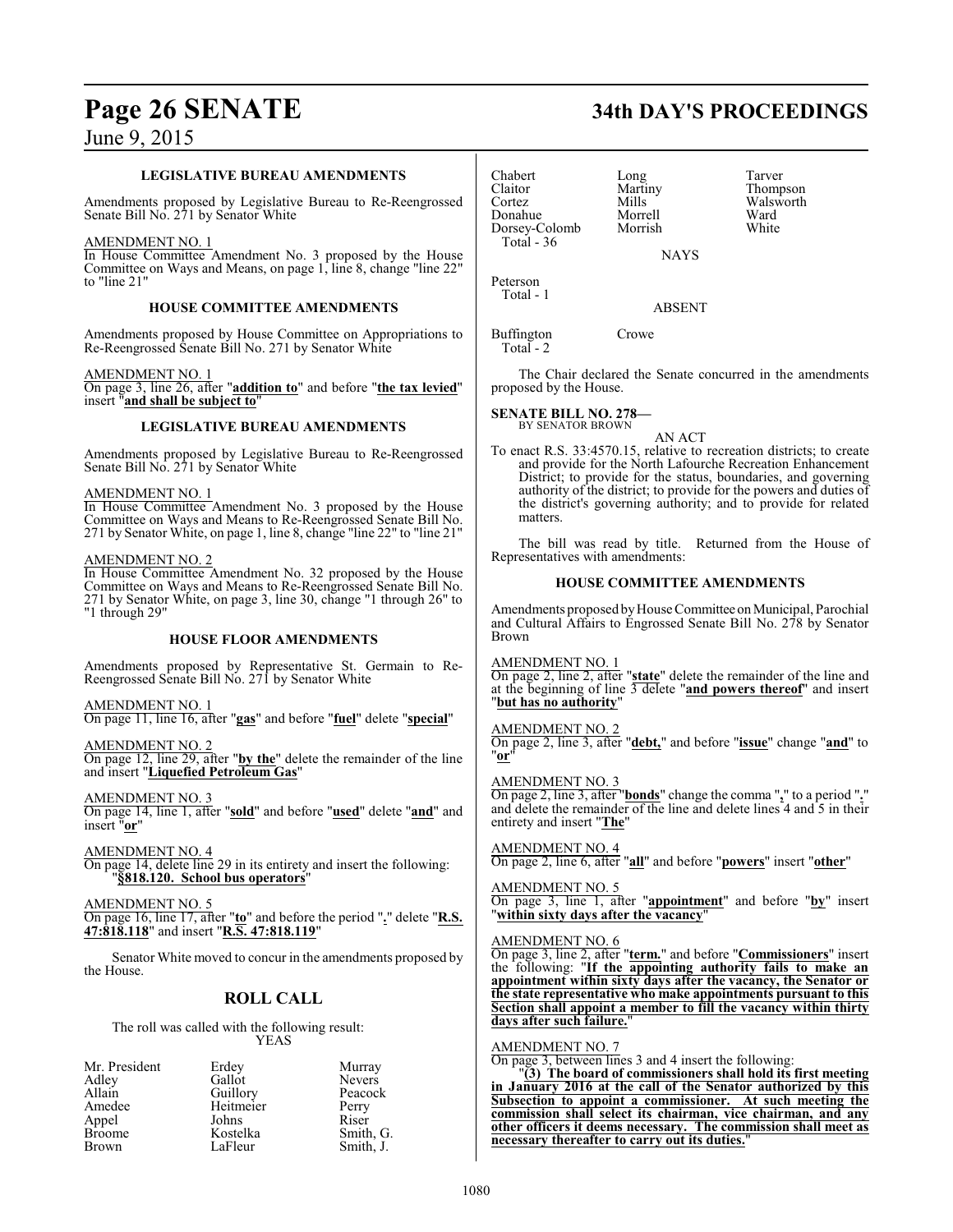#### **LEGISLATIVE BUREAU AMENDMENTS**

Amendments proposed by Legislative Bureau to Re-Reengrossed Senate Bill No. 271 by Senator White

#### AMENDMENT NO. 1

In House Committee Amendment No. 3 proposed by the House Committee on Ways and Means, on page 1, line 8, change "line 22" to "line 21"

#### **HOUSE COMMITTEE AMENDMENTS**

Amendments proposed by House Committee on Appropriations to Re-Reengrossed Senate Bill No. 271 by Senator White

#### AMENDMENT NO. 1

On page 3, line 26, after "**addition to**" and before "**the tax levied**" insert "**and shall be subject to**"

#### **LEGISLATIVE BUREAU AMENDMENTS**

Amendments proposed by Legislative Bureau to Re-Reengrossed Senate Bill No. 271 by Senator White

#### AMENDMENT NO. 1

In House Committee Amendment No. 3 proposed by the House Committee on Ways and Means to Re-Reengrossed Senate Bill No. 271 by Senator White, on page 1, line 8, change "line 22" to "line 21"

#### AMENDMENT NO. 2

In House Committee Amendment No. 32 proposed by the House Committee on Ways and Means to Re-Reengrossed Senate Bill No. 271 by Senator White, on page 3, line 30, change "1 through 26" to "1 through 29"

#### **HOUSE FLOOR AMENDMENTS**

Amendments proposed by Representative St. Germain to Re-Reengrossed Senate Bill No. 271 by Senator White

#### AMENDMENT NO. 1

On page 11, line 16, after "**gas**" and before "**fuel**" delete "**special**"

AMENDMENT NO. 2

On page 12, line 29, after "**by the**" delete the remainder of the line and insert "**Liquefied Petroleum Gas**"

AMENDMENT NO. 3

On page 14, line 1, after "**sold**" and before "**used**" delete "**and**" and insert "**or**"

AMENDMENT NO. 4 On page 14, delete line 29 in its entirety and insert the following: "**§818.120. School bus operators**"

AMENDMENT NO. 5

On page 16, line 17, after "**to**" and before the period "**.**" delete "**R.S. 47:818.118**" and insert "**R.S. 47:818.119**"

Senator White moved to concur in the amendments proposed by the House.

## **ROLL CALL**

The roll was called with the following result: YEAS

| Mr. President | Erdey     | Murray        |
|---------------|-----------|---------------|
| Adley         | Gallot    | <b>Nevers</b> |
| Allain        | Guillory  | Peacock       |
| Amedee        | Heitmeier | Perry         |
| Appel         | Johns     | Riser         |
| <b>Broome</b> | Kostelka  | Smith, G.     |
| <b>Brown</b>  | LaFleur   | Smith, J.     |

| Chabert       |  |
|---------------|--|
| Claitor       |  |
| Cortez        |  |
| Donahue       |  |
| Dorsey-Colomb |  |
| Total - 36    |  |

Chabert Long Tarver Martiny Thompson<br>Mills Walsworth Walsworth<br>Ward Morrell Ward<br>
Morrish White

NAYS

Morrish

Peterson Total - 1

ABSENT

Buffington Crowe Total - 2

The Chair declared the Senate concurred in the amendments proposed by the House.

#### **SENATE BILL NO. 278—** BY SENATOR BROWN

AN ACT

To enact R.S. 33:4570.15, relative to recreation districts; to create and provide for the North Lafourche Recreation Enhancement District; to provide for the status, boundaries, and governing authority of the district; to provide for the powers and duties of the district's governing authority; and to provide for related matters.

The bill was read by title. Returned from the House of Representatives with amendments:

#### **HOUSE COMMITTEE AMENDMENTS**

Amendments proposed by House Committee on Municipal, Parochial and Cultural Affairs to Engrossed Senate Bill No. 278 by Senator Brown

AMENDMENT NO. 1

On page 2, line 2, after "**state**" delete the remainder of the line and at the beginning of line 3 delete "**and powers thereof**" and insert "**but has no authority**"

#### AMENDMENT NO. 2

On page 2, line 3, after "**debt,**" and before "**issue**" change "**and**" to "**or**"

#### AMENDMENT NO. 3

On page 2, line 3, after "**bonds**" change the comma "**,**" to a period "**.**" and delete the remainder of the line and delete lines 4 and 5 in their entirety and insert "**The**"

AMENDMENT NO. 4 On page 2, line 6, after "**all**" and before "**powers**" insert "**other**"

AMENDMENT NO. 5 On page 3, line 1, after "**appointment**" and before "**by**" insert "**within sixty days after the vacancy**"

#### AMENDMENT NO. 6

On page 3, line 2, after "**term.**" and before "**Commissioners**" insert the following: "**If the appointing authority fails to make an appointment within sixty days after the vacancy, the Senator or the state representative who make appointments pursuant to this Section shall appoint a member to fill the vacancy within thirty days after such failure.**"

#### AMENDMENT NO. 7

On page 3, between lines 3 and 4 insert the following:

"**(3) The board of commissioners shall hold its first meeting in January 2016 at the call of the Senator authorized by this Subsection to appoint a commissioner. At such meeting the commission shall select its chairman, vice chairman, and any other officers it deems necessary. The commission shall meet as necessary thereafter to carry out its duties.**"

# **Page 26 SENATE 34th DAY'S PROCEEDINGS**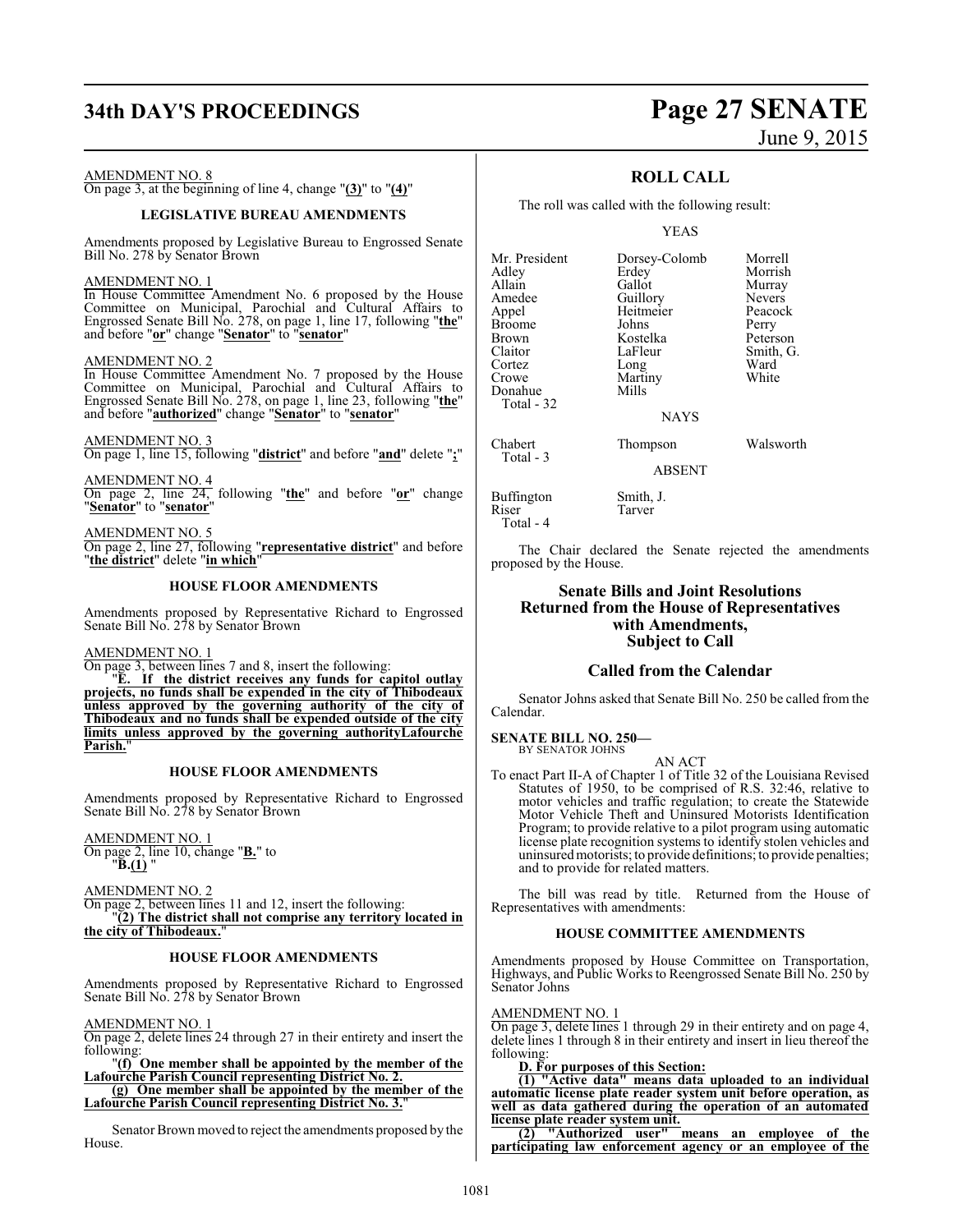# **34th DAY'S PROCEEDINGS Page 27 SENATE**

#### AMENDMENT NO. 8

On page 3, at the beginning of line 4, change "**(3)**" to "**(4)**"

#### **LEGISLATIVE BUREAU AMENDMENTS**

Amendments proposed by Legislative Bureau to Engrossed Senate Bill No. 278 by Senator Brown

#### AMENDMENT NO. 1

In House Committee Amendment No. 6 proposed by the House Committee on Municipal, Parochial and Cultural Affairs to Engrossed Senate Bill No. 278, on page 1, line 17, following "**the**" and before "**or**" change "**Senator**" to "**senator**"

#### AMENDMENT NO. 2

In House Committee Amendment No. 7 proposed by the House Committee on Municipal, Parochial and Cultural Affairs to Engrossed Senate Bill No. 278, on page 1, line 23, following "**the**" and before "**authorized**" change "**Senator**" to "**senator**"

AMENDMENT NO. 3 On page 1, line 15, following "**district**" and before "**and**" delete "**;**"

AMENDMENT NO. 4 On page 2, line 24, following "**the**" and before "**or**" change "**Senator**" to "**senator**"

AMENDMENT NO. 5 On page 2, line 27, following "**representative district**" and before "**the district**" delete "**in which**"

#### **HOUSE FLOOR AMENDMENTS**

Amendments proposed by Representative Richard to Engrossed Senate Bill No. 278 by Senator Brown

#### AMENDMENT NO. 1

On page 3, between lines 7 and 8, insert the following: "**E. If the district receives any funds for capitol outlay projects, no funds shall be expended in the city of Thibodeaux unless approved by the governing authority of the city of Thibodeaux and no funds shall be expended outside of the city limits unless approved by the governing authorityLafourche Parish.**"

#### **HOUSE FLOOR AMENDMENTS**

Amendments proposed by Representative Richard to Engrossed Senate Bill No. 278 by Senator Brown

AMENDMENT NO. 1 On page 2, line 10, change "**B.**" to "**B.(1)** "

AMENDMENT NO. 2 On page 2, between lines 11 and 12, insert the following: "**(2) The district shall not comprise any territory located in the city of Thibodeaux.**"

#### **HOUSE FLOOR AMENDMENTS**

Amendments proposed by Representative Richard to Engrossed Senate Bill No. 278 by Senator Brown

#### AMENDMENT NO. 1

On page 2, delete lines 24 through 27 in their entirety and insert the following:

"**(f) One member shall be appointed by the member of the Lafourche Parish Council representing District No. 2. (g) One member shall be appointed by the member of the**

**Lafourche Parish Council representing District No. 3.**"

Senator Brown moved to reject the amendments proposed by the House.

# June 9, 2015

## **ROLL CALL**

The roll was called with the following result:

YEAS

| Mr. President | Dorsey-Colomb | Morrell       |
|---------------|---------------|---------------|
| Adley         | Erdey         | Morrish       |
| Allain        | Gallot        | Murray        |
| Amedee        | Guillory      | <b>Nevers</b> |
| Appel         | Heitmeier     | Peacock       |
| <b>Broome</b> | Johns         | Perry         |
| Brown         | Kostelka      | Peterson      |
| Claitor       | LaFleur       | Smith, G.     |
| Cortez        | Long          | Ward          |
| Crowe         | Martiny       | White         |
| Donahue       | Mills         |               |
| Total - 32    |               |               |
|               | <b>NAYS</b>   |               |
| Chabert       | Thompson      | Walsworth     |
| Total - 3     | <b>ABSENT</b> |               |

Tarver

Buffington Smith, J.<br>Riser Tarver Total - 4

The Chair declared the Senate rejected the amendments proposed by the House.

#### **Senate Bills and Joint Resolutions Returned from the House of Representatives with Amendments, Subject to Call**

#### **Called from the Calendar**

Senator Johns asked that Senate Bill No. 250 be called from the Calendar.

#### **SENATE BILL NO. 250—** BY SENATOR JOHNS

AN ACT

To enact Part II-A of Chapter 1 of Title 32 of the Louisiana Revised Statutes of 1950, to be comprised of R.S. 32:46, relative to motor vehicles and traffic regulation; to create the Statewide Motor Vehicle Theft and Uninsured Motorists Identification Program; to provide relative to a pilot program using automatic license plate recognition systems to identify stolen vehicles and uninsured motorists; to provide definitions; to provide penalties; and to provide for related matters.

The bill was read by title. Returned from the House of Representatives with amendments:

#### **HOUSE COMMITTEE AMENDMENTS**

Amendments proposed by House Committee on Transportation, Highways, and Public Works to Reengrossed Senate Bill No. 250 by Senator Johns

#### AMENDMENT NO. 1

On page 3, delete lines 1 through 29 in their entirety and on page 4, delete lines 1 through 8 in their entirety and insert in lieu thereof the following:

#### **D. For purposes of this Section:**

**(1) "Active data" means data uploaded to an individual automatic license plate reader system unit before operation, as well as data gathered during the operation of an automated license plate reader system unit.**

**(2) "Authorized user" means an employee of the participating law enforcement agency or an employee of the**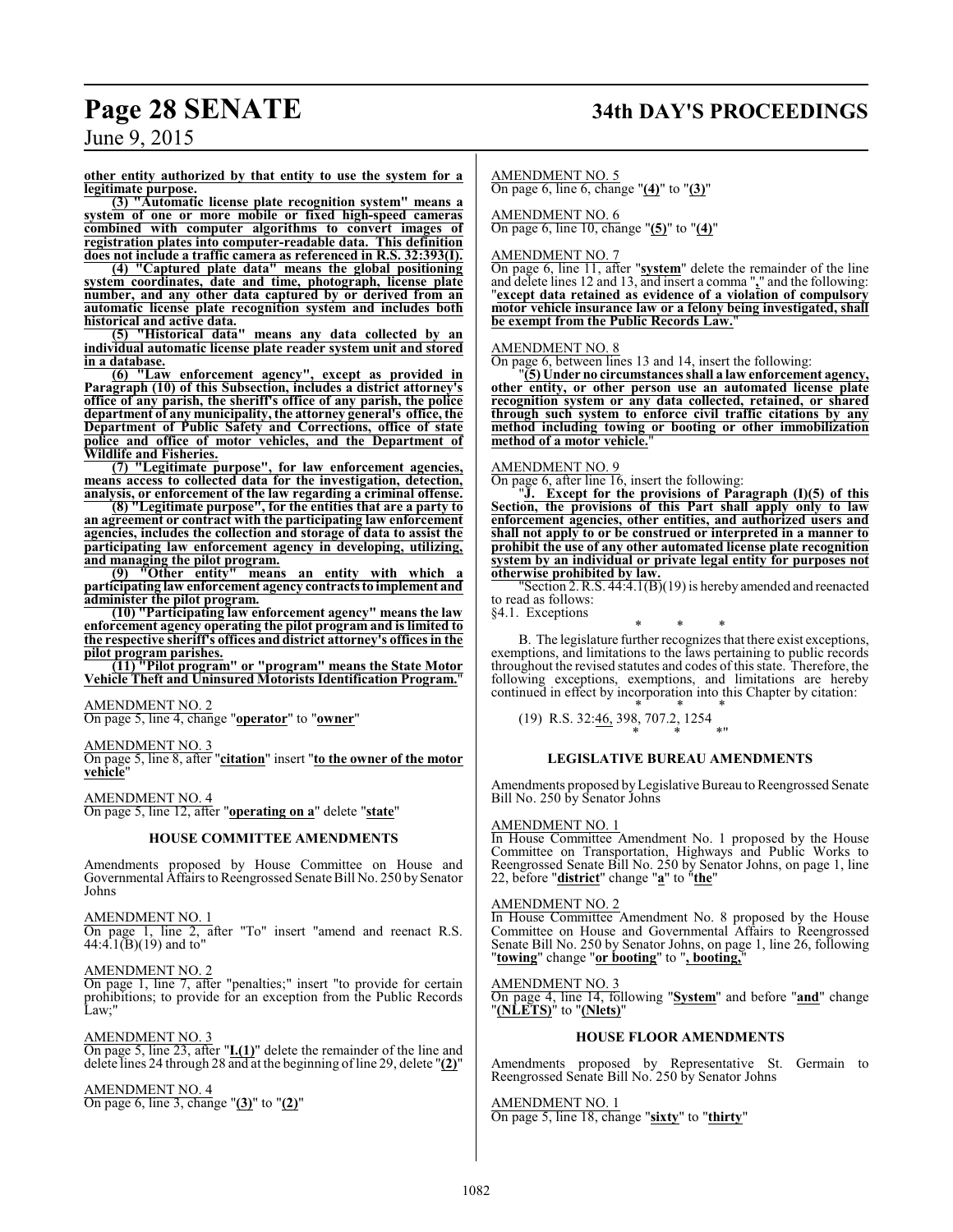# **Page 28 SENATE 34th DAY'S PROCEEDINGS**

June 9, 2015

**other entity authorized by that entity to use the system for a legitimate purpose.**

**(3) "Automatic license plate recognition system" means a system of one or more mobile or fixed high-speed cameras combined with computer algorithms to convert images of registration plates into computer-readable data. This definition does not include a traffic camera as referenced in R.S. 32:393(I).**

**(4) "Captured plate data" means the global positioning system coordinates, date and time, photograph, license plate number, and any other data captured by or derived from an automatic license plate recognition system and includes both historical and active data.**

**(5) "Historical data" means any data collected by an individual automatic license plate reader system unit and stored in a database.**

**(6) "Law enforcement agency", except as provided in Paragraph (10) of this Subsection, includes a district attorney's office of any parish, the sheriff's office of any parish, the police department of any municipality, the attorney general's office, the Department of Public Safety and Corrections, office of state police and office of motor vehicles, and the Department of Wildlife and Fisheries.**

**(7) "Legitimate purpose", for law enforcement agencies, means access to collected data for the investigation, detection, analysis, or enforcement of the law regarding a criminal offense.**

**(8) "Legitimate purpose", for the entities that are a party to an agreement or contract with the participating law enforcement agencies, includes the collection and storage of data to assist the participating law enforcement agency in developing, utilizing, and managing the pilot program.**

**(9) "Other entity" means an entity with which a participating law enforcement agency contracts to implement and administer the pilot program.**

**(10) "Participating law enforcement agency" means the law enforcement agency operating the pilot program and is limited to the respective sheriff's offices and district attorney's offices in the pilot program parishes.**

**(11) "Pilot program" or "program" means the State Motor Vehicle Theft and Uninsured Motorists Identification Program.**"

#### AMENDMENT NO. 2

On page 5, line 4, change "**operator**" to "**owner**"

#### AMENDMENT NO. 3

On page 5, line 8, after "**citation**" insert "**to the owner of the motor vehicle**"

#### AMENDMENT NO. 4

On page 5, line 12, after "**operating on a**" delete "**state**"

#### **HOUSE COMMITTEE AMENDMENTS**

Amendments proposed by House Committee on House and Governmental Affairs to Reengrossed Senate Bill No. 250 by Senator Johns

#### AMENDMENT NO. 1

On page 1, line 2, after "To" insert "amend and reenact R.S. 44:4.1 $(\bar{B})(19)$  and to"

#### AMENDMENT NO. 2

On page 1, line 7, after "penalties;" insert "to provide for certain prohibitions; to provide for an exception from the Public Records Law;"

#### AMENDMENT NO. 3

On page 5, line 23, after "**I.(1)**" delete the remainder of the line and delete lines 24 through 28 and at the beginning of line 29, delete "**(2)**"

#### AMENDMENT NO. 4

On page 6, line 3, change "**(3)**" to "**(2)**"

#### AMENDMENT NO. 5

On page 6, line 6, change "**(4)**" to "**(3)**"

#### AMENDMENT NO. 6

On page 6, line 10, change "**(5)**" to "**(4)**"

#### AMENDMENT NO. 7

On page 6, line 11, after "**system**" delete the remainder of the line and delete lines 12 and 13, and insert a comma "**,**" and the following: "**except data retained as evidence of a violation of compulsory motor vehicle insurance law or a felony being investigated, shall be exempt from the Public Records Law.**"

#### AMENDMENT NO. 8

On page 6, between lines 13 and 14, insert the following:

"**(5) Under no circumstances shall a law enforcement agency, other entity, or other person use an automated license plate recognition system or any data collected, retained, or shared through such system to enforce civil traffic citations by any method including towing or booting or other immobilization** method of a motor vehicle.

#### AMENDMENT NO. 9

On page 6, after line 16, insert the following:

"**J. Except for the provisions of Paragraph (I)(5) of this Section, the provisions of this Part shall apply only to law enforcement agencies, other entities, and authorized users and shall not apply to or be construed or interpreted in a manner to prohibit the use of any other automated license plate recognition system by an individual or private legal entity for purposes not otherwise prohibited by law.**

"Section 2. R.S.  $44:4.1(\overline{B})(19)$  is hereby amended and reenacted to read as follows:

§4.1. Exceptions

\* \* \* B. The legislature further recognizes that there exist exceptions, exemptions, and limitations to the laws pertaining to public records throughout the revised statutes and codes of this state. Therefore, the following exceptions, exemptions, and limitations are hereby continued in effect by incorporation into this Chapter by citation:

\* \* \* (19) R.S. 32:46, 398, 707.2, 1254 \* \* \*"

#### **LEGISLATIVE BUREAU AMENDMENTS**

Amendments proposed byLegislative Bureau to Reengrossed Senate Bill No. 250 by Senator Johns

#### AMENDMENT NO. 1

In House Committee Amendment No. 1 proposed by the House Committee on Transportation, Highways and Public Works to Reengrossed Senate Bill No. 250 by Senator Johns, on page 1, line 22, before "**district**" change "**a**" to "**the**"

#### AMENDMENT NO. 2

In House Committee Amendment No. 8 proposed by the House Committee on House and Governmental Affairs to Reengrossed Senate Bill No. 250 by Senator Johns, on page 1, line 26, following "**towing**" change "**or booting**" to "**, booting,**"

#### AMENDMENT NO. 3

On page 4, line 14, following "**System**" and before "**and**" change "**(NLETS)**" to "**(Nlets)**"

#### **HOUSE FLOOR AMENDMENTS**

Amendments proposed by Representative St. Germain to Reengrossed Senate Bill No. 250 by Senator Johns

AMENDMENT NO. 1 On page 5, line 18, change "**sixty**" to "**thirty**"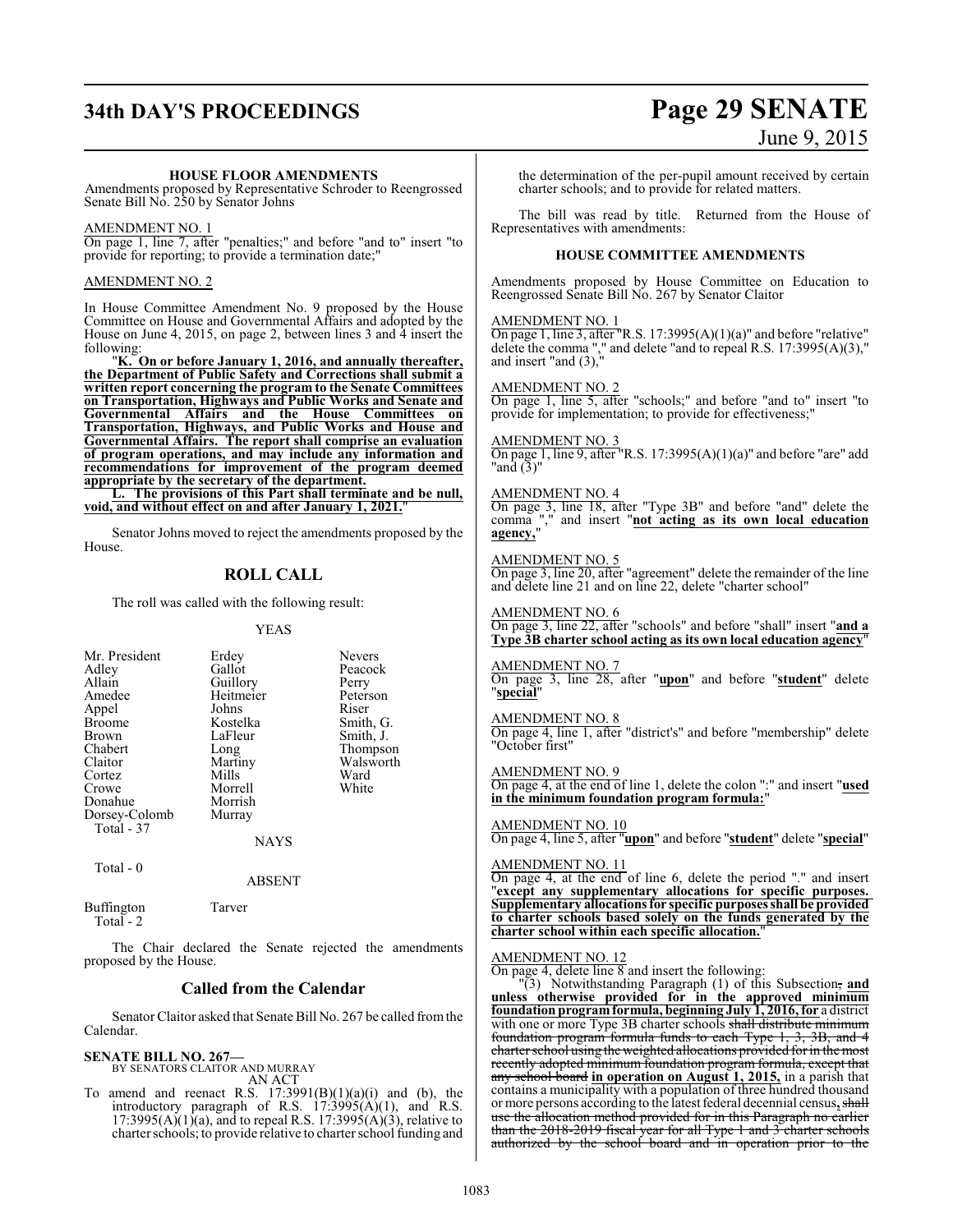# **34th DAY'S PROCEEDINGS Page 29 SENATE** June 9, 2015

#### **HOUSE FLOOR AMENDMENTS**

Amendments proposed by Representative Schroder to Reengrossed Senate Bill No. 250 by Senator Johns

#### AMENDMENT NO. 1

On page 1, line 7, after "penalties;" and before "and to" insert "to provide for reporting; to provide a termination date;"

#### AMENDMENT NO. 2

In House Committee Amendment No. 9 proposed by the House Committee on House and Governmental Affairs and adopted by the House on June 4, 2015, on page 2, between lines 3 and 4 insert the following:

"**K. On or before January 1, 2016, and annually thereafter, the Department of Public Safety and Corrections shall submit a written report concerning the program to the Senate Committees on Transportation, Highways and Public Works and Senate and Governmental Affairs and the House Committees on Transportation, Highways, and Public Works and House and Governmental Affairs. The report shall comprise an evaluation of program operations, and may include any information and recommendations for improvement of the program deemed appropriate by the secretary of the department.**

**L. The provisions of this Part shall terminate and be null, void, and without effect on and after January 1, 2021.**"

Senator Johns moved to reject the amendments proposed by the House.

#### **ROLL CALL**

The roll was called with the following result:

#### YEAS

| Mr. President<br>Adley<br>Allain<br>Amedee<br>Appel<br><b>Broome</b><br><b>Brown</b><br>Chabert<br>Claitor<br>Cortez<br>Crowe<br>Donahue<br>Dorsey-Colomb<br>Total - 37 | Erdey<br>Gallot<br>Guillory<br>Heitmeier<br>Johns<br>Kostelka<br>LaFleur<br>Long<br>Martiny<br>Mills<br>Morrell<br>Morrish<br>Murray<br><b>NAYS</b> | <b>Nevers</b><br>Peacock<br>Perry<br>Peterson<br>Riser<br>Smith, G.<br>Smith, J.<br>Thompson<br>Walsworth<br>Ward<br>White |
|-------------------------------------------------------------------------------------------------------------------------------------------------------------------------|-----------------------------------------------------------------------------------------------------------------------------------------------------|----------------------------------------------------------------------------------------------------------------------------|
|                                                                                                                                                                         |                                                                                                                                                     |                                                                                                                            |

Total - 0

ABSENT

Buffington Tarver Total  $-2$ 

The Chair declared the Senate rejected the amendments proposed by the House.

#### **Called from the Calendar**

Senator Claitor asked that Senate Bill No. 267 be called fromthe Calendar.

#### **SENATE BILL NO. 267—** BY SENATORS CLAITOR AND MURRAY

AN ACT

To amend and reenact R.S.  $17:3991(B)(1)(a)(i)$  and (b), the introductory paragraph of R.S.  $17:3995(A)(1)$ , and R.S. 17:3995(A)(1)(a), and to repeal R.S. 17:3995(A)(3), relative to charter schools; to provide relative to charter school funding and the determination of the per-pupil amount received by certain charter schools; and to provide for related matters.

The bill was read by title. Returned from the House of Representatives with amendments:

#### **HOUSE COMMITTEE AMENDMENTS**

Amendments proposed by House Committee on Education to Reengrossed Senate Bill No. 267 by Senator Claitor

#### AMENDMENT NO. 1

On page 1, line 3, after "R.S.  $17:3995(A)(1)(a)$ " and before "relative" delete the comma "," and delete "and to repeal R.S. 17:3995(A)(3)," and insert "and (3),"

#### AMENDMENT NO. 2

On page 1, line 5, after "schools;" and before "and to" insert "to provide for implementation; to provide for effectiveness;"

#### AMENDMENT NO. 3

On page 1, line 9, after "R.S. 17:3995(A)(1)(a)" and before "are" add "and (3)"

#### AMENDMENT NO. 4

On page 3, line 18, after "Type 3B" and before "and" delete the comma "," and insert "**not acting as its own local education agency,**"

#### AMENDMENT NO. 5

On page 3, line 20, after "agreement" delete the remainder of the line and delete line 21 and on line 22, delete "charter school"

#### AMENDMENT NO. 6

On page 3, line 22, after "schools" and before "shall" insert "**and a Type 3B charter school acting as its own local education agency**"

#### AMENDMENT NO. 7

On page 3, line 28, after "**upon**" and before "**student**" delete "**special**"

#### AMENDMENT NO. 8

On page 4, line 1, after "district's" and before "membership" delete "October first"

#### AMENDMENT NO. 9

On page 4, at the end of line 1, delete the colon ":" and insert "**used in the minimum foundation program formula:**"

### AMENDMENT NO. 10

On page 4, line 5, after "**upon**" and before "**student**" delete "**special**"

#### AMENDMENT NO. 11

On page 4, at the end of line 6, delete the period "." and insert "**except any supplementary allocations for specific purposes. Supplementary allocationsfor specific purposes shall be provided to charter schools based solely on the funds generated by the charter school within each specific allocation.**"

#### AMENDMENT NO. 12

On page 4, delete line  $\overline{8}$  and insert the following:

"(3) Notwithstanding Paragraph (1) of this Subsection, **and unless otherwise provided for in the approved minimum foundation programformula, beginning July 1, 2016, for** a district with one or more Type 3B charter schools shall distribute minimum foundation program formula funds to each Type 1, 3, 3B, and 4 charter school using the weighted allocations provided for in the most recently adopted minimum foundation program formula, except that any school board **in operation on August 1, 2015,** in a parish that contains a municipality with a population of three hundred thousand or more persons according to the latest federal decennial census**,**shall use the allocation method provided for in this Paragraph no earlier than the 2018-2019 fiscal year for all Type 1 and 3 charter schools authorized by the school board and in operation prior to the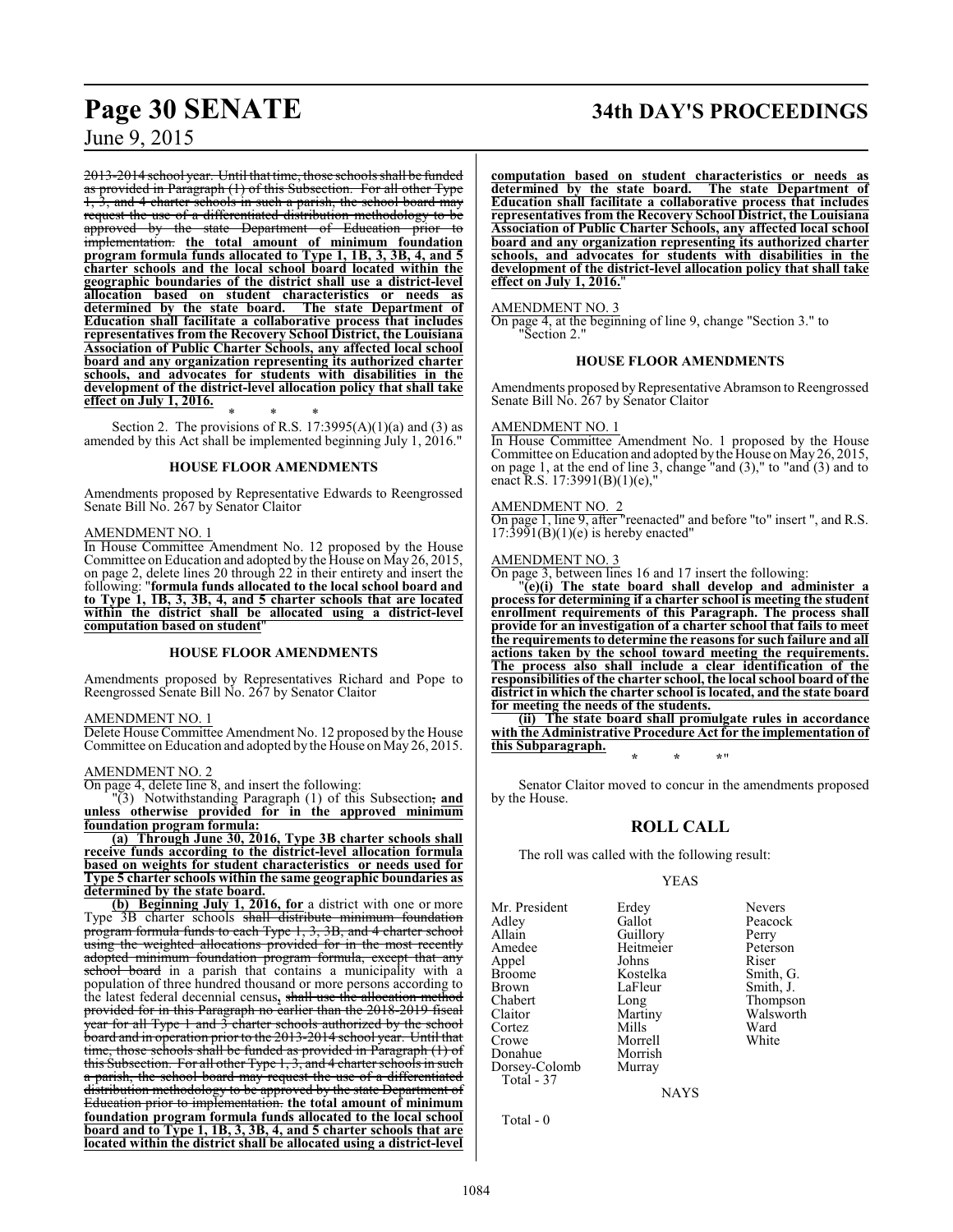2013-2014 school year. Until that time, those schools shall be funded as provided in Paragraph (1) of this Subsection. For all other Type  $\frac{1}{3}$ , and 4 charter schools in such a parish, the school board may request the use of a differentiated distribution methodology to be approved by the state Department of Education prior to implementation. **the total amount of minimum foundation program formula funds allocated to Type 1, 1B, 3, 3B, 4, and 5 charter schools and the local school board located within the geographic boundaries of the district shall use a district-level allocation based on student characteristics or needs as determined by the state board. The state Department of Education shall facilitate a collaborative process that includes representatives from the Recovery School District, the Louisiana Association of Public Charter Schools, any affected local school board and any organization representing its authorized charter schools, and advocates for students with disabilities in the development of the district-level allocation policy that shall take effect on July 1, 2016.**

\* \* \* Section 2. The provisions of R.S.  $17:3995(A)(1)(a)$  and  $(3)$  as amended by this Act shall be implemented beginning July 1, 2016."

#### **HOUSE FLOOR AMENDMENTS**

Amendments proposed by Representative Edwards to Reengrossed Senate Bill No. 267 by Senator Claitor

#### AMENDMENT NO. 1

In House Committee Amendment No. 12 proposed by the House Committee on Education and adopted by the House on May 26, 2015, on page 2, delete lines 20 through 22 in their entirety and insert the following: "**formula funds allocated to the local school board and to Type 1, 1B, 3, 3B, 4, and 5 charter schools that are located within the district shall be allocated using a district-level computation based on student**"

#### **HOUSE FLOOR AMENDMENTS**

Amendments proposed by Representatives Richard and Pope to Reengrossed Senate Bill No. 267 by Senator Claitor

#### AMENDMENT NO. 1

Delete House Committee Amendment No. 12 proposed by the House Committee on Education and adopted by the House on May 26, 2015.

#### AMENDMENT NO. 2

On page 4, delete line 8, and insert the following:

"(3) Notwithstanding Paragraph (1) of this Subsection, **and unless otherwise provided for in the approved minimum foundation program formula:**

**(a) Through June 30, 2016, Type 3B charter schools shall receive funds according to the district-level allocation formula based on weights for student characteristics or needs used for Type 5 charter schools within the same geographic boundaries as determined by the state board.**

**(b) Beginning July 1, 2016, for** a district with one or more Type 3B charter schools shall distribute minimum foundation program formula funds to each Type 1, 3, 3B, and 4 charter school using the weighted allocations provided for in the most recently adopted minimum foundation program formula, except that any school board in a parish that contains a municipality with a population of three hundred thousand or more persons according to the latest federal decennial census**,** shall use the allocation method provided for in this Paragraph no earlier than the 2018-2019 fiscal year for all Type 1 and 3 charter schools authorized by the school board and in operation prior to the 2013-2014 school year. Until that time, those schools shall be funded as provided in Paragraph (1) of this Subsection. For all other Type 1, 3, and 4 charter schools in such a parish, the school board may request the use of a differentiated distribution methodology to be approved by the state Department of Education prior to implementation. **the total amount of minimum foundation program formula funds allocated to the local school board and to Type 1, 1B, 3, 3B, 4, and 5 charter schools that are located within the district shall be allocated using a district-level**

# **Page 30 SENATE 34th DAY'S PROCEEDINGS**

**computation based on student characteristics or needs as determined by the state board. The state Department of Education shall facilitate a collaborative process that includes representatives from the Recovery School District, the Louisiana Association of Public Charter Schools, any affected local school board and any organization representing its authorized charter schools, and advocates for students with disabilities in the development of the district-level allocation policy that shall take effect on July 1, 2016.**"

#### AMENDMENT NO. 3

On page 4, at the beginning of line 9, change "Section 3." to "Section 2."

#### **HOUSE FLOOR AMENDMENTS**

Amendments proposed by Representative Abramson to Reengrossed Senate Bill No. 267 by Senator Claitor

#### AMENDMENT NO. 1

In House Committee Amendment No. 1 proposed by the House Committee on Education and adopted by the House on May 26, 2015, on page 1, at the end of line 3, change "and (3)," to "and (3) and to enact R.S. 17:3991(B)(1)(e),"

#### AMENDMENT NO. 2

On page 1, line 9, after "reenacted" and before "to" insert ", and R.S.  $17:3991(B)(1)(e)$  is hereby enacted"

#### AMENDMENT NO. 3

On page 3, between lines 16 and 17 insert the following:

"**(e)(i) The state board shall develop and administer a process for determining if a charter school is meeting the student enrollment requirements of this Paragraph. The process shall provide for an investigation of a charter school that fails to meet the requirements to determine the reasons for such failure and all actions taken by the school toward meeting the requirements. The process also shall include a clear identification of the responsibilities of the charter school, the local school board of the district in which the charter school is located, and the state board for meeting the needs of the students.**

**(ii) The state board shall promulgate rules in accordance with the Administrative Procedure Act for the implementation of this Subparagraph. \* \* \***"

Senator Claitor moved to concur in the amendments proposed by the House.

#### **ROLL CALL**

The roll was called with the following result:

Morrell<br>Morrish

#### YEAS

Mr. President Erdey Nevers<br>Adley Callot Peacocl Adley Gallot Peacock<br>Allain Guillory Perry Allain Guillory Perry<br>Amedee Heitmeier Peterson Appel Johns<br>Broome Kostelka Broome Kostelka Smith, G.<br>Brown LaFleur Smith, J. Brown LaFleur Smith, J.<br>
Chabert Long Thompso Chabert Long Thompson<br>Claitor Martiny Walsworth Cortez Mills Ward<br>Crowe Morrell White Donahue Morrish<br>Dorsey-Colomb Murray Dorsey-Colomb Total - 37

Heitmeier Peters<br>Johns Riser Martiny Walsworth<br>Mills Ward

**NAYS** 

Total - 0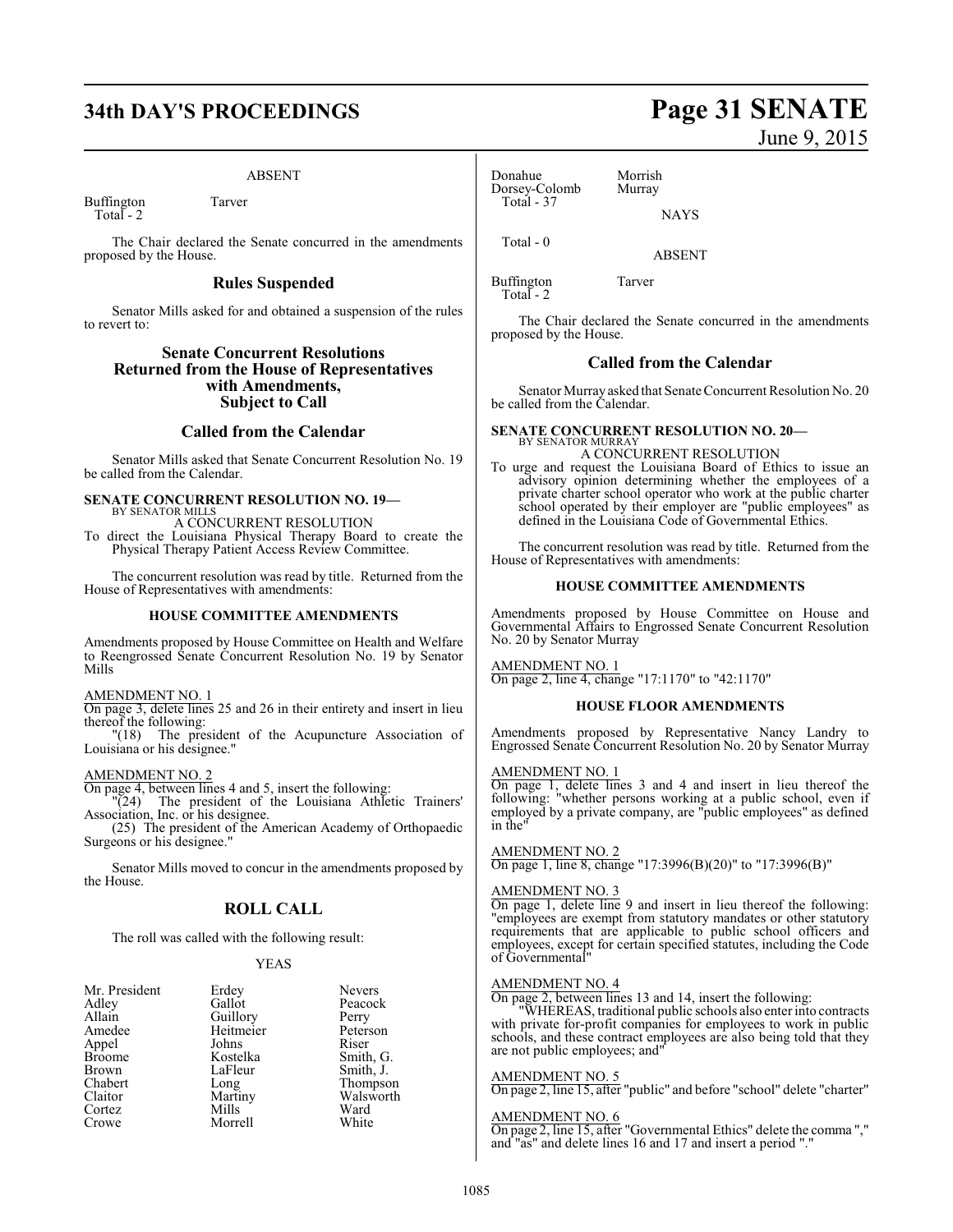# **34th DAY'S PROCEEDINGS Page 31 SENATE**

#### ABSENT

Buffington Tarver Total - 2

The Chair declared the Senate concurred in the amendments proposed by the House.

#### **Rules Suspended**

Senator Mills asked for and obtained a suspension of the rules to revert to:

#### **Senate Concurrent Resolutions Returned from the House of Representatives with Amendments, Subject to Call**

#### **Called from the Calendar**

Senator Mills asked that Senate Concurrent Resolution No. 19 be called from the Calendar.

# **SENATE CONCURRENT RESOLUTION NO. 19—**

BY SENATOR MILLS A CONCURRENT RESOLUTION

To direct the Louisiana Physical Therapy Board to create the Physical Therapy Patient Access Review Committee.

The concurrent resolution was read by title. Returned from the House of Representatives with amendments:

#### **HOUSE COMMITTEE AMENDMENTS**

Amendments proposed by House Committee on Health and Welfare to Reengrossed Senate Concurrent Resolution No. 19 by Senator Mills

#### AMENDMENT NO. 1

On page 3, delete lines 25 and 26 in their entirety and insert in lieu thereof the following:

"(18) The president of the Acupuncture Association of Louisiana or his designee."

#### AMENDMENT NO. 2

On page 4, between lines 4 and 5, insert the following:

"(24) The president of the Louisiana Athletic Trainers' Association, Inc. or his designee.

(25) The president of the American Academy of Orthopaedic Surgeons or his designee."

Senator Mills moved to concur in the amendments proposed by the House.

#### **ROLL CALL**

The roll was called with the following result:

#### YEAS

| Mr. President | Erdey     | <b>Nevers</b> |
|---------------|-----------|---------------|
| Adley         | Gallot    | Peacock       |
| Allain        | Guillory  | Perry         |
| Amedee        | Heitmeier | Peterson      |
| Appel         | Johns     | Riser         |
| <b>Broome</b> | Kostelka  | Smith, G.     |
| Brown         | LaFleur   | Smith, J.     |
| Chabert       | Long      | Thompson      |
| Claitor       | Martiny   | Walsworth     |
| Cortez        | Mills     | Ward          |
| Crowe         | Morrell   | White         |

#### Donahue Morrish<br>Dorsey-Colomb Murray Dorsey-Colomb Total - 37

Total - 0

ABSENT

**NAYS** 

Buffington Tarver Total - 2

The Chair declared the Senate concurred in the amendments proposed by the House.

#### **Called from the Calendar**

Senator Murray asked that Senate Concurrent Resolution No. 20 be called from the Calendar.

#### **SENATE CONCURRENT RESOLUTION NO. 20—** BY SENATOR MURRAY A CONCURRENT RESOLUTION

To urge and request the Louisiana Board of Ethics to issue an advisory opinion determining whether the employees of a private charter school operator who work at the public charter school operated by their employer are "public employees" as defined in the Louisiana Code of Governmental Ethics.

The concurrent resolution was read by title. Returned from the House of Representatives with amendments:

#### **HOUSE COMMITTEE AMENDMENTS**

Amendments proposed by House Committee on House and Governmental Affairs to Engrossed Senate Concurrent Resolution No. 20 by Senator Murray

#### AMENDMENT NO. 1

On page 2, line 4, change "17:1170" to "42:1170"

#### **HOUSE FLOOR AMENDMENTS**

Amendments proposed by Representative Nancy Landry to Engrossed Senate Concurrent Resolution No. 20 by Senator Murray

#### AMENDMENT NO. 1

On page 1, delete lines 3 and 4 and insert in lieu thereof the following: "whether persons working at a public school, even if employed by a private company, are "public employees" as defined in the"

#### AMENDMENT NO. 2

On page 1, line 8, change "17:3996(B)(20)" to "17:3996(B)"

#### AMENDMENT NO. 3

On page 1, delete line 9 and insert in lieu thereof the following: "employees are exempt from statutory mandates or other statutory requirements that are applicable to public school officers and employees, except for certain specified statutes, including the Code of Governmental"

#### AMENDMENT NO. 4

On page 2, between lines 13 and 14, insert the following:

"WHEREAS, traditional public schools also enter into contracts with private for-profit companies for employees to work in public schools, and these contract employees are also being told that they are not public employees; and"

#### AMENDMENT NO. 5

On page 2, line 15, after "public" and before "school" delete "charter"

#### AMENDMENT NO. 6

On page 2, line 15, after "Governmental Ethics" delete the comma "," and "as" and delete lines 16 and 17 and insert a period "."

June 9, 2015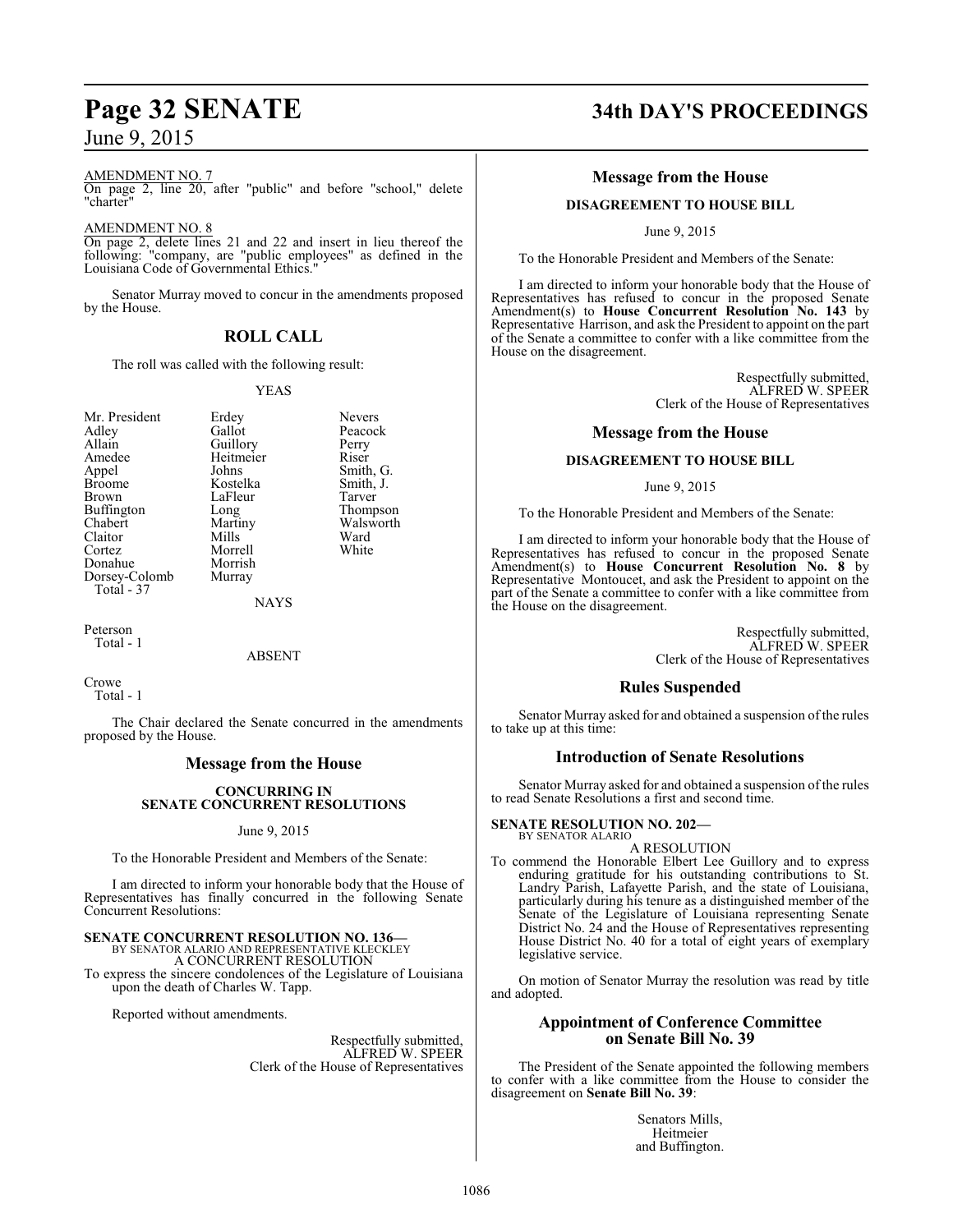#### AMENDMENT NO. 7

On page 2, line 20, after "public" and before "school," delete "charter"

#### AMENDMENT NO. 8

On page 2, delete lines 21 and 22 and insert in lieu thereof the following: "company, are "public employees" as defined in the Louisiana Code of Governmental Ethics."

Senator Murray moved to concur in the amendments proposed by the House.

### **ROLL CALL**

The roll was called with the following result:

Morrish

#### YEAS

Mr. President Erdey Nevers<br>Adley Gallot Peacoc Adley Gallot Peacock<br>Allain Guillory Perry Allain Guillory Perry<br>
Amedee Heitmeier Riser Amedee Heitmeier<br>
Appel Johns Appel Johns Smith, G.<br>Broome Kostelka Smith, J. Broome Kostelka Smith,<br>Brown LaFleur Tarver Brown LaFleur<br>Buffington Long Buffington Long Thompson<br>Chabert Martiny Walsworth Claitor Mills Ward<br>Cortez Morrell White Cortez Morrell<br>
Donahue Morrish Dorsey-Colomb Murray Total - 37

Martiny Walsworth<br>Mills Ward

NAYS

Peterson Total - 1

#### ABSENT

Crowe Total - 1

The Chair declared the Senate concurred in the amendments proposed by the House.

#### **Message from the House**

#### **CONCURRING IN SENATE CONCURRENT RESOLUTIONS**

June 9, 2015

To the Honorable President and Members of the Senate:

I am directed to inform your honorable body that the House of Representatives has finally concurred in the following Senate Concurrent Resolutions:

# **SENATE CONCURRENT RESOLUTION NO. 136—** BY SENATOR ALARIO AND REPRESENTATIVE KLECKLEY

A CONCURRENT RESOLUTION

To express the sincere condolences of the Legislature of Louisiana upon the death of Charles W. Tapp.

Reported without amendments.

Respectfully submitted, ALFRED W. SPEER Clerk of the House of Representatives

# **Page 32 SENATE 34th DAY'S PROCEEDINGS**

### **Message from the House**

#### **DISAGREEMENT TO HOUSE BILL**

June 9, 2015

To the Honorable President and Members of the Senate:

I am directed to inform your honorable body that the House of Representatives has refused to concur in the proposed Senate Amendment(s) to **House Concurrent Resolution No. 143** by Representative Harrison, and ask the President to appoint on the part of the Senate a committee to confer with a like committee from the House on the disagreement.

> Respectfully submitted, ALFRED W. SPEER Clerk of the House of Representatives

#### **Message from the House**

#### **DISAGREEMENT TO HOUSE BILL**

June 9, 2015

To the Honorable President and Members of the Senate:

I am directed to inform your honorable body that the House of Representatives has refused to concur in the proposed Senate Amendment(s) to **House Concurrent Resolution No. 8** by Representative Montoucet, and ask the President to appoint on the part of the Senate a committee to confer with a like committee from the House on the disagreement.

> Respectfully submitted, ALFRED W. SPEER Clerk of the House of Representatives

#### **Rules Suspended**

Senator Murray asked for and obtained a suspension of the rules to take up at this time:

#### **Introduction of Senate Resolutions**

Senator Murray asked for and obtained a suspension of the rules to read Senate Resolutions a first and second time.

#### **SENATE RESOLUTION NO. 202—**

BY SENATOR ALARIO A RESOLUTION

To commend the Honorable Elbert Lee Guillory and to express enduring gratitude for his outstanding contributions to St. Landry Parish, Lafayette Parish, and the state of Louisiana, particularly during his tenure as a distinguished member of the Senate of the Legislature of Louisiana representing Senate District No. 24 and the House of Representatives representing House District No. 40 for a total of eight years of exemplary legislative service.

On motion of Senator Murray the resolution was read by title and adopted.

#### **Appointment of Conference Committee on Senate Bill No. 39**

The President of the Senate appointed the following members to confer with a like committee from the House to consider the disagreement on **Senate Bill No. 39**:

> Senators Mills, Heitmeier and Buffington.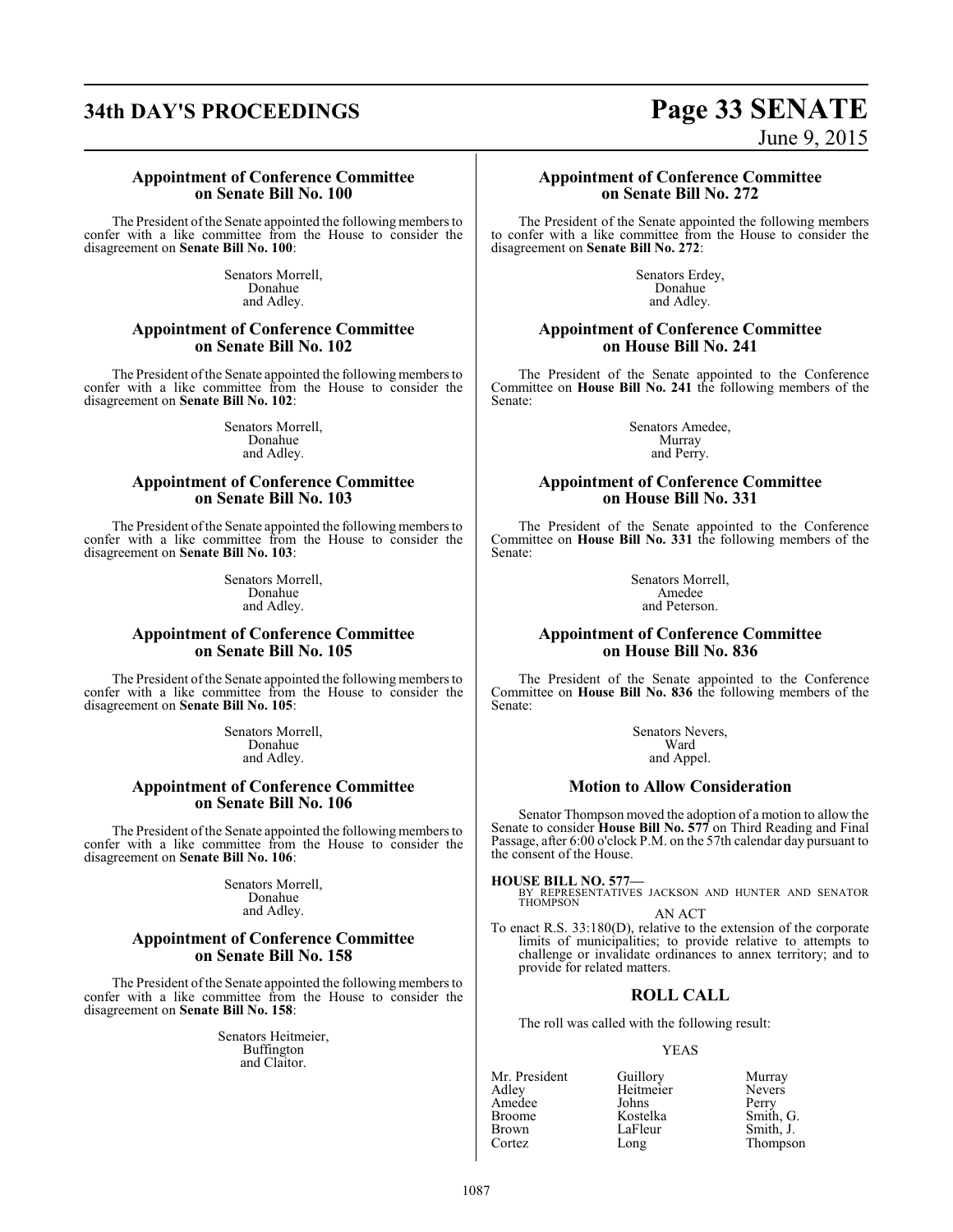# **34th DAY'S PROCEEDINGS Page 33 SENATE**

June 9, 2015

#### **Appointment of Conference Committee on Senate Bill No. 100**

The President ofthe Senate appointed the following members to confer with a like committee from the House to consider the disagreement on **Senate Bill No. 100**:

> Senators Morrell, Donahue and Adley.

#### **Appointment of Conference Committee on Senate Bill No. 102**

The President of the Senate appointed the following members to confer with a like committee from the House to consider the disagreement on **Senate Bill No. 102**:

> Senators Morrell, Donahue and Adley.

#### **Appointment of Conference Committee on Senate Bill No. 103**

The President of the Senate appointed the following members to confer with a like committee from the House to consider the disagreement on **Senate Bill No. 103**:

> Senators Morrell, Donahue and Adley.

#### **Appointment of Conference Committee on Senate Bill No. 105**

The President of the Senate appointed the following members to confer with a like committee from the House to consider the disagreement on **Senate Bill No. 105**:

> Senators Morrell, Donahue and Adley.

#### **Appointment of Conference Committee on Senate Bill No. 106**

The President of the Senate appointed the following members to confer with a like committee from the House to consider the disagreement on **Senate Bill No. 106**:

> Senators Morrell, Donahue and Adley.

#### **Appointment of Conference Committee on Senate Bill No. 158**

The President ofthe Senate appointed the following members to confer with a like committee from the House to consider the disagreement on **Senate Bill No. 158**:

> Senators Heitmeier, Buffington and Claitor.

#### **Appointment of Conference Committee on Senate Bill No. 272**

The President of the Senate appointed the following members to confer with a like committee from the House to consider the disagreement on **Senate Bill No. 272**:

> Senators Erdey, Donahue and Adley.

#### **Appointment of Conference Committee on House Bill No. 241**

The President of the Senate appointed to the Conference Committee on **House Bill No. 241** the following members of the Senate:

> Senators Amedee, Murray and Perry.

#### **Appointment of Conference Committee on House Bill No. 331**

The President of the Senate appointed to the Conference Committee on **House Bill No. 331** the following members of the Senate:

> Senators Morrell, Amedee and Peterson.

### **Appointment of Conference Committee on House Bill No. 836**

The President of the Senate appointed to the Conference Committee on **House Bill No. 836** the following members of the Senate:

> Senators Nevers, Ward and Appel.

#### **Motion to Allow Consideration**

Senator Thompson moved the adoption of a motion to allow the Senate to consider **House Bill No. 577** on Third Reading and Final Passage, after 6:00 o'clock P.M. on the 57th calendar day pursuant to the consent of the House.

**HOUSE BILL NO. 577—**

BY REPRESENTATIVES JACKSON AND HUNTER AND SENATOR THOMPSON AN ACT

To enact R.S. 33:180(D), relative to the extension of the corporate limits of municipalities; to provide relative to attempts to challenge or invalidate ordinances to annex territory; and to provide for related matters.

## **ROLL CALL**

The roll was called with the following result:

#### YEAS

Amedee Johns Perry<br>Broome Kostelka Smith, G. Broome Kostelka<br>Brown LaFleur Brown LaFleur Smith, J.<br>
Cortez Long Thompso

Mr. President Guillory Murray<br>Adlev Heitmeier Nevers Heitmeier Never<br>
Johns Perry Thompson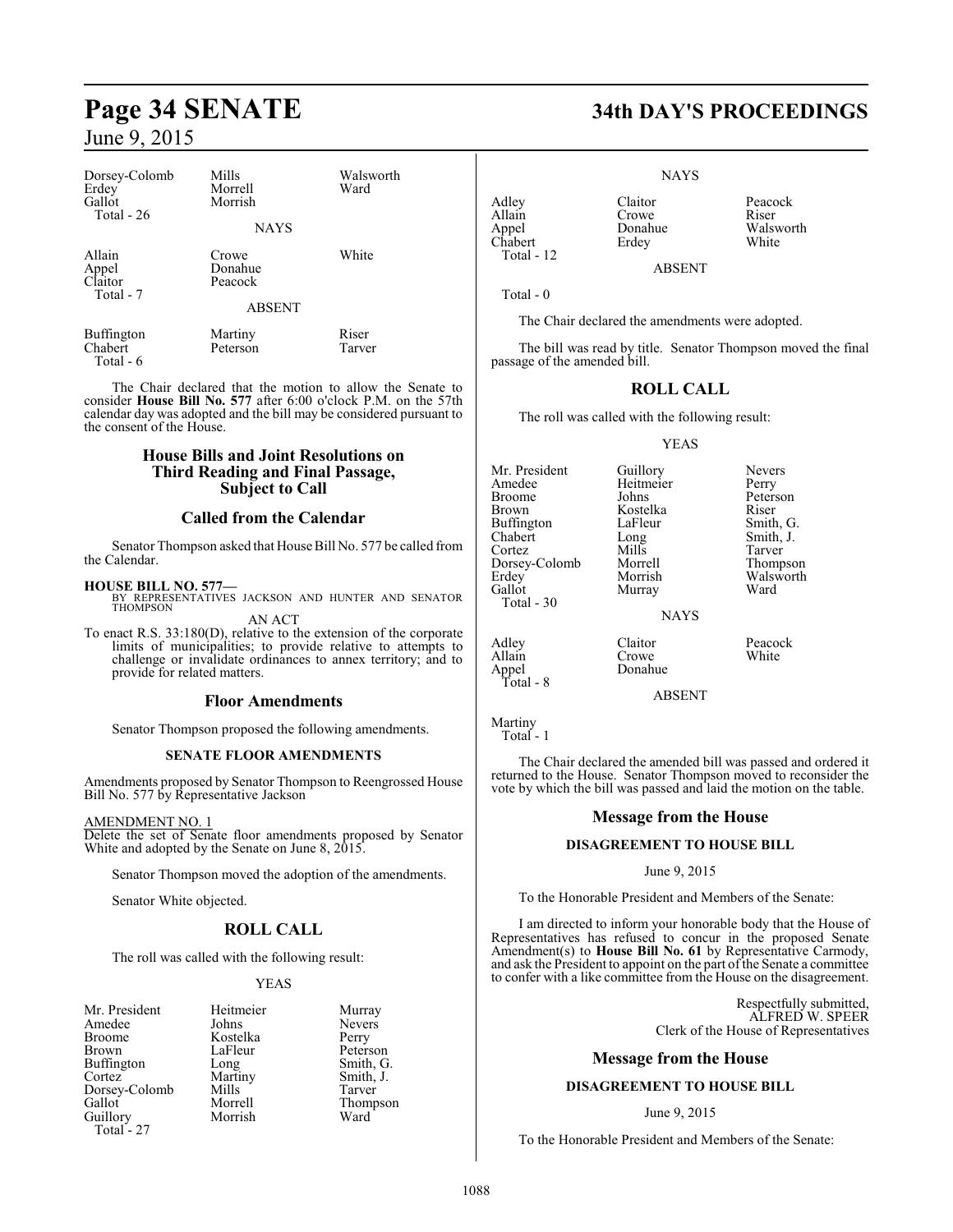| Dorsey-Colomb<br>Erdey<br>Gallot<br>Total $-26$ | Mills<br>Morrell<br>Morrish<br><b>NAYS</b>   | Walsworth<br>Ward |
|-------------------------------------------------|----------------------------------------------|-------------------|
| Allain<br>Appel<br>Claitor<br>Total - 7         | Crowe<br>Donahue<br>Peacock<br><b>ABSENT</b> | White             |

Buffington Martiny Riser<br>
Chabert Peterson Tarver

Total - 6

Peterson

The Chair declared that the motion to allow the Senate to consider **House Bill No. 577** after 6:00 o'clock P.M. on the 57th calendar day was adopted and the bill may be considered pursuant to the consent of the House.

### **House Bills and Joint Resolutions on Third Reading and Final Passage, Subject to Call**

### **Called from the Calendar**

Senator Thompson asked that House Bill No. 577 be called from the Calendar.

#### **HOUSE BILL NO. 577—**

BY REPRESENTATIVES JACKSON AND HUNTER AND SENATOR THOMPSON AN ACT

To enact R.S. 33:180(D), relative to the extension of the corporate limits of municipalities; to provide relative to attempts to challenge or invalidate ordinances to annex territory; and to provide for related matters.

#### **Floor Amendments**

Senator Thompson proposed the following amendments.

#### **SENATE FLOOR AMENDMENTS**

Amendments proposed by Senator Thompson to Reengrossed House Bill No. 577 by Representative Jackson

AMENDMENT NO. 1

Delete the set of Senate floor amendments proposed by Senator White and adopted by the Senate on June 8, 2015.

Senator Thompson moved the adoption of the amendments.

Senator White objected.

## **ROLL CALL**

The roll was called with the following result:

#### YEAS

| Mr. President | Heitmeier | Murray  |
|---------------|-----------|---------|
| Amedee        | Johns     | Nevers  |
| Broome        | Kostelka  | Perry   |
| Brown         | LaFleur   | Peterso |
| Buffington    | Long      | Smith,  |
| Cortez        | Martiny   | Smith,  |
| Dorsey-Colomb | Mills     | Tarver  |
| Gallot        | Morrell   | Thomp   |
| Guillory      | Morrish   | Ward    |
| $Total - 27$  |           |         |

Heitmeier Murray<br>Johns Nevers Kostelka Perry<br>LaFleur Peters LaFleur Peterson<br>Long Smith, G Smith, G.<br>Smith, J. Morrell Thompson<br>Morrish Ward

# **Page 34 SENATE 34th DAY'S PROCEEDINGS**

NAYS

Allain Crowe<br>
Appel Donahue Chabert Total - 12

Adley Claitor Peacock<br>Allain Crowe Riser Donahue Walsworth<br>Erdey White

ABSENT

Total - 0

The Chair declared the amendments were adopted.

The bill was read by title. Senator Thompson moved the final passage of the amended bill.

### **ROLL CALL**

The roll was called with the following result:

#### YEAS

Kostelka Riser<br>LaFleur Smith, G.

Mr. President Guillory Nevers<br>Amedee Heitmeier Perry Amedee Heitmeier<br>Broome Johns Broome Johns Peterson<br>Brown Kostelka Riser Buffington LaFle<br>Chabert Long Chabert Long Smith, J. Dorsey-Colomb Morrell<br>Erdev Morrish Erdey Morrish Walsworth<br>
Gallot Murray Ward Total - 30

Mills Tarver<br>
Morrell Thompson Murray **NAYS** 

Adley Claitor Peacock<br>Allain Crowe White Crowe<br>Donahue Appel Donahue

ABSENT

Martiny Total - 1

Total - 8

The Chair declared the amended bill was passed and ordered it returned to the House. Senator Thompson moved to reconsider the vote by which the bill was passed and laid the motion on the table.

#### **Message from the House**

#### **DISAGREEMENT TO HOUSE BILL**

#### June 9, 2015

To the Honorable President and Members of the Senate:

I am directed to inform your honorable body that the House of Representatives has refused to concur in the proposed Senate Amendment(s) to **House Bill No. 61** by Representative Carmody, and ask the President to appoint on the part of the Senate a committee to confer with a like committee from the House on the disagreement.

> Respectfully submitted, ALFRED W. SPEER Clerk of the House of Representatives

#### **Message from the House**

## **DISAGREEMENT TO HOUSE BILL**

#### June 9, 2015

To the Honorable President and Members of the Senate: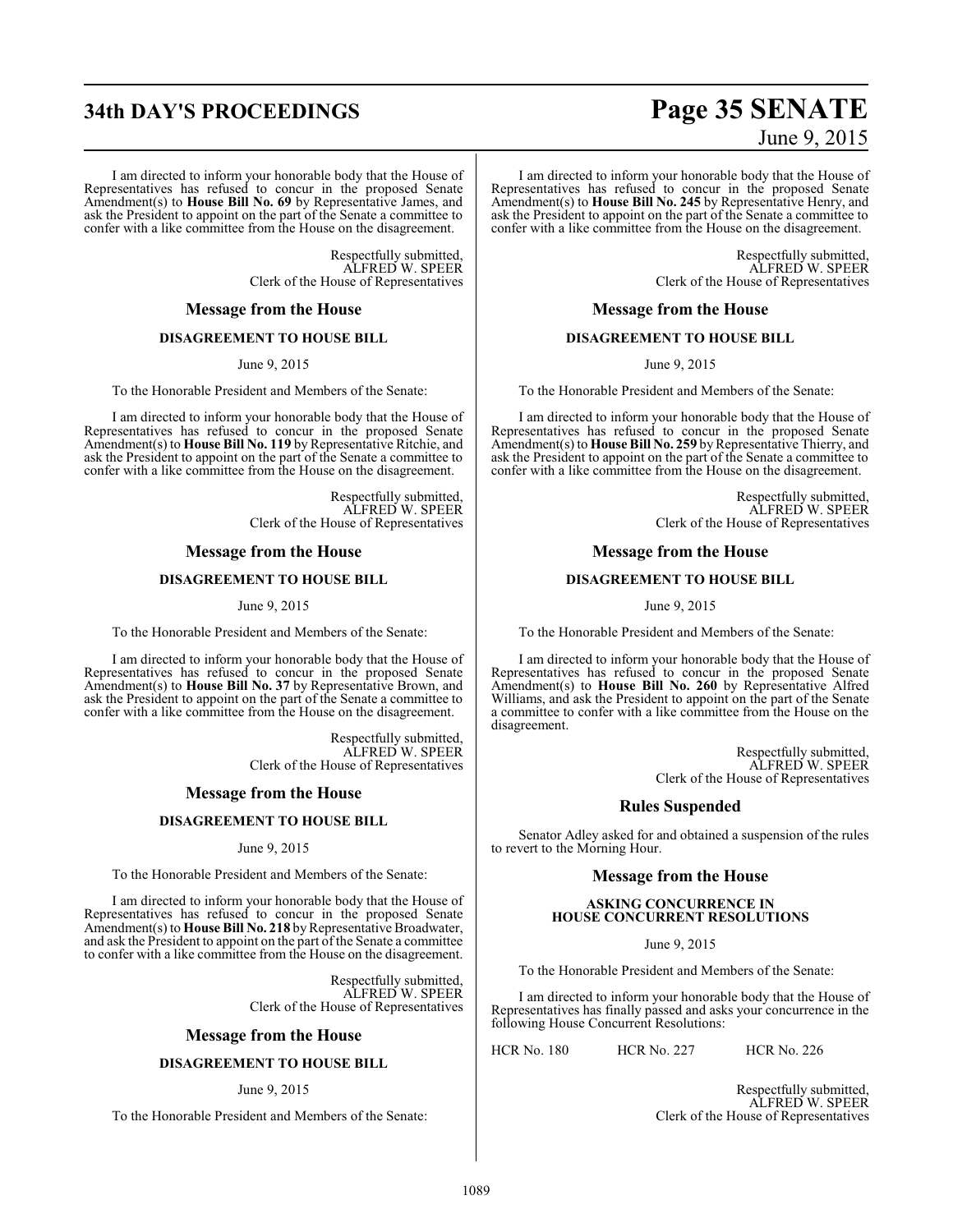# **34th DAY'S PROCEEDINGS Page 35 SENATE**

I am directed to inform your honorable body that the House of Representatives has refused to concur in the proposed Senate Amendment(s) to **House Bill No. 69** by Representative James, and ask the President to appoint on the part of the Senate a committee to confer with a like committee from the House on the disagreement.

> Respectfully submitted, ALFRED W. SPEER Clerk of the House of Representatives

#### **Message from the House**

## **DISAGREEMENT TO HOUSE BILL**

June 9, 2015

To the Honorable President and Members of the Senate:

I am directed to inform your honorable body that the House of Representatives has refused to concur in the proposed Senate Amendment(s) to **House Bill No. 119** by Representative Ritchie, and ask the President to appoint on the part of the Senate a committee to confer with a like committee from the House on the disagreement.

> Respectfully submitted, ALFRED W. SPEER Clerk of the House of Representatives

#### **Message from the House**

#### **DISAGREEMENT TO HOUSE BILL**

#### June 9, 2015

To the Honorable President and Members of the Senate:

I am directed to inform your honorable body that the House of Representatives has refused to concur in the proposed Senate Amendment(s) to **House Bill No. 37** by Representative Brown, and ask the President to appoint on the part of the Senate a committee to confer with a like committee from the House on the disagreement.

> Respectfully submitted, ALFRED W. SPEER Clerk of the House of Representatives

#### **Message from the House**

#### **DISAGREEMENT TO HOUSE BILL**

#### June 9, 2015

To the Honorable President and Members of the Senate:

I am directed to inform your honorable body that the House of Representatives has refused to concur in the proposed Senate Amendment(s) to **House Bill No. 218** by Representative Broadwater, and ask the President to appoint on the part of the Senate a committee to confer with a like committee from the House on the disagreement.

> Respectfully submitted, ALFRED W. SPEER Clerk of the House of Representatives

#### **Message from the House**

#### **DISAGREEMENT TO HOUSE BILL**

#### June 9, 2015

To the Honorable President and Members of the Senate:

# June 9, 2015

I am directed to inform your honorable body that the House of Representatives has refused to concur in the proposed Senate Amendment(s) to **House Bill No. 245** by Representative Henry, and ask the President to appoint on the part of the Senate a committee to confer with a like committee from the House on the disagreement.

> Respectfully submitted, ALFRED W. SPEER Clerk of the House of Representatives

#### **Message from the House**

### **DISAGREEMENT TO HOUSE BILL**

June 9, 2015

To the Honorable President and Members of the Senate:

I am directed to inform your honorable body that the House of Representatives has refused to concur in the proposed Senate Amendment(s) to **House Bill No. 259** by Representative Thierry, and ask the President to appoint on the part of the Senate a committee to confer with a like committee from the House on the disagreement.

> Respectfully submitted, ALFRED W. SPEER Clerk of the House of Representatives

#### **Message from the House**

#### **DISAGREEMENT TO HOUSE BILL**

June 9, 2015

To the Honorable President and Members of the Senate:

I am directed to inform your honorable body that the House of Representatives has refused to concur in the proposed Senate Amendment(s) to **House Bill No. 260** by Representative Alfred Williams, and ask the President to appoint on the part of the Senate a committee to confer with a like committee from the House on the disagreement.

> Respectfully submitted, ALFRED W. SPEER Clerk of the House of Representatives

#### **Rules Suspended**

Senator Adley asked for and obtained a suspension of the rules to revert to the Morning Hour.

#### **Message from the House**

#### **ASKING CONCURRENCE IN HOUSE CONCURRENT RESOLUTIONS**

#### June 9, 2015

To the Honorable President and Members of the Senate:

I am directed to inform your honorable body that the House of Representatives has finally passed and asks your concurrence in the following House Concurrent Resolutions:

HCR No. 180 HCR No. 227 HCR No. 226

Respectfully submitted, ALFRED W. SPEER Clerk of the House of Representatives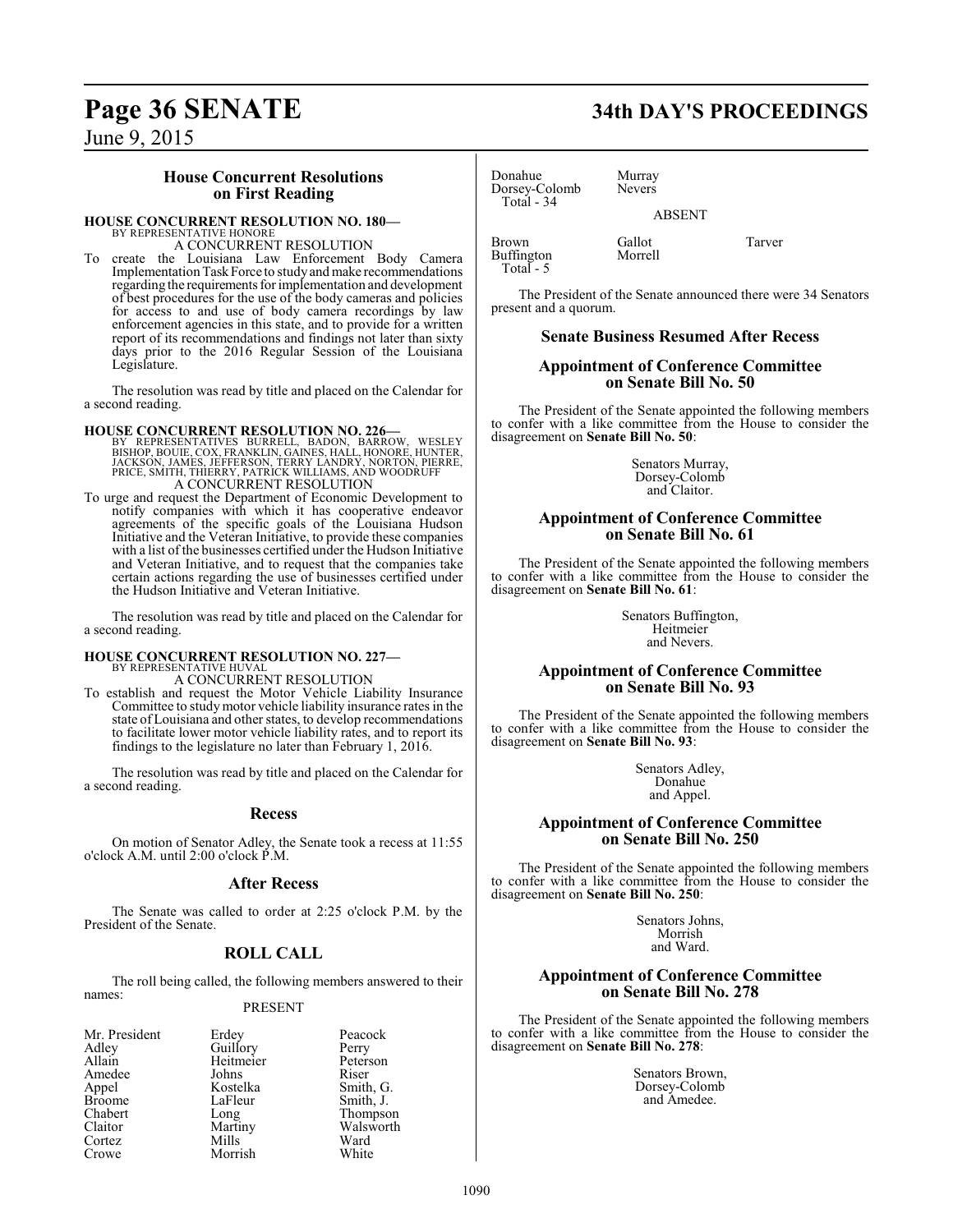# **Page 36 SENATE 34th DAY'S PROCEEDINGS**

June 9, 2015

### **House Concurrent Resolutions on First Reading**

#### **HOUSE CONCURRENT RESOLUTION NO. 180—**

BY REPRESENTATIVE HONORE A CONCURRENT RESOLUTION

To create the Louisiana Law Enforcement Body Camera Implementation Task Force to study and make recommendations regarding the requirements for implementation and development of best procedures for the use of the body cameras and policies for access to and use of body camera recordings by law enforcement agencies in this state, and to provide for a written report of its recommendations and findings not later than sixty days prior to the 2016 Regular Session of the Louisiana Legislature.

The resolution was read by title and placed on the Calendar for a second reading.

#### **HOUSE CONCURRENT RESOLUTION NO. 226—**

BY REPRESENTATIVES BURRELL, BADON, BARROW, WESLEY<br>BISHOP, BOUIE, COX, FRANKLIN, GAINES, HALL, HONORE, HUNTER,<br>JACKSON, JAMES, JEFFERSON, TERRY LANDRY, NORTON, PIERRE,<br>PRICE, SMITH, THIERRY, PATRICK WILLIAMS, AND WOODR A CONCURRENT RESOLUTION

To urge and request the Department of Economic Development to notify companies with which it has cooperative endeavor agreements of the specific goals of the Louisiana Hudson Initiative and the Veteran Initiative, to provide these companies with a list of the businesses certified under the Hudson Initiative and Veteran Initiative, and to request that the companies take certain actions regarding the use of businesses certified under the Hudson Initiative and Veteran Initiative.

The resolution was read by title and placed on the Calendar for a second reading.

# **HOUSE CONCURRENT RESOLUTION NO. 227—** BY REPRESENTATIVE HUVAL

A CONCURRENT RESOLUTION

To establish and request the Motor Vehicle Liability Insurance Committee to studymotor vehicle liability insurance rates in the state of Louisiana and other states, to develop recommendations to facilitate lower motor vehicle liability rates, and to report its findings to the legislature no later than February 1, 2016.

The resolution was read by title and placed on the Calendar for a second reading.

#### **Recess**

On motion of Senator Adley, the Senate took a recess at 11:55 o'clock A.M. until 2:00 o'clock P.M.

#### **After Recess**

The Senate was called to order at 2:25 o'clock P.M. by the President of the Senate.

## **ROLL CALL**

The roll being called, the following members answered to their names:

#### PRESENT

| Mr. President | Erdey     | Peaco  |
|---------------|-----------|--------|
| Adley         | Guillory  | Perry  |
| Allain        | Heitmeier | Peters |
| Amedee        | Johns     | Riser  |
| Appel         | Kostelka  | Smith. |
| <b>Broome</b> | LaFleur   | Smith. |
| Chabert       | Long      | Thom   |
| Claitor       | Martiny   | Walsw  |
| Cortez        | Mills     | Ward   |
| Crowe         | Morrish   | White  |

Arrival Erdey Peacock<br>
Guillory Perry Guillory Perry<br>
Heitmeier Peterson Heitmeier Peters<br>Johns Riser Kostelka Smith, G.<br>LaFleur Smith, J. LaFleur Smith, J.<br>Long Thompso Long Thompson<br>Martiny Walsworth Martiny Walsworth<br>Mills Ward

| Donahue       |  |
|---------------|--|
| Dorsey-Colomb |  |
| Total - 34    |  |
|               |  |
|               |  |
|               |  |

Murray Nevers ABSENT

Brown Gallot Tarver<br>Buffington Morrell Buffington Total - 5

The President of the Senate announced there were 34 Senators present and a quorum.

#### **Senate Business Resumed After Recess**

#### **Appointment of Conference Committee on Senate Bill No. 50**

The President of the Senate appointed the following members to confer with a like committee from the House to consider the disagreement on **Senate Bill No. 50**:

> Senators Murray, Dorsey-Colomb and Claitor.

#### **Appointment of Conference Committee on Senate Bill No. 61**

The President of the Senate appointed the following members to confer with a like committee from the House to consider the disagreement on **Senate Bill No. 61**:

> Senators Buffington, Heitmeier and Nevers.

#### **Appointment of Conference Committee on Senate Bill No. 93**

The President of the Senate appointed the following members to confer with a like committee from the House to consider the disagreement on **Senate Bill No. 93**:

> Senators Adley, Donahue and Appel.

#### **Appointment of Conference Committee on Senate Bill No. 250**

The President of the Senate appointed the following members to confer with a like committee from the House to consider the disagreement on **Senate Bill No. 250**:

> Senators Johns, Morrish and Ward.

#### **Appointment of Conference Committee on Senate Bill No. 278**

The President of the Senate appointed the following members to confer with a like committee from the House to consider the disagreement on **Senate Bill No. 278**:

> Senators Brown, Dorsey-Colomb and Amedee.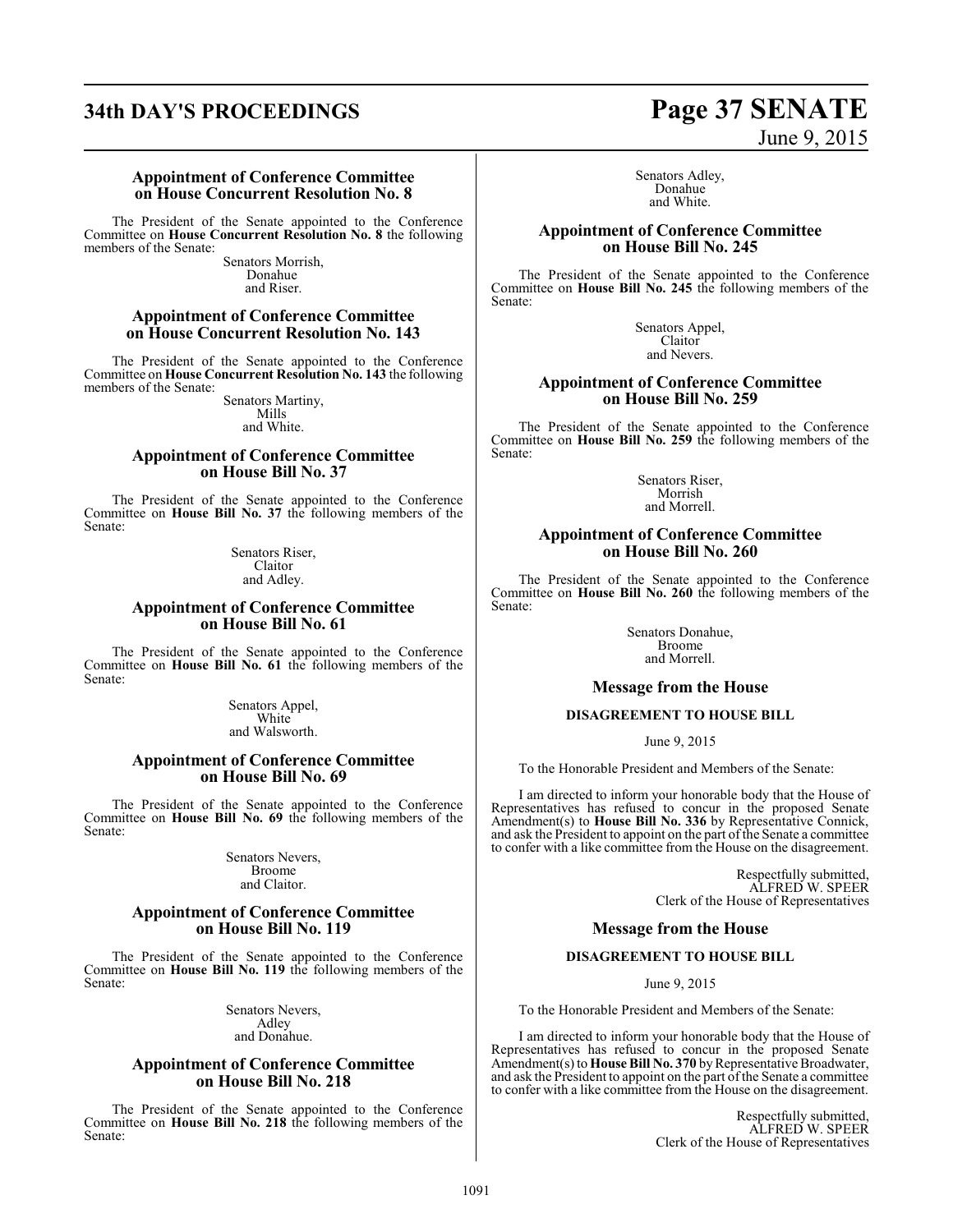# **34th DAY'S PROCEEDINGS Page 37 SENATE**

# June 9, 2015

**Appointment of Conference Committee on House Concurrent Resolution No. 8**

The President of the Senate appointed to the Conference Committee on **House Concurrent Resolution No. 8** the following members of the Senate:

Senators Morrish, Donahue and Riser.

#### **Appointment of Conference Committee on House Concurrent Resolution No. 143**

The President of the Senate appointed to the Conference Committee on **House Concurrent Resolution No. 143** the following members of the Senate:

Senators Martiny, Mills and White.

#### **Appointment of Conference Committee on House Bill No. 37**

The President of the Senate appointed to the Conference Committee on **House Bill No. 37** the following members of the Senate:

> Senators Riser, Claitor and Adley.

#### **Appointment of Conference Committee on House Bill No. 61**

The President of the Senate appointed to the Conference Committee on **House Bill No. 61** the following members of the Senate:

> Senators Appel, **White** and Walsworth.

#### **Appointment of Conference Committee on House Bill No. 69**

The President of the Senate appointed to the Conference Committee on **House Bill No. 69** the following members of the Senate:

> Senators Nevers, Broome and Claitor.

#### **Appointment of Conference Committee on House Bill No. 119**

The President of the Senate appointed to the Conference Committee on **House Bill No. 119** the following members of the Senate:

> Senators Nevers, Adley and Donahue.

#### **Appointment of Conference Committee on House Bill No. 218**

The President of the Senate appointed to the Conference Committee on **House Bill No. 218** the following members of the Senate:

Senators Adley, Donahue and White.

#### **Appointment of Conference Committee on House Bill No. 245**

The President of the Senate appointed to the Conference Committee on **House Bill No. 245** the following members of the Senate:

> Senators Appel, Claitor and Nevers.

#### **Appointment of Conference Committee on House Bill No. 259**

The President of the Senate appointed to the Conference Committee on **House Bill No. 259** the following members of the Senate:

> Senators Riser, Morrish and Morrell.

#### **Appointment of Conference Committee on House Bill No. 260**

The President of the Senate appointed to the Conference Committee on **House Bill No. 260** the following members of the Senate:

> Senators Donahue, Broome and Morrell.

#### **Message from the House**

#### **DISAGREEMENT TO HOUSE BILL**

June 9, 2015

To the Honorable President and Members of the Senate:

I am directed to inform your honorable body that the House of Representatives has refused to concur in the proposed Senate Amendment(s) to **House Bill No. 336** by Representative Connick, and ask the President to appoint on the part ofthe Senate a committee to confer with a like committee from the House on the disagreement.

> Respectfully submitted, ALFRED W. SPEER Clerk of the House of Representatives

**Message from the House**

### **DISAGREEMENT TO HOUSE BILL**

June 9, 2015

To the Honorable President and Members of the Senate:

I am directed to inform your honorable body that the House of Representatives has refused to concur in the proposed Senate Amendment(s) to **House Bill No. 370** by Representative Broadwater, and ask the President to appoint on the part of the Senate a committee to confer with a like committee from the House on the disagreement.

> Respectfully submitted, ALFRED W. SPEER Clerk of the House of Representatives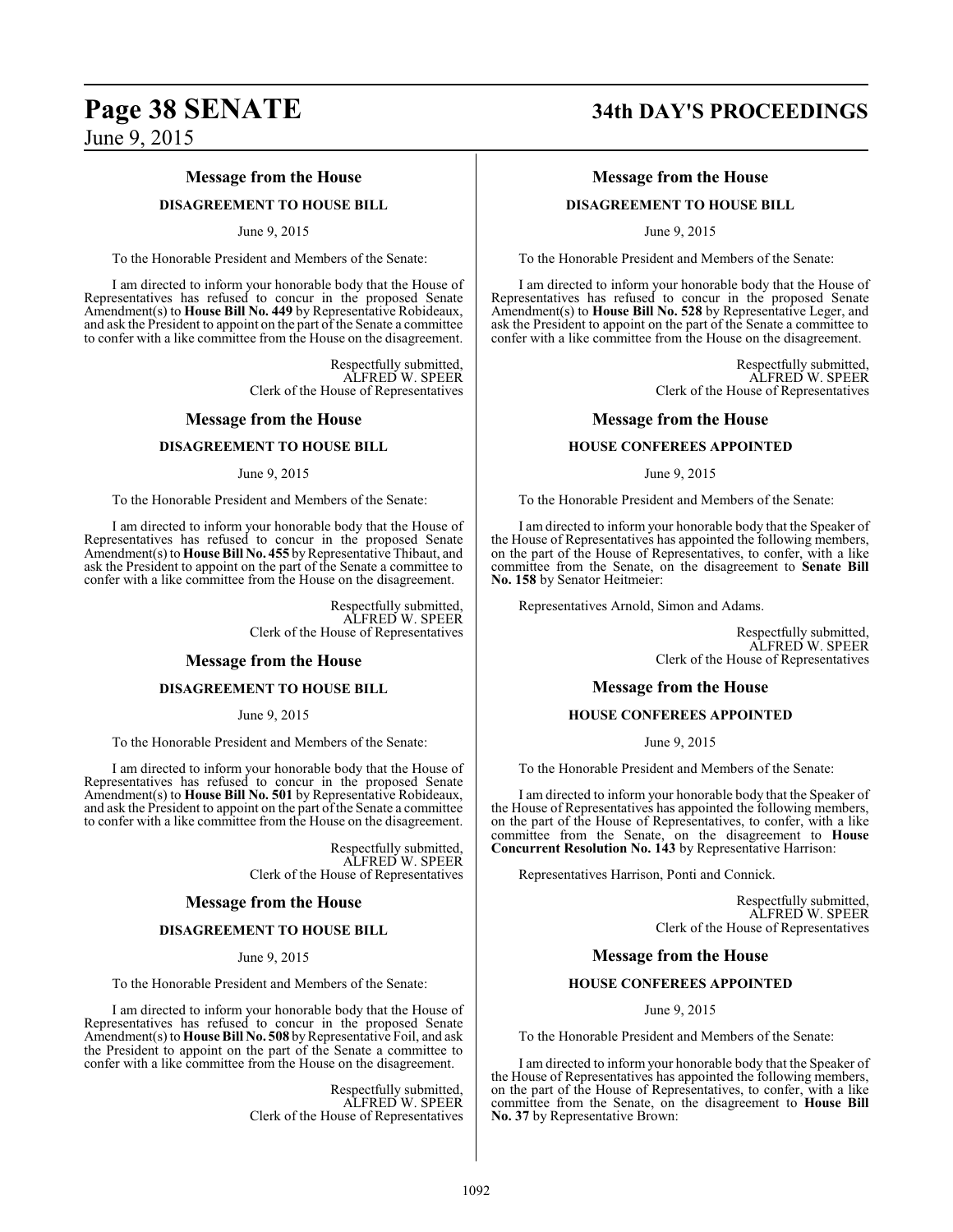#### **Message from the House**

#### **DISAGREEMENT TO HOUSE BILL**

#### June 9, 2015

To the Honorable President and Members of the Senate:

I am directed to inform your honorable body that the House of Representatives has refused to concur in the proposed Senate Amendment(s) to **House Bill No. 449** by Representative Robideaux, and ask the President to appoint on the part of the Senate a committee to confer with a like committee from the House on the disagreement.

> Respectfully submitted, ALFRED W. SPEER Clerk of the House of Representatives

#### **Message from the House**

#### **DISAGREEMENT TO HOUSE BILL**

#### June 9, 2015

To the Honorable President and Members of the Senate:

I am directed to inform your honorable body that the House of Representatives has refused to concur in the proposed Senate Amendment(s) to **House Bill No. 455** by Representative Thibaut, and ask the President to appoint on the part of the Senate a committee to confer with a like committee from the House on the disagreement.

> Respectfully submitted, ALFRED W. SPEER Clerk of the House of Representatives

#### **Message from the House**

#### **DISAGREEMENT TO HOUSE BILL**

June 9, 2015

To the Honorable President and Members of the Senate:

I am directed to inform your honorable body that the House of Representatives has refused to concur in the proposed Senate Amendment(s) to **House Bill No. 501** by Representative Robideaux, and ask the President to appoint on the part of the Senate a committee to confer with a like committee from the House on the disagreement.

> Respectfully submitted, ALFRED W. SPEER Clerk of the House of Representatives

#### **Message from the House**

#### **DISAGREEMENT TO HOUSE BILL**

June 9, 2015

To the Honorable President and Members of the Senate:

I am directed to inform your honorable body that the House of Representatives has refused to concur in the proposed Senate Amendment(s) to **House Bill No. 508** byRepresentative Foil, and ask the President to appoint on the part of the Senate a committee to confer with a like committee from the House on the disagreement.

> Respectfully submitted, ALFRED W. SPEER Clerk of the House of Representatives

# **Page 38 SENATE 34th DAY'S PROCEEDINGS**

#### **Message from the House**

#### **DISAGREEMENT TO HOUSE BILL**

June 9, 2015

To the Honorable President and Members of the Senate:

I am directed to inform your honorable body that the House of Representatives has refused to concur in the proposed Senate Amendment(s) to **House Bill No. 528** by Representative Leger, and ask the President to appoint on the part of the Senate a committee to confer with a like committee from the House on the disagreement.

> Respectfully submitted, ALFRED W. SPEER Clerk of the House of Representatives

#### **Message from the House**

#### **HOUSE CONFEREES APPOINTED**

June 9, 2015

To the Honorable President and Members of the Senate:

I am directed to inform your honorable body that the Speaker of the House of Representatives has appointed the following members, on the part of the House of Representatives, to confer, with a like committee from the Senate, on the disagreement to **Senate Bill No. 158** by Senator Heitmeier:

Representatives Arnold, Simon and Adams.

Respectfully submitted, ALFRED W. SPEER Clerk of the House of Representatives

#### **Message from the House**

#### **HOUSE CONFEREES APPOINTED**

June 9, 2015

To the Honorable President and Members of the Senate:

I am directed to inform your honorable body that the Speaker of the House of Representatives has appointed the following members, on the part of the House of Representatives, to confer, with a like committee from the Senate, on the disagreement to **House Concurrent Resolution No. 143** by Representative Harrison:

Representatives Harrison, Ponti and Connick.

Respectfully submitted, ALFRED W. SPEER Clerk of the House of Representatives

#### **Message from the House**

#### **HOUSE CONFEREES APPOINTED**

June 9, 2015

To the Honorable President and Members of the Senate:

I am directed to inform your honorable body that the Speaker of the House of Representatives has appointed the following members, on the part of the House of Representatives, to confer, with a like committee from the Senate, on the disagreement to **House Bill No. 37** by Representative Brown: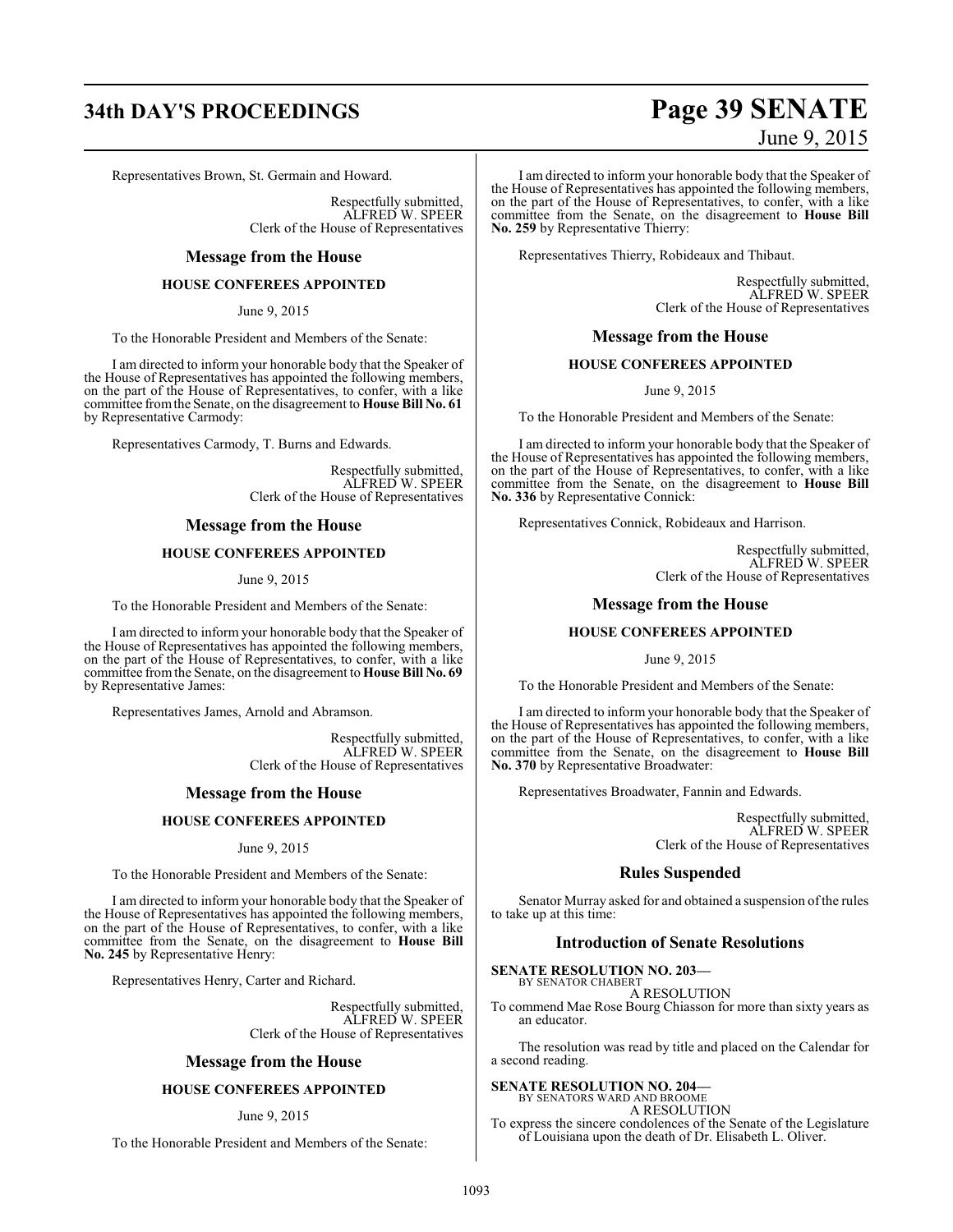# **34th DAY'S PROCEEDINGS Page 39 SENATE**

Representatives Brown, St. Germain and Howard.

Respectfully submitted, ALFRED W. SPEER Clerk of the House of Representatives

#### **Message from the House**

#### **HOUSE CONFEREES APPOINTED**

June 9, 2015

To the Honorable President and Members of the Senate:

I am directed to inform your honorable body that the Speaker of the House of Representatives has appointed the following members, on the part of the House of Representatives, to confer, with a like committee fromthe Senate, on the disagreement to **House Bill No. 61** by Representative Carmody:

Representatives Carmody, T. Burns and Edwards.

Respectfully submitted, ALFRED W. SPEER Clerk of the House of Representatives

#### **Message from the House**

#### **HOUSE CONFEREES APPOINTED**

June 9, 2015

To the Honorable President and Members of the Senate:

I am directed to inform your honorable body that the Speaker of the House of Representatives has appointed the following members, on the part of the House of Representatives, to confer, with a like committee fromthe Senate, on the disagreement to **House Bill No. 69** by Representative James:

Representatives James, Arnold and Abramson.

Respectfully submitted, ALFRED W. SPEER Clerk of the House of Representatives

#### **Message from the House**

#### **HOUSE CONFEREES APPOINTED**

June 9, 2015

To the Honorable President and Members of the Senate:

I am directed to inform your honorable body that the Speaker of the House of Representatives has appointed the following members, on the part of the House of Representatives, to confer, with a like committee from the Senate, on the disagreement to **House Bill No. 245** by Representative Henry:

Representatives Henry, Carter and Richard.

Respectfully submitted, ALFRED W. SPEER Clerk of the House of Representatives

#### **Message from the House**

#### **HOUSE CONFEREES APPOINTED**

#### June 9, 2015

To the Honorable President and Members of the Senate:

# June 9, 2015

I am directed to inform your honorable body that the Speaker of the House of Representatives has appointed the following members, on the part of the House of Representatives, to confer, with a like committee from the Senate, on the disagreement to **House Bill No. 259** by Representative Thierry:

Representatives Thierry, Robideaux and Thibaut.

Respectfully submitted, ALFRED W. SPEER Clerk of the House of Representatives

#### **Message from the House**

#### **HOUSE CONFEREES APPOINTED**

June 9, 2015

To the Honorable President and Members of the Senate:

I am directed to inform your honorable body that the Speaker of the House of Representatives has appointed the following members, on the part of the House of Representatives, to confer, with a like committee from the Senate, on the disagreement to **House Bill No. 336** by Representative Connick:

Representatives Connick, Robideaux and Harrison.

Respectfully submitted, ALFRED W. SPEER Clerk of the House of Representatives

#### **Message from the House**

#### **HOUSE CONFEREES APPOINTED**

June 9, 2015

To the Honorable President and Members of the Senate:

I am directed to inform your honorable body that the Speaker of the House of Representatives has appointed the following members, on the part of the House of Representatives, to confer, with a like committee from the Senate, on the disagreement to **House Bill No. 370** by Representative Broadwater:

Representatives Broadwater, Fannin and Edwards.

Respectfully submitted, ALFRED W. SPEER Clerk of the House of Representatives

#### **Rules Suspended**

Senator Murray asked for and obtained a suspension of the rules to take up at this time:

#### **Introduction of Senate Resolutions**

#### **SENATE RESOLUTION NO. 203—** BY SENATOR CHABERT

A RESOLUTION

To commend Mae Rose Bourg Chiasson for more than sixty years as an educator.

The resolution was read by title and placed on the Calendar for a second reading.

# **SENATE RESOLUTION NO. 204—** BY SENATORS WARD AND BROOME

A RESOLUTION

To express the sincere condolences of the Senate of the Legislature of Louisiana upon the death of Dr. Elisabeth L. Oliver.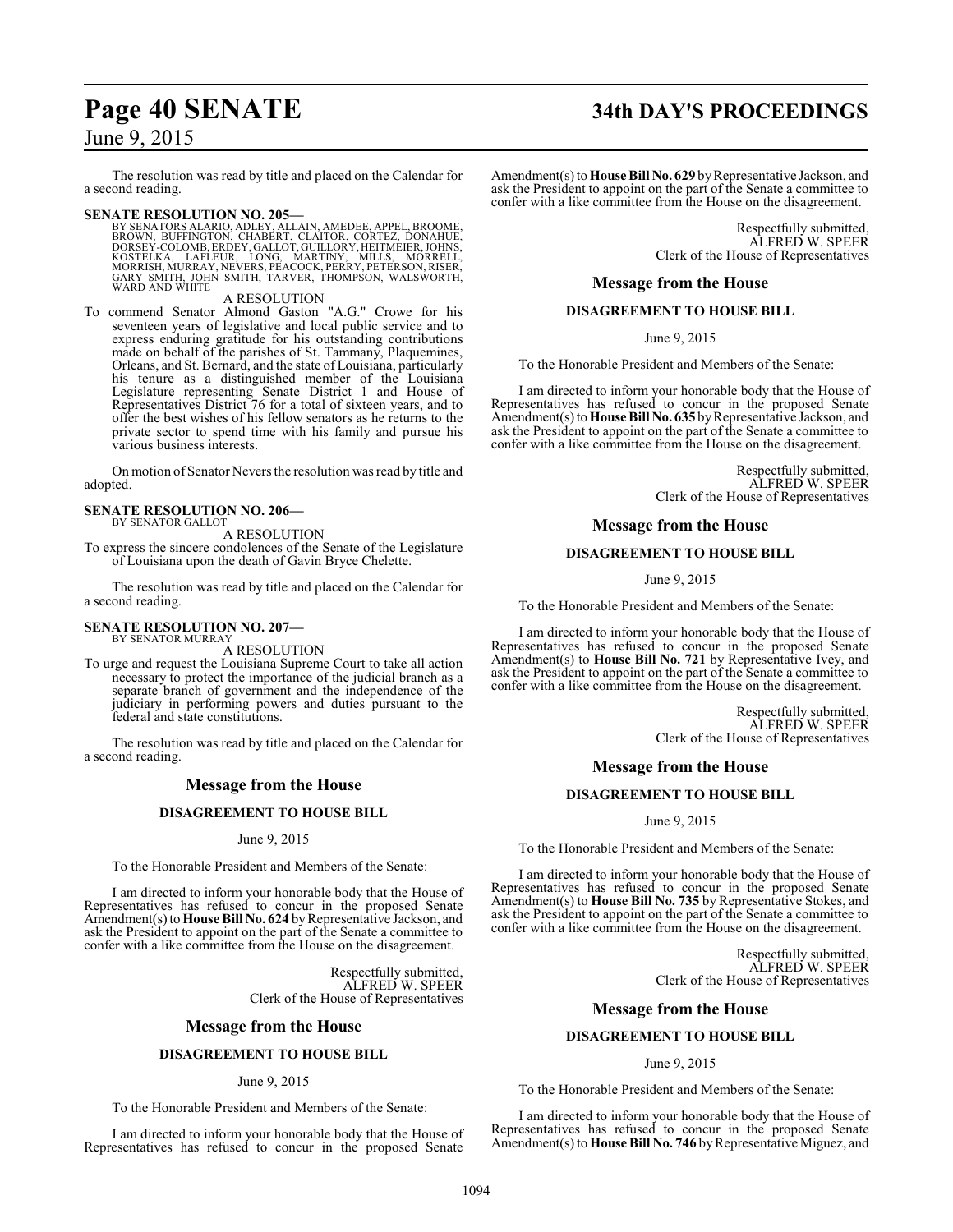The resolution was read by title and placed on the Calendar for a second reading.

**SENATE RESOLUTION NO. 205—**<br>BY SENATORS ALARIO, ADLEY, ALLAIN, AMEDEE, APPEL, BROOME, BROWN, BUFFINGTON, CHABERT, CLAITOR, CORTEZ, DONAHUE,<br>DORSEY-COLOMB, ERDEY, GALLOT, GUILLORY, HEITMEIER, JOHNS,<br>KOSTELKA, LAFLEUR, LONG

#### A RESOLUTION

To commend Senator Almond Gaston "A.G." Crowe for his seventeen years of legislative and local public service and to express enduring gratitude for his outstanding contributions made on behalf of the parishes of St. Tammany, Plaquemines, Orleans, and St. Bernard, and the state of Louisiana, particularly his tenure as a distinguished member of the Louisiana Legislature representing Senate District 1 and House of Representatives District 76 for a total of sixteen years, and to offer the best wishes of his fellow senators as he returns to the private sector to spend time with his family and pursue his various business interests.

On motion of Senator Nevers the resolution was read by title and adopted.

#### **SENATE RESOLUTION NO. 206—** BY SENATOR GALLOT

A RESOLUTION

To express the sincere condolences of the Senate of the Legislature of Louisiana upon the death of Gavin Bryce Chelette.

The resolution was read by title and placed on the Calendar for a second reading.

#### **SENATE RESOLUTION NO. 207—** BY SENATOR MURRAY

A RESOLUTION

To urge and request the Louisiana Supreme Court to take all action necessary to protect the importance of the judicial branch as a separate branch of government and the independence of the judiciary in performing powers and duties pursuant to the federal and state constitutions.

The resolution was read by title and placed on the Calendar for a second reading.

## **Message from the House**

#### **DISAGREEMENT TO HOUSE BILL**

#### June 9, 2015

To the Honorable President and Members of the Senate:

I am directed to inform your honorable body that the House of Representatives has refused to concur in the proposed Senate Amendment(s) to **House Bill No. 624** by Representative Jackson, and ask the President to appoint on the part of the Senate a committee to confer with a like committee from the House on the disagreement.

> Respectfully submitted, ALFRED W. SPEER Clerk of the House of Representatives

#### **Message from the House**

#### **DISAGREEMENT TO HOUSE BILL**

#### June 9, 2015

To the Honorable President and Members of the Senate:

I am directed to inform your honorable body that the House of Representatives has refused to concur in the proposed Senate

# **Page 40 SENATE 34th DAY'S PROCEEDINGS**

Amendment(s) to **House Bill No. 629** by Representative Jackson, and ask the President to appoint on the part of the Senate a committee to confer with a like committee from the House on the disagreement.

> Respectfully submitted, ALFRED W. SPEER Clerk of the House of Representatives

#### **Message from the House**

#### **DISAGREEMENT TO HOUSE BILL**

June 9, 2015

To the Honorable President and Members of the Senate:

I am directed to inform your honorable body that the House of Representatives has refused to concur in the proposed Senate Amendment(s) to **House Bill No. 635** by Representative Jackson, and ask the President to appoint on the part of the Senate a committee to confer with a like committee from the House on the disagreement.

> Respectfully submitted, ALFRED W. SPEER Clerk of the House of Representatives

#### **Message from the House**

#### **DISAGREEMENT TO HOUSE BILL**

June 9, 2015

To the Honorable President and Members of the Senate:

I am directed to inform your honorable body that the House of Representatives has refused to concur in the proposed Senate Amendment(s) to **House Bill No. 721** by Representative Ivey, and ask the President to appoint on the part of the Senate a committee to confer with a like committee from the House on the disagreement.

> Respectfully submitted, ALFRED W. SPEER Clerk of the House of Representatives

#### **Message from the House**

#### **DISAGREEMENT TO HOUSE BILL**

June 9, 2015

To the Honorable President and Members of the Senate:

I am directed to inform your honorable body that the House of Representatives has refused to concur in the proposed Senate Amendment(s) to **House Bill No. 735** by Representative Stokes, and ask the President to appoint on the part of the Senate a committee to confer with a like committee from the House on the disagreement.

> Respectfully submitted, ALFRED W. SPEER Clerk of the House of Representatives

#### **Message from the House**

#### **DISAGREEMENT TO HOUSE BILL**

June 9, 2015

To the Honorable President and Members of the Senate:

I am directed to inform your honorable body that the House of Representatives has refused to concur in the proposed Senate Amendment(s) to **House Bill No. 746** by Representative Miguez, and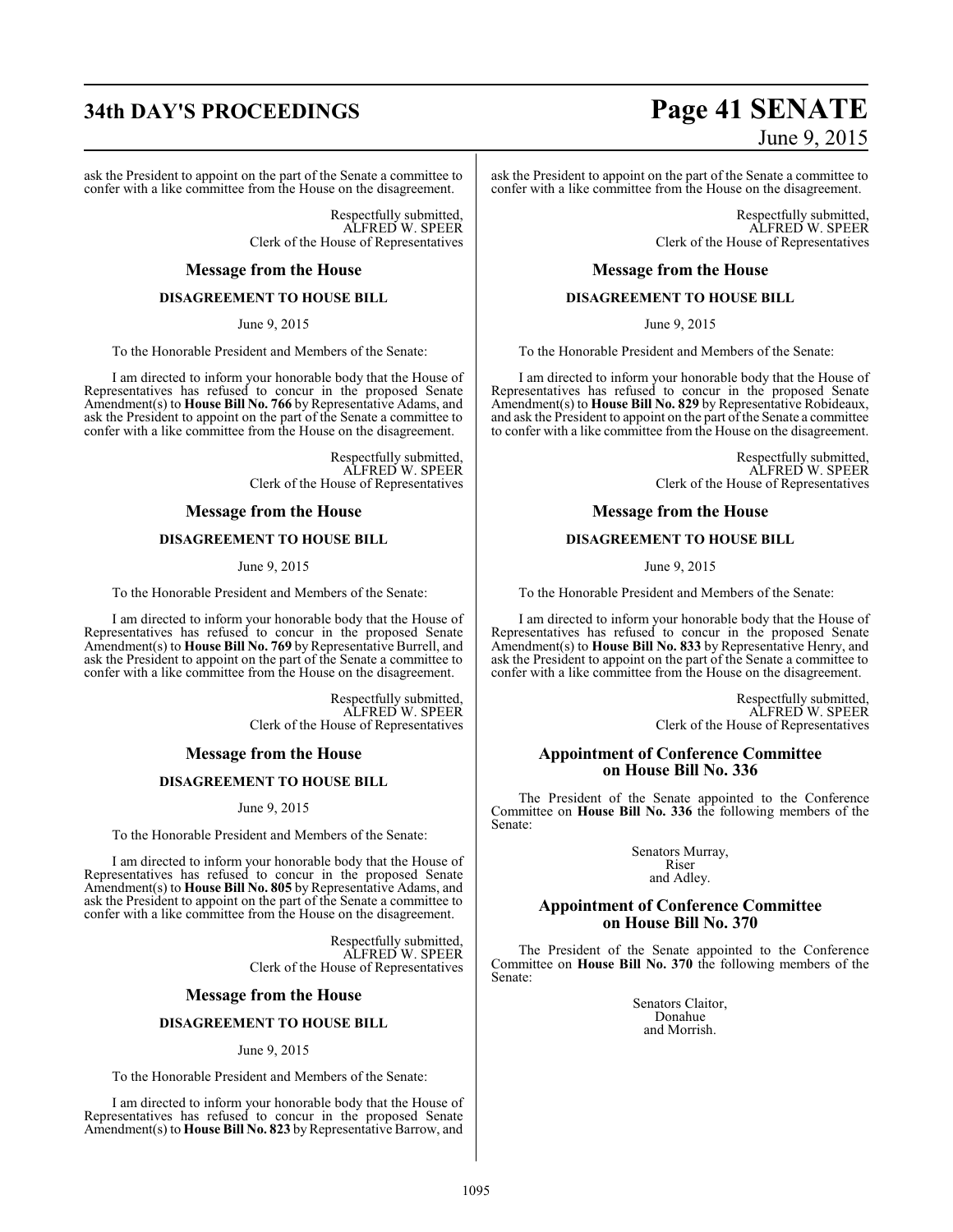ask the President to appoint on the part of the Senate a committee to confer with a like committee from the House on the disagreement.

> Respectfully submitted, ALFRED W. SPEER Clerk of the House of Representatives

#### **Message from the House**

#### **DISAGREEMENT TO HOUSE BILL**

June 9, 2015

To the Honorable President and Members of the Senate:

I am directed to inform your honorable body that the House of Representatives has refused to concur in the proposed Senate Amendment(s) to **House Bill No. 766** by Representative Adams, and ask the President to appoint on the part of the Senate a committee to confer with a like committee from the House on the disagreement.

> Respectfully submitted, ALFRED W. SPEER Clerk of the House of Representatives

#### **Message from the House**

### **DISAGREEMENT TO HOUSE BILL**

June 9, 2015

To the Honorable President and Members of the Senate:

I am directed to inform your honorable body that the House of Representatives has refused to concur in the proposed Senate Amendment(s) to **House Bill No. 769** by Representative Burrell, and ask the President to appoint on the part of the Senate a committee to confer with a like committee from the House on the disagreement.

> Respectfully submitted, ALFRED W. SPEER Clerk of the House of Representatives

#### **Message from the House**

#### **DISAGREEMENT TO HOUSE BILL**

June 9, 2015

To the Honorable President and Members of the Senate:

I am directed to inform your honorable body that the House of Representatives has refused to concur in the proposed Senate Amendment(s) to **House Bill No. 805** by Representative Adams, and ask the President to appoint on the part of the Senate a committee to confer with a like committee from the House on the disagreement.

> Respectfully submitted, ALFRED W. SPEER Clerk of the House of Representatives

#### **Message from the House**

#### **DISAGREEMENT TO HOUSE BILL**

June 9, 2015

To the Honorable President and Members of the Senate:

I am directed to inform your honorable body that the House of Representatives has refused to concur in the proposed Senate Amendment(s) to **House Bill No. 823** by Representative Barrow, and

# **34th DAY'S PROCEEDINGS Page 41 SENATE** June 9, 2015

ask the President to appoint on the part of the Senate a committee to confer with a like committee from the House on the disagreement.

> Respectfully submitted, ALFRED W. SPEER Clerk of the House of Representatives

#### **Message from the House**

#### **DISAGREEMENT TO HOUSE BILL**

June 9, 2015

To the Honorable President and Members of the Senate:

I am directed to inform your honorable body that the House of Representatives has refused to concur in the proposed Senate Amendment(s) to **House Bill No. 829** by Representative Robideaux, and ask the President to appoint on the part of the Senate a committee to confer with a like committee from the House on the disagreement.

> Respectfully submitted, ALFRED W. SPEER Clerk of the House of Representatives

#### **Message from the House**

### **DISAGREEMENT TO HOUSE BILL**

June 9, 2015

To the Honorable President and Members of the Senate:

I am directed to inform your honorable body that the House of Representatives has refused to concur in the proposed Senate Amendment(s) to **House Bill No. 833** by Representative Henry, and ask the President to appoint on the part of the Senate a committee to confer with a like committee from the House on the disagreement.

> Respectfully submitted, ALFRED W. SPEER Clerk of the House of Representatives

#### **Appointment of Conference Committee on House Bill No. 336**

The President of the Senate appointed to the Conference Committee on **House Bill No. 336** the following members of the Senate:

> Senators Murray, Riser and Adley.

#### **Appointment of Conference Committee on House Bill No. 370**

The President of the Senate appointed to the Conference Committee on **House Bill No. 370** the following members of the Senate:

> Senators Claitor, Donahue and Morrish.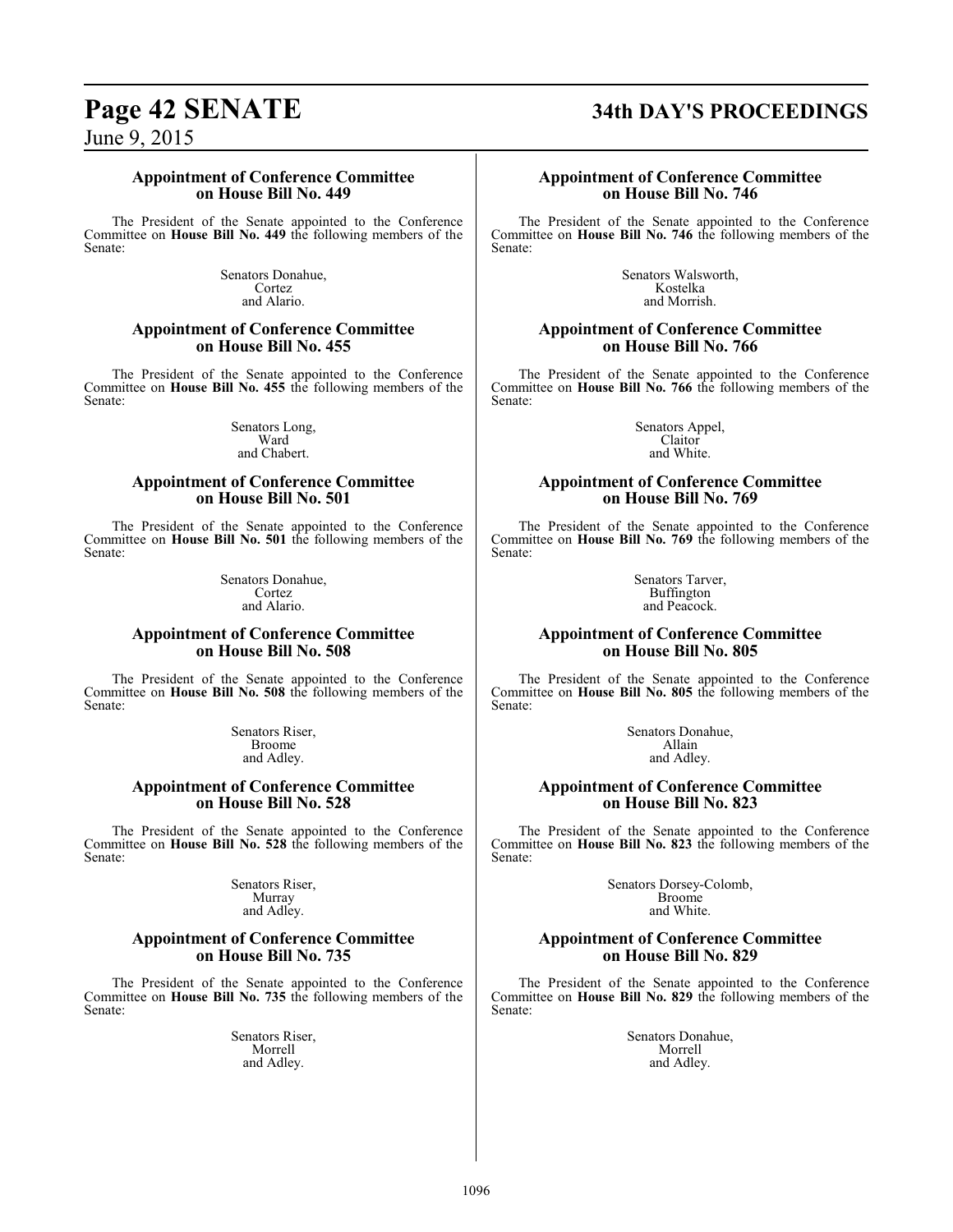#### **Appointment of Conference Committee on House Bill No. 449**

The President of the Senate appointed to the Conference Committee on **House Bill No. 449** the following members of the Senate:

> Senators Donahue, Cortez and Alario.

#### **Appointment of Conference Committee on House Bill No. 455**

The President of the Senate appointed to the Conference Committee on **House Bill No. 455** the following members of the Senate:

> Senators Long, Ward and Chabert.

#### **Appointment of Conference Committee on House Bill No. 501**

The President of the Senate appointed to the Conference Committee on **House Bill No. 501** the following members of the Senate:

> Senators Donahue, Cortez and Alario.

#### **Appointment of Conference Committee on House Bill No. 508**

The President of the Senate appointed to the Conference Committee on **House Bill No. 508** the following members of the Senate:

> Senators Riser, Broome and Adley.

#### **Appointment of Conference Committee on House Bill No. 528**

The President of the Senate appointed to the Conference Committee on **House Bill No. 528** the following members of the Senate:

> Senators Riser, Murray and Adley.

#### **Appointment of Conference Committee on House Bill No. 735**

The President of the Senate appointed to the Conference Committee on **House Bill No. 735** the following members of the Senate:

> Senators Riser, Morrell and Adley.

# **Page 42 SENATE 34th DAY'S PROCEEDINGS**

#### **Appointment of Conference Committee on House Bill No. 746**

The President of the Senate appointed to the Conference Committee on **House Bill No. 746** the following members of the Senate:

> Senators Walsworth, Kostelka and Morrish.

#### **Appointment of Conference Committee on House Bill No. 766**

The President of the Senate appointed to the Conference Committee on **House Bill No. 766** the following members of the Senate:

> Senators Appel, Claitor and White.

#### **Appointment of Conference Committee on House Bill No. 769**

The President of the Senate appointed to the Conference Committee on **House Bill No. 769** the following members of the Senate:

> Senators Tarver, Buffington and Peacock.

### **Appointment of Conference Committee on House Bill No. 805**

The President of the Senate appointed to the Conference Committee on **House Bill No. 805** the following members of the Senate:

> Senators Donahue, Allain and Adley.

#### **Appointment of Conference Committee on House Bill No. 823**

The President of the Senate appointed to the Conference Committee on **House Bill No. 823** the following members of the Senate:

> Senators Dorsey-Colomb, Broome and White.

#### **Appointment of Conference Committee on House Bill No. 829**

The President of the Senate appointed to the Conference Committee on **House Bill No. 829** the following members of the Senate:

> Senators Donahue, Morrell and Adley.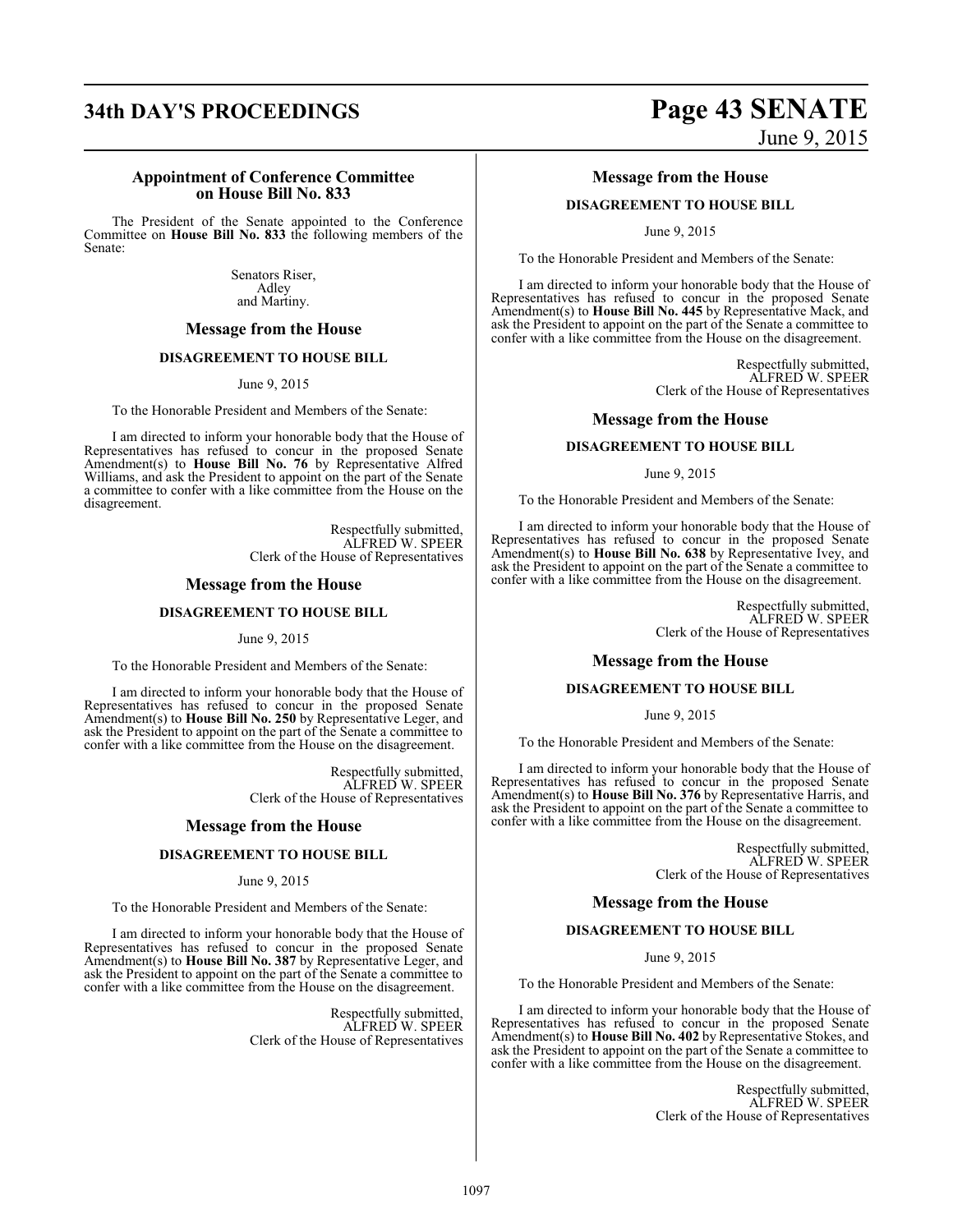#### **Appointment of Conference Committee on House Bill No. 833**

The President of the Senate appointed to the Conference Committee on **House Bill No. 833** the following members of the Senate:

> Senators Riser, Adley and Martiny.

#### **Message from the House**

#### **DISAGREEMENT TO HOUSE BILL**

June 9, 2015

To the Honorable President and Members of the Senate:

I am directed to inform your honorable body that the House of Representatives has refused to concur in the proposed Senate Amendment(s) to **House Bill No. 76** by Representative Alfred Williams, and ask the President to appoint on the part of the Senate a committee to confer with a like committee from the House on the disagreement.

> Respectfully submitted, ALFRED W. SPEER Clerk of the House of Representatives

#### **Message from the House**

#### **DISAGREEMENT TO HOUSE BILL**

June 9, 2015

To the Honorable President and Members of the Senate:

I am directed to inform your honorable body that the House of Representatives has refused to concur in the proposed Senate Amendment(s) to **House Bill No. 250** by Representative Leger, and ask the President to appoint on the part of the Senate a committee to confer with a like committee from the House on the disagreement.

> Respectfully submitted, ALFRED W. SPEER Clerk of the House of Representatives

#### **Message from the House**

#### **DISAGREEMENT TO HOUSE BILL**

#### June 9, 2015

To the Honorable President and Members of the Senate:

I am directed to inform your honorable body that the House of Representatives has refused to concur in the proposed Senate Amendment(s) to **House Bill No. 387** by Representative Leger, and ask the President to appoint on the part of the Senate a committee to confer with a like committee from the House on the disagreement.

> Respectfully submitted, ALFRED W. SPEER Clerk of the House of Representatives

# **34th DAY'S PROCEEDINGS Page 43 SENATE** June 9, 2015

#### **Message from the House**

#### **DISAGREEMENT TO HOUSE BILL**

June 9, 2015

To the Honorable President and Members of the Senate:

I am directed to inform your honorable body that the House of Representatives has refused to concur in the proposed Senate Amendment(s) to **House Bill No. 445** by Representative Mack, and ask the President to appoint on the part of the Senate a committee to confer with a like committee from the House on the disagreement.

> Respectfully submitted, ALFRED W. SPEER Clerk of the House of Representatives

#### **Message from the House**

#### **DISAGREEMENT TO HOUSE BILL**

June 9, 2015

To the Honorable President and Members of the Senate:

I am directed to inform your honorable body that the House of Representatives has refused to concur in the proposed Senate Amendment(s) to **House Bill No. 638** by Representative Ivey, and ask the President to appoint on the part of the Senate a committee to confer with a like committee from the House on the disagreement.

> Respectfully submitted, ALFRED W. SPEER Clerk of the House of Representatives

#### **Message from the House**

#### **DISAGREEMENT TO HOUSE BILL**

#### June 9, 2015

To the Honorable President and Members of the Senate:

I am directed to inform your honorable body that the House of Representatives has refused to concur in the proposed Senate Amendment(s) to **House Bill No. 376** by Representative Harris, and ask the President to appoint on the part of the Senate a committee to confer with a like committee from the House on the disagreement.

> Respectfully submitted, ALFRED W. SPEER Clerk of the House of Representatives

#### **Message from the House**

#### **DISAGREEMENT TO HOUSE BILL**

June 9, 2015

To the Honorable President and Members of the Senate:

I am directed to inform your honorable body that the House of Representatives has refused to concur in the proposed Senate Amendment(s) to **House Bill No. 402** by Representative Stokes, and ask the President to appoint on the part of the Senate a committee to confer with a like committee from the House on the disagreement.

> Respectfully submitted, ALFRED W. SPEER Clerk of the House of Representatives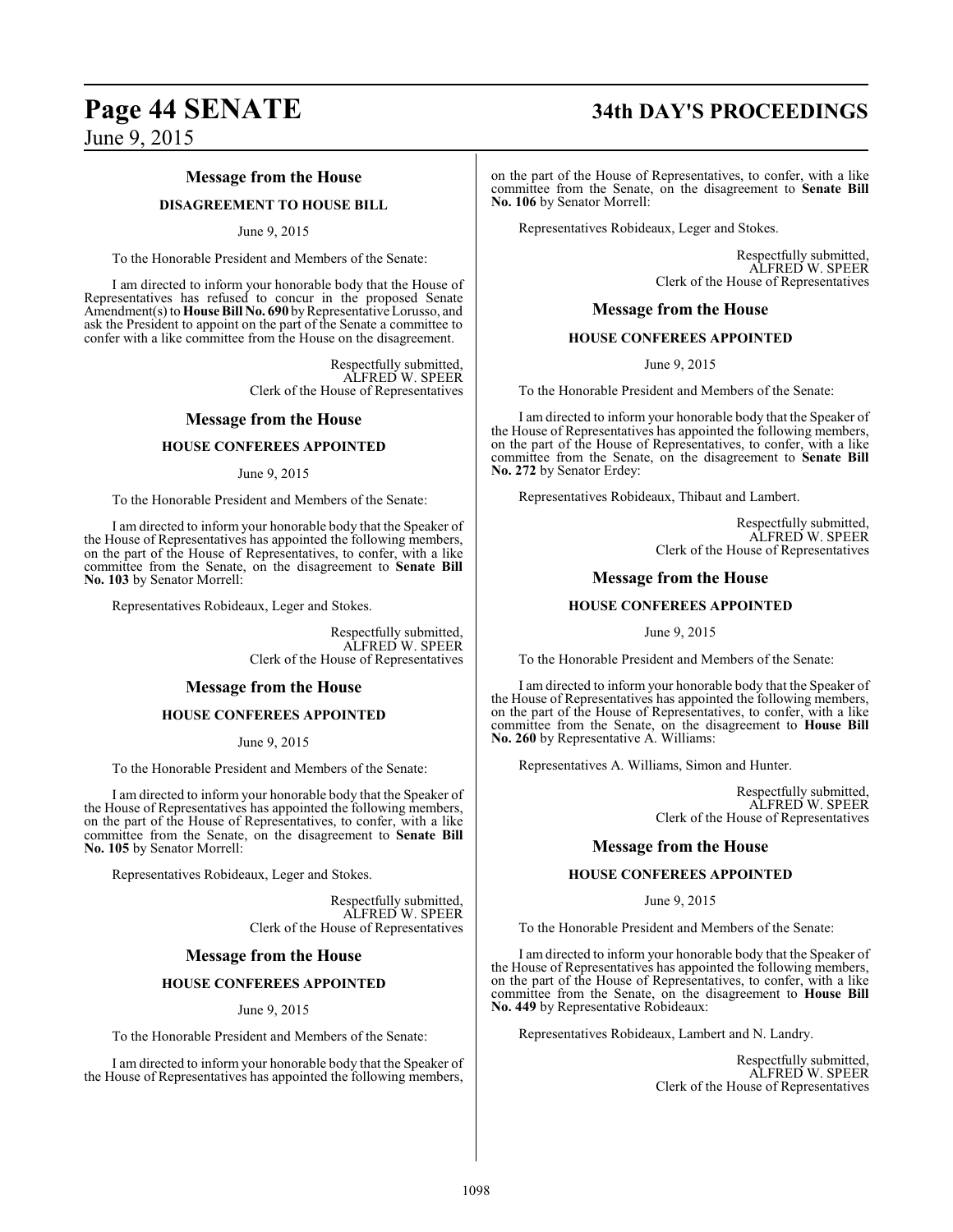# **Page 44 SENATE 34th DAY'S PROCEEDINGS**

June 9, 2015

### **Message from the House**

#### **DISAGREEMENT TO HOUSE BILL**

#### June 9, 2015

To the Honorable President and Members of the Senate:

I am directed to inform your honorable body that the House of Representatives has refused to concur in the proposed Senate Amendment(s) to **House Bill No. 690** by Representative Lorusso, and ask the President to appoint on the part of the Senate a committee to confer with a like committee from the House on the disagreement.

> Respectfully submitted, ALFRED W. SPEER Clerk of the House of Representatives

#### **Message from the House**

#### **HOUSE CONFEREES APPOINTED**

June 9, 2015

To the Honorable President and Members of the Senate:

I am directed to inform your honorable body that the Speaker of the House of Representatives has appointed the following members, on the part of the House of Representatives, to confer, with a like committee from the Senate, on the disagreement to **Senate Bill No. 103** by Senator Morrell:

Representatives Robideaux, Leger and Stokes.

Respectfully submitted, ALFRED W. SPEER Clerk of the House of Representatives

#### **Message from the House**

#### **HOUSE CONFEREES APPOINTED**

June 9, 2015

To the Honorable President and Members of the Senate:

I am directed to inform your honorable body that the Speaker of the House of Representatives has appointed the following members, on the part of the House of Representatives, to confer, with a like committee from the Senate, on the disagreement to **Senate Bill No. 105** by Senator Morrell:

Representatives Robideaux, Leger and Stokes.

Respectfully submitted, ALFRED W. SPEER Clerk of the House of Representatives

#### **Message from the House**

#### **HOUSE CONFEREES APPOINTED**

#### June 9, 2015

To the Honorable President and Members of the Senate:

I am directed to inform your honorable body that the Speaker of the House of Representatives has appointed the following members,

on the part of the House of Representatives, to confer, with a like committee from the Senate, on the disagreement to **Senate Bill No. 106** by Senator Morrell:

Representatives Robideaux, Leger and Stokes.

Respectfully submitted, ALFRED W. SPEER Clerk of the House of Representatives

#### **Message from the House**

#### **HOUSE CONFEREES APPOINTED**

June 9, 2015

To the Honorable President and Members of the Senate:

I am directed to inform your honorable body that the Speaker of the House of Representatives has appointed the following members, on the part of the House of Representatives, to confer, with a like committee from the Senate, on the disagreement to **Senate Bill No. 272** by Senator Erdey:

Representatives Robideaux, Thibaut and Lambert.

Respectfully submitted, ALFRED W. SPEER Clerk of the House of Representatives

#### **Message from the House**

#### **HOUSE CONFEREES APPOINTED**

June 9, 2015

To the Honorable President and Members of the Senate:

I am directed to inform your honorable body that the Speaker of the House of Representatives has appointed the following members, on the part of the House of Representatives, to confer, with a like committee from the Senate, on the disagreement to **House Bill No. 260** by Representative A. Williams:

Representatives A. Williams, Simon and Hunter.

Respectfully submitted, ALFRED W. SPEER Clerk of the House of Representatives

#### **Message from the House**

#### **HOUSE CONFEREES APPOINTED**

June 9, 2015

To the Honorable President and Members of the Senate:

I am directed to inform your honorable body that the Speaker of the House of Representatives has appointed the following members, on the part of the House of Representatives, to confer, with a like committee from the Senate, on the disagreement to **House Bill No. 449** by Representative Robideaux:

Representatives Robideaux, Lambert and N. Landry.

Respectfully submitted, ALFRED W. SPEER Clerk of the House of Representatives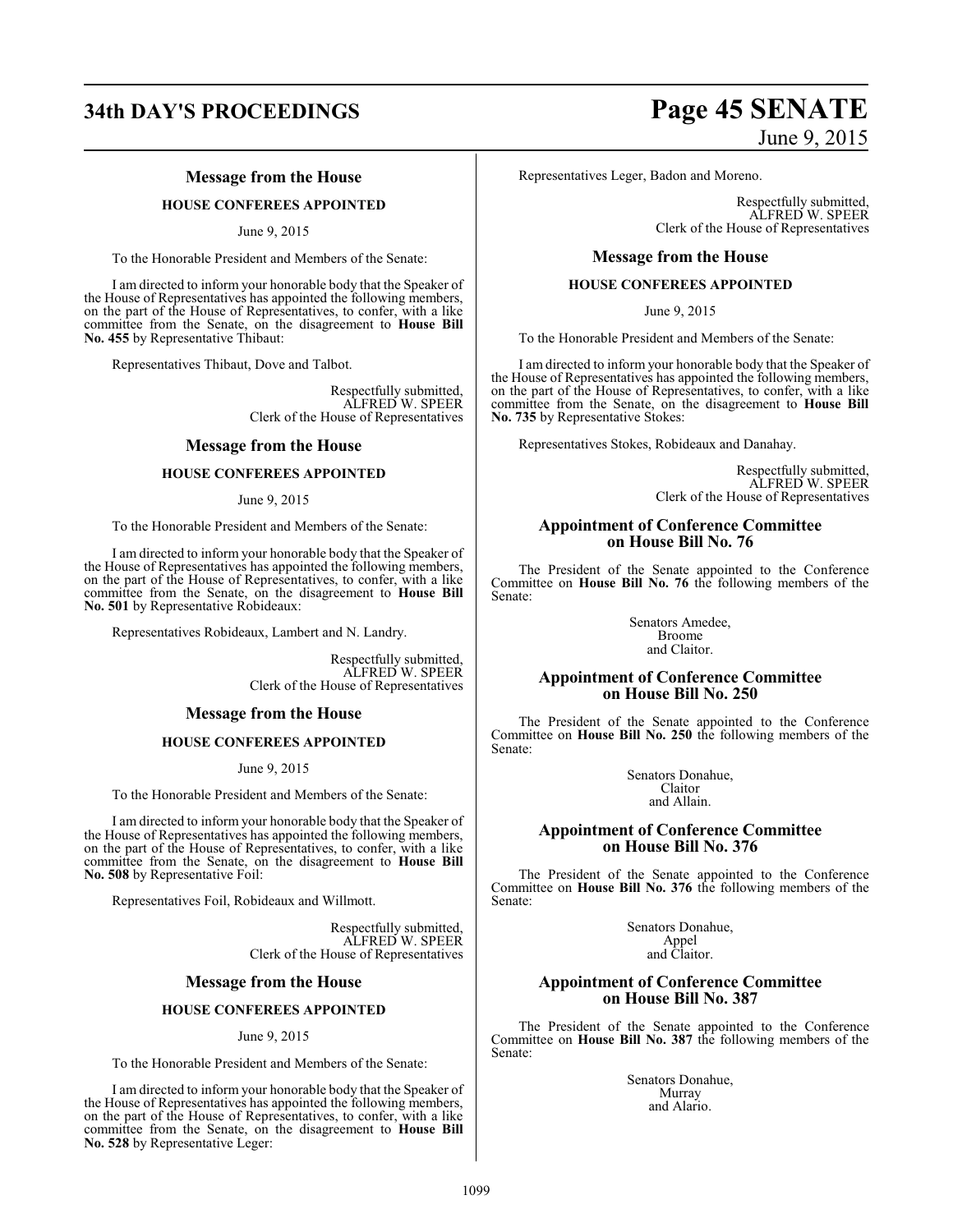# **34th DAY'S PROCEEDINGS Page 45 SENATE**

#### **Message from the House**

#### **HOUSE CONFEREES APPOINTED**

June 9, 2015

To the Honorable President and Members of the Senate:

I am directed to inform your honorable body that the Speaker of the House of Representatives has appointed the following members, on the part of the House of Representatives, to confer, with a like committee from the Senate, on the disagreement to **House Bill No. 455** by Representative Thibaut:

Representatives Thibaut, Dove and Talbot.

Respectfully submitted, ALFRED W. SPEER Clerk of the House of Representatives

#### **Message from the House**

#### **HOUSE CONFEREES APPOINTED**

#### June 9, 2015

To the Honorable President and Members of the Senate:

I am directed to inform your honorable body that the Speaker of the House of Representatives has appointed the following members, on the part of the House of Representatives, to confer, with a like committee from the Senate, on the disagreement to **House Bill No. 501** by Representative Robideaux:

Representatives Robideaux, Lambert and N. Landry.

Respectfully submitted, ALFRED W. SPEER Clerk of the House of Representatives

#### **Message from the House**

#### **HOUSE CONFEREES APPOINTED**

June 9, 2015

To the Honorable President and Members of the Senate:

I am directed to inform your honorable body that the Speaker of the House of Representatives has appointed the following members, on the part of the House of Representatives, to confer, with a like committee from the Senate, on the disagreement to **House Bill No. 508** by Representative Foil:

Representatives Foil, Robideaux and Willmott.

Respectfully submitted, ALFRED W. SPEER Clerk of the House of Representatives

#### **Message from the House**

#### **HOUSE CONFEREES APPOINTED**

#### June 9, 2015

To the Honorable President and Members of the Senate:

I am directed to inform your honorable body that the Speaker of the House of Representatives has appointed the following members, on the part of the House of Representatives, to confer, with a like committee from the Senate, on the disagreement to **House Bill No. 528** by Representative Leger:

June 9, 2015

Representatives Leger, Badon and Moreno.

Respectfully submitted, ALFRED W. SPEER Clerk of the House of Representatives

#### **Message from the House**

#### **HOUSE CONFEREES APPOINTED**

June 9, 2015

To the Honorable President and Members of the Senate:

I am directed to inform your honorable body that the Speaker of the House of Representatives has appointed the following members, on the part of the House of Representatives, to confer, with a like committee from the Senate, on the disagreement to **House Bill No. 735** by Representative Stokes:

Representatives Stokes, Robideaux and Danahay.

Respectfully submitted, ALFRED W. SPEER Clerk of the House of Representatives

#### **Appointment of Conference Committee on House Bill No. 76**

The President of the Senate appointed to the Conference Committee on **House Bill No. 76** the following members of the Senate:

> Senators Amedee, Broome and Claitor.

#### **Appointment of Conference Committee on House Bill No. 250**

The President of the Senate appointed to the Conference Committee on **House Bill No. 250** the following members of the Senate:

> Senators Donahue, Claitor and Allain.

### **Appointment of Conference Committee on House Bill No. 376**

The President of the Senate appointed to the Conference Committee on **House Bill No. 376** the following members of the Senate:

> Senators Donahue, Appel and Claitor.

#### **Appointment of Conference Committee on House Bill No. 387**

The President of the Senate appointed to the Conference Committee on **House Bill No. 387** the following members of the Senate:

> Senators Donahue, Murray and Alario.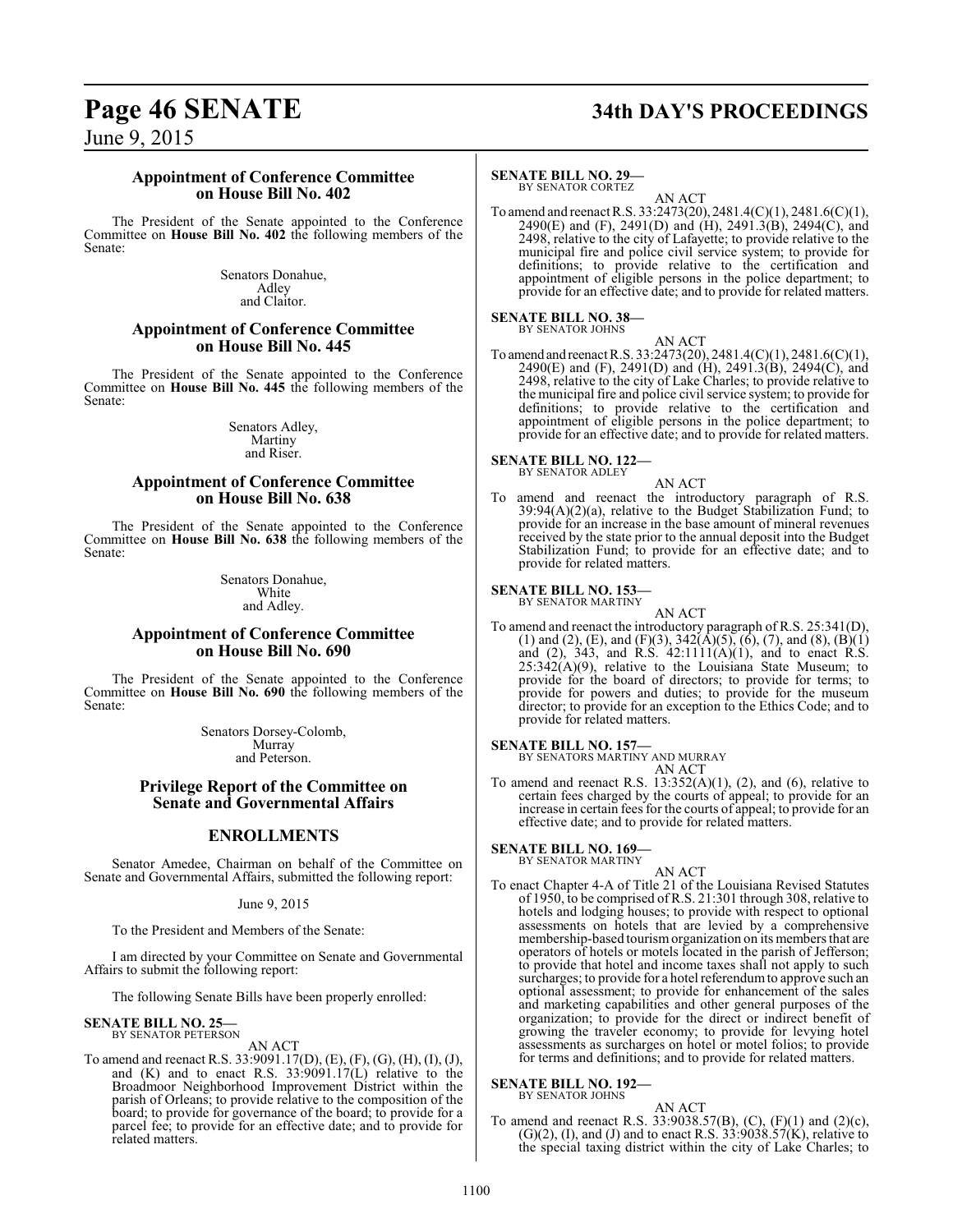# **Page 46 SENATE 34th DAY'S PROCEEDINGS**

June 9, 2015

#### **Appointment of Conference Committee on House Bill No. 402**

The President of the Senate appointed to the Conference Committee on **House Bill No. 402** the following members of the Senate:

> Senators Donahue, Adley and Claitor.

#### **Appointment of Conference Committee on House Bill No. 445**

The President of the Senate appointed to the Conference Committee on **House Bill No. 445** the following members of the Senate:

> Senators Adley, Martiny and Riser.

#### **Appointment of Conference Committee on House Bill No. 638**

The President of the Senate appointed to the Conference Committee on **House Bill No. 638** the following members of the Senate:

> Senators Donahue, White and Adley.

#### **Appointment of Conference Committee on House Bill No. 690**

The President of the Senate appointed to the Conference Committee on **House Bill No. 690** the following members of the Senate:

> Senators Dorsey-Colomb, Murray and Peterson.

#### **Privilege Report of the Committee on Senate and Governmental Affairs**

#### **ENROLLMENTS**

Senator Amedee, Chairman on behalf of the Committee on Senate and Governmental Affairs, submitted the following report:

June 9, 2015

To the President and Members of the Senate:

I am directed by your Committee on Senate and Governmental Affairs to submit the following report:

The following Senate Bills have been properly enrolled:

#### **SENATE BILL NO. 25—**

BY SENATOR PETERSON AN ACT

To amend and reenact R.S. 33:9091.17(D), (E), (F), (G), (H), (I), (J), and (K) and to enact R.S. 33:9091.17(L) relative to the Broadmoor Neighborhood Improvement District within the parish of Orleans; to provide relative to the composition of the board; to provide for governance of the board; to provide for a parcel fee; to provide for an effective date; and to provide for related matters.

### **SENATE BILL NO. 29—**

BY SENATOR CORTEZ

AN ACT To amend and reenact R.S. 33:2473(20), 2481.4(C)(1), 2481.6(C)(1), 2490(E) and (F), 2491(D) and (H), 2491.3(B), 2494(C), and 2498, relative to the city of Lafayette; to provide relative to the municipal fire and police civil service system; to provide for definitions; to provide relative to the certification and appointment of eligible persons in the police department; to provide for an effective date; and to provide for related matters.

#### **SENATE BILL NO. 38—** BY SENATOR JOHNS

AN ACT To amend and reenact R.S. 33:2473(20), 2481.4(C)(1), 2481.6(C)(1), 2490(E) and (F), 2491(D) and (H), 2491.3(B), 2494(C), and 2498, relative to the city of Lake Charles; to provide relative to the municipal fire and police civil service system; to provide for definitions; to provide relative to the certification and appointment of eligible persons in the police department; to provide for an effective date; and to provide for related matters.

# **SENATE BILL NO. 122—** BY SENATOR ADLEY

AN ACT

To amend and reenact the introductory paragraph of R.S. 39:94(A)(2)(a), relative to the Budget Stabilization Fund; to provide for an increase in the base amount of mineral revenues received by the state prior to the annual deposit into the Budget Stabilization Fund; to provide for an effective date; and to provide for related matters.

### **SENATE BILL NO. 153**

BY SENATOR MARTINY

AN ACT To amend and reenact the introductory paragraph of R.S. 25:341(D), (1) and (2), (E), and (F)(3),  $342(\text{\AA})(5)$ , (6), (7), and (8), (B)(1) and  $(2)$ , 343, and R.S. 42:1111 $(A)(1)$ , and to enact R.S. 25:342(A)(9), relative to the Louisiana State Museum; to provide for the board of directors; to provide for terms; to provide for powers and duties; to provide for the museum director; to provide for an exception to the Ethics Code; and to provide for related matters.

**SENATE BILL NO. 157—**

BY SENATORS MARTINY AND MURRAY AN ACT

To amend and reenact R.S.  $13:352(A)(1)$ ,  $(2)$ , and  $(6)$ , relative to certain fees charged by the courts of appeal; to provide for an increase in certain fees for the courts of appeal; to provide for an effective date; and to provide for related matters.

**SENATE BILL NO. 169—** BY SENATOR MARTINY

AN ACT

To enact Chapter 4-A of Title 21 of the Louisiana Revised Statutes of 1950, to be comprised ofR.S. 21:301 through 308, relative to hotels and lodging houses; to provide with respect to optional assessments on hotels that are levied by a comprehensive membership-based tourismorganization on its members that are operators of hotels or motels located in the parish of Jefferson; to provide that hotel and income taxes shall not apply to such surcharges; to provide for a hotel referendum to approve such an optional assessment; to provide for enhancement of the sales and marketing capabilities and other general purposes of the organization; to provide for the direct or indirect benefit of growing the traveler economy; to provide for levying hotel assessments as surcharges on hotel or motel folios; to provide for terms and definitions; and to provide for related matters.

#### **SENATE BILL NO. 192—** BY SENATOR JOHNS

## AN ACT

To amend and reenact R.S. 33:9038.57(B), (C), (F)(1) and (2)(c),  $(G)(2)$ , (I), and (J) and to enact R.S. 33:9038.57 $(K)$ , relative to the special taxing district within the city of Lake Charles; to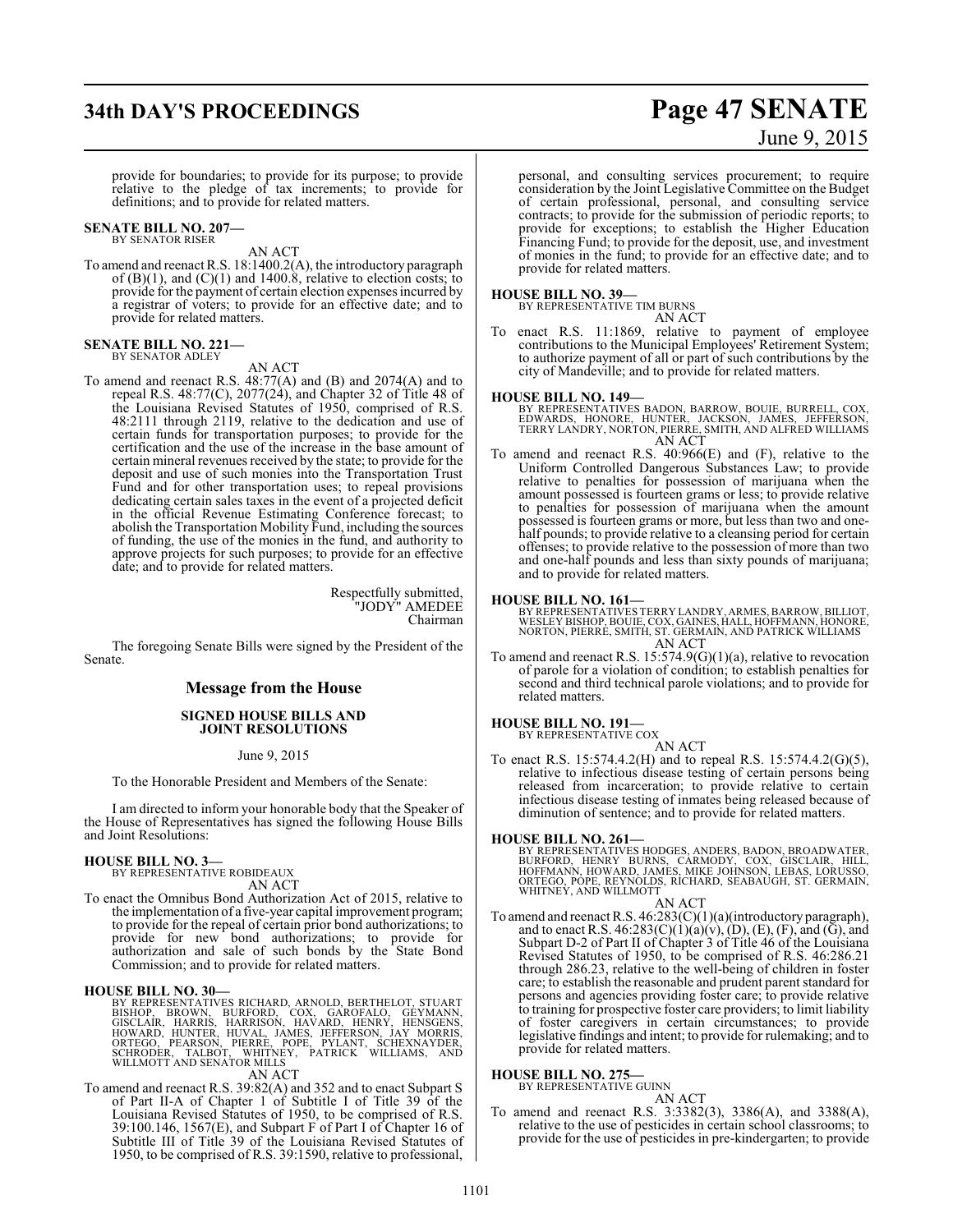# **34th DAY'S PROCEEDINGS Page 47 SENATE**

# June 9, 2015

provide for boundaries; to provide for its purpose; to provide relative to the pledge of tax increments; to provide for definitions; and to provide for related matters.

#### **SENATE BILL NO. 207—** BY SENATOR RISER

AN ACT

To amend and reenact R.S. 18:1400.2(A), the introductory paragraph of  $(B)(1)$ , and  $(C)(1)$  and 1400.8, relative to election costs; to provide for the payment of certain election expenses incurred by a registrar of voters; to provide for an effective date; and to provide for related matters.

#### **SENATE BILL NO. 221—** BY SENATOR ADLEY

#### AN ACT

To amend and reenact R.S. 48:77(A) and (B) and 2074(A) and to repeal R.S. 48:77(C), 2077(24), and Chapter 32 of Title 48 of the Louisiana Revised Statutes of 1950, comprised of R.S. 48:2111 through 2119, relative to the dedication and use of certain funds for transportation purposes; to provide for the certification and the use of the increase in the base amount of certain mineral revenues received by the state; to provide for the deposit and use of such monies into the Transportation Trust Fund and for other transportation uses; to repeal provisions dedicating certain sales taxes in the event of a projected deficit in the official Revenue Estimating Conference forecast; to abolish the Transportation Mobility Fund, including the sources of funding, the use of the monies in the fund, and authority to approve projects for such purposes; to provide for an effective date; and to provide for related matters.

> Respectfully submitted, "JODY" AMEDEE Chairman

The foregoing Senate Bills were signed by the President of the Senate.

#### **Message from the House**

#### **SIGNED HOUSE BILLS AND JOINT RESOLUTIONS**

#### June 9, 2015

To the Honorable President and Members of the Senate:

I am directed to inform your honorable body that the Speaker of the House of Representatives has signed the following House Bills and Joint Resolutions:

# **HOUSE BILL NO. 3—** BY REPRESENTATIVE ROBIDEAUX

AN ACT

To enact the Omnibus Bond Authorization Act of 2015, relative to the implementation of a five-year capital improvement program; to provide for the repeal of certain prior bond authorizations; to provide for new bond authorizations; to provide for authorization and sale of such bonds by the State Bond Commission; and to provide for related matters.

#### **HOUSE BILL NO. 30—**

BY REPRESENTATIVES RICHARD, ARNOLD, BERTHELOT, STUART<br>BISHOP, BROWN, BURFORD, COX, GAROFALO, GEYMANN,<br>GISCLAIR, HARRIS, HARRISON, HAVARD, HENRY, HENSGENS,<br>HOWARD, HUNTER, HUVAL, JAMES, JEFFERSON, JAY MORRIS,<br>ORTEGO, PEARSO

#### AN ACT

To amend and reenact R.S. 39:82(A) and 352 and to enact Subpart S of Part II-A of Chapter 1 of Subtitle I of Title 39 of the Louisiana Revised Statutes of 1950, to be comprised of R.S. 39:100.146, 1567(E), and Subpart F of Part I of Chapter 16 of Subtitle III of Title 39 of the Louisiana Revised Statutes of 1950, to be comprised of R.S. 39:1590, relative to professional,

personal, and consulting services procurement; to require consideration by the Joint Legislative Committee on the Budget of certain professional, personal, and consulting service contracts; to provide for the submission of periodic reports; to provide for exceptions; to establish the Higher Education Financing Fund; to provide for the deposit, use, and investment of monies in the fund; to provide for an effective date; and to provide for related matters.

#### **HOUSE BILL NO. 39—**

BY REPRESENTATIVE TIM BURNS AN ACT

To enact R.S. 11:1869, relative to payment of employee contributions to the Municipal Employees' Retirement System; to authorize payment of all or part of such contributions by the city of Mandeville; and to provide for related matters.

#### **HOUSE BILL NO. 149—**

- BY REPRESENTATIVES BADON, BARROW, BOUIE, BURRELL, COX,<br>EDWARDS, HONORE, HUNTER, JACKSON, JAMES, JEFFERSON,<br>TERRY LANDRY, NORTON, PIERRE, SMITH, AND ALFRED WILLIAMS AN ACT
- To amend and reenact R.S. 40:966(E) and (F), relative to the Uniform Controlled Dangerous Substances Law; to provide relative to penalties for possession of marijuana when the amount possessed is fourteen grams or less; to provide relative to penalties for possession of marijuana when the amount possessed is fourteen grams or more, but less than two and onehalf pounds; to provide relative to a cleansing period for certain offenses; to provide relative to the possession of more than two and one-half pounds and less than sixty pounds of marijuana; and to provide for related matters.

#### **HOUSE BILL NO. 161—**

BY REPRESENTATIVES TERRY LANDRY, ARMES, BARROW, BILLIOT,<br>WESLEY BISHOP, BOUIE, COX, GAINES, HALL, HOFFMANN, HONORE,<br>NORTON, PIERRE, SMITH, ST. GERMAIN, AND PATRICK WILLIAMS AN ACT

To amend and reenact R.S. 15:574.9(G)(1)(a), relative to revocation of parole for a violation of condition; to establish penalties for second and third technical parole violations; and to provide for related matters.

#### **HOUSE BILL NO. 191—**

BY REPRESENTATIVE COX

AN ACT To enact R.S. 15:574.4.2(H) and to repeal R.S. 15:574.4.2(G)(5), relative to infectious disease testing of certain persons being released from incarceration; to provide relative to certain infectious disease testing of inmates being released because of diminution of sentence; and to provide for related matters.

#### **HOUSE BILL NO. 261—**

BY REPRESENTATIVES HODGES, ANDERS, BADON, BROADWATER,<br>BURFORD, HENRY BURNS, CARMODY, COX, GISCLAIR, HILL,<br>HOFFMANN, HOWARD, JAMES, MIKE JOHNSON, LEBAS, LORUSSO,<br>ORTEGO, PÓPE, REYNOLDS, RICHARD, SEABAUGH, ST. GERMAIN,<br>WHITN

#### AN ACT

To amend and reenact R.S. 46:283(C)(1)(a)(introductory paragraph), and to enact R.S.  $46:283(C)(1)(a)(v)$ , (D), (E), (F), and (G), and Subpart D-2 of Part II of Chapter 3 of Title 46 of the Louisiana Revised Statutes of 1950, to be comprised of R.S. 46:286.21 through 286.23, relative to the well-being of children in foster care; to establish the reasonable and prudent parent standard for persons and agencies providing foster care; to provide relative to training for prospective foster care providers; to limit liability of foster caregivers in certain circumstances; to provide legislative findings and intent; to provide for rulemaking; and to provide for related matters.

#### **HOUSE BILL NO. 275—**

BY REPRESENTATIVE GUINN

AN ACT To amend and reenact R.S. 3:3382(3), 3386(A), and 3388(A), relative to the use of pesticides in certain school classrooms; to provide for the use of pesticides in pre-kindergarten; to provide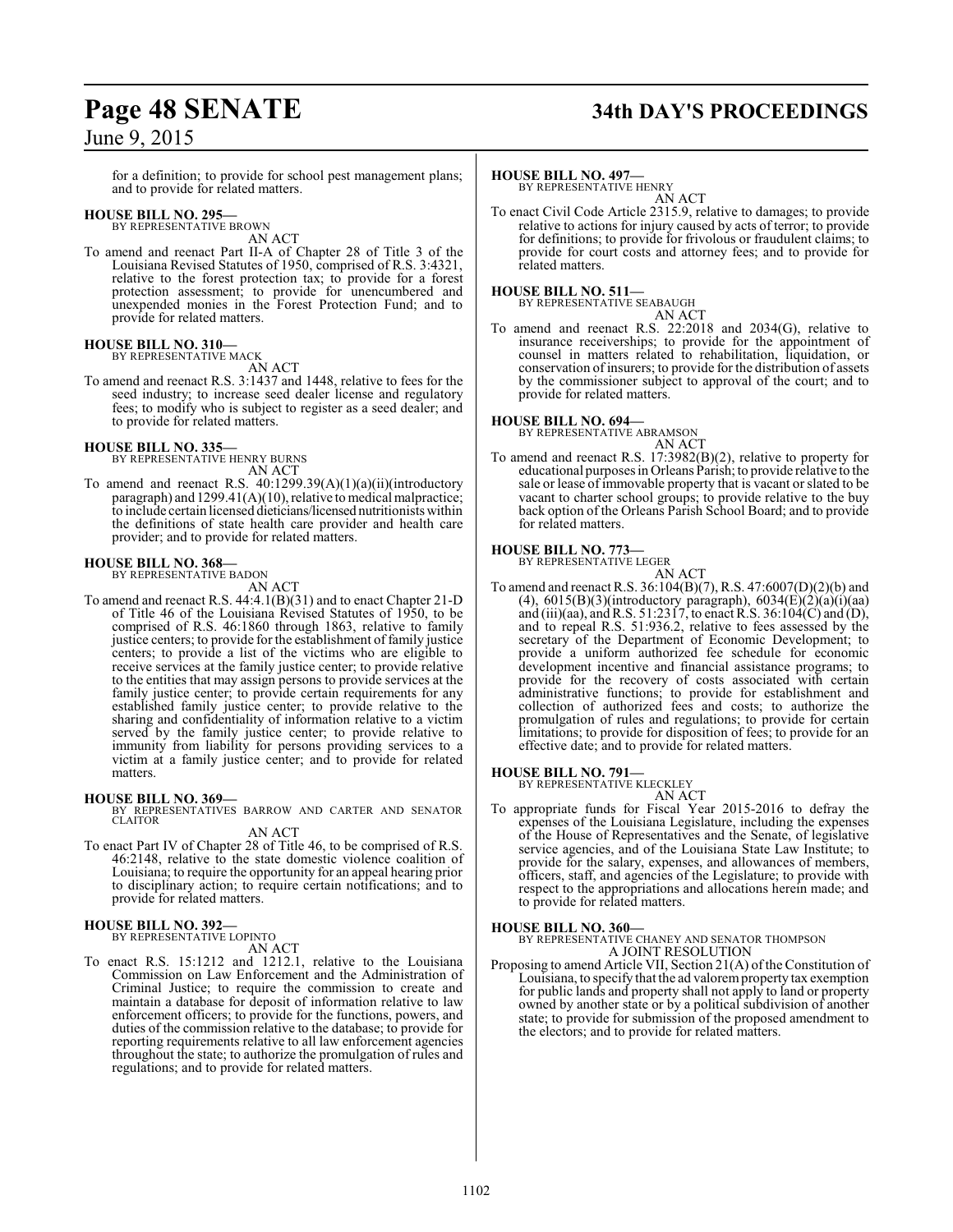for a definition; to provide for school pest management plans; and to provide for related matters.

#### **HOUSE BILL NO. 295—**

BY REPRESENTATIVE BROWN AN ACT

To amend and reenact Part II-A of Chapter 28 of Title 3 of the Louisiana Revised Statutes of 1950, comprised of R.S. 3:4321, relative to the forest protection tax; to provide for a forest protection assessment; to provide for unencumbered and unexpended monies in the Forest Protection Fund; and to provide for related matters.

#### **HOUSE BILL NO. 310—** BY REPRESENTATIVE MACK

AN ACT

To amend and reenact R.S. 3:1437 and 1448, relative to fees for the seed industry; to increase seed dealer license and regulatory fees; to modify who is subject to register as a seed dealer; and to provide for related matters.

#### **HOUSE BILL NO. 335—**

BY REPRESENTATIVE HENRY BURNS AN ACT

To amend and reenact R.S. 40:1299.39(A)(1)(a)(ii)(introductory paragraph) and  $1299.41(A)(10)$ , relative to medical malpractice; to include certain licensed dieticians/licensed nutritionists within the definitions of state health care provider and health care provider; and to provide for related matters.

#### **HOUSE BILL NO. 368—**

BY REPRESENTATIVE BADON AN ACT

To amend and reenact R.S. 44:4.1(B)(31) and to enact Chapter 21-D of Title 46 of the Louisiana Revised Statutes of 1950, to be comprised of R.S. 46:1860 through 1863, relative to family justice centers; to provide for the establishment of family justice centers; to provide a list of the victims who are eligible to receive services at the family justice center; to provide relative to the entities that may assign persons to provide services at the family justice center; to provide certain requirements for any established family justice center; to provide relative to the sharing and confidentiality of information relative to a victim served by the family justice center; to provide relative to immunity from liability for persons providing services to a victim at a family justice center; and to provide for related matters.

#### **HOUSE BILL NO. 369—**

BY REPRESENTATIVES BARROW AND CARTER AND SENATOR CLAITOR AN ACT

- 
- To enact Part IV of Chapter 28 of Title 46, to be comprised of R.S. 46:2148, relative to the state domestic violence coalition of Louisiana; to require the opportunity for an appeal hearing prior to disciplinary action; to require certain notifications; and to provide for related matters.

#### **HOUSE BILL NO. 392—** BY REPRESENTATIVE LOPINTO

AN ACT

To enact R.S. 15:1212 and 1212.1, relative to the Louisiana Commission on Law Enforcement and the Administration of Criminal Justice; to require the commission to create and maintain a database for deposit of information relative to law enforcement officers; to provide for the functions, powers, and duties of the commission relative to the database; to provide for reporting requirements relative to all law enforcement agencies throughout the state; to authorize the promulgation of rules and regulations; and to provide for related matters.

# **Page 48 SENATE 34th DAY'S PROCEEDINGS**

#### **HOUSE BILL NO. 497—**

BY REPRESENTATIVE HENRY AN ACT

To enact Civil Code Article 2315.9, relative to damages; to provide relative to actions for injury caused by acts of terror; to provide for definitions; to provide for frivolous or fraudulent claims; to provide for court costs and attorney fees; and to provide for related matters.

#### **HOUSE BILL NO. 511—**

BY REPRESENTATIVE SEABAUGH AN ACT

To amend and reenact R.S. 22:2018 and 2034(G), relative to insurance receiverships; to provide for the appointment of counsel in matters related to rehabilitation, liquidation, or conservation of insurers; to provide for the distribution of assets by the commissioner subject to approval of the court; and to provide for related matters.

#### **HOUSE BILL NO. 694—**

BY REPRESENTATIVE ABRAMSON

AN ACT To amend and reenact R.S. 17:3982(B)(2), relative to property for educational purposes in Orleans Parish; to provide relative to the sale or lease of immovable property that is vacant or slated to be vacant to charter school groups; to provide relative to the buy back option of the Orleans Parish School Board; and to provide for related matters.

#### **HOUSE BILL NO. 773—** BY REPRESENTATIVE LEGER



To amend and reenact R.S. 36:104(B)(7), R.S. 47:6007(D)(2)(b) and (4),  $6015(B)(3)$ (introductory paragraph),  $6034(E)(2)(a)(i)(aa)$ and (iii)(aa), and R.S. 51:2317, to enact R.S. 36:104(C) and (D), and to repeal R.S. 51:936.2, relative to fees assessed by the secretary of the Department of Economic Development; to provide a uniform authorized fee schedule for economic development incentive and financial assistance programs; to provide for the recovery of costs associated with certain administrative functions; to provide for establishment and collection of authorized fees and costs; to authorize the promulgation of rules and regulations; to provide for certain limitations; to provide for disposition of fees; to provide for an effective date; and to provide for related matters.

#### **HOUSE BILL NO. 791—**

BY REPRESENTATIVE KLECKLEY

- AN ACT
- To appropriate funds for Fiscal Year 2015-2016 to defray the expenses of the Louisiana Legislature, including the expenses of the House of Representatives and the Senate, of legislative service agencies, and of the Louisiana State Law Institute; to provide for the salary, expenses, and allowances of members, officers, staff, and agencies of the Legislature; to provide with respect to the appropriations and allocations herein made; and to provide for related matters.

#### **HOUSE BILL NO. 360—**

BY REPRESENTATIVE CHANEY AND SENATOR THOMPSON A JOINT RESOLUTION

Proposing to amend Article VII, Section 21(A) of the Constitution of Louisiana, to specify that the ad valoremproperty tax exemption for public lands and property shall not apply to land or property owned by another state or by a political subdivision of another state; to provide for submission of the proposed amendment to the electors; and to provide for related matters.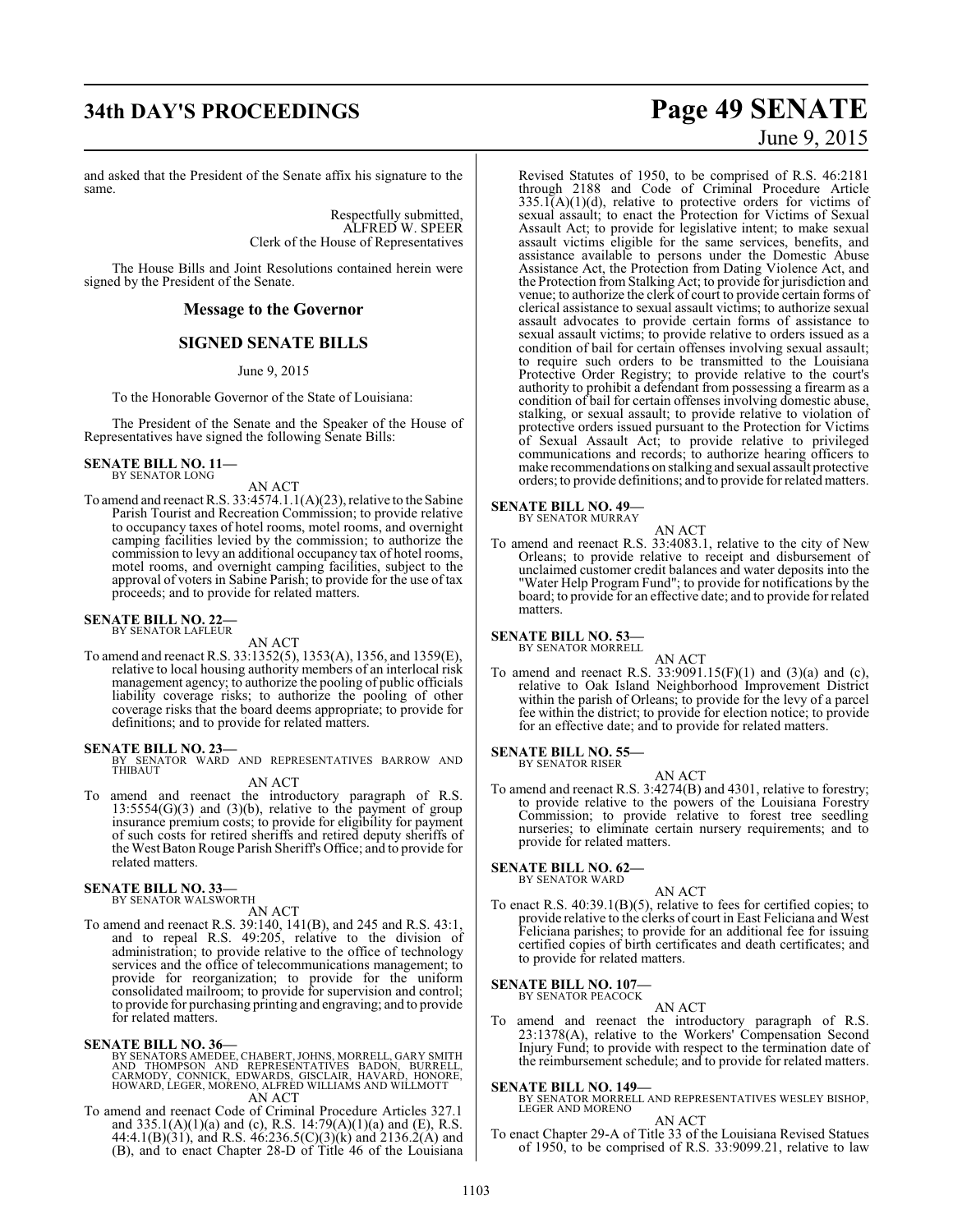and asked that the President of the Senate affix his signature to the same.

> Respectfully submitted, ALFRED W. SPEER Clerk of the House of Representatives

The House Bills and Joint Resolutions contained herein were signed by the President of the Senate.

#### **Message to the Governor**

## **SIGNED SENATE BILLS**

#### June 9, 2015

To the Honorable Governor of the State of Louisiana:

The President of the Senate and the Speaker of the House of Representatives have signed the following Senate Bills:

**SENATE BILL NO. 11—** BY SENATOR LONG

AN ACT

To amend and reenact R.S. 33:4574.1.1(A)(23), relative to the Sabine Parish Tourist and Recreation Commission; to provide relative to occupancy taxes of hotel rooms, motel rooms, and overnight camping facilities levied by the commission; to authorize the commission to levy an additional occupancy tax of hotel rooms, motel rooms, and overnight camping facilities, subject to the approval of voters in Sabine Parish; to provide for the use of tax proceeds; and to provide for related matters.

#### **SENATE BILL NO. 22—** BY SENATOR LAFLEUR

AN ACT

To amend and reenact R.S. 33:1352(5), 1353(A), 1356, and 1359(E), relative to local housing authority members of an interlocal risk management agency; to authorize the pooling of public officials liability coverage risks; to authorize the pooling of other coverage risks that the board deems appropriate; to provide for definitions; and to provide for related matters.

**SENATE BILL NO. 23—** BY SENATOR WARD AND REPRESENTATIVES BARROW AND THIBAUT

#### AN ACT

To amend and reenact the introductory paragraph of R.S.  $13:5554(G)(3)$  and  $(3)(b)$ , relative to the payment of group insurance premium costs; to provide for eligibility for payment of such costs for retired sheriffs and retired deputy sheriffs of the West Baton Rouge Parish Sheriff's Office; and to provide for related matters.

#### **SENATE BILL NO. 33—**

BY SENATOR WALSWORTH AN ACT

To amend and reenact R.S. 39:140, 141(B), and 245 and R.S. 43:1, and to repeal R.S. 49:205, relative to the division of administration; to provide relative to the office of technology services and the office of telecommunications management; to provide for reorganization; to provide for the uniform consolidated mailroom; to provide for supervision and control; to provide for purchasing printing and engraving; and to provide for related matters.

#### **SENATE BILL NO. 36—**

- BY SENATORS AMEDEE, CHABERT, JOHNS, MORRELL, GARY SMITH<br>AND THOMPSON AND REPRESENTATIVES BADON, BURRELL,<br>CARMODY, CONNICK, EDWARDS, GISCLAIR, HAVARD, HONORE,<br>HOWARD, LEGER, MORENO, ALFRED WILLIAMS AND WILLMOTT<br>AN ACT
- To amend and reenact Code of Criminal Procedure Articles 327.1 and 335.1(A)(1)(a) and (c), R.S. 14:79(A)(1)(a) and (E), R.S. 44:4.1(B)(31), and R.S. 46:236.5(C)(3)(k) and 2136.2(A) and (B), and to enact Chapter 28-D of Title 46 of the Louisiana

# **34th DAY'S PROCEEDINGS Page 49 SENATE** June 9, 2015

Revised Statutes of 1950, to be comprised of R.S. 46:2181 through 2188 and Code of Criminal Procedure Article  $335.1(A)(1)(d)$ , relative to protective orders for victims of sexual assault; to enact the Protection for Victims of Sexual Assault Act; to provide for legislative intent; to make sexual assault victims eligible for the same services, benefits, and assistance available to persons under the Domestic Abuse Assistance Act, the Protection from Dating Violence Act, and the Protection from Stalking Act; to provide for jurisdiction and venue; to authorize the clerk of court to provide certain forms of clerical assistance to sexual assault victims; to authorize sexual assault advocates to provide certain forms of assistance to sexual assault victims; to provide relative to orders issued as a condition of bail for certain offenses involving sexual assault; to require such orders to be transmitted to the Louisiana Protective Order Registry; to provide relative to the court's authority to prohibit a defendant from possessing a firearm as a condition of bail for certain offenses involving domestic abuse, stalking, or sexual assault; to provide relative to violation of protective orders issued pursuant to the Protection for Victims of Sexual Assault Act; to provide relative to privileged communications and records; to authorize hearing officers to make recommendations on stalking and sexual assault protective orders; to provide definitions; and to provide for related matters.

#### **SENATE BILL NO. 49—** BY SENATOR MURRAY

AN ACT

To amend and reenact R.S. 33:4083.1, relative to the city of New Orleans; to provide relative to receipt and disbursement of unclaimed customer credit balances and water deposits into the "Water Help Program Fund"; to provide for notifications by the board; to provide for an effective date; and to provide for related matters.

#### **SENATE BILL NO. 53—**

BY SENATOR MORRELL

AN ACT To amend and reenact R.S.  $33:9091.15(F)(1)$  and  $(3)(a)$  and  $(c)$ , relative to Oak Island Neighborhood Improvement District within the parish of Orleans; to provide for the levy of a parcel fee within the district; to provide for election notice; to provide for an effective date; and to provide for related matters.

#### **SENATE BILL NO. 55—** BY SENATOR RISER

AN ACT

To amend and reenact R.S. 3:4274(B) and 4301, relative to forestry; to provide relative to the powers of the Louisiana Forestry Commission; to provide relative to forest tree seedling nurseries; to eliminate certain nursery requirements; and to provide for related matters.

# **SENATE BILL NO. 62-**<br>BY SENATOR WARD

AN ACT To enact R.S. 40:39.1(B)(5), relative to fees for certified copies; to provide relative to the clerks of court in East Feliciana and West Feliciana parishes; to provide for an additional fee for issuing certified copies of birth certificates and death certificates; and to provide for related matters.

**SENATE BILL NO. 107—** BY SENATOR PEACOCK

AN ACT

To amend and reenact the introductory paragraph of R.S. 23:1378(A), relative to the Workers' Compensation Second Injury Fund; to provide with respect to the termination date of the reimbursement schedule; and to provide for related matters.

**SENATE BILL NO. 149—** BY SENATOR MORRELL AND REPRESENTATIVES WESLEY BISHOP, LEGER AND MORENO

AN ACT

To enact Chapter 29-A of Title 33 of the Louisiana Revised Statues of 1950, to be comprised of R.S. 33:9099.21, relative to law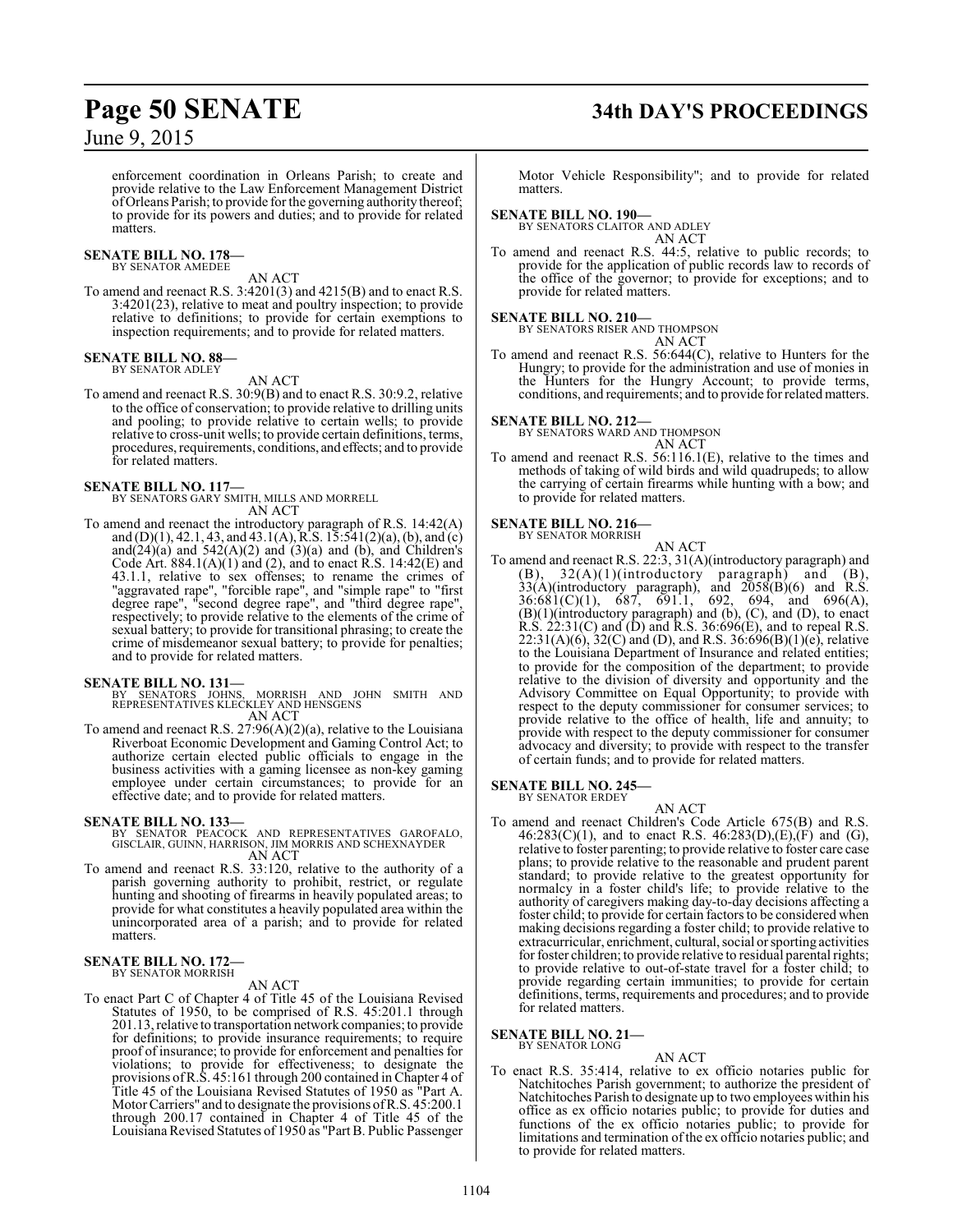enforcement coordination in Orleans Parish; to create and provide relative to the Law Enforcement Management District ofOrleans Parish; to provide for the governing authority thereof; to provide for its powers and duties; and to provide for related matters.

## **SENATE BILL NO. 178—** BY SENATOR AMEDEE

AN ACT

To amend and reenact R.S. 3:4201(3) and 4215(B) and to enact R.S. 3:4201(23), relative to meat and poultry inspection; to provide relative to definitions; to provide for certain exemptions to inspection requirements; and to provide for related matters.

#### **SENATE BILL NO. 88—** BY SENATOR ADLEY

AN ACT

To amend and reenact R.S. 30:9(B) and to enact R.S. 30:9.2, relative to the office of conservation; to provide relative to drilling units and pooling; to provide relative to certain wells; to provide relative to cross-unit wells; to provide certain definitions, terms, procedures, requirements, conditions, and effects; and to provide for related matters.

**SENATE BILL NO. 117—** BY SENATORS GARY SMITH, MILLS AND MORRELL AN ACT

To amend and reenact the introductory paragraph of R.S. 14:42(A) and (D)(1), 42.1, 43, and 43.1(A), R.S. 15:541(2)(a), (b), and (c) and $(24)(a)$  and  $542(A)(2)$  and  $(3)(a)$  and  $(b)$ , and Children's Code Art.  $884.1(A)(1)$  and (2), and to enact R.S.  $14:42(E)$  and 43.1.1, relative to sex offenses; to rename the crimes of "aggravated rape", "forcible rape", and "simple rape" to "first degree rape", "second degree rape", and "third degree rape", respectively; to provide relative to the elements of the crime of sexual battery; to provide for transitional phrasing; to create the crime of misdemeanor sexual battery; to provide for penalties; and to provide for related matters.

**SENATE BILL NO. 131—**<br>BY SENATORS JOHNS, MORRISH AND JOHN SMITH AND<br>REPRESENTATIVES KLECKLEY AND HENSGENS AN ACT

To amend and reenact R.S. 27:96(A)(2)(a), relative to the Louisiana Riverboat Economic Development and Gaming Control Act; to authorize certain elected public officials to engage in the business activities with a gaming licensee as non-key gaming employee under certain circumstances; to provide for an effective date; and to provide for related matters.

- **SENATE BILL NO. 133—**<br>BY SENATOR PEACOCK AND REPRESENTATIVES GAROFALO,<br>GISCLAIR, GUINN, HARRISON, JIM MORRIS AND SCHEXNAYDER<br>AN ACT
- To amend and reenact R.S. 33:120, relative to the authority of a parish governing authority to prohibit, restrict, or regulate hunting and shooting of firearms in heavily populated areas; to provide for what constitutes a heavily populated area within the unincorporated area of a parish; and to provide for related matters.

#### **SENATE BILL NO. 172—** BY SENATOR MORRISH

#### AN ACT

To enact Part C of Chapter 4 of Title 45 of the Louisiana Revised Statutes of 1950, to be comprised of R.S. 45:201.1 through 201.13, relative to transportation network companies; to provide for definitions; to provide insurance requirements; to require proof of insurance; to provide for enforcement and penalties for violations; to provide for effectiveness; to designate the provisions ofR.S. 45:161 through 200 contained in Chapter 4 of Title 45 of the Louisiana Revised Statutes of 1950 as "Part A. Motor Carriers" and to designate the provisions ofR.S. 45:200.1 through 200.17 contained in Chapter 4 of Title 45 of the Louisiana Revised Statutes of 1950 as "Part B. Public Passenger

# **Page 50 SENATE 34th DAY'S PROCEEDINGS**

Motor Vehicle Responsibility"; and to provide for related matters.

#### **SENATE BILL NO. 190—**

BY SENATORS CLAITOR AND ADLEY AN ACT

To amend and reenact R.S. 44:5, relative to public records; to provide for the application of public records law to records of the office of the governor; to provide for exceptions; and to provide for related matters.

**SENATE BILL NO. 210—**<br>BY SENATORS RISER AND THOMPSON AN ACT

To amend and reenact R.S. 56:644(C), relative to Hunters for the Hungry; to provide for the administration and use of monies in the Hunters for the Hungry Account; to provide terms, conditions, and requirements; and to provide for related matters.

**SENATE BILL NO. 212—**

BY SENATORS WARD AND THOMPSON

AN ACT To amend and reenact R.S. 56:116.1(E), relative to the times and methods of taking of wild birds and wild quadrupeds; to allow the carrying of certain firearms while hunting with a bow; and to provide for related matters.

#### **SENATE BILL NO. 216—** BY SENATOR MORRISH

AN ACT To amend and reenact R.S. 22:3, 31(A)(introductory paragraph) and  $(B)$ ,  $32(A)(1)($ introductory paragraph) and  $(B)$ ,  $33(A)$ (introductory paragraph), and  $2058(B)(6)$  and R.S.  $36:681(C)(1)$ ,  $687$ ,  $691.1$ ,  $692$ ,  $694$ , and  $696(A)$ , (B)(1)(introductory paragraph) and (b), (C), and (D), to enact R.S.  $22:31(C)$  and  $(D)$  and R.S. 36:696 $(E)$ , and to repeal R.S.  $22:31(A)(6)$ ,  $32(C)$  and (D), and R.S.  $36:696(B)(1)(e)$ , relative to the Louisiana Department of Insurance and related entities; to provide for the composition of the department; to provide relative to the division of diversity and opportunity and the Advisory Committee on Equal Opportunity; to provide with respect to the deputy commissioner for consumer services; to provide relative to the office of health, life and annuity; to provide with respect to the deputy commissioner for consumer advocacy and diversity; to provide with respect to the transfer of certain funds; and to provide for related matters.

#### **SENATE BILL NO. 245—**

BY SENATOR ERDEY

- AN ACT
- To amend and reenact Children's Code Article 675(B) and R.S.  $46:283(C)(1)$ , and to enact R.S.  $46:283(D),(E),(F)$  and  $(G)$ , relative to foster parenting; to provide relative to foster care case plans; to provide relative to the reasonable and prudent parent standard; to provide relative to the greatest opportunity for normalcy in a foster child's life; to provide relative to the authority of caregivers making day-to-day decisions affecting a foster child; to provide for certain factors to be considered when making decisions regarding a foster child; to provide relative to extracurricular, enrichment, cultural, social or sporting activities for foster children; to provide relative to residual parental rights; to provide relative to out-of-state travel for a foster child; to provide regarding certain immunities; to provide for certain definitions, terms, requirements and procedures; and to provide for related matters.

#### **SENATE BILL NO. 21—**

BY SENATOR LONG

#### AN ACT

To enact R.S. 35:414, relative to ex officio notaries public for Natchitoches Parish government; to authorize the president of Natchitoches Parish to designate up to two employees within his office as ex officio notaries public; to provide for duties and functions of the ex officio notaries public; to provide for limitations and termination of the ex officio notaries public; and to provide for related matters.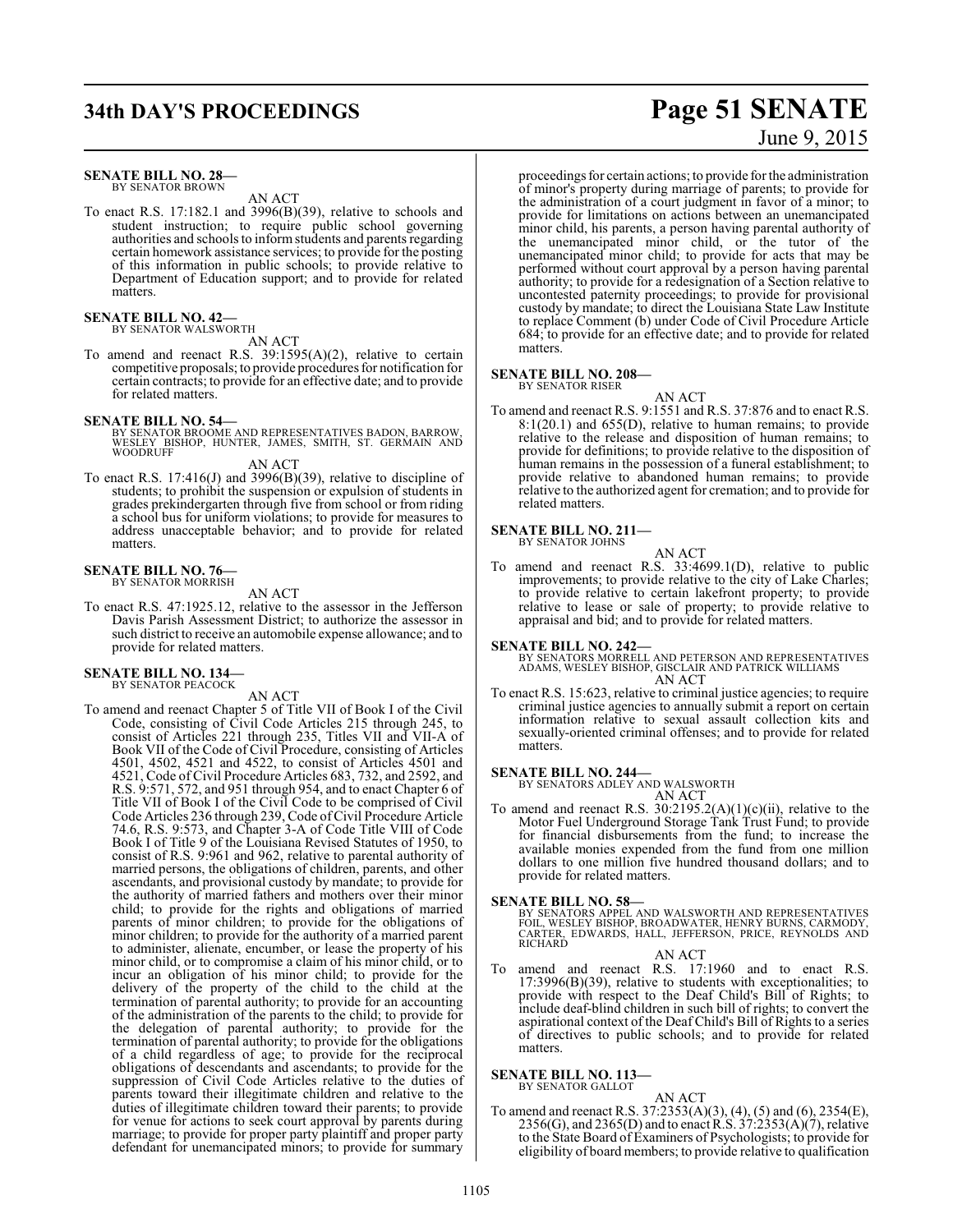# **34th DAY'S PROCEEDINGS Page 51 SENATE**

#### **SENATE BILL NO. 28—**

BY SENATOR BROWN AN ACT

To enact R.S. 17:182.1 and 3996(B)(39), relative to schools and student instruction; to require public school governing authorities and schools to inform students and parents regarding certain homework assistance services; to provide for the posting of this information in public schools; to provide relative to Department of Education support; and to provide for related matters.

## **SENATE BILL NO. 42—**<br>BY SENATOR WALSWORTH

AN ACT

To amend and reenact R.S. 39:1595(A)(2), relative to certain competitive proposals; to provide procedures for notification for certain contracts; to provide for an effective date; and to provide for related matters.

**SENATE BILL NO. 54—**<br>BY SENATOR BROOME AND REPRESENTATIVES BADON, BARROW,<br>WOODRUFF<br>WOODRUFF

AN ACT

To enact R.S. 17:416(J) and 3996(B)(39), relative to discipline of students; to prohibit the suspension or expulsion of students in grades prekindergarten through five from school or from riding a school bus for uniform violations; to provide for measures to address unacceptable behavior; and to provide for related matters.

#### **SENATE BILL NO. 76—** BY SENATOR MORRISH

AN ACT

To enact R.S. 47:1925.12, relative to the assessor in the Jefferson Davis Parish Assessment District; to authorize the assessor in such district to receive an automobile expense allowance; and to provide for related matters.

#### **SENATE BILL NO. 134—** BY SENATOR PEACOCK

AN ACT

To amend and reenact Chapter 5 of Title VII of Book I of the Civil Code, consisting of Civil Code Articles 215 through 245, to consist of Articles 221 through 235, Titles VII and VII-A of Book VII of the Code of Civil Procedure, consisting of Articles 4501, 4502, 4521 and 4522, to consist of Articles 4501 and 4521, Code of Civil Procedure Articles 683, 732, and 2592, and R.S. 9:571, 572, and 951 through 954, and to enact Chapter 6 of Title VII of Book I of the Civil Code to be comprised of Civil Code Articles 236 through 239, Code ofCivil Procedure Article 74.6, R.S. 9:573, and Chapter 3-A of Code Title VIII of Code Book I of Title 9 of the Louisiana Revised Statutes of 1950, to consist of R.S. 9:961 and 962, relative to parental authority of married persons, the obligations of children, parents, and other ascendants, and provisional custody by mandate; to provide for the authority of married fathers and mothers over their minor child; to provide for the rights and obligations of married parents of minor children; to provide for the obligations of minor children; to provide for the authority of a married parent to administer, alienate, encumber, or lease the property of his minor child, or to compromise a claim of his minor child, or to incur an obligation of his minor child; to provide for the delivery of the property of the child to the child at the termination of parental authority; to provide for an accounting of the administration of the parents to the child; to provide for the delegation of parental authority; to provide for the termination of parental authority; to provide for the obligations of a child regardless of age; to provide for the reciprocal obligations of descendants and ascendants; to provide for the suppression of Civil Code Articles relative to the duties of parents toward their illegitimate children and relative to the duties of illegitimate children toward their parents; to provide for venue for actions to seek court approval by parents during marriage; to provide for proper party plaintiff and proper party defendant for unemancipated minors; to provide for summary

# June 9, 2015

proceedings for certain actions; to provide for the administration of minor's property during marriage of parents; to provide for the administration of a court judgment in favor of a minor; to provide for limitations on actions between an unemancipated minor child, his parents, a person having parental authority of the unemancipated minor child, or the tutor of the unemancipated minor child; to provide for acts that may be performed without court approval by a person having parental authority; to provide for a redesignation of a Section relative to uncontested paternity proceedings; to provide for provisional custody by mandate; to direct the Louisiana State Law Institute to replace Comment (b) under Code of Civil Procedure Article 684; to provide for an effective date; and to provide for related matters.

## **SENATE BILL NO. 208—** BY SENATOR RISER

- AN ACT
- To amend and reenact R.S. 9:1551 and R.S. 37:876 and to enact R.S. 8:1(20.1) and 655(D), relative to human remains; to provide relative to the release and disposition of human remains; to provide for definitions; to provide relative to the disposition of human remains in the possession of a funeral establishment; to provide relative to abandoned human remains; to provide relative to the authorized agent for cremation; and to provide for related matters.

#### **SENATE BILL NO. 211—**

BY SENATOR JOHNS

To amend and reenact R.S. 33:4699.1(D), relative to public improvements; to provide relative to the city of Lake Charles; to provide relative to certain lakefront property; to provide relative to lease or sale of property; to provide relative to appraisal and bid; and to provide for related matters.

AN ACT

**SENATE BILL NO. 242—** BY SENATORS MORRELL AND PETERSON AND REPRESENTATIVES ADAMS, WESLEY BISHOP, GISCLAIR AND PATRICK WILLIAMS AN ACT

To enact R.S. 15:623, relative to criminal justice agencies; to require criminal justice agencies to annually submit a report on certain information relative to sexual assault collection kits and sexually-oriented criminal offenses; and to provide for related matters.

#### **SENATE BILL NO. 244—**

BY SENATORS ADLEY AND WALSWORTH

AN ACT

To amend and reenact R.S.  $30:2195.2(A)(1)(c)(ii)$ , relative to the Motor Fuel Underground Storage Tank Trust Fund; to provide for financial disbursements from the fund; to increase the available monies expended from the fund from one million dollars to one million five hundred thousand dollars; and to provide for related matters.

#### **SENATE BILL NO. 58—**

BY SENATORS APPEL AND WALSWORTH AND REPRESENTATIVES<br>FOIL, WESLEY BISHOP, BROADWATER, HENRY BURNS, CARMODY,<br>CARTER, EDWARDS, HALL, JEFFERSON, PRICE, REYNOLDS AND **RICHARD** 

AN ACT

To amend and reenact R.S. 17:1960 and to enact R.S. 17:3996(B)(39), relative to students with exceptionalities; to provide with respect to the Deaf Child's Bill of Rights; to include deaf-blind children in such bill of rights; to convert the aspirational context of the Deaf Child's Bill of Rights to a series of directives to public schools; and to provide for related matters.

#### **SENATE BILL NO. 113—**

BY SENATOR GALLOT

AN ACT To amend and reenact R.S. 37:2353(A)(3), (4), (5) and (6), 2354(E),  $2356(G)$ , and  $2365(D)$  and to enact R.S.  $37:2353(A)(7)$ , relative to the State Board of Examiners of Psychologists; to provide for eligibility of board members; to provide relative to qualification